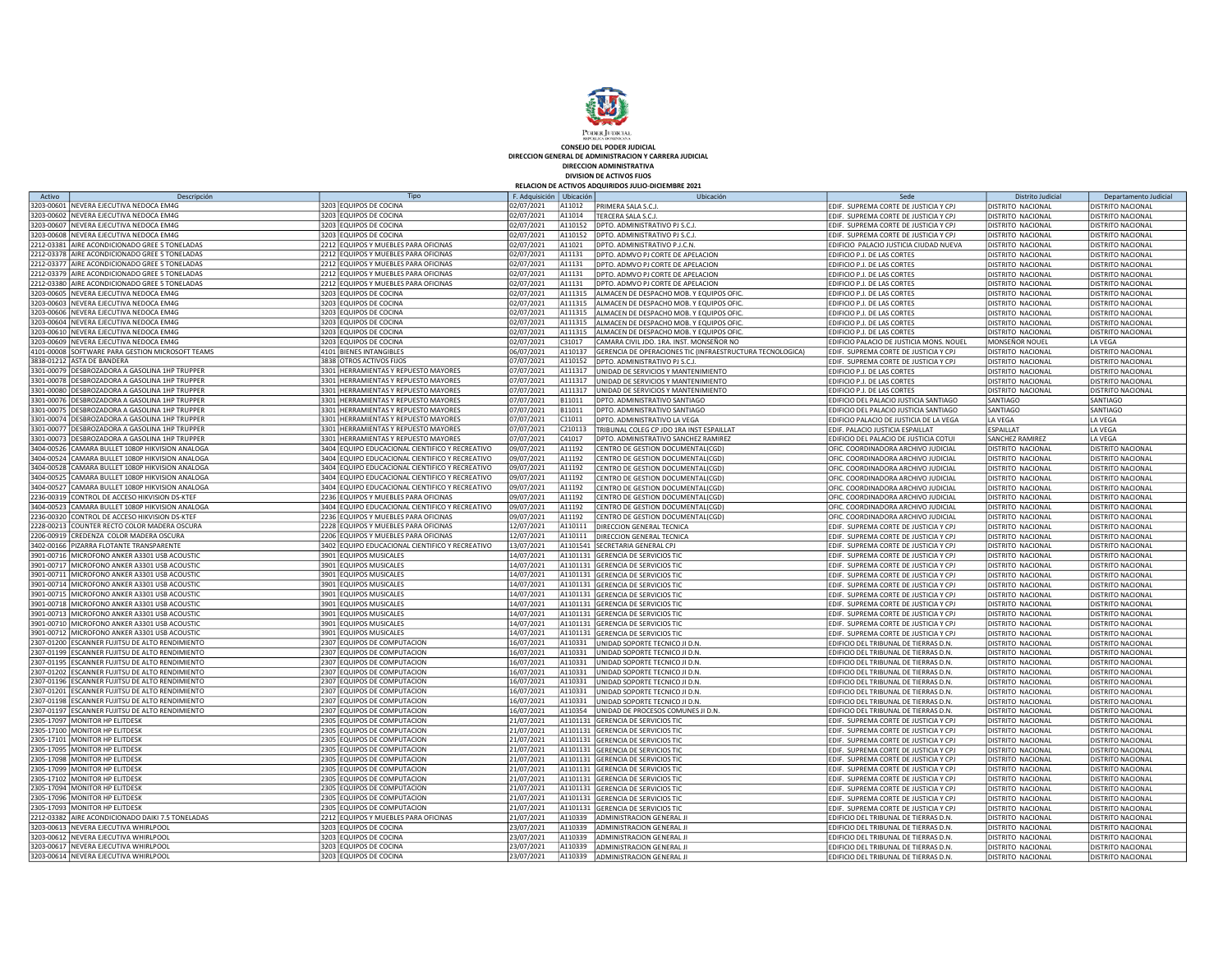

CONSEJO DEL PODER JUDICIAL DIRECCION GENERAL DE ADMINISTRACION Y CARRERA JUDICIAL

DIRECCION ADMINISTRATIVA

DIVISION DE ACTIVOS FIJOS<br>RELACION DE ACTIVOS ADQUIRIDOS JULIO-DICIEMBRE 2021

| Activo     | Descripción                                       | Tipo                                            | F. Adquisición   Ubicación |          | Ubicación                                                 | Sed                                                                           | Distrito Judicia         | Departamento Judicial    |
|------------|---------------------------------------------------|-------------------------------------------------|----------------------------|----------|-----------------------------------------------------------|-------------------------------------------------------------------------------|--------------------------|--------------------------|
|            | 3203-00601  NEVERA EJECUTIVA NEDOCA EM4G          | 3203 EQUIPOS DE COCINA                          | 02/07/2021                 | A11012   | PRIMERA SALA S.C.J.                                       | EDIF. SUPREMA CORTE DE JUSTICIA Y CPJ                                         | <b>DISTRITO NACIONAL</b> | DISTRITO NACIONAL        |
|            | 3203-00602 NEVERA EJECUTIVA NEDOCA EM4G           | 3203 EQUIPOS DE COCINA                          | 02/07/2021                 | A11014   | TERCERA SALA S.C.J.                                       | EDIF. SUPREMA CORTE DE JUSTICIA Y CPJ                                         | DISTRITO NACIONAL        | DISTRITO NACIONAL        |
|            | 3203-00607 NEVERA EJECUTIVA NEDOCA EM4G           | 3203 EQUIPOS DE COCINA                          | 02/07/2021                 | A110152  | DPTO. ADMINISTRATIVO PJ S.C.J.                            | EDIF. SUPREMA CORTE DE JUSTICIA Y CPJ                                         | DISTRITO NACIONAL        | DISTRITO NACIONAL        |
|            | 3203-00608 NEVERA EJECUTIVA NEDOCA EM4G           | 3203 EQUIPOS DE COCINA                          | 02/07/2021                 | A110152  | DPTO. ADMINISTRATIVO PJ S.C.J                             | EDIF. SUPREMA CORTE DE JUSTICIA Y CPJ                                         | DISTRITO NACIONAL        | DISTRITO NACIONAL        |
|            | 2212-03381 AIRE ACONDICIONADO GREE 5 TONELADAS    | 2212 EQUIPOS Y MUEBLES PARA OFICINAS            | 02/07/2021                 | A11021   |                                                           |                                                                               |                          |                          |
|            | 212-03378 AIRE ACONDICIONADO GREE 5 TONELADAS!    | 2212 EQUIPOS Y MUEBLES PARA OFICINAS            |                            | A11131   | DPTO. ADMINISTRATIVO P.J.C.N.                             | EDIFICIO PALACIO JUSTICIA CIUDAD NUEVA<br><b>EDIFICIO P. I. DE LAS CORTES</b> | <b>DISTRITO NACIONAL</b> | <b>DISTRITO NACIONAL</b> |
|            |                                                   |                                                 | 02/07/2021                 |          | DPTO. ADMVO PJ CORTE DE APELACION                         |                                                                               | <b>DISTRITO NACIONAL</b> | DISTRITO NACIONAL        |
|            | 2212-03377 AIRE ACONDICIONADO GREE 5 TONELADAS    | 2212 EQUIPOS Y MUEBLES PARA OFICINAS            | 02/07/2021                 | A11131   | DPTO. ADMVO PJ CORTE DE APELACION                         | EDIFICIO P.J. DE LAS CORTES                                                   | DISTRITO NACIONAL        | DISTRITO NACIONAL        |
|            | 2212-03379 AIRE ACONDICIONADO GREE 5 TONELADAS    | 2212 EQUIPOS Y MUEBLES PARA OFICINAS            | 02/07/2021                 | A11131   | DPTO. ADMVO PJ CORTE DE APELACION                         | EDIFICIO P.J. DE LAS CORTES                                                   | <b>DISTRITO NACIONAL</b> | DISTRITO NACIONAL        |
|            | 2212-03380 AIRE ACONDICIONADO GREE 5 TONELADAS    | 2212 EQUIPOS Y MUEBLES PARA OFICINAS            | 02/07/2021                 | A11131   | DPTO. ADMVO PJ CORTE DE APELACION                         | EDIFICIO P.J. DE LAS CORTES                                                   | <b>DISTRITO NACIONAL</b> | DISTRITO NACIONAL        |
|            | 3203-00605 NEVERA EJECUTIVA NEDOCA EM4G           | 3203 EQUIPOS DE COCINA                          | 02/07/2021                 | A111315  | ALMACEN DE DESPACHO MOB. Y EQUIPOS OFIC                   | EDIFICIO P.J. DE LAS CORTES                                                   | DISTRITO NACIONAL        | DISTRITO NACIONAL        |
|            | 3203-00603 NEVERA EJECUTIVA NEDOCA EM4G           | 3203 EQUIPOS DE COCINA                          | 02/07/2021                 | A111315  | ALMACEN DE DESPACHO MOB. Y EQUIPOS OFIC                   | EDIFICIO P.J. DE LAS CORTES                                                   | <b>DISTRITO NACIONAL</b> | <b>DISTRITO NACIONAL</b> |
|            | 3203-00606 NEVERA EJECUTIVA NEDOCA EM4G           | 3203 EQUIPOS DE COCINA                          | 02/07/2021                 | A111315  | ALMACEN DE DESPACHO MOB. Y EQUIPOS OFIC                   | EDIFICIO P.J. DE LAS CORTES                                                   | DISTRITO NACIONAL        | DISTRITO NACIONAL        |
|            | 3203-00604 NEVERA EJECUTIVA NEDOCA EM4G           | 3203 EQUIPOS DE COCINA                          | 02/07/2021                 | A111315  | ALMACEN DE DESPACHO MOB. Y EQUIPOS OFIC                   | EDIFICIO P.J. DE LAS CORTES                                                   | <b>DISTRITO NACIONAL</b> | DISTRITO NACIONAL        |
|            | 3203-00610 NEVERA EJECUTIVA NEDOCA EM4G           | 3203 EQUIPOS DE COCINA                          | 02/07/2021                 | A111315  | ALMACEN DE DESPACHO MOB. Y EQUIPOS OFIC                   | EDIFICIO P.J. DE LAS CORTES                                                   | <b>DISTRITO NACIONAL</b> | <b>DISTRITO NACIONAL</b> |
|            | 3203-00609 NEVERA EJECUTIVA NEDOCA EM4G           | 3203 EQUIPOS DE COCINA                          | 02/07/2021                 | C31017   | CAMARA CIVIL JDO. 1RA. INST. MONSEÑOR NO                  | EDIFICIO PALACIO DE JUSTICIA MONS. NOUEL                                      | MONSEÑOR NOUEL           | LA VEGA                  |
|            | 4101-00008 SOFTWARE PARA GESTION MICROSOFT TEAMS  | 4101 BIENES INTANGIBLES                         | 06/07/2021                 | A110137  | GERENCIA DE OPERACIONES TIC (INFRAESTRUCTURA TECNOLOGICA) | EDIF. SUPREMA CORTE DE JUSTICIA Y CPJ                                         | DISTRITO NACIONAL        | DISTRITO NACIONAL        |
|            | 3838-01212 ASTA DE BANDERA                        | 3838 OTROS ACTIVOS FIJOS                        | 07/07/2021                 | A110152  | DPTO. ADMINISTRATIVO PJ S.C.J                             | EDIF. SUPREMA CORTE DE JUSTICIA Y CPJ                                         | <b>DISTRITO NACIONAL</b> | DISTRITO NACIONAL        |
|            | 3301-00079 DESBROZADORA A GASOLINA 1HP TRUPPER    | 3301 HERRAMIENTAS Y REPUESTO MAYORES            | 07/07/2021                 | A111317  | JNIDAD DE SERVICIOS Y MANTENIMIENTO                       | EDIFICIO P.J. DE LAS CORTES                                                   | DISTRITO NACIONAL        | DISTRITO NACIONAL        |
|            | 3301-00078 DESBROZADORA A GASOLINA 1HP TRUPPER    | 3301 HERRAMIENTAS Y REPUESTO MAYORES            | 07/07/2021                 | A111317  | UNIDAD DE SERVICIOS Y MANTENIMIENTO                       | EDIFICIO P.J. DE LAS CORTES                                                   | <b>DISTRITO NACIONAL</b> | DISTRITO NACIONAL        |
|            | 3301-00080 DESBROZADORA A GASOLINA 1HP TRUPPER    | 3301 HERRAMIENTAS Y REPUESTO MAYORES            |                            | A111317  | JNIDAD DE SERVICIOS Y MANTENIMIENTO                       | EDIFICIO P.J. DE LAS CORTES                                                   | DISTRITO NACIONAL        |                          |
|            | 3301-00076 DESBROZADORA A GASOLINA 1HP TRUPPER    | 3301 HERRAMIENTAS Y REPUESTO MAYORES            | 07/07/2021<br>07/07/2021   | B11011   |                                                           |                                                                               | SANTIAGO                 | DISTRITO NACIONAL        |
|            |                                                   |                                                 |                            |          | DPTO. ADMINISTRATIVO SANTIAGO                             | EDIFICIO DEL PALACIO JUSTICIA SANTIAGO                                        |                          | SANTIAGO                 |
|            | 3301-00075 DESBROZADORA A GASOLINA 1HP TRUPPER    | 3301 HERRAMIENTAS Y REPUESTO MAYORES            | 07/07/2021                 | B11011   | DPTO. ADMINISTRATIVO SANTIAGO                             | EDIFICIO DEL PALACIO JUSTICIA SANTIAGO                                        | <b>SANTIAGO</b>          | SANTIAGO                 |
|            | 3301-00074 DESBROZADORA A GASOLINA 1HP TRUPPER    | 3301 HERRAMIENTAS Y REPUESTO MAYORES            | 07/07/2021                 | C11011   | DPTO. ADMINISTRATIVO I A VEGA                             | EDIFICIO PALACIO DE JUSTICIA DE LA VEGA                                       | LA VEGA                  | LA VEGA                  |
|            | 3301-00077 DESBROZADORA A GASOLINA 1HP TRUPPER    | 3301 HERRAMIENTAS Y REPUESTO MAYORES            | 07/07/2021                 | C210113  | TRIBUNAL COLEG CP JDO 1RA INST ESPAILLAT                  | EDIF. PALACIO JUSTICIA ESPAILLAT                                              | <b>FSPAILLAT</b>         | LA VEGA                  |
|            | 3301-00073 DESBROZADORA A GASOLINA 1HP TRUPPER    | 3301 HERRAMIENTAS Y REPUESTO MAYORES            | 07/07/2021                 | C41017   | DPTO. ADMINISTRATIVO SANCHEZ RAMIREZ                      | EDIFICIO DEL PALACIO DE JUSTICIA COTUI                                        | SANCHEZ RAMIREZ          | <b>LA VEGA</b>           |
|            | 3404-00526 CAMARA BULLET 1080P HIKVISION ANALOGA  | 3404 EQUIPO EDUCACIONAL CIENTIFICO Y RECREATIVO | 09/07/2021                 | A11192   | CENTRO DE GESTION DOCUMENTAL(CGD)                         | OFIC. COORDINADORA ARCHIVO JUDICIAL                                           | DISTRITO NACIONAL        | DISTRITO NACIONAL        |
|            | 3404-00524 CAMARA BULLET 1080P HIKVISION ANALOGA  | 3404 EQUIPO EDUCACIONAL CIENTIFICO Y RECREATIVO | 09/07/2021                 | A11192   | CENTRO DE GESTION DOCUMENTAL(CGD)                         | OFIC. COORDINADORA ARCHIVO JUDICIAL                                           | <b>DISTRITO NACIONAL</b> | DISTRITO NACIONAL        |
|            | 3404-00528 CAMARA BULLET 1080P HIKVISION ANALOGA  | 3404 EQUIPO EDUCACIONAL CIENTIFICO Y RECREATIVO | 09/07/2021                 | A11192   | CENTRO DE GESTION DOCUMENTAL(CGD)                         | OFIC. COORDINADORA ARCHIVO JUDICIAL                                           | <b>DISTRITO NACIONAL</b> | <b>DISTRITO NACIONAL</b> |
| 3404-00525 | CAMARA BULLET 1080P HIKVISION ANALOGA             | 3404 EQUIPO EDUCACIONAL CIENTIFICO Y RECREATIVO | 09/07/2021                 | A11192   | CENTRO DE GESTION DOCUMENTAL(CGD)                         | OFIC. COORDINADORA ARCHIVO JUDICIAL                                           | DISTRITO NACIONAL        | DISTRITO NACIONAL        |
| 3404-00527 | CAMARA BULLET 1080P HIKVISION ANALOGA             | 3404 EQUIPO EDUCACIONAL CIENTIFICO Y RECREATIVO | 09/07/2021                 | A11192   | CENTRO DE GESTION DOCUMENTAL(CGD)                         | OFIC. COORDINADORA ARCHIVO JUDICIAL                                           | <b>DISTRITO NACIONAL</b> | DISTRITO NACIONAL        |
|            | 2236-00319 CONTROL DE ACCESO HIKVISION DS-KTEF    | 2236 EQUIPOS Y MUEBLES PARA OFICINAS            | 09/07/2021                 | A11192   | CENTRO DE GESTION DOCUMENTAL(CGD)                         | OFIC. COORDINADORA ARCHIVO JUDICIAL                                           | <b>DISTRITO NACIONAL</b> | <b>DISTRITO NACIONAL</b> |
|            | 3404-00523 CAMARA BULLET 1080P HIKVISION ANALOGA  | 3404 EQUIPO EDUCACIONAL CIENTIFICO Y RECREATIVO | 09/07/2021                 | A11192   | CENTRO DE GESTION DOCUMENTAL(CGD)                         | OFIC. COORDINADORA ARCHIVO JUDICIAL                                           | <b>DISTRITO NACIONAL</b> | DISTRITO NACIONAL        |
|            | 2236-00320 CONTROL DE ACCESO HIKVISION DS-KTEF    | 2236 EQUIPOS Y MUEBLES PARA OFICINAS            | 09/07/2021                 | A11192   | CENTRO DE GESTION DOCUMENTAL(CGD)                         | OFIC. COORDINADORA ARCHIVO JUDICIAL                                           | <b>DISTRITO NACIONAL</b> | DISTRITO NACIONAL        |
|            | 2228-00213 COUNTER RECTO COLOR MADERA OSCURA      | 2228 EQUIPOS Y MUEBLES PARA OFICINAS            | 12/07/2021                 | A110111  | DIRECCION GENERAL TECNICA                                 | EDIF. SUPREMA CORTE DE JUSTICIA Y CPJ                                         | <b>DISTRITO NACIONAL</b> | DISTRITO NACIONAL        |
|            | 2206-00919 CREDENZA COLOR MADERA OSCURA           | 2206 EQUIPOS Y MUEBLES PARA OFICINAS            | 12/07/2021                 | A110111  | DIRECCION GENERAL TECNICA                                 | EDIF. SUPREMA CORTE DE JUSTICIA Y CPJ                                         | <b>DISTRITO NACIONAL</b> | DISTRITO NACIONAL        |
|            | 3402-00166 PIZARRA FLOTANTE TRANSPARENTE          | 3402 EQUIPO EDUCACIONAL CIENTIFICO Y RECREATIVO | 13/07/2021                 | A1101541 | SECRETARIA GENERAL CPJ                                    | EDIF. SUPREMA CORTE DE JUSTICIA Y CPJ                                         | <b>DISTRITO NACIONAL</b> | DISTRITO NACIONAL        |
|            | 3901-00716 MICROFONO ANKER A3301 USB ACOUSTIC     | 3901 EQUIPOS MUSICALES                          | 14/07/2021                 | A1101131 | <b>GERENCIA DE SERVICIOS TIO</b>                          | EDIF. SUPREMA CORTE DE JUSTICIA Y CPJ                                         | <b>DISTRITO NACIONAL</b> | DISTRITO NACIONAL        |
|            | 3901-00717 MICROFONO ANKER A3301 USB ACOUSTIC     | 3901 EQUIPOS MUSICALES                          | 14/07/2021                 | A1101131 | GERENCIA DE SERVICIOS TIC                                 | EDIF. SUPREMA CORTE DE JUSTICIA Y CPJ                                         | DISTRITO NACIONAL        | <b>DISTRITO NACIONAL</b> |
|            | 3901-00711 MICROFONO ANKER A3301 USB ACOUSTIC     | 3901 EQUIPOS MUSICALES                          | 14/07/2021                 | A1101131 | GERENCIA DE SERVICIOS TIC                                 | EDIF. SUPREMA CORTE DE JUSTICIA Y CPJ                                         | DISTRITO NACIONAL        | DISTRITO NACIONAL        |
|            | 3901-00714   MICROFONO ANKER A3301 USB ACOUSTIC   | 3901 EQUIPOS MUSICALES                          | 14/07/2021                 | A1101131 | GERENCIA DE SERVICIOS TIC                                 | EDIF. SUPREMA CORTE DE JUSTICIA Y CPJ                                         | <b>DISTRITO NACIONAL</b> | <b>DISTRITO NACIONAL</b> |
|            | 3901-00715 MICROFONO ANKER A3301 USB ACOUSTIC     | 3901 EQUIPOS MUSICALES                          | 14/07/2021                 | A1101131 | <b>GERENCIA DE SERVICIOS TIC</b>                          | EDIF. SUPREMA CORTE DE JUSTICIA Y CPJ                                         | <b>DISTRITO NACIONAL</b> |                          |
|            | 3901-00718 MICROFONO ANKER A3301 USB ACOUSTIC     |                                                 |                            |          |                                                           |                                                                               |                          | DISTRITO NACIONAL        |
|            |                                                   | 3901 EQUIPOS MUSICALES                          | 14/07/2021                 | A1101131 | GERENCIA DE SERVICIOS TIC                                 | EDIF. SUPREMA CORTE DE JUSTICIA Y CPJ                                         | DISTRITO NACIONAL        | DISTRITO NACIONAL        |
|            | 3901-00713 MICROFONO ANKER A3301 USB ACOUSTIC     | 3901 EQUIPOS MUSICALES                          | 14/07/2021                 | A1101131 | <b>GERENCIA DE SERVICIOS TIC</b>                          | EDIF. SUPREMA CORTE DE JUSTICIA Y CPJ                                         | <b>DISTRITO NACIONAL</b> | DISTRITO NACIONAL        |
|            | 3901-00710 MICROFONO ANKER A3301 USB ACOUSTIC     | 3901 EQUIPOS MUSICALES                          | 14/07/2021                 | A1101131 | <b>GERENCIA DE SERVICIOS TIC</b>                          | EDIF. SUPREMA CORTE DE JUSTICIA Y CPJ                                         | DISTRITO NACIONAL        | DISTRITO NACIONAL        |
|            | 3901-00712 MICROFONO ANKER A3301 USB ACOUSTIC     | 3901 EQUIPOS MUSICALES                          | 14/07/2021                 | A1101131 | <b>GERENCIA DE SERVICIOS TIC</b>                          | EDIF. SUPREMA CORTE DE JUSTICIA Y CPJ                                         | <b>DISTRITO NACIONAL</b> | <b>DISTRITO NACIONAL</b> |
|            | 2307-01200 ESCANNER FUJITSU DE ALTO RENDIMIENTO   | 2307 EQUIPOS DE COMPUTACION                     | 16/07/2021                 | A110331  | JNIDAD SOPORTE TECNICO JI D.N.                            | EDIFICIO DEL TRIBUNAL DE TIERRAS D.N.                                         | <b>DISTRITO NACIONAL</b> | DISTRITO NACIONAL        |
|            | 2307-01199 ESCANNER FUJITSU DE ALTO RENDIMIENTO   | 2307 EQUIPOS DE COMPUTACION                     | 16/07/2021                 | A110331  | UNIDAD SOPORTE TECNICO JI D.N.                            | EDIFICIO DEL TRIBUNAL DE TIERRAS D.N.                                         | <b>DISTRITO NACIONAL</b> | DISTRITO NACIONAL        |
|            | 2307-01195 ESCANNER FUJITSU DE ALTO RENDIMIENTO   | 2307 EQUIPOS DE COMPUTACION                     | 16/07/2021                 | A110331  | UNIDAD SOPORTE TECNICO JI D.N.                            | EDIFICIO DEL TRIBUNAL DE TIERRAS D.N.                                         | <b>DISTRITO NACIONAL</b> | DISTRITO NACIONAL        |
|            | 2307-01202 ESCANNER FUJITSU DE ALTO RENDIMIENTO   | 2307 EQUIPOS DE COMPUTACION                     | 16/07/2021                 | A110331  | JNIDAD SOPORTE TECNICO JI D.N.                            | EDIFICIO DEL TRIBUNAL DE TIERRAS D.N.                                         | <b>DISTRITO NACIONAL</b> | DISTRITO NACIONAL        |
|            | 2307-01196 ESCANNER FUJITSU DE ALTO RENDIMIENTO   | 2307 EQUIPOS DE COMPUTACION                     | 16/07/2021                 | A110331  | UNIDAD SOPORTE TECNICO JI D.N.                            | EDIFICIO DEL TRIBUNAL DE TIERRAS D.N.                                         | <b>DISTRITO NACIONAL</b> | DISTRITO NACIONAL        |
|            | 2307-01201 ESCANNER FUJITSU DE ALTO RENDIMIENTO   | 2307 EQUIPOS DE COMPUTACION                     | 16/07/2021                 | A110331  | JNIDAD SOPORTE TECNICO JI D.N.                            | EDIFICIO DEL TRIBUNAL DE TIERRAS D.N.                                         | <b>DISTRITO NACIONAL</b> | DISTRITO NACIONAL        |
|            | 2307-01198 ESCANNER FUJITSU DE ALTO RENDIMIENTO   | 2307 EQUIPOS DE COMPUTACION                     | 16/07/2021                 | A110331  | JNIDAD SOPORTE TECNICO JI D.N.                            | EDIFICIO DEL TRIBUNAL DE TIERRAS D.N.                                         | <b>DISTRITO NACIONAL</b> | DISTRITO NACIONAL        |
|            | 2307-01197 ESCANNER FUJITSU DE ALTO RENDIMIENTO   | 2307 EQUIPOS DE COMPUTACION                     | 16/07/2021                 | A110354  | JNIDAD DE PROCESOS COMUNES JI D.N.                        | EDIFICIO DEL TRIBUNAL DE TIERRAS D.N.                                         | <b>DISTRITO NACIONAL</b> | DISTRITO NACIONAL        |
|            | 2305-17097 MONITOR HP ELITDESK                    | 2305 EQUIPOS DE COMPUTACION                     | 21/07/2021                 | A1101131 | <b>GERENCIA DE SERVICIOS TIC</b>                          | EDIF. SUPREMA CORTE DE JUSTICIA Y CPJ                                         | <b>DISTRITO NACIONAL</b> | DISTRITO NACIONAL        |
|            | 2305-17100 MONITOR HP ELITDESK                    | 2305 EQUIPOS DE COMPUTACION                     | 21/07/2021                 | A1101131 | GERENCIA DE SERVICIOS TIC                                 | EDIF. SUPREMA CORTE DE JUSTICIA Y CPJ                                         | DISTRITO NACIONAL        | DISTRITO NACIONAL        |
|            | 2305-17101 MONITOR HP ELITDESK                    | 2305 EQUIPOS DE COMPUTACION                     | 21/07/2021                 | A1101131 | GERENCIA DE SERVICIOS TIC                                 | EDIF. SUPREMA CORTE DE JUSTICIA Y CPJ                                         | DISTRITO NACIONAL        | DISTRITO NACIONAL        |
|            | 2305-17095 MONITOR HP ELITDESK                    | 2305 EQUIPOS DE COMPUTACION                     | 21/07/2021                 | A1101131 | GERENCIA DE SERVICIOS TIC                                 | EDIF. SUPREMA CORTE DE JUSTICIA Y CPJ                                         | <b>DISTRITO NACIONAL</b> | DISTRITO NACIONAL        |
|            | 2305-17098 MONITOR HP ELITDESK                    | 2305 EQUIPOS DE COMPUTACION                     | 21/07/2021                 | A1101131 | GERENCIA DE SERVICIOS TIO                                 | EDIF. SUPREMA CORTE DE JUSTICIA Y CPJ                                         | DISTRITO NACIONAL        | DISTRITO NACIONAL        |
|            | 2305-17099 MONITOR HP ELITDESK                    | 2305 EQUIPOS DE COMPUTACION                     | 21/07/2021                 | A1101131 | <b>GERENCIA DE SERVICIOS TIC</b>                          | EDIF. SUPREMA CORTE DE JUSTICIA Y CPJ                                         | <b>DISTRITO NACIONAL</b> | <b>DISTRITO NACIONAL</b> |
|            | 2305-17102 MONITOR HP ELITDESK                    | 2305 EQUIPOS DE COMPUTACION                     | 21/07/2021                 | A1101131 | <b>GERENCIA DE SERVICIOS TIC</b>                          | EDIF. SUPREMA CORTE DE JUSTICIA Y CPJ                                         | <b>DISTRITO NACIONAL</b> | DISTRITO NACIONAL        |
|            |                                                   |                                                 |                            | A1101131 |                                                           |                                                                               |                          |                          |
|            | 2305-17094 MONITOR HP ELITDESK                    | 2305 EQUIPOS DE COMPUTACION                     | 21/07/2021                 |          | GERENCIA DE SERVICIOS TIC                                 | EDIF. SUPREMA CORTE DE JUSTICIA Y CPJ                                         | <b>DISTRITO NACIONAL</b> | DISTRITO NACIONAL        |
|            | 2305-17096 MONITOR HP ELITDESK                    | 2305 EQUIPOS DE COMPUTACION                     | 21/07/2021                 | A1101131 | <b>GERENCIA DE SERVICIOS TIC</b>                          | EDIF. SUPREMA CORTE DE JUSTICIA Y CPJ                                         | <b>DISTRITO NACIONAL</b> | <b>DISTRITO NACIONAL</b> |
|            | 2305-17093 MONITOR HP ELITDESK                    | 2305 EQUIPOS DE COMPUTACION                     | 21/07/2021                 | A1101131 | GERENCIA DE SERVICIOS TIC                                 | EDIF. SUPREMA CORTE DE JUSTICIA Y CPJ                                         | DISTRITO NACIONAL        | DISTRITO NACIONAL        |
|            | 2212-03382 AIRE ACONDICIONADO DAIKI 7.5 TONELADAS | 2212 EQUIPOS Y MUEBLES PARA OFICINAS            | 21/07/2021                 | A110339  | ADMINISTRACION GENERAL JI                                 | EDIFICIO DEL TRIBUNAL DE TIERRAS D.N.                                         | DISTRITO NACIONAL        | DISTRITO NACIONAL        |
|            | 3203-00613 NEVERA EJECUTIVA WHIRLPOOL             | 3203 EQUIPOS DE COCINA                          | 23/07/2021                 | A110339  | ADMINISTRACION GENERAL JI                                 | EDIFICIO DEL TRIBUNAL DE TIERRAS D.N.                                         | <b>DISTRITO NACIONAL</b> | DISTRITO NACIONAL        |
|            | 3203-00612 NEVERA EJECUTIVA WHIRLPOOL             | 3203 EQUIPOS DE COCINA                          | 23/07/2021                 | A110339  | ADMINISTRACION GENERAL JI                                 | EDIFICIO DEL TRIBUNAL DE TIERRAS D.N.                                         | <b>DISTRITO NACIONAL</b> | <b>DISTRITO NACIONAL</b> |
|            | 3203-00617 NEVERA EJECUTIVA WHIRLPOOI             | 3203 EQUIPOS DE COCINA                          | 23/07/2021                 | A110339  | ADMINISTRACION GENERAL JI                                 | EDIFICIO DEL TRIBUNAL DE TIERRAS D.N.                                         | DISTRITO NACIONAL        | DISTRITO NACIONAL        |
|            | 3203-00614 NEVERA EJECUTIVA WHIRLPOOI             | 3203 EQUIPOS DE COCINA                          | 23/07/2021                 | A110339  | ADMINISTRACION GENERAL JI                                 | EDIFICIO DEL TRIBUNAL DE TIERRAS D.N.                                         | DISTRITO NACIONAL        | DISTRITO NACIONAL        |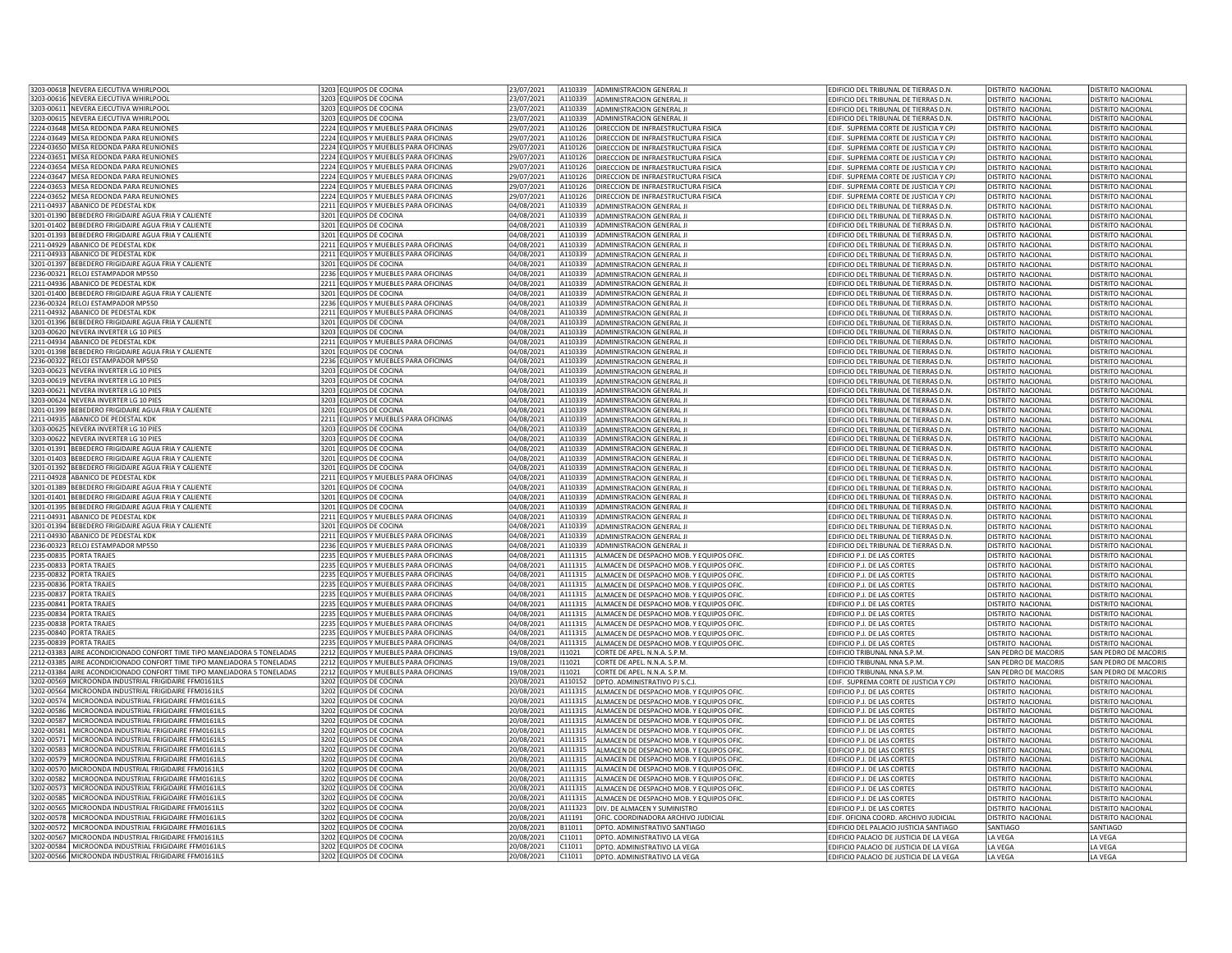| 3203-00618 NEVERA EJECUTIVA WHIRLPOOL                                                                          | 3203 EQUIPOS DE COCINA                           | 23/07/2021               |                  | A110339 ADMINISTRACION GENERAL JI                            | EDIFICIO DEL TRIBUNAL DE TIERRAS D.N.                                               | <b>DISTRITO NACIONAL</b>  | <b>DISTRITO NACIONAL</b> |
|----------------------------------------------------------------------------------------------------------------|--------------------------------------------------|--------------------------|------------------|--------------------------------------------------------------|-------------------------------------------------------------------------------------|---------------------------|--------------------------|
| 3203-00616 NEVERA EJECUTIVA WHIRLPOOL                                                                          |                                                  | 23/07/2021               |                  |                                                              |                                                                                     |                           |                          |
|                                                                                                                | 3203 EQUIPOS DE COCINA                           |                          |                  | A110339 ADMINISTRACION GENERAL JI                            | EDIFICIO DEL TRIBUNAL DE TIERRAS D.N.                                               | DISTRITO NACIONAL         | DISTRITO NACIONAL        |
| 3203-00611 NEVERA EJECUTIVA WHIRLPOOL                                                                          | 3203 EQUIPOS DE COCINA                           | 23/07/2021               |                  | A110339 ADMINISTRACION GENERAL JI                            | EDIFICIO DEL TRIBUNAL DE TIERRAS D.N.                                               | <b>DISTRITO NACIONAL</b>  | <b>DISTRITO NACIONAL</b> |
| 3203-00615 NEVERA EJECUTIVA WHIRLPOOL                                                                          | 3203 EQUIPOS DE COCINA                           | 23/07/2021               | A110339          | ADMINISTRACION GENERAL JI                                    | EDIFICIO DEL TRIBUNAL DE TIERRAS D.N.                                               | DISTRITO NACIONAL         | DISTRITO NACIONAL        |
| 2224-03648 MESA REDONDA PARA REUNIONES                                                                         | 2224 EQUIPOS Y MUEBLES PARA OFICINAS             | 29/07/2021               | A110126          | <b>DIRECCION DE INFRAESTRUCTURA FISICA</b>                   | EDIF. SUPREMA CORTE DE JUSTICIA Y CPJ                                               | <b>DISTRITO NACIONAL</b>  | DISTRITO NACIONAL        |
| 2224-03649 MESA REDONDA PARA REUNIONES                                                                         | 2224 EQUIPOS Y MUEBLES PARA OFICINAS             | 29/07/2021               | A110126          | DIRECCION DE INFRAESTRUCTURA FISICA                          | EDIF. SUPREMA CORTE DE JUSTICIA Y CPJ                                               | DISTRITO NACIONAL         | DISTRITO NACIONAL        |
| 2224-03650 MESA REDONDA PARA REUNIONES                                                                         | 2224 EQUIPOS Y MUEBLES PARA OFICINAS             | 29/07/2021               | A110126          | DIRECCION DE INFRAESTRUCTURA FISICA                          |                                                                                     | DISTRITO NACIONAL         |                          |
|                                                                                                                |                                                  |                          |                  |                                                              | EDIF. SUPREMA CORTE DE JUSTICIA Y CPJ                                               |                           | <b>DISTRITO NACIONAL</b> |
| 2224-03651 MESA REDONDA PARA REUNIONES                                                                         | 2224 EQUIPOS Y MUEBLES PARA OFICINAS             | 29/07/2021               | A110126          | DIRECCION DE INFRAESTRUCTURA FISICA                          | EDIF. SUPREMA CORTE DE JUSTICIA Y CPJ                                               | <b>DISTRITO NACIONAL</b>  | DISTRITO NACIONAL        |
| 2224-03654 MESA REDONDA PARA REUNIONES                                                                         | 2224 EQUIPOS Y MUEBLES PARA OFICINAS             | 29/07/2021               | A110126          | <b>DIRECCION DE INFRAESTRUCTURA FISICA</b>                   | EDIF. SUPREMA CORTE DE JUSTICIA Y CPJ                                               | <b>DISTRITO NACIONAL</b>  | DISTRITO NACIONAL        |
| 2224-03647 MESA REDONDA PARA REUNIONES                                                                         | 2224 EQUIPOS Y MUEBLES PARA OFICINAS             | 29/07/2021               | A110126          | DIRECCION DE INFRAESTRUCTURA FISICA                          | EDIF. SUPREMA CORTE DE JUSTICIA Y CPJ                                               | DISTRITO NACIONAL         | DISTRITO NACIONAL        |
| 2224-03653 MESA REDONDA PARA REUNIONES                                                                         | 2224 EQUIPOS Y MUEBLES PARA OFICINAS             | 29/07/2021               | A110126          | DIRECCION DE INFRAESTRUCTURA FISICA                          | FDIE. SUPREMA CORTE DE JUSTICIA Y CPI                                               | DISTRITO NACIONAL         | DISTRITO NACIONAL        |
| 2224-03652 MESA REDONDA PARA REUNIONES                                                                         |                                                  |                          | A110126          |                                                              |                                                                                     | <b>DISTRITO NACIONAL</b>  | DISTRITO NACIONAL        |
|                                                                                                                | 2224 EQUIPOS Y MUEBLES PARA OFICINAS             | 29/07/2021               |                  | DIRECCION DE INFRAESTRUCTURA FISICA                          | EDIF. SUPREMA CORTE DE JUSTICIA Y CPJ                                               |                           |                          |
| 2211-04937 ABANICO DE PEDESTAL KDK                                                                             | 2211 EQUIPOS Y MUEBLES PARA OFICINAS             | 04/08/2021               |                  | A110339 ADMINISTRACION GENERAL JI                            | EDIFICIO DEL TRIBUNAL DE TIERRAS D.N.                                               | DISTRITO NACIONAL         | DISTRITO NACIONAL        |
| 3201-01390 BEBEDERO FRIGIDAIRE AGUA FRIA Y CALIENTE                                                            | 3201 EQUIPOS DE COCINA                           | 04/08/2021               | A110339          | ADMINISTRACION GENERAL JI                                    | EDIFICIO DEL TRIBUNAL DE TIERRAS D.N.                                               | <b>DISTRITO NACIONAL</b>  | DISTRITO NACIONAL        |
| 3201-01402 BEBEDERO FRIGIDAIRE AGUA FRIA Y CALIENTE                                                            | 3201 EQUIPOS DE COCINA                           | 04/08/2021               | A110339          | ADMINISTRACION GENERAL JI                                    | EDIFICIO DEL TRIBUNAL DE TIERRAS D.N.                                               | DISTRITO NACIONAL         | DISTRITO NACIONAL        |
| 3201-01393 BEBEDERO FRIGIDAIRE AGUA FRIA Y CALIENTE                                                            | 3201 EQUIPOS DE COCINA                           | 04/08/2021               | A110339          | <b>ADMINISTRACION GENERAL JI</b>                             | EDIFICIO DEL TRIBUNAL DE TIERRAS D.N.                                               | <b>DISTRITO NACIONAL</b>  | DISTRITO NACIONAL        |
| 2211-04929 ABANICO DE PEDESTAL KDK                                                                             | 2211 EQUIPOS Y MUEBLES PARA OFICINAS             | 04/08/2021               | A110339          | ADMINISTRACION GENERAL JI                                    | EDIFICIO DEL TRIBUNAL DE TIERRAS D.N.                                               | <b>DISTRITO NACIONAL</b>  | DISTRITO NACIONAL        |
|                                                                                                                |                                                  |                          |                  |                                                              |                                                                                     |                           |                          |
| 2211-04933 ABANICO DE PEDESTAL KDK                                                                             | 2211 FOUIPOS Y MUEBLES PARA OFICINAS             | 04/08/2021               | A110339          | <b>ADMINISTRACION GENERAL II</b>                             | EDIFICIO DEL TRIBUNAL DE TIERRAS D.N.                                               | DISTRITO NACIONAL         | DISTRITO NACIONAL        |
| 3201-01397 BEBEDERO FRIGIDAIRE AGUA FRIA Y CALIENTE                                                            | 3201 EQUIPOS DE COCINA                           | 04/08/2021               | A110339          | ADMINISTRACION GENERAL JI                                    | EDIFICIO DEL TRIBUNAL DE TIERRAS D.N.                                               | DISTRITO NACIONAL         | DISTRITO NACIONAL        |
| 2236-00321 RELOJ ESTAMPADOR MP550                                                                              | 2236 EQUIPOS Y MUEBLES PARA OFICINAS             | 04/08/2021               | A110339          | ADMINISTRACION GENERAL JI                                    | EDIFICIO DEL TRIBUNAL DE TIERRAS D.N.                                               | DISTRITO NACIONAL         | DISTRITO NACIONAL        |
| 2211-04936 ABANICO DE PEDESTAL KDK                                                                             | 2211 EQUIPOS Y MUEBLES PARA OFICINAS             | 04/08/2021               | A110339          | ADMINISTRACION GENERAL JI                                    | EDIFICIO DEL TRIBUNAL DE TIERRAS D.N.                                               | <b>DISTRITO NACIONAL</b>  | DISTRITO NACIONAL        |
| 3201-01400 BEBEDERO FRIGIDAIRE AGUA FRIA Y CALIENTE                                                            | 3201 EQUIPOS DE COCINA                           | 04/08/2021               | A110339          | ADMINISTRACION GENERAL JI                                    | EDIFICIO DEL TRIBUNAL DE TIERRAS D.N.                                               | <b>DISTRITO NACIONAL</b>  | DISTRITO NACIONAL        |
|                                                                                                                |                                                  |                          |                  |                                                              |                                                                                     |                           |                          |
| 2236-00324 RELOJ ESTAMPADOR MP550                                                                              | 2236 EQUIPOS Y MUEBLES PARA OFICINAS             | 04/08/2021               | A110339          | ADMINISTRACION GENERAL JI                                    | EDIFICIO DEL TRIBUNAL DE TIERRAS D.N.                                               | <b>DISTRITO NACIONAL</b>  | DISTRITO NACIONAL        |
| 2211-04932 ABANICO DE PEDESTAL KDK                                                                             | 2211 EQUIPOS Y MUEBLES PARA OFICINAS             | 04/08/2021               |                  | A110339 ADMINISTRACION GENERAL JI                            | EDIFICIO DEL TRIBUNAL DE TIERRAS D.N.                                               | <b>DISTRITO NACIONAL</b>  | DISTRITO NACIONAL        |
| 3201-01396 BEBEDERO FRIGIDAIRE AGUA FRIA Y CALIENTE                                                            | 3201 EQUIPOS DE COCINA                           | 04/08/2021               |                  | A110339 ADMINISTRACION GENERAL JI                            | EDIFICIO DEL TRIBUNAL DE TIERRAS D.N.                                               | DISTRITO NACIONAL         | DISTRITO NACIONAL        |
| 3203-00620 NEVERA INVERTER LG 10 PIES                                                                          | 3203 EQUIPOS DE COCINA                           | 04/08/2021               | A110339          | <b>ADMINISTRACION GENERAL JI</b>                             | EDIFICIO DEL TRIBUNAL DE TIERRAS D.N.                                               | DISTRITO NACIONAL         | DISTRITO NACIONAL        |
| 2211-04934 ABANICO DE PEDESTAL KDI                                                                             | 2211 EQUIPOS Y MUEBLES PARA OFICINAS             | 04/08/2021               | A110339          | ADMINISTRACION GENERAL JI                                    | EDIFICIO DEL TRIBUNAL DE TIERRAS D.N.                                               | DISTRITO NACIONAL         | DISTRITO NACIONAL        |
|                                                                                                                |                                                  |                          |                  |                                                              |                                                                                     |                           |                          |
| 3201-01398 BEBEDERO FRIGIDAIRE AGUA FRIA Y CALIENTE                                                            | 3201 EQUIPOS DE COCINA                           | 04/08/2021               | A110339          | <b>ADMINISTRACION GENERAL JI</b>                             | EDIFICIO DEL TRIBUNAL DE TIERRAS D.N                                                | DISTRITO NACIONAL         | DISTRITO NACIONAL        |
| 2236-00322 RELOJ ESTAMPADOR MP550                                                                              | 2236 EQUIPOS Y MUEBLES PARA OFICINAS             | 04/08/2021               | A110339          | <b>ADMINISTRACION GENERAL JI</b>                             | EDIFICIO DEL TRIBUNAL DE TIERRAS D.N.                                               | <b>DISTRITO NACIONAL</b>  | DISTRITO NACIONAL        |
| 3203-00623 NEVERA INVERTER LG 10 PIES                                                                          | 3203 EQUIPOS DE COCINA                           | 04/08/2021               | A110339          | ADMINISTRACION GENERAL II                                    | FDIFICIO DEL TRIBUNAL DE TIFRRAS D.N.                                               | DISTRITO NACIONAL         | DISTRITO NACIONAL        |
| 3203-00619 NEVERA INVERTER LG 10 PIES                                                                          | 3203 EQUIPOS DE COCINA                           | 04/08/2021               | A110339          | ADMINISTRACION GENERAL JI                                    | EDIFICIO DEL TRIBUNAL DE TIERRAS D.N.                                               | DISTRITO NACIONAL         | DISTRITO NACIONAL        |
| 3203-00621 NEVERA INVERTER LG 10 PIES                                                                          | 3203 EQUIPOS DE COCINA                           | 04/08/2021               |                  | A110339 ADMINISTRACION GENERAL JI                            | EDIFICIO DEL TRIBUNAL DE TIERRAS D.N.                                               | DISTRITO NACIONAL         | DISTRITO NACIONAL        |
|                                                                                                                | 3203 FOUJPOS DE COCINA                           | 04/08/2021               | A110339          |                                                              |                                                                                     |                           |                          |
| 3203-00624 NEVERA INVERTER LG 10 PIES                                                                          |                                                  |                          |                  | ADMINISTRACION GENERAL JI                                    | EDIFICIO DEL TRIBUNAL DE TIERRAS D.N.                                               | DISTRITO NACIONAL         | DISTRITO NACIONAL        |
| 3201-01399 BEBEDERO FRIGIDAIRE AGUA FRIA Y CALIENTE                                                            | 3201 EQUIPOS DE COCINA                           | 04/08/2021               | A110339          | <b>ADMINISTRACION GENERAL II</b>                             | EDIFICIO DEL TRIBUNAL DE TIERRAS D.N.                                               | DISTRITO NACIONAL         | DISTRITO NACIONAL        |
| 2211-04935 ABANICO DE PEDESTAL KDK                                                                             | 2211 EQUIPOS Y MUEBLES PARA OFICINAS             | 04/08/2021               | A110339          | ADMINISTRACION GENERAL JI                                    | EDIFICIO DEL TRIBUNAL DE TIERRAS D.N.                                               | <b>DISTRITO NACIONAL</b>  | DISTRITO NACIONAL        |
| 3203-00625 NEVERA INVERTER LG 10 PIES                                                                          | 3203 EQUIPOS DE COCINA                           | 04/08/2021               |                  | A110339 ADMINISTRACION GENERAL JI                            | EDIFICIO DEL TRIBUNAL DE TIERRAS D.N.                                               | DISTRITO NACIONAL         | DISTRITO NACIONAL        |
| 3203-00622 NEVERA INVERTER LG 10 PIES                                                                          | 3203 EQUIPOS DE COCINA                           | 04/08/2021               |                  | A110339 ADMINISTRACION GENERAL JI                            | EDIFICIO DEL TRIBUNAL DE TIERRAS D.N.                                               | <b>DISTRITO NACIONAL</b>  | DISTRITO NACIONAL        |
|                                                                                                                | 3201 EQUIPOS DE COCINA                           |                          | A110339          |                                                              |                                                                                     |                           |                          |
| 3201-01391 BEBEDERO FRIGIDAIRE AGUA FRIA Y CALIENTE                                                            |                                                  | 04/08/2021               |                  | ADMINISTRACION GENERAL JI                                    | EDIFICIO DEL TRIBUNAL DE TIERRAS D.N.                                               | <b>DISTRITO NACIONAL</b>  | DISTRITO NACIONAL        |
| 3201-01403 BEBEDERO FRIGIDAIRE AGUA FRIA Y CALIENTE                                                            | 3201 EQUIPOS DE COCINA                           | 04/08/2021               |                  | A110339 ADMINISTRACION GENERAL JI                            | EDIFICIO DEL TRIBUNAL DE TIERRAS D.N.                                               | <b>DISTRITO NACIONAL</b>  | DISTRITO NACIONAL        |
| 3201-01392 BEBEDERO FRIGIDAIRE AGUA FRIA Y CALIENTE                                                            | 3201 EQUIPOS DE COCINA                           | 04/08/2021               |                  | A110339 ADMINISTRACION GENERAL JI                            | EDIFICIO DEL TRIBUNAL DE TIERRAS D.N.                                               | <b>DISTRITO NACIONAL</b>  | DISTRITO NACIONAL        |
| 2211-04928 ABANICO DE PEDESTAL KDK                                                                             | 2211 EQUIPOS Y MUEBLES PARA OFICINAS             | 04/08/2021               | A110339          | <b>ADMINISTRACION GENERAL II</b>                             | EDIFICIO DEL TRIBUNAL DE TIERRAS D.N.                                               | DISTRITO NACIONAL         | DISTRITO NACIONAL        |
| 3201-01389 BEBEDERO FRIGIDAIRE AGUA FRIA Y CALIENTE                                                            | 3201 EQUIPOS DE COCINA                           | 04/08/2021               | A110339          | ADMINISTRACION GENERAL JI                                    | EDIFICIO DEL TRIBUNAL DE TIERRAS D.N.                                               | <b>DISTRITO NACIONAL</b>  | DISTRITO NACIONAL        |
| 3201-01401 BEBEDERO FRIGIDAIRE AGUA FRIA Y CALIENTE                                                            | 3201 EQUIPOS DE COCINA                           | 04/08/2021               | A110339          | ADMINISTRACION GENERAL JI                                    | EDIFICIO DEL TRIBUNAL DE TIERRAS D.N.                                               | <b>DISTRITO NACIONAL</b>  | DISTRITO NACIONAL        |
|                                                                                                                |                                                  |                          |                  |                                                              |                                                                                     |                           |                          |
| 3201-01395 BEBEDERO FRIGIDAIRE AGUA FRIA Y CALIENTE                                                            | 3201 EQUIPOS DE COCINA                           | 04/08/2021               | A110339          | ADMINISTRACION GENERAL JI                                    | EDIFICIO DEL TRIBUNAL DE TIERRAS D.N.                                               | <b>DISTRITO NACIONAL</b>  | DISTRITO NACIONAL        |
| 2211-04931 ABANICO DE PEDESTAL KDK                                                                             | 2211 EQUIPOS Y MUEBLES PARA OFICINAS             | 04/08/2021               | A110339          | ADMINISTRACION GENERAL JI                                    | EDIFICIO DEL TRIBUNAL DE TIERRAS D.N.                                               | <b>DISTRITO NACIONAL</b>  | DISTRITO NACIONAL        |
| 3201-01394 BEBEDERO FRIGIDAIRE AGUA FRIA Y CALIENTE                                                            | 3201 EQUIPOS DE COCINA                           | 04/08/2021               | A110339          | ADMINISTRACION GENERAL JI                                    | EDIFICIO DEL TRIBUNAL DE TIERRAS D.N.                                               | <b>DISTRITO NACIONAL</b>  | DISTRITO NACIONAL        |
| 2211-04930 ABANICO DE PEDESTAL KDK                                                                             | 2211 EQUIPOS Y MUEBLES PARA OFICINAS             | 04/08/2021               |                  | A110339 ADMINISTRACION GENERAL JI                            | EDIFICIO DEL TRIBUNAL DE TIERRAS D.N.                                               | <b>DISTRITO NACIONAL</b>  | DISTRITO NACIONAL        |
| 2236-00323 RELOJ ESTAMPADOR MP550                                                                              | 2236 EQUIPOS Y MUEBLES PARA OFICINAS             | 04/08/2021               | A110339          | <b>ADMINISTRACION GENERAL II</b>                             | EDIFICIO DEL TRIBUNAL DE TIERRAS D.N.                                               | <b>DISTRITO NACIONAL</b>  | <b>DISTRITO NACIONAL</b> |
|                                                                                                                |                                                  |                          |                  |                                                              |                                                                                     |                           |                          |
| 2235-00835 PORTA TRAJES                                                                                        | 2235 EQUIPOS Y MUEBLES PARA OFICINAS             | 04/08/2021               | A111315          | ALMACEN DE DESPACHO MOB. Y EQUIPOS OFIC                      | EDIFICIO P.J. DE LAS CORTES                                                         | DISTRITO NACIONAL         | DISTRITO NACIONAL        |
| 2235-00833 PORTA TRAJES                                                                                        | 2235 EQUIPOS Y MUEBLES PARA OFICINAS             | 04/08/2021               | A111315          | ALMACEN DE DESPACHO MOB. Y EQUIPOS OFIC                      | EDIFICIO P.J. DE LAS CORTES                                                         | DISTRITO NACIONAL         | DISTRITO NACIONAL        |
| 2235-00832 PORTA TRAJES                                                                                        | 2235 EQUIPOS Y MUEBLES PARA OFICINAS             | 04/08/2021               | A111315          | ALMACEN DE DESPACHO MOB. Y EQUIPOS OFIC.                     | EDIFICIO P.J. DE LAS CORTES                                                         | <b>DISTRITO NACIONAL</b>  | DISTRITO NACIONAL        |
| 2235-00836 PORTA TRAJES                                                                                        | 2235 EQUIPOS Y MUEBLES PARA OFICINAS             | 04/08/2021               | A111315          | ALMACEN DE DESPACHO MOB. Y EQUIPOS OFIC                      | EDIFICIO P.J. DE LAS CORTES                                                         | <b>DISTRITO NACIONAL</b>  | <b>DISTRITO NACIONAL</b> |
| 2235-00837 PORTA TRAJES                                                                                        | 2235 EQUIPOS Y MUEBLES PARA OFICINAS             | 04/08/2021               | A111315          | ALMACEN DE DESPACHO MOB. Y FOUIPOS OFIC                      | <b>EDIFICIO P.I. DE LAS CORTES</b>                                                  | DISTRITO NACIONAL         | DISTRITO NACIONAL        |
| 2235-00841 PORTA TRAJES                                                                                        | 2235 EQUIPOS Y MUEBLES PARA OFICINAS             | 04/08/2021               |                  |                                                              | EDIFICIO P.J. DE LAS CORTES                                                         | <b>DISTRITO NACIONAL</b>  | DISTRITO NACIONAL        |
|                                                                                                                |                                                  |                          |                  | A111315 ALMACEN DE DESPACHO MOB. Y EQUIPOS OFIC              |                                                                                     |                           |                          |
| 2235-00834 PORTA TRAJES                                                                                        | 2235 EQUIPOS Y MUEBLES PARA OFICINAS             | 04/08/2021               |                  | A111315 ALMACEN DE DESPACHO MOB. Y EQUIPOS OFIC              | EDIFICIO P.J. DE LAS CORTES                                                         | DISTRITO NACIONAL         | DISTRITO NACIONAL        |
| 2235-00838 PORTA TRAIFS                                                                                        | 2235 FOUIPOS Y MUFBLES PARA OFICINAS             | 04/08/2021               |                  | A111315 ALMACEN DE DESPACHO MOB. Y EQUIPOS OFIC              | EDIFICIO P.J. DE LAS CORTES                                                         | DISTRITO NACIONAL         | DISTRITO NACIONAL        |
| 2235-00840 PORTA TRAJES                                                                                        | 2235 EQUIPOS Y MUEBLES PARA OFICINAS             | 04/08/2021               | A111315          | ALMACEN DE DESPACHO MOB. Y EQUIPOS OFIC                      | EDIFICIO P.J. DE LAS CORTES                                                         | DISTRITO NACIONAL         | DISTRITO NACIONAL        |
| 2235-00839 PORTA TRAJES                                                                                        | 2235 EQUIPOS Y MUEBLES PARA OFICINAS             | 04/08/2021               | A111315          | ALMACEN DE DESPACHO MOB. Y EQUIPOS OFIC                      | EDIFICIO P.J. DE LAS CORTES                                                         | <b>DISTRITO NACIONAL</b>  | DISTRITO NACIONAL        |
| 2212-03383 AIRE ACONDICIONADO CONFORT TIME TIPO MANEJADORA 5 TONELADAS                                         | 2212 FOUIPOS Y MUEBLES PARA OFICINAS             | 19/08/2021               | 111021           | CORTE DE APEL. N.N.A. S.P.M.                                 | EDIFICIO TRIBUNAL NNA S.P.M                                                         | SAN PEDRO DE MACORIS      | SAN PEDRO DE MACORI!     |
| 2212-03385 AIRE ACONDICIONADO CONFORT TIME TIPO MANEIADORA 5 TONELADAS                                         | 2212 FOUIPOS Y MUEBLES PARA OFICINAS             | 19/08/2021               | 111021           | CORTE DE APFI .N.N.A. S.P.M.                                 | <b>FDIFICIO TRIBUNAL NNA S.P.M.</b>                                                 | SAN PEDRO DE MACORIS      | SAN PEDRO DE MACORIS     |
|                                                                                                                |                                                  |                          |                  |                                                              |                                                                                     |                           |                          |
| 2212-03384 AIRE ACONDICIONADO CONFORT TIME TIPO MANEJADORA 5 TONELADAS                                         | 2212 EQUIPOS Y MUEBLES PARA OFICINAS             | 19/08/2021               | 11021            | CORTE DE APEL. N.N.A. S.P.M                                  | EDIFICIO TRIBUNAL NNA S.P.M.                                                        | SAN PEDRO DE MACORIS      | SAN PEDRO DE MACORIS     |
| 3202-00569 MICROONDA INDUSTRIAL FRIGIDAIRE FFM0161ILS                                                          | 3202 EQUIPOS DE COCINA                           | 20/08/2021               | A110152          | DPTO. ADMINISTRATIVO PJ S.C.J                                | EDIF. SUPREMA CORTE DE JUSTICIA Y CPJ                                               | DISTRITO NACIONAL         | DISTRITO NACIONAL        |
| 3202-00564 MICROONDA INDUSTRIAL FRIGIDAIRE FEMO161ILS                                                          | 3202 EQUIPOS DE COCINA                           | 20/08/2021               | A111315          | ALMACEN DE DESPACHO MOB. Y EQUIPOS OFIC.                     | EDIFICIO P.J. DE LAS CORTES                                                         | <b>DISTRITO NACIONAL</b>  | DISTRITO NACIONAL        |
| 3202-00574 MICROONDA INDUSTRIAL FRIGIDAIRE FFM0161ILS                                                          | 3202 EQUIPOS DE COCINA                           | 20/08/2021               | A111315          | ALMACEN DE DESPACHO MOB. Y EQUIPOS OFIC.                     | <b>EDIFICIO P.I. DE LAS CORTES</b>                                                  | <b>DISTRITO NACIONAL</b>  | DISTRITO NACIONAL        |
| 3202-00586   MICROONDA INDUSTRIAL FRIGIDAIRE FFM0161ILS                                                        | 3202 EQUIPOS DE COCINA                           | 20/08/2021               | A111315          | ALMACEN DE DESPACHO MOB. Y EQUIPOS OFIC.                     | EDIFICIO P.J. DE LAS CORTES                                                         | DISTRITO NACIONAL         | DISTRITO NACIONAL        |
|                                                                                                                |                                                  |                          |                  |                                                              |                                                                                     |                           |                          |
| 3202-00587   MICROONDA INDUSTRIAL FRIGIDAIRE FFM0161ILS                                                        | 3202 EQUIPOS DE COCINA                           | 20/08/2021               | A111315          | ALMACEN DE DESPACHO MOB. Y EQUIPOS OFIC                      | EDIFICIO P.J. DE LAS CORTES                                                         | <b>DISTRITO NACIONAL</b>  | <b>DISTRITO NACIONAL</b> |
| 3202-00581   MICROONDA INDUSTRIAL FRIGIDAIRE FFM0161ILS                                                        | 3202 EQUIPOS DE COCINA                           | 20/08/2021               | A111315          | ALMACEN DE DESPACHO MOB. Y EQUIPOS OFIC                      | EDIFICIO P.J. DE LAS CORTES                                                         | <b>DISTRITO NACIONAL</b>  | DISTRITO NACIONAL        |
| 3202-00571   MICROONDA INDUSTRIAL FRIGIDAIRE FFM0161ILS                                                        | 3202 EQUIPOS DE COCINA                           | 20/08/2021               | A111315          | ALMACEN DE DESPACHO MOB. Y EQUIPOS OFIC.                     | EDIFICIO P.J. DE LAS CORTES                                                         | <b>DISTRITO NACIONAL</b>  | DISTRITO NACIONAL        |
| 3202-00583 MICROONDA INDUSTRIAL FRIGIDAIRE FFM0161ILS                                                          | 3202 EQUIPOS DE COCINA                           | 20/08/2021               | A111315          | ALMACEN DE DESPACHO MOB. Y EQUIPOS OFIC                      | EDIFICIO P.J. DE LAS CORTES                                                         | DISTRITO NACIONAL         | DISTRITO NACIONAL        |
| 3202-00579   MICROONDA INDUSTRIAL FRIGIDAIRE FFM0161ILS                                                        | 3202 EQUIPOS DE COCINA                           | 20/08/2021               |                  | A111315 ALMACEN DE DESPACHO MOB. Y EQUIPOS OFIC              | EDIFICIO P.J. DE LAS CORTES                                                         | <b>DISTRITO NACIONAL</b>  | DISTRITO NACIONAL        |
| 3202-00570 MICROONDA INDUSTRIAL FRIGIDAIRE FFM0161ILS                                                          | 3202 EQUIPOS DE COCINA                           | 20/08/2021               | A111315          | ALMACEN DE DESPACHO MOB. Y EQUIPOS OFIC                      | EDIFICIO P.J. DE LAS CORTES                                                         | <b>DISTRITO NACIONAL</b>  | DISTRITO NACIONAL        |
|                                                                                                                |                                                  |                          |                  |                                                              |                                                                                     |                           |                          |
| 3202-00582 MICROONDA INDUSTRIAL FRIGIDAIRE FFM0161ILS                                                          | 3202 EQUIPOS DE COCINA                           | 20/08/2021               | A111315          | ALMACEN DE DESPACHO MOB. Y EQUIPOS OFIC.                     | EDIFICIO P.J. DE LAS CORTES                                                         | DISTRITO NACIONAL         | DISTRITO NACIONAL        |
| 3202-00573   MICROONDA INDUSTRIAL FRIGIDAIRE FFM0161ILS                                                        | 3202 EQUIPOS DE COCINA                           | 20/08/2021               | A111315          | ALMACEN DE DESPACHO MOB. Y EQUIPOS OFIC                      | EDIFICIO P.J. DE LAS CORTES                                                         | <b>DISTRITO NACIONAL</b>  | DISTRITO NACIONAL        |
| 3202-00585   MICROONDA INDUSTRIAL FRIGIDAIRE FFM0161ILS                                                        | 3202 EQUIPOS DE COCINA                           | 20/08/2021               | A111315          | ALMACEN DE DESPACHO MOB. Y EQUIPOS OFIC                      | EDIFICIO P.J. DE LAS CORTES                                                         | <b>DISTRITO NACIONAL</b>  | DISTRITO NACIONAL        |
| 3202-00565 MICROONDA INDUSTRIAL FRIGIDAIRE FFM0161ILS                                                          | 3202 EQUIPOS DE COCINA                           | 20/08/2021               | A111323          | DIV. DE ALMACEN Y SUMINISTRO                                 | EDIFICIO P.J. DE LAS CORTES                                                         | <b>DISTRITO NACIONAL</b>  | <b>DISTRITO NACIONAL</b> |
| 3202-00578   MICROONDA INDUSTRIAL FRIGIDAIRE FFM0161ILS                                                        | 3202 EQUIPOS DE COCINA                           | 20/08/2021               | A11191           | OFIC. COORDINADORA ARCHIVO JUDICIAL                          | EDIF. OFICINA COORD. ARCHIVO JUDICIAL                                               | <b>DISTRITO NACIONAL</b>  | DISTRITO NACIONAL        |
|                                                                                                                |                                                  |                          |                  |                                                              |                                                                                     |                           |                          |
| 3202-00572   MICROONDA INDUSTRIAL FRIGIDAIRE FFM0161ILS                                                        |                                                  |                          |                  |                                                              |                                                                                     |                           |                          |
|                                                                                                                | 3202 EQUIPOS DE COCINA                           | 20/08/2021               | B11011           | DPTO. ADMINISTRATIVO SANTIAGO                                | EDIFICIO DEL PALACIO JUSTICIA SANTIAGO                                              | SANTIAGO                  | SANTIAGO                 |
| 3202-00567 MICROONDA INDUSTRIAL FRIGIDAIRE FFM0161ILS                                                          | 3202 EQUIPOS DE COCINA                           | 20/08/2021               | C11011           | DPTO. ADMINISTRATIVO LA VEGA                                 | EDIFICIO PALACIO DE JUSTICIA DE LA VEGA                                             | LA VEGA                   | LA VEGA                  |
| 3202-00584 MICROONDA INDUSTRIAL FRIGIDAIRE FFM0161ILS<br>3202-00566 MICROONDA INDUSTRIAL FRIGIDAIRE FFM0161ILS | 3202 EQUIPOS DE COCINA<br>3202 EQUIPOS DE COCINA | 20/08/2021<br>20/08/2021 | C11011<br>C11011 | DPTO, ADMINISTRATIVO LA VEGA<br>DPTO. ADMINISTRATIVO LA VEGA | EDIFICIO PALACIO DE ILISTICIA DE LA VEGA<br>EDIFICIO PALACIO DE JUSTICIA DE LA VEGA | <b>IA VFGA</b><br>LA VEGA | <b>A VFGA</b><br>LA VEGA |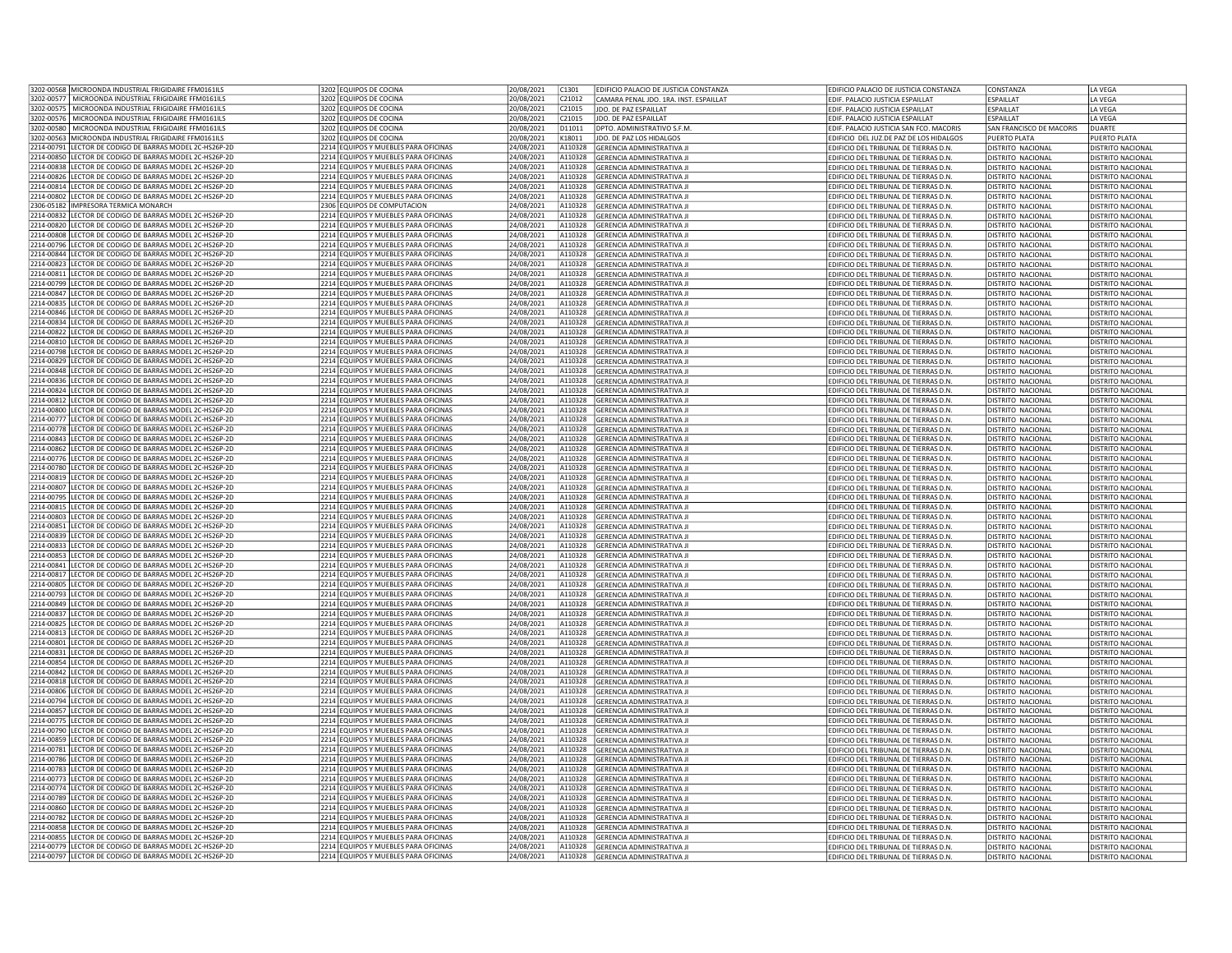| 3202-00568 MICROONDA INDUSTRIAL FRIGIDAIRE FEMO161ILS     | 3202 EQUIPOS DE COCINA               | 20/08/2021 | C <sub>1301</sub> | EDIFICIO PALACIO DE JUSTICIA CONSTANZA | EDIFICIO PALACIO DE JUSTICIA CONSTANZA       | <b>CONSTANZA</b>         | LA VEGA                  |
|-----------------------------------------------------------|--------------------------------------|------------|-------------------|----------------------------------------|----------------------------------------------|--------------------------|--------------------------|
| 3202-00577 MICROONDA INDUSTRIAL FRIGIDAIRE FFM0161ILS     | 3202 EQUIPOS DE COCINA               | 0/08/2021  | C21012            | CAMARA PENAL JDO, 1RA, INST, ESPAILLAT | EDIF. PALACIO JUSTICIA ESPAILLAT             | <b>ESPAILLAT</b>         | LA VEGA                  |
| 3202-00575   MICROONDA INDUSTRIAL FRIGIDAIRE FFM0161ILS   | 3202 EQUIPOS DE COCINA               | 20/08/2021 | C21015            | JDO. DE PAZ ESPAILLAT                  | EDIF. PALACIO JUSTICIA ESPAILLAT             | <b>FSPAILLAT</b>         | LA VEGA                  |
|                                                           |                                      |            |                   |                                        |                                              |                          |                          |
| 3202-00576 MICROONDA INDUSTRIAL FRIGIDAIRE FFM0161ILS     | 3202 EQUIPOS DE COCINA               | 20/08/2021 | C21015            | JDO. DE PAZ ESPAILLAT                  | EDIF. PALACIO JUSTICIA ESPAILLAT             | ESPAILLAT                | LA VEGA                  |
| 3202-00580 MICROONDA INDUSTRIAL FRIGIDAIRE FFM0161ILS     | 3202 EQUIPOS DE COCINA               | 20/08/2021 | D11011            | DPTO. ADMINISTRATIVO S.F.M.            | EDIF. PALACIO JUSTICIA SAN FCO. MACORIS      | SAN FRANCISCO DE MACORIS | <b>DUARTE</b>            |
| 3202-00563 MICROONDA INDUSTRIAL FRIGIDAIRE FFM0161ILS     | 3202 EQUIPOS DE COCINA               | 20/08/2021 | K18011            | JDO. DE PAZ LOS HIDALGOS               | EDIFICIO DEL JUZ.DE PAZ DE LOS HIDALGOS      | PUERTO PLATA             | PUERTO PLATA             |
| 214-00791 LECTOR DE CODIGO DE BARRAS MODEL 2C-HS26P-2D    | 2214 EQUIPOS Y MUEBLES PARA OFICINAS | 24/08/2021 | A110328           | <b>GERENCIA ADMINISTRATIVA J</b>       | EDIFICIO DEL TRIBUNAL DE TIERRAS D.N.        | <b>DISTRITO NACIONAL</b> | DISTRITO NACIONAL        |
| 2214-00850 LECTOR DE CODIGO DE BARRAS MODEL 2C-HS26P-2D   | 2214 EQUIPOS Y MUEBLES PARA OFICINAS | 24/08/2021 | A110328           | GERENCIA ADMINISTRATIVA JI             | EDIFICIO DEL TRIBUNAL DE TIERRAS D.N.        | DISTRITO NACIONAL        | DISTRITO NACIONAL        |
| 2214-00838 LECTOR DE CODIGO DE BARRAS MODEL 2C-HS26P-2D   | 2214 EQUIPOS Y MUEBLES PARA OFICINAS | 24/08/2021 | A110328           | <b>GERENCIA ADMINISTRATIVA JI</b>      | EDIFICIO DEL TRIBUNAL DE TIERRAS D.N.        | <b>DISTRITO NACIONAL</b> | DISTRITO NACIONAL        |
| 214-00826 LECTOR DE CODIGO DE BARRAS MODEL 2C-HS26P-2D    | 2214 EQUIPOS Y MUEBLES PARA OFICINAS | 4/08/2021  | A110328           | GERENCIA ADMINISTRATIVA JI             | EDIFICIO DEL TRIBUNAL DE TIERRAS D.N.        | DISTRITO NACIONAL        | DISTRITO NACIONAL        |
|                                                           |                                      |            |                   |                                        |                                              |                          |                          |
| 2214-00814 LECTOR DE CODIGO DE BARRAS MODEL 2C-HS26P-2D   | 2214 EQUIPOS Y MUEBLES PARA OFICINAS | 24/08/2021 | A110328           | <b>GERENCIA ADMINISTRATIVA J</b>       | EDIFICIO DEL TRIBUNAL DE TIERRAS D.N.        | <b>DISTRITO NACIONAL</b> | DISTRITO NACIONAL        |
| 2214-00802 LECTOR DE CODIGO DE BARRAS MODEL 2C-HS26P-2D   | 2214 EQUIPOS Y MUEBLES PARA OFICINAS | 24/08/2021 | A110328           | <b>GERENCIA ADMINISTRATIVA JI</b>      | EDIFICIO DEL TRIBUNAL DE TIERRAS D.N.        | <b>DISTRITO NACIONAL</b> | <b>DISTRITO NACIONAL</b> |
| 2306-05182 IMPRESORA TERMICA MONARCH                      | 2306 EQUIPOS DE COMPUTACION          | 24/08/2021 | A110328           | <b>GERENCIA ADMINISTRATIVA I</b>       | <b>FDIFICIO DEL TRIBUNAL DE TIFRRAS D.N.</b> | <b>DISTRITO NACIONAL</b> | DISTRITO NACIONAL        |
| 2214-00832 LECTOR DE CODIGO DE BARRAS MODEL 2C-HS26P-2D   | 2214 EQUIPOS Y MUEBLES PARA OFICINAS | 24/08/2021 | A110328           | <b>GERENCIA ADMINISTRATIVA JI</b>      | EDIFICIO DEL TRIBUNAL DE TIERRAS D.N.        | <b>DISTRITO NACIONAL</b> | <b>DISTRITO NACIONAL</b> |
| 2214-00820 LECTOR DE CODIGO DE BARRAS MODEL 2C-HS26P-2D   | 2214 EQUIPOS Y MUEBLES PARA OFICINAS | 24/08/2021 | A110328           | <b>GERENCIA ADMINISTRATIVA JI</b>      | EDIFICIO DEL TRIBUNAL DE TIERRAS D.N.        | DISTRITO NACIONAL        | DISTRITO NACIONAL        |
| 2214-00808 LECTOR DE CODIGO DE BARRAS MODEL 2C-HS26P-2D   | 2214 FOUIPOS Y MUFBLES PARA OFICINAS | 24/08/2021 | A110328           | <b>GERENCIA ADMINISTRATIVA J</b>       | EDIFICIO DEL TRIBUNAL DE TIERRAS D.N         | <b>DISTRITO NACIONAL</b> | <b>DISTRITO NACIONAL</b> |
|                                                           |                                      |            |                   |                                        |                                              |                          |                          |
| 2214-00796 LECTOR DE CODIGO DE BARRAS MODEL 2C-HS26P-2D   | 2214 EQUIPOS Y MUEBLES PARA OFICINAS | 24/08/2021 | A110328           | <b>GERENCIA ADMINISTRATIVA II</b>      | EDIFICIO DEL TRIBUNAL DE TIERRAS D.N         | <b>DISTRITO NACIONAL</b> | DISTRITO NACIONAL        |
| 2214-00844 LECTOR DE CODIGO DE BARRAS MODEL 2C-HS26P-2D   | 2214 EQUIPOS Y MUEBLES PARA OFICINAS | 4/08/2021  | A110328           | GERENCIA ADMINISTRATIVA JI             | EDIFICIO DEL TRIBUNAL DE TIERRAS D.N.        | DISTRITO NACIONAL        | DISTRITO NACIONAL        |
| 2214-00823 LECTOR DE CODIGO DE BARRAS MODEL 2C-HS26P-2D   | 2214 EQUIPOS Y MUEBLES PARA OFICINAS | 24/08/2021 | A110328           | <b>GERENCIA ADMINISTRATIVA JI</b>      | EDIFICIO DEL TRIBUNAL DE TIERRAS D.N         | <b>DISTRITO NACIONAL</b> | <b>DISTRITO NACIONAL</b> |
| 2214-00811 LECTOR DE CODIGO DE BARRAS MODEL 2C-HS26P-2D   | 2214 EQUIPOS Y MUEBLES PARA OFICINAS | 24/08/2021 | A110328           | <b>GERENCIA ADMINISTRATIVA JI</b>      | EDIFICIO DEL TRIBUNAL DE TIERRAS D.N.        | <b>DISTRITO NACIONAL</b> | <b>DISTRITO NACIONAL</b> |
| 214-00799 LECTOR DE CODIGO DE BARRAS MODEL 2C-HS26P-2D    | 2214 EQUIPOS Y MUEBLES PARA OFICINAS | 24/08/2021 | A110328           | <b>GERENCIA ADMINISTRATIVA JI</b>      | EDIFICIO DEL TRIBUNAL DE TIERRAS D.N.        | <b>DISTRITO NACIONAL</b> | <b>DISTRITO NACIONAL</b> |
| 214-00847 LECTOR DE CODIGO DE BARRAS MODEL 2C-HS26P-2D    | 2214 EQUIPOS Y MUEBLES PARA OFICINAS | 24/08/2021 | A110328           | <b>GERENCIA ADMINISTRATIVA JI</b>      | EDIFICIO DEL TRIBUNAL DE TIERRAS D.N.        | DISTRITO NACIONAL        | DISTRITO NACIONAL        |
|                                                           |                                      |            |                   |                                        |                                              |                          |                          |
| 214-00835 LECTOR DE CODIGO DE BARRAS MODEL 2C-HS26P-2D    | 2214 EQUIPOS Y MUEBLES PARA OFICINAS | 24/08/2021 | A110328           | <b>GERENCIA ADMINISTRATIVA JI</b>      | EDIFICIO DEL TRIBUNAL DE TIERRAS D.N.        | DISTRITO NACIONAL        | DISTRITO NACIONAL        |
| 2214-00846 LECTOR DE CODIGO DE BARRAS MODEL 2C-HS26P-2D   | 2214 EQUIPOS Y MUEBLES PARA OFICINAS | 24/08/2021 | A110328           | <b>GERENCIA ADMINISTRATIVA JI</b>      | EDIFICIO DEL TRIBUNAL DE TIERRAS D.N.        | <b>DISTRITO NACIONAL</b> | <b>DISTRITO NACIONAL</b> |
| 214-00834 LECTOR DE CODIGO DE BARRAS MODEL 2C-HS26P-2D    | 2214 EQUIPOS Y MUEBLES PARA OFICINAS | 4/08/2021  | A110328           | <b>GERENCIA ADMINISTRATIVA II</b>      | FDIFICIO DEL TRIBUNAL DE TIFRRAS D.N.        | DISTRITO NACIONAL        | DISTRITO NACIONAL        |
| 214-00822 LECTOR DE CODIGO DE BARRAS MODEL 2C-HS26P-2D    | 2214 EQUIPOS Y MUEBLES PARA OFICINAS | 24/08/2021 | A110328           | <b>GERENCIA ADMINISTRATIVA JI</b>      | EDIFICIO DEL TRIBUNAL DE TIERRAS D.N.        | <b>DISTRITO NACIONAL</b> | DISTRITO NACIONAL        |
| 2214-00810 LECTOR DE CODIGO DE BARRAS MODEL 2C-HS26P-2D   | 2214 EQUIPOS Y MUEBLES PARA OFICINAS | 24/08/2021 | A110328           | <b>GERENCIA ADMINISTRATIVA JI</b>      | EDIFICIO DEL TRIBUNAL DE TIERRAS D.N.        | <b>DISTRITO NACIONAL</b> | DISTRITO NACIONAL        |
| 2214-00798 LECTOR DE CODIGO DE BARRAS MODEL 2C-HS26P-2D   | 2214 EQUIPOS Y MUEBLES PARA OFICINAS | 24/08/2021 | A110328           | <b>GERENCIA ADMINISTRATIVA J</b>       | EDIFICIO DEL TRIBUNAL DE TIERRAS D.N.        | <b>DISTRITO NACIONAL</b> | <b>DISTRITO NACIONAL</b> |
| 2214-00829 LECTOR DE CODIGO DE BARRAS MODEL 2C-HS26P-2D   | 2214 EQUIPOS Y MUEBLES PARA OFICINAS | 24/08/2021 | A110328           | <b>GERENCIA ADMINISTRATIVA JI</b>      | EDIFICIO DEL TRIBUNAL DE TIERRAS D.N.        | <b>DISTRITO NACIONAL</b> | DISTRITO NACIONAL        |
|                                                           |                                      |            |                   |                                        |                                              |                          |                          |
| 2214-00848 LECTOR DE CODIGO DE BARRAS MODEL 2C-HS26P-2D   | 2214 EQUIPOS Y MUEBLES PARA OFICINAS | 24/08/2021 | A110328           | <b>GERENCIA ADMINISTRATIVA J</b>       | EDIFICIO DEL TRIBUNAL DE TIERRAS D.N.        | <b>DISTRITO NACIONAL</b> | DISTRITO NACIONAL        |
| 2214-00836 LECTOR DE CODIGO DE BARRAS MODEL 2C-HS26P-2D   | 2214 EQUIPOS Y MUEBLES PARA OFICINAS | 24/08/2021 | A110328           | GERENCIA ADMINISTRATIVA JI             | EDIFICIO DEL TRIBUNAL DE TIERRAS D.N.        | <b>DISTRITO NACIONAL</b> | DISTRITO NACIONAL        |
| 2214-00824 LECTOR DE CODIGO DE BARRAS MODEL 2C-HS26P-2D   | 2214 FOUIPOS Y MUFBLES PARA OFICINAS | 24/08/2021 | A110328           | <b>GERENCIA ADMINISTRATIVA I</b>       | FDIFICIO DEI TRIBUNAL DE TIFRRAS D.N.        | DISTRITO NACIONAL        | DISTRITO NACIONAL        |
| 2214-00812 LECTOR DE CODIGO DE BARRAS MODEL 2C-HS26P-2D   | 2214 EQUIPOS Y MUEBLES PARA OFICINAS | 4/08/2021  | A110328           | <b>GERENCIA ADMINISTRATIVA JI</b>      | EDIFICIO DEL TRIBUNAL DE TIERRAS D.N         | <b>DISTRITO NACIONAL</b> | DISTRITO NACIONAL        |
| 2214-00800 LECTOR DE CODIGO DE BARRAS MODEL 2C-HS26P-2D   | 2214 EQUIPOS Y MUEBLES PARA OFICINAS | 24/08/2021 | A110328           | <b>GERENCIA ADMINISTRATIVA JI</b>      | EDIFICIO DEL TRIBUNAL DE TIERRAS D.N.        | DISTRITO NACIONAL        | DISTRITO NACIONAL        |
| 2214-00777 LECTOR DE CODIGO DE BARRAS MODEL 2C-HS26P-2D   | 2214 EQUIPOS Y MUEBLES PARA OFICINAS |            | A110328           |                                        |                                              | <b>DISTRITO NACIONAL</b> | <b>DISTRITO NACIONAL</b> |
|                                                           |                                      | 24/08/2021 |                   | <b>GERENCIA ADMINISTRATIVA JI</b>      | EDIFICIO DEL TRIBUNAL DE TIERRAS D.N.        |                          |                          |
| 214-00778 LECTOR DE CODIGO DE BARRAS MODEL 2C-HS26P-2D    | 2214 EQUIPOS Y MUEBLES PARA OFICINAS | 24/08/2021 | A110328           | <b>GERENCIA ADMINISTRATIVA I</b>       | EDIFICIO DEL TRIBUNAL DE TIERRAS D.N         | <b>DISTRITO NACIONAL</b> | DISTRITO NACIONAL        |
| 214-00843 LECTOR DE CODIGO DE BARRAS MODEL 2C-HS26P-2D    | 2214 EQUIPOS Y MUEBLES PARA OFICINAS | 24/08/2021 | A110328           | <b>GERENCIA ADMINISTRATIVA JI</b>      | EDIFICIO DEL TRIBUNAL DE TIERRAS D.N.        | <b>DISTRITO NACIONAL</b> | DISTRITO NACIONAL        |
| 2214-00862 LECTOR DE CODIGO DE BARRAS MODEL 2C-HS26P-2D   | 2214 EQUIPOS Y MUEBLES PARA OFICINAS | 24/08/2021 | A110328           | <b>GERENCIA ADMINISTRATIVA JI</b>      | EDIFICIO DEL TRIBUNAL DE TIERRAS D.N.        | DISTRITO NACIONAL        | DISTRITO NACIONAL        |
| 2214-00776 LECTOR DE CODIGO DE BARRAS MODEL 2C-HS26P-2D   | 2214 EQUIPOS Y MUEBLES PARA OFICINAS | 24/08/2021 | A110328           | GERENCIA ADMINISTRATIVA JI             | EDIFICIO DEL TRIBUNAL DE TIERRAS D.N.        | DISTRITO NACIONAL        | DISTRITO NACIONAL        |
| 2214-00780 LECTOR DE CODIGO DE BARRAS MODEL 2C-HS26P-2D   | 2214 EQUIPOS Y MUEBLES PARA OFICINAS | 24/08/2021 | A110328           | <b>GERENCIA ADMINISTRATIVA JI</b>      | EDIFICIO DEL TRIBUNAL DE TIERRAS D.N         | DISTRITO NACIONAL        | DISTRITO NACIONAL        |
| 214-00819 LECTOR DE CODIGO DE BARRAS MODEL 2C-HS26P-2D    | 2214 EQUIPOS Y MUEBLES PARA OFICINAS | 24/08/2021 | A110328           | <b>GERENCIA ADMINISTRATIVA JI</b>      | EDIFICIO DEL TRIBUNAL DE TIERRAS D.N.        | DISTRITO NACIONAL        | DISTRITO NACIONAL        |
| 214-00807 LECTOR DE CODIGO DE BARRAS MODEL 2C-HS26P-2D    | 2214 EQUIPOS Y MUEBLES PARA OFICINAS |            | A110328           |                                        |                                              |                          |                          |
|                                                           |                                      | 24/08/2021 |                   | <b>GERENCIA ADMINISTRATIVA J</b>       | EDIFICIO DEL TRIBUNAL DE TIERRAS D.N         | <b>DISTRITO NACIONAL</b> | DISTRITO NACIONAL        |
| 2214-00795 LECTOR DE CODIGO DE BARRAS MODEL 2C-HS26P-2D   | 2214 EQUIPOS Y MUEBLES PARA OFICINAS | 24/08/2021 | A110328           | <b>GERENCIA ADMINISTRATIVA J</b>       | EDIFICIO DEL TRIBUNAL DE TIERRAS D.N.        | <b>DISTRITO NACIONAL</b> | <b>DISTRITO NACIONAL</b> |
| 214-00815 LECTOR DE CODIGO DE BARRAS MODEL 2C-HS26P-2D    | 2214 EQUIPOS Y MUEBLES PARA OFICINAS | 24/08/2021 | A110328           | <b>GERENCIA ADMINISTRATIVA I</b>       | <b>FDIFICIO DEL TRIBUNAL DE TIFRRAS D.N.</b> | <b>DISTRITO NACIONAL</b> | DISTRITO NACIONAL        |
| 2214-00803 LECTOR DE CODIGO DE BARRAS MODEL 2C-HS26P-2D   | 2214 EQUIPOS Y MUEBLES PARA OFICINAS | 24/08/2021 | A110328           | <b>GERENCIA ADMINISTRATIVA JI</b>      | EDIFICIO DEL TRIBUNAL DE TIERRAS D.N.        | <b>DISTRITO NACIONAL</b> | <b>DISTRITO NACIONAL</b> |
| 2214-00851 LECTOR DE CODIGO DE BARRAS MODEL 2C-HS26P-2D   | 2214 EQUIPOS Y MUEBLES PARA OFICINAS | 24/08/2021 | A110328           | <b>GERENCIA ADMINISTRATIVA JI</b>      | EDIFICIO DEL TRIBUNAL DE TIERRAS D.N.        | DISTRITO NACIONAL        | DISTRITO NACIONAL        |
| 2214-00839 LECTOR DE CODIGO DE BARRAS MODEL 2C-HS26P-2D   | 2214 FOUIPOS Y MUFBLES PARA OFICINAS | 24/08/2021 | A110328           | <b>GERENCIA ADMINISTRATIVA II</b>      | EDIFICIO DEL TRIBUNAL DE TIERRAS D.N.        | <b>DISTRITO NACIONAL</b> | <b>DISTRITO NACIONAL</b> |
| 2214-00833 LECTOR DE CODIGO DE BARRAS MODEL 2C-HS26P-2D   | 2214 EQUIPOS Y MUEBLES PARA OFICINAS | 24/08/2021 | A110328           | <b>GERENCIA ADMINISTRATIVA JI</b>      | EDIFICIO DEL TRIBUNAL DE TIERRAS D.N.        | DISTRITO NACIONAL        | DISTRITO NACIONAL        |
|                                                           |                                      |            |                   |                                        |                                              |                          |                          |
| 2214-00853 LECTOR DE CODIGO DE BARRAS MODEL 2C-HS26P-2D   | 2214 EQUIPOS Y MUEBLES PARA OFICINAS | 24/08/2021 | A110328           | <b>GERENCIA ADMINISTRATIVA J</b>       | EDIFICIO DEL TRIBUNAL DE TIERRAS D.N.        | DISTRITO NACIONAL        | DISTRITO NACIONAL        |
| 2214-00841 LECTOR DE CODIGO DE BARRAS MODEL 2C-HS26P-2D   | 2214 EQUIPOS Y MUEBLES PARA OFICINAS | 24/08/2021 | A110328           | <b>GERENCIA ADMINISTRATIVA JI</b>      | EDIFICIO DEL TRIBUNAL DE TIERRAS D.N         | <b>DISTRITO NACIONAL</b> | DISTRITO NACIONAL        |
| 2214-00817 LECTOR DE CODIGO DE BARRAS MODEL 2C-HS26P-2D   | 2214 FOUIPOS Y MUFBLES PARA OFICINAS | 24/08/2021 | A110328           | <b>GERENCIA ADMINISTRATIVA JI</b>      | EDIFICIO DEL TRIBUNAL DE TIERRAS D.N.        | <b>DISTRITO NACIONAL</b> | DISTRITO NACIONAL        |
| 214-00805 LECTOR DE CODIGO DE BARRAS MODEL 2C-HS26P-2D    | 2214 EQUIPOS Y MUEBLES PARA OFICINAS | 24/08/2021 | A110328           | <b>GERENCIA ADMINISTRATIVA JI</b>      | EDIFICIO DEL TRIBUNAL DE TIERRAS D.N.        | <b>DISTRITO NACIONAL</b> | DISTRITO NACIONAL        |
| 214-00793 LECTOR DE CODIGO DE BARRAS MODEL 2C-HS26P-2D    | 2214 EQUIPOS Y MUEBLES PARA OFICINAS | 24/08/2021 | A110328           | <b>GERENCIA ADMINISTRATIVA JI</b>      | EDIFICIO DEL TRIBUNAL DE TIERRAS D.N.        | <b>DISTRITO NACIONAL</b> | DISTRITO NACIONAL        |
| 214-00849 LECTOR DE CODIGO DE BARRAS MODEL 2C-HS26P-2D    | 2214 EQUIPOS Y MUEBLES PARA OFICINAS | 24/08/2021 |                   | A110328 GERENCIA ADMINISTRATIVA JI     | EDIFICIO DEL TRIBUNAL DE TIERRAS D.N.        | <b>DISTRITO NACIONAL</b> | DISTRITO NACIONAL        |
| 2214-00837 LECTOR DE CODIGO DE BARRAS MODEL 2C-HS26P-2D   | 2214 EQUIPOS Y MUEBLES PARA OFICINAS | 24/08/2021 | A110328           | <b>GERENCIA ADMINISTRATIVA II</b>      | EDIFICIO DEL TRIBUNAL DE TIERRAS D.N.        | DISTRITO NACIONAL        | DISTRITO NACIONAL        |
|                                                           |                                      |            |                   |                                        |                                              |                          |                          |
| 214-00825 LECTOR DE CODIGO DE BARRAS MODEL 2C-HS26P-2D    | 2214 EQUIPOS Y MUEBLES PARA OFICINAS | 4/08/2021  | A110328           | <b>GERENCIA ADMINISTRATIVA JI</b>      | EDIFICIO DEL TRIBUNAL DE TIERRAS D.N.        | <b>DISTRITO NACIONAL</b> | DISTRITO NACIONAL        |
| LECTOR DE CODIGO DE BARRAS MODEL 2C-HS26P-2D<br>214-00813 | 2214 EQUIPOS Y MUEBLES PARA OFICINAS | 24/08/2021 | A110328           | <b>GERENCIA ADMINISTRATIVA J</b>       | EDIFICIO DEL TRIBUNAL DE TIERRAS D.N         | <b>DISTRITO NACIONAL</b> | DISTRITO NACIONAL        |
| 2214-00801 LECTOR DE CODIGO DE BARRAS MODEL 2C-HS26P-2D   | 2214 EQUIPOS Y MUEBLES PARA OFICINAS | 24/08/2021 | A110328           | <b>GERENCIA ADMINISTRATIVA JI</b>      | EDIFICIO DEL TRIBUNAL DE TIERRAS D.N.        | <b>DISTRITO NACIONAL</b> | <b>DISTRITO NACIONAL</b> |
| 2214-00831 LECTOR DE CODIGO DE BARRAS MODEL 2C-HS26P-2D   | 2214 EQUIPOS Y MUEBLES PARA OFICINAS | 24/08/2021 | A110328           | <b>GERENCIA ADMINISTRATIVA I</b>       | EDIFICIO DEL TRIBUNAL DE TIERRAS D.N         | <b>DISTRITO NACIONAL</b> | <b>DISTRITO NACIONAL</b> |
| 2214-00854 LECTOR DE CODIGO DE BARRAS MODEL 2C-HS26P-2D   | 2214 EQUIPOS Y MUEBLES PARA OFICINAS | 24/08/2021 | A110328           | <b>GERENCIA ADMINISTRATIVA JI</b>      | EDIFICIO DEL TRIBUNAL DE TIERRAS D.N.        | DISTRITO NACIONAL        | DISTRITO NACIONAL        |
| 2214-00842 LECTOR DE CODIGO DE BARRAS MODEL 2C-HS26P-2D   | 2214 EQUIPOS Y MUEBLES PARA OFICINAS | 24/08/2021 | A110328           | <b>GERENCIA ADMINISTRATIVA J</b>       | EDIFICIO DEL TRIBUNAL DE TIERRAS D.N         | <b>DISTRITO NACIONAL</b> | DISTRITO NACIONAL        |
|                                                           |                                      |            |                   |                                        |                                              |                          |                          |
| 2214-00818 LECTOR DE CODIGO DE BARRAS MODEL 2C-HS26P-2D   | 2214 EQUIPOS Y MUEBLES PARA OFICINAS | 24/08/2021 | A110328           | <b>GERENCIA ADMINISTRATIVA JI</b>      | EDIFICIO DEL TRIBUNAL DE TIERRAS D.N.        | <b>DISTRITO NACIONAL</b> | <b>DISTRITO NACIONAL</b> |
| 2214-00806 LECTOR DE CODIGO DE BARRAS MODEL 2C-HS26P-2D   | 2214 EQUIPOS Y MUEBLES PARA OFICINAS | 4/08/2021  | A110328           | <b>GERENCIA ADMINISTRATIVA II</b>      | FDIFICIO DEL TRIBUNAL DE TIFRRAS D.N.        | DISTRITO NACIONAL        | DISTRITO NACIONAL        |
| 2214-00794 LECTOR DE CODIGO DE BARRAS MODEL 2C-HS26P-2D   | 2214 EQUIPOS Y MUEBLES PARA OFICINAS | 4/08/2021  | A110328           | GERENCIA ADMINISTRATIVA JI             | EDIFICIO DEL TRIBUNAL DE TIERRAS D.N.        | DISTRITO NACIONAL        | DISTRITO NACIONAL        |
| 2214-00857 LECTOR DE CODIGO DE BARRAS MODEL 2C-HS26P-2D   | 2214 EQUIPOS Y MUEBLES PARA OFICINAS | 24/08/2021 | A110328           | <b>GERENCIA ADMINISTRATIVA JI</b>      | EDIFICIO DEL TRIBUNAL DE TIERRAS D.N         | <b>DISTRITO NACIONAL</b> | DISTRITO NACIONAL        |
| 2214-00775 LECTOR DE CODIGO DE BARRAS MODEL 2C-HS26P-2D   | 2214 EQUIPOS Y MUEBLES PARA OFICINAS | 24/08/2021 | A110328           | <b>GERENCIA ADMINISTRATIVA JI</b>      | EDIFICIO DEL TRIBUNAL DE TIERRAS D.N.        | <b>DISTRITO NACIONAL</b> | <b>DISTRITO NACIONAL</b> |
| 214-00790 LECTOR DE CODIGO DE BARRAS MODEL 2C-HS26P-2D    | 2214 EQUIPOS Y MUEBLES PARA OFICINAS | 24/08/2021 | A110328           | <b>GERENCIA ADMINISTRATIVA II</b>      | <b>FDIFICIO DEL TRIBUNAL DE TIFRRAS D.N.</b> | <b>DISTRITO NACIONAL</b> | DISTRITO NACIONAL        |
| 214-00859 LECTOR DE CODIGO DE BARRAS MODEL 2C-HS26P-2D    | 2214 EQUIPOS Y MUEBLES PARA OFICINAS | 24/08/2021 | A110328           | <b>GERENCIA ADMINISTRATIVA JI</b>      | EDIFICIO DEL TRIBUNAL DE TIERRAS D.N.        | <b>DISTRITO NACIONAL</b> | DISTRITO NACIONAL        |
|                                                           |                                      |            |                   |                                        |                                              |                          |                          |
| 214-00781 LECTOR DE CODIGO DE BARRAS MODEL 2C-HS26P-2D    | 2214 EQUIPOS Y MUEBLES PARA OFICINAS | 24/08/2021 |                   | A110328 GERENCIA ADMINISTRATIVA JI     | EDIFICIO DEL TRIBUNAL DE TIERRAS D.N.        | DISTRITO NACIONAL        | DISTRITO NACIONAL        |
| 2214-00786 LECTOR DE CODIGO DE BARRAS MODEL 2C-HS26P-2D   | 2214 EQUIPOS Y MUEBLES PARA OFICINAS | 24/08/2021 | A110328           | <b>GERENCIA ADMINISTRATIVA JI</b>      | EDIFICIO DEL TRIBUNAL DE TIERRAS D.N.        | <b>DISTRITO NACIONAL</b> | DISTRITO NACIONAL        |
| 2214-00783 LECTOR DE CODIGO DE BARRAS MODEL 2C-HS26P-2D   | 2214 EQUIPOS Y MUEBLES PARA OFICINAS | 24/08/2021 | A110328           | GERENCIA ADMINISTRATIVA JI             | EDIFICIO DEL TRIBUNAL DE TIERRAS D.N         | DISTRITO NACIONAL        | DISTRITO NACIONAL        |
| 214-00773 LECTOR DE CODIGO DE BARRAS MODEL 2C-HS26P-2D    | 2214 EQUIPOS Y MUEBLES PARA OFICINAS | 24/08/2021 | A110328           | <b>GERENCIA ADMINISTRATIVA JI</b>      | EDIFICIO DEL TRIBUNAL DE TIERRAS D.N.        | <b>DISTRITO NACIONAL</b> | DISTRITO NACIONAL        |
| 2214-00774 LECTOR DE CODIGO DE BARRAS MODEL 2C-HS26P-2D   | 2214 EQUIPOS Y MUEBLES PARA OFICINAS | 24/08/2021 | A110328           | <b>GERENCIA ADMINISTRATIVA J</b>       | EDIFICIO DEL TRIBUNAL DE TIERRAS D.N.        | <b>DISTRITO NACIONAL</b> | DISTRITO NACIONAL        |
| 2214-00789 LECTOR DE CODIGO DE BARRAS MODEL 2C-HS26P-2D   | 2214 EQUIPOS Y MUEBLES PARA OFICINAS | 24/08/2021 | A110328           | <b>GERENCIA ADMINISTRATIVA I</b>       | EDIFICIO DEL TRIBUNAL DE TIERRAS D.N         | <b>DISTRITO NACIONAL</b> | <b>DISTRITO NACIONAL</b> |
| 2214-00860 LECTOR DE CODIGO DE BARRAS MODEL 2C-HS26P-2D   | 2214 EQUIPOS Y MUEBLES PARA OFICINAS | 24/08/2021 | A110328           | <b>GERENCIA ADMINISTRATIVA JI</b>      | EDIFICIO DEL TRIBUNAL DE TIERRAS D.N         | <b>DISTRITO NACIONAL</b> | DISTRITO NACIONAL        |
|                                                           |                                      |            |                   |                                        |                                              |                          |                          |
| 2214-00782 LECTOR DE CODIGO DE BARRAS MODEL 2C-HS26P-2D   | 2214 EQUIPOS Y MUEBLES PARA OFICINAS | 24/08/2021 | A110328           | <b>GERENCIA ADMINISTRATIVA JI</b>      | EDIFICIO DEL TRIBUNAL DE TIERRAS D.N         | <b>DISTRITO NACIONAL</b> | DISTRITO NACIONAL        |
| 2214-00858 LECTOR DE CODIGO DE BARRAS MODEL 2C-HS26P-2D   | 2214 EQUIPOS Y MUEBLES PARA OFICINAS | 24/08/2021 | A110328           | <b>GERENCIA ADMINISTRATIVA JI</b>      | EDIFICIO DEL TRIBUNAL DE TIERRAS D.N.        | <b>DISTRITO NACIONAL</b> | DISTRITO NACIONAL        |
| 2214-00855 LECTOR DE CODIGO DE BARRAS MODEL 2C-HS26P-2D   | 2214 EQUIPOS Y MUEBLES PARA OFICINAS | 24/08/2021 | A110328           | <b>GFRENCIA ADMINISTRATIVA II</b>      | EDIFICIO DEL TRIBUNAL DE TIERRAS D.N.        | <b>DISTRITO NACIONAL</b> | DISTRITO NACIONAL        |
| 2214-00779 LECTOR DE CODIGO DE BARRAS MODEL 2C-HS26P-2D   | 2214 EQUIPOS Y MUEBLES PARA OFICINAS | 24/08/2021 | A110328           | <b>GERENCIA ADMINISTRATIVA JI</b>      | EDIFICIO DEL TRIBUNAL DE TIERRAS D.N.        | DISTRITO NACIONAL        | DISTRITO NACIONAL        |
| 2214-00797 LECTOR DE CODIGO DE BARRAS MODEL 2C-HS26P-2D   | 2214 EQUIPOS Y MUEBLES PARA OFICINAS | 24/08/2021 |                   | A110328 GERENCIA ADMINISTRATIVA JI     | EDIFICIO DEL TRIBUNAL DE TIERRAS D.N         | <b>DISTRITO NACIONAL</b> | <b>DISTRITO NACIONAL</b> |
|                                                           |                                      |            |                   |                                        |                                              |                          |                          |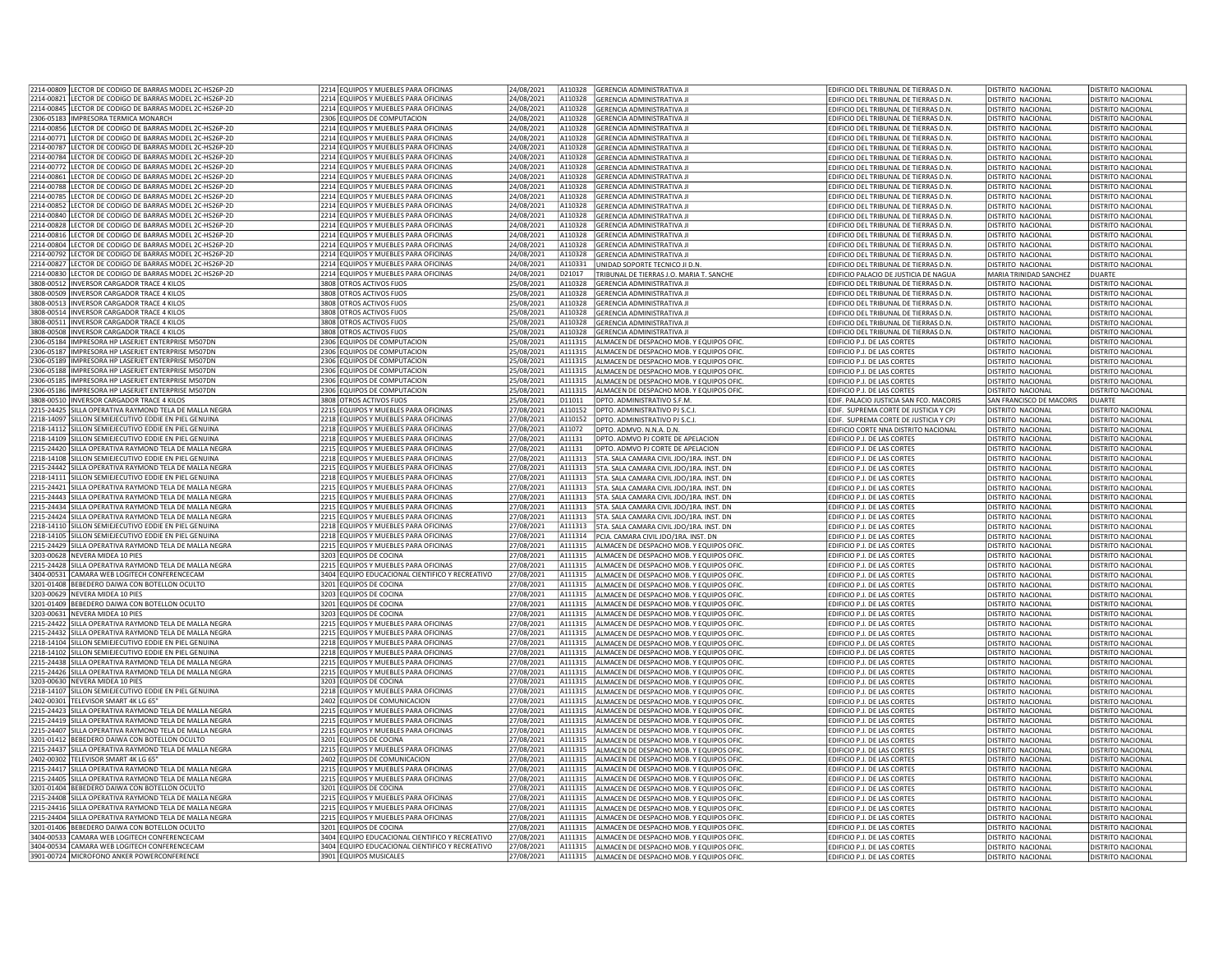| 2214-00809 LECTOR DE CODIGO DE BARRAS MODEL 2C-HS26P-2D                                                        | 2214 EQUIPOS Y MUEBLES PARA OFICINAS                                                    | 24/08/2021               |                    | A110328 GERENCIA ADMINISTRATIVA JI                                                                 | EDIFICIO DEL TRIBUNAL DE TIERRAS D.N.                      | <b>DISTRITO NACIONAL</b>                             | DISTRITO NACIONAL                                    |
|----------------------------------------------------------------------------------------------------------------|-----------------------------------------------------------------------------------------|--------------------------|--------------------|----------------------------------------------------------------------------------------------------|------------------------------------------------------------|------------------------------------------------------|------------------------------------------------------|
| 2214-00821 LECTOR DE CODIGO DE BARRAS MODEL 2C-HS26P-2D                                                        | 2214 EQUIPOS Y MUEBLES PARA OFICINAS                                                    | 24/08/2021               | A110328            | <b>GERENCIA ADMINISTRATIVA II</b>                                                                  | EDIFICIO DEL TRIBUNAL DE TIERRAS D.N.                      | DISTRITO NACIONAL                                    | DISTRITO NACIONAL                                    |
| 2214-00845 LECTOR DE CODIGO DE BARRAS MODEL 2C-HS26P-2D                                                        | 2214 EQUIPOS Y MUEBLES PARA OFICINAS                                                    | 24/08/2021               | A110328            | <b>GERENCIA ADMINISTRATIVA JI</b>                                                                  | EDIFICIO DEL TRIBUNAL DE TIERRAS D.N.                      | DISTRITO NACIONAL                                    | DISTRITO NACIONAL                                    |
| 2306-05183 IMPRESORA TERMICA MONARCH                                                                           | 2306 EQUIPOS DE COMPUTACION                                                             | 24/08/2021               | A110328            | <b>GERENCIA ADMINISTRATIVA JI</b>                                                                  | EDIFICIO DEL TRIBUNAL DE TIERRAS D.N.                      | <b>DISTRITO NACIONAL</b>                             | DISTRITO NACIONAL                                    |
| 2214-00856 LECTOR DE CODIGO DE BARRAS MODEL 2C-HS26P-2D                                                        | 2214 EQUIPOS Y MUEBLES PARA OFICINAS                                                    | 24/08/2021               | A110328            | <b>GERENCIA ADMINISTRATIVA JI</b>                                                                  | EDIFICIO DEL TRIBUNAL DE TIERRAS D.N.                      | DISTRITO NACIONAL                                    | <b>DISTRITO NACIONAL</b>                             |
| 2214-00771 LECTOR DE CODIGO DE BARRAS MODEL 2C-HS26P-2D                                                        | 2214 EQUIPOS Y MUEBLES PARA OFICINAS                                                    | 24/08/2021               | A110328            | <b>GERENCIA ADMINISTRATIVA JI</b>                                                                  | EDIFICIO DEL TRIBUNAL DE TIERRAS D.N.                      | <b>DISTRITO NACIONAL</b>                             | <b>DISTRITO NACIONAL</b>                             |
| 2214-00787 LECTOR DE CODIGO DE BARRAS MODEL 2C-HS26P-2D                                                        | 2214 EQUIPOS Y MUEBLES PARA OFICINAS                                                    | 24/08/2021               | A110328            | GERENCIA ADMINISTRATIVA JI                                                                         | EDIFICIO DEL TRIBUNAL DE TIERRAS D.N.                      | DISTRITO NACIONAL                                    | DISTRITO NACIONAL                                    |
| 2214-00784 LECTOR DE CODIGO DE BARRAS MODEL 2C-HS26P-2D                                                        | 2214 EQUIPOS Y MUEBLES PARA OFICINAS                                                    | 24/08/2021               | A110328            | <b>GERENCIA ADMINISTRATIVA JI</b>                                                                  | EDIFICIO DEL TRIBUNAL DE TIERRAS D.N.                      | <b>DISTRITO NACIONAL</b>                             | DISTRITO NACIONAL                                    |
| 2214-00772 LECTOR DE CODIGO DE BARRAS MODEL 2C-HS26P-2D                                                        | 2214 EQUIPOS Y MUEBLES PARA OFICINAS                                                    | 24/08/2021               | A110328            | GERENCIA ADMINISTRATIVA JI                                                                         | EDIFICIO DEL TRIBUNAL DE TIERRAS D.N.                      | DISTRITO NACIONAL                                    | DISTRITO NACIONAL                                    |
| 2214-00861 LECTOR DE CODIGO DE BARRAS MODEL 2C-HS26P-2D                                                        | 2214 EQUIPOS Y MUEBLES PARA OFICINAS                                                    | 24/08/2021               | A110328            | GERENCIA ADMINISTRATIVA JI                                                                         | EDIFICIO DEL TRIBUNAL DE TIERRAS D.N.                      | DISTRITO NACIONAL                                    | DISTRITO NACIONAL                                    |
| ECTOR DE CODIGO DE BARRAS MODEL 2C-HS26P-2D<br>2214-00788                                                      | 2214 EQUIPOS Y MUEBLES PARA OFICINAS                                                    | 24/08/2021               | A110328            | GERENCIA ADMINISTRATIVA JI                                                                         | EDIFICIO DEL TRIBUNAL DE TIERRAS D.N.                      | DISTRITO NACIONAL                                    | <b>DISTRITO NACIONAL</b>                             |
| 2214-00785 LECTOR DE CODIGO DE BARRAS MODEL 2C-HS26P-2D                                                        | 2214 EQUIPOS Y MUEBLES PARA OFICINAS                                                    | 24/08/2021               | A110328            | <b>GERENCIA ADMINISTRATIVA JI</b>                                                                  | EDIFICIO DEL TRIBUNAL DE TIERRAS D.N.                      | DISTRITO NACIONAL                                    | DISTRITO NACIONAL                                    |
| LECTOR DE CODIGO DE BARRAS MODEL 2C-HS26P-2D<br>2214-00852                                                     | 2214 EQUIPOS Y MUEBLES PARA OFICINAS                                                    | 24/08/2021               | A110328            | <b>GERENCIA ADMINISTRATIVA JI</b>                                                                  | EDIFICIO DEL TRIBUNAL DE TIERRAS D.N.                      | <b>DISTRITO NACIONAL</b>                             | <b>DISTRITO NACIONAL</b>                             |
| 2214-00840<br>LECTOR DE CODIGO DE BARRAS MODEL 2C-HS26P-2D                                                     | 2214 EQUIPOS Y MUEBLES PARA OFICINAS                                                    | 24/08/2021               | A110328            | <b>GERENCIA ADMINISTRATIVA JI</b>                                                                  | EDIFICIO DEL TRIBUNAL DE TIERRAS D.N.                      | DISTRITO NACIONAL                                    | DISTRITO NACIONAL                                    |
| 2214-00828 LECTOR DE CODIGO DE BARRAS MODEL 2C-HS26P-2D                                                        | 2214 EQUIPOS Y MUEBLES PARA OFICINAS                                                    | 24/08/2021               | A110328            | <b>GERENCIA ADMINISTRATIVA JI</b>                                                                  | EDIFICIO DEL TRIBUNAL DE TIERRAS D.N.                      | DISTRITO NACIONAL                                    | <b>DISTRITO NACIONAL</b>                             |
| 2214-00816  LECTOR DE CODIGO DE BARRAS MODEL 2C-HS26P-2D                                                       | 2214 EQUIPOS Y MUEBLES PARA OFICINAS                                                    | 24/08/2021               | A110328            | GERENCIA ADMINISTRATIVA JI                                                                         | EDIFICIO DEL TRIBUNAL DE TIERRAS D.N.                      | DISTRITO NACIONAL                                    | DISTRITO NACIONAL                                    |
| 2214-00804 I FCTOR DE CODIGO DE BARRAS MODEL 2C-HS26P-2D                                                       | 2214 FOUIPOS Y MUFBLES PARA OFICINAS                                                    | 24/08/2021               | A110328            | GERENCIA ADMINISTRATIVA JI                                                                         | EDIFICIO DEL TRIBUNAL DE TIERRAS D.N.                      | DISTRITO NACIONAL                                    | DISTRITO NACIONAL                                    |
| 2214-00792<br>LECTOR DE CODIGO DE BARRAS MODEL 2C-HS26P-2D                                                     | 2214 EQUIPOS Y MUEBLES PARA OFICINAS                                                    | 24/08/2021               | A110328            | GERENCIA ADMINISTRATIVA JI                                                                         | EDIFICIO DEL TRIBUNAL DE TIERRAS D.N.                      | DISTRITO NACIONAL                                    | <b>DISTRITO NACIONAL</b>                             |
| 2214-00827 LECTOR DE CODIGO DE BARRAS MODEL 2C-HS26P-2D                                                        | 2214 EQUIPOS Y MUEBLES PARA OFICINAS                                                    | 24/08/2021               | A110331            | UNIDAD SOPORTE TECNICO JI D.N.                                                                     | EDIFICIO DEL TRIBUNAL DE TIERRAS D.N.                      | DISTRITO NACIONAL                                    | DISTRITO NACIONAL                                    |
| 2214-00830 LECTOR DE CODIGO DE BARRAS MODEL 2C-HS26P-2D                                                        | 2214 EQUIPOS Y MUEBLES PARA OFICINAS                                                    | 24/08/2021               | D21017             | TRIBUNAL DE TIERRAS J.O. MARIA T. SANCHE                                                           | EDIFICIO PALACIO DE JUSTICIA DE NAGUA                      | MARIA TRINIDAD SANCHEZ                               | <b>DUARTE</b>                                        |
| 3808-00512 INVERSOR CARGADOR TRACE 4 KILOS                                                                     | 3808 OTROS ACTIVOS FIJOS                                                                | 25/08/2021               | A110328            | <b>GERENCIA ADMINISTRATIVA II</b>                                                                  | FDIFICIO DEL TRIBUNAL DE TIFRRAS D.N.                      | DISTRITO NACIONAL                                    | <b>DISTRITO NACIONAL</b>                             |
| 3808-00509   INVERSOR CARGADOR TRACE 4 KILOS                                                                   | 3808 OTROS ACTIVOS FIJOS                                                                | 25/08/2021               | A110328            | <b>GERENCIA ADMINISTRATIVA JI</b>                                                                  | EDIFICIO DEL TRIBUNAL DE TIERRAS D.N.                      | DISTRITO NACIONAL                                    | DISTRITO NACIONAL                                    |
| 3808-00513   INVERSOR CARGADOR TRACE 4 KILOS<br>3808-00514 INVERSOR CARGADOR TRACE 4 KILOS                     | 3808 OTROS ACTIVOS FIJOS<br>3808 OTROS ACTIVOS FIJOS                                    | 25/08/2021               | A110328            | <b>GERENCIA ADMINISTRATIVA JI</b>                                                                  | EDIFICIO DEL TRIBUNAL DE TIERRAS D.N.                      | DISTRITO NACIONAL                                    | DISTRITO NACIONAL                                    |
|                                                                                                                |                                                                                         | 25/08/2021               | A110328            | <b>GERENCIA ADMINISTRATIVA JI</b>                                                                  | EDIFICIO DEL TRIBUNAL DE TIERRAS D.N.                      | DISTRITO NACIONAL                                    | DISTRITO NACIONAL                                    |
| 3808-00511 INVERSOR CARGADOR TRACE 4 KILOS                                                                     | 3808 OTROS ACTIVOS FIJOS                                                                | 25/08/2021               | A110328            | GERENCIA ADMINISTRATIVA II                                                                         | FDIFICIO DEL TRIBUNAL DE TIFRRAS D.N.                      | DISTRITO NACIONAL                                    | DISTRITO NACIONAL                                    |
| 3808-00508 IINVERSOR CARGADOR TRACE 4 KILOS                                                                    | 3808<br><b>DTROS ACTIVOS FIJOS</b>                                                      | 25/08/2021               | A110328            | <b>GERENCIA ADMINISTRATIVA JI</b>                                                                  | EDIFICIO DEL TRIBUNAL DE TIERRAS D.N.                      | DISTRITO NACIONAL                                    | <b>DISTRITO NACIONAL</b>                             |
| 2306-05184 IMPRESORA HP LASERJET ENTERPRISE M507DN<br>2306-05187 IMPRESORA HP LASERIET ENTERPRISE M507DN       | 2306 EQUIPOS DE COMPUTACION<br>2306 FOUIPOS DE COMPUTACION                              | 25/08/2021<br>25/08/2021 | A111315            | ALMACEN DE DESPACHO MOB. Y EQUIPOS OFIC                                                            | EDIFICIO P.J. DE LAS CORTES                                | DISTRITO NACIONAL                                    | DISTRITO NACIONAL                                    |
| 2306-05189 IIMPRESORA HP LASERJET ENTERPRISE M507DN                                                            | 2306 EQUIPOS DE COMPUTACION                                                             | 25/08/2021               | A111315<br>A111315 | ALMACEN DE DESPACHO MOB. Y EQUIPOS OFIC<br>ALMACEN DE DESPACHO MOB. Y EQUIPOS OFIC                 | EDIFICIO P.J. DE LAS CORTES<br>EDIFICIO P.J. DE LAS CORTES | DISTRITO NACIONA<br>DISTRITO NACIONAL                | <b>DISTRITO NACIONAL</b><br><b>DISTRITO NACIONAL</b> |
|                                                                                                                |                                                                                         |                          |                    |                                                                                                    |                                                            |                                                      |                                                      |
| 2306-05188  IMPRESORA HP LASERJET ENTERPRISE M507DN<br>2306-05185 IIMPRESORA HP LASERJET ENTERPRISE M507DN     | 2306 EQUIPOS DE COMPUTACION<br>2306 EQUIPOS DE COMPUTACION                              | 25/08/2021               | A111315<br>A111315 | ALMACEN DE DESPACHO MOB. Y EQUIPOS OFIC                                                            | EDIFICIO P.J. DE LAS CORTES                                | DISTRITO NACIONAL                                    | DISTRITO NACIONAL                                    |
| 2306-05186 IIMPRESORA HP LASERIET ENTERPRISE M507DN                                                            | 2306 EQUIPOS DE COMPUTACION                                                             | 25/08/2021<br>25/08/2021 | A111315            | ALMACEN DE DESPACHO MOB. Y EQUIPOS OFIC<br>ALMACEN DE DESPACHO MOB. Y EQUIPOS OFIC                 | EDIFICIO P.J. DE LAS CORTES<br>EDIFICIO P.J. DE LAS CORTES | DISTRITO NACIONAL<br>DISTRITO NACIONAL               | <b>DISTRITO NACIONAL</b><br>DISTRITO NACIONAL        |
| 3808-00510   INVERSOR CARGADOR TRACE 4 KILOS                                                                   | 3808 OTROS ACTIVOS FIJOS                                                                | 25/08/2021               | D11011             | DPTO. ADMINISTRATIVO S.F.M                                                                         | EDIF. PALACIO JUSTICIA SAN FCO. MACORIS                    | SAN FRANCISCO DE MACORIS                             | DUARTE                                               |
| 2215-24425 SILLA OPERATIVA RAYMOND TELA DE MALLA NEGRA                                                         | 2215 EQUIPOS Y MUEBLES PARA OFICINAS                                                    | 27/08/2021               | A110152            | DPTO. ADMINISTRATIVO PJ S.C.J                                                                      | EDIF. SUPREMA CORTE DE JUSTICIA Y CPJ                      | DISTRITO NACIONAL                                    | DISTRITO NACIONAL                                    |
| 2218-14097 SILLON SEMIEJECUTIVO EDDIE EN PIEL GENUINA                                                          | 2218 EQUIPOS Y MUEBLES PARA OFICINAS                                                    | 27/08/2021               | A110152            | DPTO. ADMINISTRATIVO PJ S.C.J                                                                      | EDIF. SUPREMA CORTE DE JUSTICIA Y CPJ                      | DISTRITO NACIONAL                                    | <b>DISTRITO NACIONAL</b>                             |
| 2218-14112 SILLON SEMIEJECUTIVO EDDIE EN PIEL GENUINA                                                          | 2218 EQUIPOS Y MUEBLES PARA OFICINAS                                                    | 27/08/2021               | A11072             | DPTO, ADMVO, N.N.A. D.N.                                                                           | EDIFICIO CORTE NNA DISTRITO NACIONAL                       | DISTRITO NACIONAL                                    | <b>DISTRITO NACIONAL</b>                             |
| 2218-14109 SILLON SEMIEJECUTIVO EDDIE EN PIEL GENUINA                                                          | 2218 EQUIPOS Y MUEBLES PARA OFICINAS                                                    | 27/08/2021               | A11131             | DPTO. ADMVO PJ CORTE DE APELACION                                                                  | EDIFICIO P.J. DE LAS CORTES                                | DISTRITO NACIONAL                                    | DISTRITO NACIONAL                                    |
| 2215-24420 SILLA OPERATIVA RAYMOND TELA DE MALLA NEGRA                                                         | 2215 EQUIPOS Y MUEBLES PARA OFICINAS                                                    | 27/08/2021               | A11131             | DPTO, ADMVO PJ CORTE DE APELACION                                                                  | EDIFICIO P.J. DE LAS CORTES                                | DISTRITO NACIONAL                                    | DISTRITO NACIONAL                                    |
| 2218-14108 SILLON SEMIEJECUTIVO EDDIE EN PIEL GENUINA                                                          | 2218 EQUIPOS Y MUEBLES PARA OFICINAS                                                    | 27/08/2021               | A111313            | 5TA. SALA CAMARA CIVIL JDO/1RA. INST. DN                                                           | EDIFICIO P.J. DE LAS CORTES                                | DISTRITO NACIONAL                                    | DISTRITO NACIONAL                                    |
| 2215-24442 SILLA OPERATIVA RAYMOND TELA DE MALLA NEGRA                                                         | 2215 EQUIPOS Y MUEBLES PARA OFICINAS                                                    | 27/08/2021               | A111313            | 5TA. SALA CAMARA CIVIL JDO/1RA. INST. DN                                                           | EDIFICIO P.J. DE LAS CORTES                                | DISTRITO NACIONAL                                    | DISTRITO NACIONAL                                    |
| 2218-14111 SILLON SEMIEJECUTIVO EDDIE EN PIEL GENUINA                                                          | 2218 EQUIPOS Y MUEBLES PARA OFICINAS                                                    | 27/08/2021               | A111313            | 5TA. SALA CAMARA CIVIL JDO/1RA. INST. DN                                                           | EDIFICIO P.J. DE LAS CORTES                                | DISTRITO NACIONAL                                    | DISTRITO NACIONAL                                    |
| 2215-24421  SILLA OPERATIVA RAYMOND TELA DE MALLA NEGRA                                                        | 2215 EQUIPOS Y MUEBLES PARA OFICINAS                                                    | 27/08/2021               | A111313            | 5TA. SALA CAMARA CIVIL JDO/1RA. INST. DN                                                           | EDIFICIO P.J. DE LAS CORTES                                | DISTRITO NACIONAL                                    | DISTRITO NACIONAL                                    |
| 2215-24443 SILLA OPERATIVA RAYMOND TELA DE MALLA NEGRA                                                         | 2215 EQUIPOS Y MUEBLES PARA OFICINAS                                                    | 27/08/2021               | A111313            | 5TA. SALA CAMARA CIVIL JDO/1RA. INST. DN                                                           | EDIFICIO P.J. DE LAS CORTES                                | <b>DISTRITO NACIONAL</b>                             | <b>DISTRITO NACIONAL</b>                             |
|                                                                                                                |                                                                                         |                          |                    |                                                                                                    |                                                            | <b>DISTRITO NACIONAL</b>                             |                                                      |
|                                                                                                                |                                                                                         |                          | A111313            |                                                                                                    |                                                            |                                                      |                                                      |
| 2215-24434 SILLA OPERATIVA RAYMOND TELA DE MALLA NEGRA                                                         | 2215 EQUIPOS Y MUEBLES PARA OFICINAS                                                    | 27/08/2021<br>27/08/2021 | A111313            | 5TA, SALA CAMARA CIVIL JDO/1RA, INST, DN                                                           | EDIFICIO P.J. DE LAS CORTES                                |                                                      | <b>DISTRITO NACIONAL</b>                             |
| 2215-24424 SILLA OPERATIVA RAYMOND TELA DE MALLA NEGRA                                                         | 2215 EQUIPOS Y MUEBLES PARA OFICINAS                                                    |                          |                    | 5TA. SALA CAMARA CIVIL JDO/1RA. INST. DN                                                           | EDIFICIO P.J. DE LAS CORTES                                | DISTRITO NACIONAL                                    | <b>DISTRITO NACIONAL</b>                             |
| 2218-14110 SILLON SEMIEJECUTIVO EDDIE EN PIEL GENUINA<br>2218-14105 SILLON SEMIEJECUTIVO EDDIE EN PIEL GENUINA | 2218 EQUIPOS Y MUEBLES PARA OFICINAS<br>2218 EQUIPOS Y MUEBLES PARA OFICINAS            | 27/08/2021<br>27/08/2021 | A111314            | A111313   5TA. SALA CAMARA CIVIL JDO/1RA. INST. DN<br>PCIA, CAMARA CIVIL JDO/1RA, INST, DN         | EDIFICIO P.J. DE LAS CORTES                                | DISTRITO NACIONAL<br><b>DISTRITO NACIONAL</b>        | DISTRITO NACIONAL<br><b>DISTRITO NACIONAL</b>        |
|                                                                                                                |                                                                                         |                          | A111315            |                                                                                                    | EDIFICIO P.J. DE LAS CORTES                                | DISTRITO NACIONAL                                    |                                                      |
| 2215-24429 SILLA OPERATIVA RAYMOND TELA DE MALLA NEGRA                                                         | 2215 EQUIPOS Y MUEBLES PARA OFICINAS                                                    | !7/08/2021               |                    | ALMACEN DE DESPACHO MOB. Y EQUIPOS OFIC                                                            | EDIFICIO P.J. DE LAS CORTES                                | DISTRITO NACIONAL                                    | DISTRITO NACIONAL<br>DISTRITO NACIONAL               |
| 3203-00628 NEVERA MIDEA 10 PIES                                                                                | 3203 EQUIPOS DE COCINA                                                                  | 27/08/2021               | A111315<br>A111315 | ALMACEN DE DESPACHO MOB. Y EQUIPOS OFIC.                                                           | EDIFICIO P.J. DE LAS CORTES                                | DISTRITO NACIONAL                                    |                                                      |
| 2215-24428 SILLA OPERATIVA RAYMOND TELA DE MALLA NEGRA<br>3404-00531 CAMARA WEB LOGITECH CONFERENCECAM         | 2215 EQUIPOS Y MUEBLES PARA OFICINAS<br>3404 EQUIPO EDUCACIONAL CIENTIFICO Y RECREATIVO | 27/08/2021<br>27/08/2021 | A111315            | ALMACEN DE DESPACHO MOB. Y EQUIPOS OFIC.                                                           | EDIFICIO P.J. DE LAS CORTES<br>EDIFICIO P.J. DE LAS CORTES | DISTRITO NACIONAL                                    | DISTRITO NACIONAL<br>DISTRITO NACIONAL               |
| 3201-01408 BEBEDERO DAIWA CON BOTELLON OCULTO                                                                  | 3201 EQUIPOS DE COCINA                                                                  | 27/08/2021               | A111315            | ALMACEN DE DESPACHO MOB. Y EQUIPOS OFIC.<br>ALMACEN DE DESPACHO MOB. Y EQUIPOS OFIC                | EDIFICIO P.J. DE LAS CORTES                                | DISTRITO NACIONAL                                    | DISTRITO NACIONAL                                    |
| 3203-00629 NEVERA MIDEA 10 PIES                                                                                | 3203 EQUIPOS DE COCINA                                                                  | 27/08/2021               | A111315            | ALMACEN DE DESPACHO MOB. Y EQUIPOS OFIC                                                            | EDIFICIO P.J. DE LAS CORTES                                | DISTRITO NACIONAL                                    | DISTRITO NACIONAL                                    |
| 3201-01409 BEBEDERO DAIWA CON BOTELLON OCULTO                                                                  | 3201 EQUIPOS DE COCINA                                                                  | 27/08/2021               | A111315            | ALMACEN DE DESPACHO MOB. Y EQUIPOS OFIC                                                            | EDIFICIO P.J. DE LAS CORTES                                | DISTRITO NACIONAL                                    | DISTRITO NACIONAL                                    |
| 3203-00631 NEVERA MIDEA 10 PIES                                                                                | 3203 EQUIPOS DE COCINA                                                                  | 27/08/2021               | A111315            | ALMACEN DE DESPACHO MOB. Y FOUIPOS OFIC                                                            | <b>EDIFICIO P.I. DE LAS CORTES</b>                         | DISTRITO NACIONAL                                    | DISTRITO NACIONAL                                    |
| 2215-24422 SILLA OPERATIVA RAYMOND TELA DE MALLA NEGRA                                                         | 2215 EQUIPOS Y MUEBLES PARA OFICINAS                                                    | 27/08/2021               | A111315            | ALMACEN DE DESPACHO MOB. Y EQUIPOS OFIC                                                            | EDIFICIO P.J. DE LAS CORTES                                | DISTRITO NACIONAL                                    | <b>DISTRITO NACIONAL</b>                             |
| 2215-24432 SILLA OPERATIVA RAYMOND TELA DE MALLA NEGRA                                                         | 2215 EQUIPOS Y MUEBLES PARA OFICINAS                                                    | 27/08/2021               | A111315            | ALMACEN DE DESPACHO MOB. Y EQUIPOS OFIC                                                            | EDIFICIO P.J. DE LAS CORTES                                | DISTRITO NACIONAL                                    | DISTRITO NACIONAL                                    |
| 2218-14104 SILLON SEMIFIECUTIVO EDDIE EN PIEL GENUINA                                                          | 2218 FOUIPOS Y MUFBLES PARA OFICINAS                                                    | 27/08/2021               | A111315            | ALMACEN DE DESPACHO MOB. Y EQUIPOS OFIC                                                            | EDIFICIO P.J. DE LAS CORTES                                | DISTRITO NACIONAL                                    | DISTRITO NACIONAL                                    |
| 2218-14102 SILLON SEMIEJECUTIVO EDDIE EN PIEL GENUINA                                                          | 2218 EQUIPOS Y MUEBLES PARA OFICINAS                                                    | 27/08/2021               | A111315            | ALMACEN DE DESPACHO MOB. Y EQUIPOS OFIC                                                            | <b>EDIFICIO P.I. DE LAS CORTES</b>                         | DISTRITO NACIONAL                                    | DISTRITO NACIONAL                                    |
| 2215-24438 SILLA OPERATIVA RAYMOND TELA DE MALLA NEGRA                                                         | 2215 EQUIPOS Y MUEBLES PARA OFICINAS                                                    | 27/08/2021               | A111315            | ALMACEN DE DESPACHO MOB. Y EQUIPOS OFIC                                                            | EDIFICIO P.J. DE LAS CORTES                                | DISTRITO NACIONAL                                    | <b>DISTRITO NACIONAL</b>                             |
| 2215-24426 SILLA OPERATIVA RAYMOND TELA DE MALLA NEGRA                                                         | 2215 EQUIPOS Y MUEBLES PARA OFICINAS                                                    | 27/08/2021               | A111315            | ALMACEN DE DESPACHO MOB. Y EQUIPOS OFIC.                                                           | EDIFICIO P.J. DE LAS CORTES                                | DISTRITO NACIONAL                                    | DISTRITO NACIONAL                                    |
| 3203-00630 NEVERA MIDEA 10 PIES                                                                                | 3203 FOUIPOS DE COCINA                                                                  | 27/08/2021               | A111315            | ALMACEN DE DESPACHO MOB. Y FOUIPOS OFIC                                                            | <b>EDIFICIO P.I. DE LAS CORTES</b>                         | DISTRITO NACIONAL                                    | DISTRITO NACIONAL                                    |
| 2218-14107 SILLON SEMIEJECUTIVO EDDIE EN PIEL GENUINA                                                          | 2218 EQUIPOS Y MUEBLES PARA OFICINAS                                                    | 27/08/2021               | A111315            | ALMACEN DE DESPACHO MOB. Y EQUIPOS OFIC                                                            | EDIFICIO P.J. DE LAS CORTES                                | DISTRITO NACIONAL                                    | DISTRITO NACIONAL                                    |
| 2402-00301 TELEVISOR SMART 4K LG 65"                                                                           | 2402 EQUIPOS DE COMUNICACION                                                            | 27/08/2021               | A111315            | ALMACEN DE DESPACHO MOB. Y EQUIPOS OFIC                                                            | EDIFICIO P.J. DE LAS CORTES                                | DISTRITO NACIONAL                                    | DISTRITO NACIONAL                                    |
| 2215-24423 SILLA OPERATIVA RAYMOND TELA DE MALLA NEGRA                                                         | 2215 EQUIPOS Y MUEBLES PARA OFICINAS                                                    | 27/08/2021               | A111315            | ALMACEN DE DESPACHO MOB. Y EQUIPOS OFIC                                                            | EDIFICIO P.J. DE LAS CORTES                                | DISTRITO NACIONAL                                    | <b>DISTRITO NACIONAL</b>                             |
| 2215-24419 SILLA OPERATIVA RAYMOND TELA DE MALLA NEGRA                                                         | 2215 EQUIPOS Y MUEBLES PARA OFICINAS                                                    | 27/08/2021               | A111315            | ALMACEN DE DESPACHO MOB. Y EQUIPOS OFIC                                                            | EDIFICIO P.J. DE LAS CORTES                                | DISTRITO NACIONAL                                    | <b>DISTRITO NACIONAL</b>                             |
| 2215-24407 SILLA OPERATIVA RAYMOND TELA DE MALLA NEGRA                                                         | 2215 EQUIPOS Y MUEBLES PARA OFICINAS                                                    | 27/08/2021               | A111315            | ALMACEN DE DESPACHO MOB. Y EQUIPOS OFIC                                                            | EDIFICIO P.J. DE LAS CORTES                                | DISTRITO NACIONAL                                    | DISTRITO NACIONAL                                    |
| 3201-01412 BEBEDERO DAIWA CON BOTELLON OCULTO                                                                  | 3201 EQUIPOS DE COCINA                                                                  | 27/08/2021               | A111315            | ALMACEN DE DESPACHO MOB. Y EQUIPOS OFIC.                                                           | EDIFICIO P.J. DE LAS CORTES                                | DISTRITO NACIONAL                                    | DISTRITO NACIONAL                                    |
| 2215-24437 SILLA OPERATIVA RAYMOND TELA DE MALLA NEGRA                                                         | 2215 EQUIPOS Y MUEBLES PARA OFICINAS                                                    | 27/08/2021               | A111315            | ALMACEN DE DESPACHO MOB. Y EQUIPOS OFIC                                                            | EDIFICIO P.J. DE LAS CORTES                                | DISTRITO NACIONAL                                    | <b>DISTRITO NACIONAL</b>                             |
| 2402-00302 TELEVISOR SMART 4K LG 65"                                                                           | 2402 EQUIPOS DE COMUNICACION                                                            | 27/08/2021               | A111315            | ALMACEN DE DESPACHO MOB. Y EQUIPOS OFIC                                                            | EDIFICIO P.J. DE LAS CORTES                                | <b>DISTRITO NACIONAL</b>                             | DISTRITO NACIONAL                                    |
| 2215-24417 SILLA OPERATIVA RAYMOND TELA DE MALLA NEGRA                                                         | 2215 EQUIPOS Y MUEBLES PARA OFICINAS                                                    | 27/08/2021               | A111315            | ALMACEN DE DESPACHO MOB. Y EQUIPOS OFIC                                                            | EDIFICIO P.J. DE LAS CORTES                                | DISTRITO NACIONAL                                    | <b>DISTRITO NACIONAL</b>                             |
| 2215-24405 SILLA OPERATIVA RAYMOND TELA DE MALLA NEGRA                                                         | 2215 EQUIPOS Y MUEBLES PARA OFICINAS                                                    | 27/08/2021               | A111315            | ALMACEN DE DESPACHO MOB. Y EQUIPOS OFIC                                                            | EDIFICIO P.J. DE LAS CORTES                                | DISTRITO NACIONAL                                    | DISTRITO NACIONAL                                    |
| 3201-01404 REBEDERO DAIWA CON BOTELLON OCULTO                                                                  | 3201 EQUIPOS DE COCINA                                                                  | 27/08/2021               | A111315            | ALMACEN DE DESPACHO MOB. Y EQUIPOS OFIC                                                            | EDIFICIO P.J. DE LAS CORTES                                | <b>DISTRITO NACIONAL</b>                             | <b>DISTRITO NACIONAL</b>                             |
| 2215-24408 SILLA OPERATIVA RAYMOND TELA DE MALLA NEGRA                                                         | 2215 EQUIPOS Y MUEBLES PARA OFICINAS                                                    | 27/08/2021               | A111315            | ALMACEN DE DESPACHO MOB. Y EQUIPOS OFIC                                                            | EDIFICIO P.J. DE LAS CORTES                                | DISTRITO NACIONAL                                    | <b>DISTRITO NACIONAL</b>                             |
| 2215-24416 SILLA OPERATIVA RAYMOND TELA DE MALLA NEGRA                                                         | 2215 EQUIPOS Y MUEBLES PARA OFICINAS                                                    | 27/08/2021               | A111315            | ALMACEN DE DESPACHO MOB. Y EQUIPOS OFIC                                                            | EDIFICIO P.J. DE LAS CORTES                                | DISTRITO NACIONAL                                    | <b>DISTRITO NACIONAL</b>                             |
| 2215-24404 SILLA OPERATIVA RAYMOND TELA DE MALLA NEGRA                                                         | 2215 EQUIPOS Y MUEBLES PARA OFICINAS                                                    | 27/08/2021               | A111315            | ALMACEN DE DESPACHO MOB. Y EQUIPOS OFIC                                                            | EDIFICIO P.J. DE LAS CORTES                                | DISTRITO NACIONAL                                    | <b>DISTRITO NACIONAL</b>                             |
| 3201-01406 BEBEDERO DAIWA CON BOTELLON OCULTO                                                                  | 3201 EQUIPOS DE COCINA                                                                  | 27/08/2021               | A111315            | ALMACEN DE DESPACHO MOB. Y EQUIPOS OFIC                                                            | EDIFICIO P.J. DE LAS CORTES                                | <b>DISTRITO NACIONAL</b>                             | DISTRITO NACIONAL                                    |
| 3404-00533 CAMARA WEB LOGITECH CONFERENCECAM                                                                   | 3404 EQUIPO EDUCACIONAL CIENTIFICO Y RECREATIVO                                         | 27/08/2021               | A111315            | ALMACEN DE DESPACHO MOB. Y EQUIPOS OFIC                                                            | EDIFICIO P.J. DE LAS CORTES                                | DISTRITO NACIONAL                                    | DISTRITO NACIONAL                                    |
| 3404-00534 CAMARA WEB LOGITECH CONFERENCECAM<br>3901-00724 MICROFONO ANKER POWERCONFERENCE                     | 3404 EQUIPO EDUCACIONAL CIENTIFICO Y RECREATIVO<br>3901 EQUIPOS MUSICALES               | 27/08/2021<br>27/08/2021 |                    | A111315 ALMACEN DE DESPACHO MOB. Y EQUIPOS OFIC<br>A111315 ALMACEN DE DESPACHO MOB. Y EQUIPOS OFIC | EDIFICIO P.J. DE LAS CORTES<br>EDIFICIO P.J. DE LAS CORTES | <b>DISTRITO NACIONAL</b><br><b>DISTRITO NACIONAL</b> | DISTRITO NACIONAL<br><b>DISTRITO NACIONAL</b>        |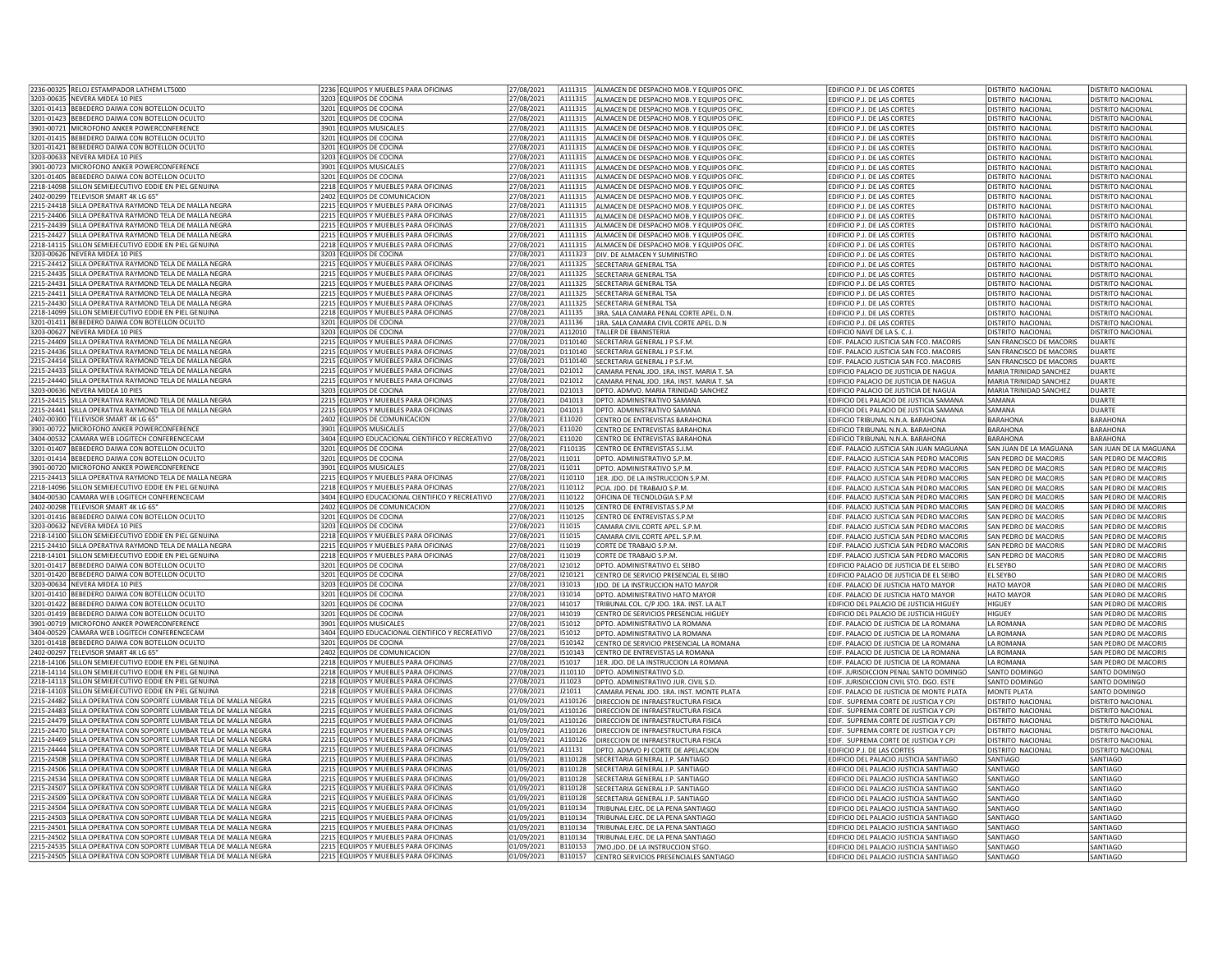|                                                      | 2236-00325 RELOJ ESTAMPADOR LATHEM LT5000                                                                                              | 2236 EQUIPOS Y MUEBLES PARA OFICINAS                                         | 27/08/2021               | A111315            | ALMACEN DE DESPACHO MOB. Y EQUIPOS OFIC                                    | EDIFICIO P.J. DE LAS CORTES                                                      | <b>DISTRITO NACIONAL</b>       | DISTRITO NACIONAL        |
|------------------------------------------------------|----------------------------------------------------------------------------------------------------------------------------------------|------------------------------------------------------------------------------|--------------------------|--------------------|----------------------------------------------------------------------------|----------------------------------------------------------------------------------|--------------------------------|--------------------------|
|                                                      | 3203-00635 NEVERA MIDEA 10 PIES                                                                                                        | 3203 EQUIPOS DE COCINA                                                       | 27/08/2021               | A111315            |                                                                            |                                                                                  |                                |                          |
|                                                      |                                                                                                                                        |                                                                              |                          |                    | ALMACEN DE DESPACHO MOB. Y EQUIPOS OFIC                                    | EDIFICIO P.J. DE LAS CORTES                                                      | DISTRITO NACIONAL              | DISTRITO NACIONAL        |
|                                                      | 3201-01413 BEBEDERO DAIWA CON BOTELLON OCULTO                                                                                          | 3201 EQUIPOS DE COCINA                                                       | 27/08/2021               | A111315            | ALMACEN DE DESPACHO MOB. Y EQUIPOS OFIC                                    | EDIFICIO P.J. DE LAS CORTES                                                      | <b>DISTRITO NACIONAL</b>       | <b>DISTRITO NACIONAL</b> |
| 3201-01423                                           | BEBEDERO DAIWA CON BOTELLON OCULTO                                                                                                     | 3201 EQUIPOS DE COCINA                                                       | 7/08/2021                | A111315            | ALMACEN DE DESPACHO MOB. Y EQUIPOS OFIC                                    | EDIFICIO P.J. DE LAS CORTES                                                      | DISTRITO NACIONAL              | DISTRITO NACIONAL        |
|                                                      | 3901-00721 MICROFONO ANKER POWERCONFERENCE                                                                                             | 3901 EQUIPOS MUSICALES                                                       | 27/08/2021               | A111315            | ALMACEN DE DESPACHO MOB. Y EQUIPOS OFIC                                    | EDIFICIO P.J. DE LAS CORTES                                                      | <b>DISTRITO NACIONAL</b>       | <b>DISTRITO NACIONAL</b> |
|                                                      | 3201-01415 BEBEDERO DAIWA CON BOTELLON OCULTO                                                                                          | 3201 EQUIPOS DE COCINA                                                       | 27/08/2021               | A111315            | ALMACEN DE DESPACHO MOB. Y EQUIPOS OFIC                                    | EDIFICIO P.J. DE LAS CORTES                                                      | <b>DISTRITO NACIONAL</b>       | DISTRITO NACIONAL        |
|                                                      | 3201-01421 REBEDERO DAIWA CON BOTELLON OCULTO                                                                                          | 3201 EQUIPOS DE COCINA                                                       | 27/08/2021               | A111315            | ALMACEN DE DESPACHO MOB. Y EQUIPOS OFIC                                    | EDIFICIO P.J. DE LAS CORTES                                                      | <b>DISTRITO NACIONAL</b>       | DISTRITO NACIONAL        |
|                                                      |                                                                                                                                        |                                                                              |                          |                    |                                                                            |                                                                                  |                                |                          |
|                                                      | 3203-00633 NEVERA MIDEA 10 PIES                                                                                                        | 3203 EQUIPOS DE COCINA                                                       | 27/08/2021               | A111315            | ALMACEN DE DESPACHO MOB. Y EQUIPOS OFIC                                    | EDIFICIO P.J. DE LAS CORTES                                                      | <b>DISTRITO NACIONAL</b>       | DISTRITO NACIONAL        |
|                                                      | 3901-00723 MICROFONO ANKER POWERCONFERENCE                                                                                             | 3901 EQUIPOS MUSICALES                                                       | 27/08/2021               | A111315            | ALMACEN DE DESPACHO MOB. Y EQUIPOS OFIC                                    | EDIFICIO P.J. DE LAS CORTES                                                      | <b>DISTRITO NACIONAL</b>       | DISTRITO NACIONAL        |
|                                                      | 3201-01405 BEBEDERO DAIWA CON BOTELLON OCULTO                                                                                          | 3201 EQUIPOS DE COCINA                                                       | 27/08/2021               | A111315            | ALMACEN DE DESPACHO MOB. Y EQUIPOS OFIC                                    | EDIFICIO P.J. DE LAS CORTES                                                      | <b>DISTRITO NACIONAL</b>       | DISTRITO NACIONAL        |
| 2218-14098                                           | SILLON SEMIEJECUTIVO EDDIE EN PIEL GENUINA                                                                                             | 2218 EQUIPOS Y MUEBLES PARA OFICINAS                                         | !7/08/2021               | A111315            | ALMACEN DE DESPACHO MOB. Y EQUIPOS OFIC                                    | <b>EDIFICIO P.I. DE LAS CORTES</b>                                               | DISTRITO NACIONAL              | DISTRITO NACIONAL        |
| 2402-00299                                           | TELEVISOR SMART 4K LG 65                                                                                                               | 2402 EQUIPOS DE COMUNICACION                                                 | 7/08/2021                | A111315            | LMACEN DE DESPACHO MOB. Y EQUIPOS OFIC                                     | EDIFICIO P.J. DE LAS CORTES                                                      | <b>DISTRITO NACIONAL</b>       | DISTRITO NACIONAL        |
|                                                      | 2215-24418 SILLA OPERATIVA RAYMOND TELA DE MALLA NEGRA                                                                                 | 2215 EQUIPOS Y MUEBLES PARA OFICINAS                                         | 27/08/2021               | A111315            | ALMACEN DE DESPACHO MOB. Y EQUIPOS OFIC                                    | EDIFICIO P.J. DE LAS CORTES                                                      | <b>DISTRITO NACIONAL</b>       | DISTRITO NACIONAL        |
| 2215-24406                                           | SILLA OPERATIVA RAYMOND TELA DE MALLA NEGRA                                                                                            | 2215 EQUIPOS Y MUEBLES PARA OFICINAS                                         | 27/08/2021               | A111315            |                                                                            |                                                                                  |                                |                          |
|                                                      |                                                                                                                                        |                                                                              |                          |                    | ALMACEN DE DESPACHO MOB. Y EQUIPOS OFIC                                    | EDIFICIO P.J. DE LAS CORTES                                                      | <b>DISTRITO NACIONAL</b>       | DISTRITO NACIONAL        |
|                                                      | 2215-24439 SILLA OPERATIVA RAYMOND TELA DE MALLA NEGRA                                                                                 | 2215 EQUIPOS Y MUEBLES PARA OFICINAS                                         | 27/08/2021               | A111315            | ALMACEN DE DESPACHO MOB. Y EQUIPOS OFIC                                    | EDIFICIO P.J. DE LAS CORTES                                                      | <b>DISTRITO NACIONAL</b>       | DISTRITO NACIONAL        |
|                                                      | 2215-24427 SILLA OPERATIVA RAYMOND TELA DE MALLA NEGRA                                                                                 | 2215 EQUIPOS Y MUEBLES PARA OFICINAS                                         | 27/08/2021               | A111315            | ALMACEN DE DESPACHO MOB. Y EQUIPOS OFIC                                    | EDIFICIO P.J. DE LAS CORTES                                                      | <b>DISTRITO NACIONAL</b>       | DISTRITO NACIONAL        |
|                                                      | 2218-14115 SILLON SEMIEJECUTIVO EDDIE EN PIEL GENUINA                                                                                  | 2218 EQUIPOS Y MUEBLES PARA OFICINAS                                         | 27/08/2021               | A111315            | ALMACEN DE DESPACHO MOB. Y EQUIPOS OFIC                                    | EDIFICIO P.J. DE LAS CORTES                                                      | <b>DISTRITO NACIONAL</b>       | DISTRITO NACIONAL        |
|                                                      | 3203-00626 NEVERA MIDEA 10 PIES                                                                                                        | 3203 EQUIPOS DE COCINA                                                       | 27/08/2021               | A111323            | DIV. DE ALMACEN Y SUMINISTRO                                               | EDIFICIO P.J. DE LAS CORTES                                                      | <b>DISTRITO NACIONAL</b>       | <b>DISTRITO NACIONAL</b> |
|                                                      | 2215-24412 SILLA OPERATIVA RAYMOND TELA DE MALLA NEGRA                                                                                 | 2215 EQUIPOS Y MUEBLES PARA OFICINAS                                         | 17/08/2021               | A111325            | <b>ECRETARIA GENERAL TSA</b>                                               | EDIFICIO P.J. DE LAS CORTES                                                      | DISTRITO NACIONAL              | DISTRITO NACIONAL        |
|                                                      | 2215-24435 SILLA OPERATIVA RAYMOND TELA DE MALLA NEGRA                                                                                 |                                                                              | 27/08/2021               | A111325            |                                                                            |                                                                                  |                                |                          |
|                                                      |                                                                                                                                        | 2215 EQUIPOS Y MUEBLES PARA OFICINAS                                         |                          |                    | ECRETARIA GENERAL TSA                                                      | EDIFICIO P.J. DE LAS CORTES                                                      | DISTRITO NACIONAL              | DISTRITO NACIONAL        |
| 2215-24431                                           | SILLA OPERATIVA RAYMOND TELA DE MALLA NEGRA                                                                                            | 2215 EQUIPOS Y MUEBLES PARA OFICINAS                                         | 27/08/2021               | A111325            | SECRETARIA GENERAL TSA                                                     | EDIFICIO P.J. DE LAS CORTES                                                      | DISTRITO NACIONAL              | DISTRITO NACIONAL        |
| 2215-24411                                           | SILLA OPERATIVA RAYMOND TELA DE MALLA NEGRA                                                                                            | 2215 EQUIPOS Y MUEBLES PARA OFICINAS                                         | 27/08/2021               | A111325            | SECRETARIA GENERAL TSA                                                     | EDIFICIO P.J. DE LAS CORTES                                                      | <b>DISTRITO NACIONAL</b>       | <b>DISTRITO NACIONAL</b> |
|                                                      | 2215-24430 SILLA OPERATIVA RAYMOND TELA DE MALLA NEGRA                                                                                 | 2215 EQUIPOS Y MUEBLES PARA OFICINAS                                         | 27/08/2021               | A111325            | SECRETARIA GENERAL TSA                                                     | EDIFICIO P.J. DE LAS CORTES                                                      | <b>DISTRITO NACIONAL</b>       | DISTRITO NACIONAL        |
|                                                      | 2218-14099 SILLON SEMIEJECUTIVO EDDIE EN PIEL GENUINA                                                                                  | 2218 EQUIPOS Y MUEBLES PARA OFICINAS                                         | 27/08/2021               | A11135             | 3RA. SALA CAMARA PENAL CORTE APEL. D.N.                                    | EDIFICIO P.J. DE LAS CORTES                                                      | <b>DISTRITO NACIONAL</b>       | DISTRITO NACIONAL        |
|                                                      | 3201-01411 BEBEDERO DAIWA CON BOTELLON OCULTO                                                                                          | 3201 EQUIPOS DE COCINA                                                       | 27/08/2021               | A11136             | 1RA. SALA CAMARA CIVIL CORTE APEL. D.N                                     | EDIFICIO P.J. DE LAS CORTES                                                      | DISTRITO NACIONAL              | DISTRITO NACIONAL        |
|                                                      | 3203-00627 NFVFRA MIDFA 10 PIFS                                                                                                        | 3203 EQUIPOS DE COCINA                                                       | 7/08/2021                | A112010            | TALLER DE FRANISTERIA                                                      | FDIFICIO NAVE DE LA S. C. L                                                      | DISTRITO NACIONAL              | DISTRITO NACIONAL        |
| 2215-24409                                           | SILLA OPERATIVA RAYMOND TELA DE MALLA NEGRA                                                                                            | 2215 EQUIPOS Y MUEBLES PARA OFICINAS                                         | 7/08/2021                | D110140            | ECRETARIA GENERAL J P S.F.M.                                               | EDIF. PALACIO JUSTICIA SAN FCO. MACORIS                                          | SAN FRANCISCO DE MACORIS       | <b>DUARTE</b>            |
| 2215-24436                                           | SILLA OPERATIVA RAYMOND TELA DE MALLA NEGRA                                                                                            | 2215 EQUIPOS Y MUEBLES PARA OFICINAS                                         | 27/08/2021               | D110140            | ECRETARIA GENERAL J P S.F.M.                                               | EDIF. PALACIO JUSTICIA SAN FCO. MACORIS                                          | SAN FRANCISCO DE MACORIS       | <b>DUARTE</b>            |
|                                                      |                                                                                                                                        |                                                                              |                          |                    |                                                                            |                                                                                  |                                |                          |
| 2215-24414                                           | SILLA OPERATIVA RAYMOND TELA DE MALLA NEGRA                                                                                            | 2215 EQUIPOS Y MUEBLES PARA OFICINAS                                         | 27/08/2021               | D110140            | ECRETARIA GENERAL J P S.F.M.                                               | EDIF. PALACIO JUSTICIA SAN FCO. MACORIS                                          | SAN FRANCISCO DE MACORIS       | DUARTE                   |
| 2215-24433                                           | SILLA OPERATIVA RAYMOND TELA DE MALLA NEGRA                                                                                            | 2215 EQUIPOS Y MUEBLES PARA OFICINAS                                         | 27/08/2021               | D21012             | CAMARA PENAL IDO, 1RA, INST. MARIA T. SA                                   | EDIFICIO PALACIO DE ILISTICIA DE NAGUA                                           | MARIA TRINIDAD SANCHEZ         | DUARTE                   |
|                                                      | 2215-24440 SILLA OPERATIVA RAYMOND TELA DE MALLA NEGRA                                                                                 | 2215 EQUIPOS Y MUEBLES PARA OFICINAS                                         | 27/08/2021               | D21012             | CAMARA PENAL JDO. 1RA. INST. MARIA T. SA                                   | EDIFICIO PALACIO DE JUSTICIA DE NAGUA                                            | MARIA TRINIDAD SANCHEZ         | DUARTE                   |
|                                                      | 3203-00636 NEVERA MIDEA 10 PIES                                                                                                        | 3203 EQUIPOS DE COCINA                                                       | 27/08/2021               | D21013             | DPTO. ADMVO. MARIA TRINIDAD SANCHEZ                                        | EDIFICIO PALACIO DE JUSTICIA DE NAGUA                                            | MARIA TRINIDAD SANCHEZ         | <b>DUARTE</b>            |
|                                                      | 2215-24415 SILLA OPERATIVA RAYMOND TELA DE MALLA NEGRA                                                                                 | 2215 EQUIPOS Y MUEBLES PARA OFICINAS                                         | 27/08/2021               | D41013             | DPTO. ADMINISTRATIVO SAMANA                                                | EDIFICIO DEL PALACIO DE JUSTICIA SAMANA                                          | SAMANA                         | DUARTE                   |
|                                                      | 2215-24441 SILLA OPERATIVA RAYMOND TELA DE MALLA NEGRA                                                                                 | 2215 EQUIPOS Y MUEBLES PARA OFICINAS                                         | 27/08/2021               | D41013             | DPTO, ADMINISTRATIVO SAMANA                                                | EDIFICIO DEL PALACIO DE JUSTICIA SAMANA                                          | SAMANA                         | DUARTF                   |
| 2402-00300                                           | TELEVISOR SMART 4K LG 65"                                                                                                              | 2402 EQUIPOS DE COMUNICACION                                                 | !7/08/2021               | E11020             | <b>ENTRO DE ENTREVISTAS BARAHONA</b>                                       | EDIFICIO TRIBUNAL N.N.A. BARAHONA                                                | <b>BARAHONA</b>                | <b>BARAHONA</b>          |
|                                                      | 3901-00722 MICROFONO ANKER POWERCONFERENCE                                                                                             | 3901 EQUIPOS MUSICALES                                                       | 27/08/2021               | E11020             | CENTRO DE ENTREVISTAS BARAHONA                                             | EDIFICIO TRIBUNAL N.N.A. BARAHONA                                                | <b>BARAHONA</b>                | <b>BARAHONA</b>          |
|                                                      | 3404-00532 CAMARA WEB LOGITECH CONFERENCECAM                                                                                           | 3404 EQUIPO EDUCACIONAL CIENTIFICO Y RECREATIVO                              | 27/08/2021               | E11020             | CENTRO DE ENTREVISTAS BARAHONA                                             | EDIFICIO TRIBUNAL N.N.A. BARAHONA                                                | <b>BARAHONA</b>                | <b>BARAHONA</b>          |
| 3201-01407                                           | BEBEDERO DAIWA CON BOTELLON OCULTO                                                                                                     | 3201 EQUIPOS DE COCINA                                                       | 27/08/2021               | F110135            | CENTRO DE ENTREVISTAS S.J.M                                                | EDIF. PALACIO JUSTICIA SAN JUAN MAGUANA                                          | SAN JUAN DE LA MAGUANA         | SAN JUAN DE LA MAGUANA   |
|                                                      | 3201-01414 BEBEDERO DAIWA CON BOTELLON OCULTO                                                                                          | 3201 EQUIPOS DE COCINA                                                       | 27/08/2021               | 111011             | DPTO. ADMINISTRATIVO S.P.M                                                 | EDIF. PALACIO JUSTICIA SAN PEDRO MACORIS                                         | SAN PEDRO DE MACORIS           | SAN PEDRO DE MACORIS     |
|                                                      |                                                                                                                                        |                                                                              |                          |                    |                                                                            |                                                                                  |                                |                          |
|                                                      | 3901-00720 MICROFONO ANKER POWERCONFERENCE                                                                                             | 3901 EQUIPOS MUSICALES                                                       | 27/08/2021               | 111011             | DPTO. ADMINISTRATIVO S.P.M.                                                | EDIF. PALACIO JUSTICIA SAN PEDRO MACORIS                                         | SAN PEDRO DE MACORIS           | SAN PEDRO DE MACORIS     |
|                                                      | 2215-24413 SILLA OPERATIVA RAYMOND TELA DE MALLA NEGRA                                                                                 | 2215 FOUIPOS Y MUFBLES PARA OFICINAS                                         | 27/08/2021               | 1110110            | 1ER. JDO. DE LA INSTRUCCION S.P.M.                                         | EDIF. PALACIO JUSTICIA SAN PEDRO MACORIS                                         | SAN PEDRO DE MACORIS           | SAN PEDRO DE MACORIS     |
|                                                      |                                                                                                                                        |                                                                              |                          |                    |                                                                            |                                                                                  |                                |                          |
| 2218-14096                                           | SILLON SEMIEJECUTIVO EDDIE EN PIEL GENUINA                                                                                             | 2218 EQUIPOS Y MUEBLES PARA OFICINAS                                         | !7/08/2021               | 110112             | PCIA. IDO. DE TRABAIO S.P.M.                                               | EDIF. PALACIO JUSTICIA SAN PEDRO MACORIS                                         | SAN PEDRO DE MACORIS           | SAN PEDRO DE MACORIS     |
| 3404-00530                                           | CAMARA WEB LOGITECH CONFERENCECAM                                                                                                      | 3404 EQUIPO EDUCACIONAL CIENTIFICO Y RECREATIVO                              | 27/08/2021               | 110122             | DFICINA DE TECNOLOGIA S.P.M                                                | EDIF. PALACIO JUSTICIA SAN PEDRO MACORIS                                         | SAN PEDRO DE MACORIS           | SAN PEDRO DE MACORIS     |
| 2402-00298                                           | TELEVISOR SMART 4K LG 65'                                                                                                              | 2402 EQUIPOS DE COMUNICACION                                                 | 27/08/2021               | 1110125            | CENTRO DE ENTREVISTAS S.P.M                                                | EDIF. PALACIO JUSTICIA SAN PEDRO MACORIS                                         | SAN PEDRO DE MACORIS           | SAN PEDRO DE MACORIS     |
|                                                      | 3201-01416 BEBEDERO DAIWA CON BOTELLON OCULTO                                                                                          | 3201 EQUIPOS DE COCINA                                                       | 27/08/2021               | 1110125            | CENTRO DE ENTREVISTAS S.P.M                                                | EDIF. PALACIO JUSTICIA SAN PEDRO MACORIS                                         | SAN PEDRO DE MACORIS           | SAN PEDRO DE MACORIS     |
|                                                      |                                                                                                                                        |                                                                              |                          |                    |                                                                            |                                                                                  |                                |                          |
|                                                      | 3203-00632 NEVERA MIDEA 10 PIES                                                                                                        | 3203 EQUIPOS DE COCINA                                                       | 27/08/2021               | 111015             | CAMARA CIVIL CORTE APEL. S.P.M.                                            | EDIF. PALACIO JUSTICIA SAN PEDRO MACORIS                                         | SAN PEDRO DE MACORIS           | SAN PEDRO DE MACORIS     |
|                                                      | 2218-14100 SILLON SEMIEJECUTIVO EDDIE EN PIEL GENUINA                                                                                  | 2218 EQUIPOS Y MUEBLES PARA OFICINAS                                         | 27/08/2021               | 111015             | CAMARA CIVIL CORTE APEL. S.P.M.                                            | EDIF. PALACIO JUSTICIA SAN PEDRO MACORIS                                         | SAN PEDRO DE MACORIS           | SAN PEDRO DE MACORIS     |
|                                                      | 2215-24410 SILLA OPERATIVA RAYMOND TELA DE MALLA NEGRA                                                                                 | 2215 EQUIPOS Y MUEBLES PARA OFICINAS                                         | 27/08/2021               | 111019             | CORTE DE TRABAJO S.P.M.                                                    | EDIF. PALACIO JUSTICIA SAN PEDRO MACORIS                                         | SAN PEDRO DE MACORIS           | SAN PEDRO DE MACORIS     |
| 2218-14101                                           | SILLON SEMIEJECUTIVO EDDIE EN PIEL GENUINA                                                                                             | 2218 EQUIPOS Y MUEBLES PARA OFICINAS                                         | !7/08/2021               | 111019             | CORTE DE TRABAIO S.P.M                                                     | EDIF. PALACIO JUSTICIA SAN PEDRO MACORIS                                         | SAN PEDRO DE MACORIS           | SAN PEDRO DE MACORIS     |
| 3201-01417                                           | BEBEDERO DAIWA CON BOTELLON OCULTO                                                                                                     | 3201 EQUIPOS DE COCINA                                                       | 7/08/2021                | 121012             | DPTO, ADMINISTRATIVO EL SEIBO                                              | EDIFICIO PALACIO DE JUSTICIA DE EL SEIBO                                         | EL SEYBO                       | SAN PEDRO DE MACORIS     |
| 3201-01420                                           | BEBEDERO DAIWA CON BOTELLON OCULTO                                                                                                     | 3201 EQUIPOS DE COCINA                                                       | 27/08/2021               | 1210121            | CENTRO DE SERVICIO PRESENCIAL EL SEIBO                                     | EDIFICIO PALACIO DE JUSTICIA DE EL SEIBO                                         | <b>EL SEYBO</b>                | SAN PEDRO DE MACORIS     |
|                                                      | 3203-00634 NEVERA MIDEA 10 PIES                                                                                                        | 3203 EQUIPOS DE COCINA                                                       | 27/08/2021               | 131013             | JDO. DE LA INSTRUCCION HATO MAYOR                                          | EDIF. PALACIO DE JUSTICIA HATO MAYOR                                             | <b>HATO MAYOR</b>              | SAN PEDRO DE MACORIS     |
|                                                      | 3201-01410 BEBEDERO DAIWA CON BOTELLON OCULTO                                                                                          | 3201 EQUIPOS DE COCINA                                                       | 27/08/2021               | 131014             | DPTO, ADMINISTRATIVO HATO MAYOR                                            | EDIF. PALACIO DE JUSTICIA HATO MAYOR                                             | <b>HATO MAYOR</b>              | SAN PEDRO DE MACORIS     |
| 3201-01422                                           | BEBEDERO DAIWA CON BOTELLON OCULTO                                                                                                     | 3201 EQUIPOS DE COCINA                                                       | 27/08/2021               | 141017             | FRIBUNAL COL. C/P JDO. 1RA. INST. LA ALT                                   | EDIFICIO DEL PALACIO DE JUSTICIA HIGUEY                                          | HIGUEY                         | SAN PEDRO DE MACORIS     |
|                                                      | 3201-01419 BEBEDERO DAIWA CON BOTELLON OCULTO                                                                                          | 3201 EQUIPOS DE COCINA                                                       | 27/08/2021               | 141019             | CENTRO DE SERVICIOS PRESENCIAL HIGUEY                                      | EDIFICIO DEL PALACIO DE JUSTICIA HIGUEY                                          | HIGUEY                         | SAN PEDRO DE MACORIS     |
|                                                      | 3901-00719   MICROFONO ANKER POWERCONFERENCE                                                                                           | 3901 EQUIPOS MUSICALES                                                       | 27/08/2021               | 151012             | DPTO. ADMINISTRATIVO LA ROMANA                                             | EDIF. PALACIO DE JUSTICIA DE LA ROMANA                                           | LA ROMANA                      | SAN PEDRO DE MACORIS     |
| 3404-00529                                           | CAMARA WEB LOGITECH CONFERENCECAM                                                                                                      | 3404 EQUIPO EDUCACIONAL CIENTIFICO Y RECREATIVO                              | 27/08/2021               | 151012             | DPTO, ADMINISTRATIVO I A ROMANA                                            | FDIE, PALACIO DE JUSTICIA DE LA ROMANA                                           | <b>I A ROMANA</b>              | SAN PEDRO DE MACORIS     |
| 3201-01418                                           | BEBEDERO DAIWA CON BOTELLON OCULTO                                                                                                     | 3201 EQUIPOS DE COCINA                                                       | 7/08/2021                | 1510142            | ENTRO DE SERVICIO PRESENCIAL LA ROMANA                                     | EDIF. PALACIO DE JUSTICIA DE LA ROMANA                                           | <b>A ROMANA</b>                | SAN PEDRO DE MACORIS     |
|                                                      | TELEVISOR SMART 4K LG 65"                                                                                                              |                                                                              |                          |                    |                                                                            |                                                                                  |                                |                          |
| 2402-00297                                           |                                                                                                                                        | 2402 EQUIPOS DE COMUNICACION                                                 | 27/08/2021               | 1510143            | ENTRO DE ENTREVISTAS LA ROMANA                                             | EDIF. PALACIO DE JUSTICIA DE LA ROMANA                                           | LA ROMANA<br><b>ILA ROMANA</b> | SAN PEDRO DE MACORIS     |
|                                                      | SILLON SEMIEJECUTIVO EDDIE EN PIEL GENUINA                                                                                             | 2218 EQUIPOS Y MUEBLES PARA OFICINAS                                         | 27/08/2021               | 151017             | 1ER. JDO. DE LA INSTRUCCION LA ROMANA                                      | EDIF. PALACIO DE JUSTICIA DE LA ROMANA                                           |                                | SAN PEDRO DE MACORIS     |
|                                                      | 2218-14114 SILLON SEMIEJECUTIVO EDDIE EN PIEL GENUINA                                                                                  | 2218 EQUIPOS Y MUEBLES PARA OFICINAS                                         | 27/08/2021               | J110110            | DPTO. ADMINISTRATIVO S.D.                                                  | EDIF. JURISDICCION PENAL SANTO DOMINGO                                           | SANTO DOMINGO                  | SANTO DOMINGO            |
|                                                      | 2218-14113 SILLON SEMIEJECUTIVO EDDIE EN PIEL GENUINA                                                                                  | 2218 EQUIPOS Y MUEBLES PARA OFICINAS                                         | 27/08/2021               | J11023             | DPTO, ADMINISTRATIVO JUR, CIVIL S.D.                                       | EDIF. JURISDICCION CIVIL STO. DGO. ESTE                                          | SANTO DOMINGO                  | SANTO DOMINGO            |
|                                                      | 2218-14103 SILLON SEMIEJECUTIVO EDDIE EN PIEL GENUINA                                                                                  | 2218 EQUIPOS Y MUEBLES PARA OFICINAS                                         | 27/08/2021               | J21011             | CAMARA PENAL JDO. 1RA. INST. MONTE PLATA                                   | EDIF. PALACIO DE JUSTICIA DE MONTE PLATA                                         | MONTE PLATA                    | SANTO DOMINGO            |
|                                                      | 2215-24482 SILLA OPERATIVA CON SOPORTE LUMBAR TELA DE MALLA NEGRA                                                                      | 2215 FOUIPOS Y MUFBLES PARA OFICINAS                                         | 01/09/2021               | A110126            | DIRECCION DE INFRAESTRUCTURA FISICA                                        | EDIF. SUPREMA CORTE DE JUSTICIA Y CPJ                                            | <b>DISTRITO NACIONAL</b>       | DISTRITO NACIONAL        |
|                                                      | SILLA OPERATIVA CON SOPORTE LUMBAR TELA DE MALLA NEGRA                                                                                 | 2215 EQUIPOS Y MUEBLES PARA OFICINAS                                         | 01/09/2021               | A110126            | DIRECCION DE INFRAESTRUCTURA FISICA                                        | EDIF. SUPREMA CORTE DE JUSTICIA Y CPJ                                            | DISTRITO NACIONAL              | DISTRITO NACIONAL        |
|                                                      | 2215-24479 SILLA OPERATIVA CON SOPORTE LUMBAR TELA DE MALLA NEGRA                                                                      | 2215 EQUIPOS Y MUEBLES PARA OFICINAS                                         | 01/09/2021               | A110126            | DIRECCION DE INFRAESTRUCTURA FISICA                                        | EDIF. SUPREMA CORTE DE JUSTICIA Y CPJ                                            | DISTRITO NACIONAL              | DISTRITO NACIONAL        |
|                                                      | 2215-24470 SILLA OPERATIVA CON SOPORTE LUMBAR TELA DE MALLA NEGRA                                                                      | 2215 EQUIPOS Y MUEBLES PARA OFICINAS                                         | 01/09/2021               | A110126            | DIRECCION DE INFRAESTRUCTURA FISICA                                        | EDIF. SUPREMA CORTE DE JUSTICIA Y CPJ                                            | <b>DISTRITO NACIONAL</b>       | <b>DISTRITO NACIONAL</b> |
|                                                      | SILLA OPERATIVA CON SOPORTE LUMBAR TELA DE MALLA NEGRA                                                                                 | 2215 EQUIPOS Y MUEBLES PARA OFICINAS                                         | 01/09/2021               | A110126            | DIRECCION DE INFRAESTRUCTURA FISICA                                        | EDIF. SUPREMA CORTE DE JUSTICIA Y CPJ                                            | <b>DISTRITO NACIONAL</b>       | <b>DISTRITO NACIONAL</b> |
|                                                      | 2215-24444 SILLA OPERATIVA CON SOPORTE LUMBAR TELA DE MALLA NEGRA                                                                      | 2215 EQUIPOS Y MUEBLES PARA OFICINAS                                         | 01/09/2021               | A11131             | DPTO, ADMVO PJ CORTE DE APELACION                                          | EDIFICIO P.J. DE LAS CORTES                                                      | <b>DISTRITO NACIONAL</b>       | DISTRITO NACIONAL        |
|                                                      |                                                                                                                                        |                                                                              | 01/09/2021               | B110128            |                                                                            |                                                                                  | SANTIAGO                       |                          |
|                                                      | 2215-24508 SILLA OPERATIVA CON SOPORTE LUMBAR TELA DE MALLA NEGRA                                                                      | 2215 EQUIPOS Y MUEBLES PARA OFICINAS                                         |                          |                    | SECRETARIA GENERAL J.P. SANTIAGO                                           | EDIFICIO DEL PALACIO JUSTICIA SANTIAGO                                           |                                | SANTIAGO                 |
|                                                      | 2215-24506 SILLA OPERATIVA CON SOPORTE LUMBAR TELA DE MALLA NEGRA                                                                      | 2215 EQUIPOS Y MUEBLES PARA OFICINAS                                         | 01/09/2021               | B110128            | SECRETARIA GENERAL J.P. SANTIAGO                                           | EDIFICIO DEL PALACIO JUSTICIA SANTIAGO                                           | SANTIAGO                       | SANTIAGO                 |
|                                                      | 2215-24534 SILLA OPERATIVA CON SOPORTE LUMBAR TELA DE MALLA NEGRA                                                                      | 2215 EQUIPOS Y MUEBLES PARA OFICINAS                                         | 01/09/2021               | B110128            | SECRETARIA GENERAL J.P. SANTIAGO                                           | EDIFICIO DEL PALACIO JUSTICIA SANTIAGO                                           | SANTIAGO                       | SANTIAGO                 |
| 2218-14106<br>2215-24483<br>2215-24469<br>2215-24507 | SILLA OPERATIVA CON SOPORTE LUMBAR TELA DE MALLA NEGRA                                                                                 | 2215 EQUIPOS Y MUEBLES PARA OFICINAS                                         | 1/09/2021                | B110128            | ECRETARIA GENERAL J.P. SANTIAGO                                            | EDIFICIO DEL PALACIO JUSTICIA SANTIAGO                                           | SANTIAGO                       | <b>SANTIAGO</b>          |
| 2215-24509                                           | SILLA OPERATIVA CON SOPORTE LUMBAR TELA DE MALLA NEGRA                                                                                 | 2215 EQUIPOS Y MUEBLES PARA OFICINAS                                         | 01/09/2021               | B110128            | <b>SECRETARIA GENERAL J.P. SANTIAGO</b>                                    | EDIFICIO DEL PALACIO JUSTICIA SANTIAGO                                           | SANTIAGO                       | SANTIAGO                 |
|                                                      | SILLA OPERATIVA CON SOPORTE LUMBAR TELA DE MALLA NEGRA                                                                                 | 2215 EQUIPOS Y MUEBLES PARA OFICINAS                                         | 01/09/2021               | B110134            | RIBUNAL EJEC. DE LA PENA SANTIAGO                                          | EDIFICIO DEL PALACIO JUSTICIA SANTIAGO                                           | SANTIAGO                       | SANTIAGO                 |
| 2215-24504<br>2215-24503                             | SILLA OPERATIVA CON SOPORTE LUMBAR TELA DE MALLA NEGRA                                                                                 | 2215 EQUIPOS Y MUEBLES PARA OFICINAS                                         | 01/09/2021               | B110134            | <b>RIBUNAL FIFC. DE LA PENA SANTIAGO</b>                                   | EDIFICIO DEL PALACIO ILISTICIA SANTIAGO                                          | SANTIAGO                       | SANTIAGO                 |
|                                                      | 2215-24501 SILLA OPERATIVA CON SOPORTE LUMBAR TELA DE MALLA NEGRA                                                                      | 2215 EQUIPOS Y MUEBLES PARA OFICINAS                                         | 01/09/2021               | B110134            | RIBUNAL EJEC. DE LA PENA SANTIAGO                                          | EDIFICIO DEL PALACIO JUSTICIA SANTIAGO                                           | <b>SANTIAGO</b>                | SANTIAGO                 |
|                                                      | 2215-24502 SILLA OPERATIVA CON SOPORTE LUMBAR TELA DE MALLA NEGRA                                                                      | 2215 EQUIPOS Y MUEBLES PARA OFICINAS                                         | 01/09/2021               | B110134            | TRIBUNAL EJEC. DE LA PENA SANTIAGO                                         | EDIFICIO DEL PALACIO JUSTICIA SANTIAGO                                           | SANTIAGO                       | SANTIAGO                 |
|                                                      | 2215-24535 SILLA OPERATIVA CON SOPORTE LUMBAR TELA DE MALLA NEGRA<br>2215-24505 SILLA OPERATIVA CON SOPORTE LUMBAR TELA DE MALLA NEGRA | 2215 EQUIPOS Y MUEBLES PARA OFICINAS<br>2215 EQUIPOS Y MUEBLES PARA OFICINAS | 01/09/2021<br>01/09/2021 | B110153<br>B110157 | 7MO.JDO. DE LA INSTRUCCION STGO.<br>CENTRO SERVICIOS PRESENCIALES SANTIAGO | EDIFICIO DEL PALACIO JUSTICIA SANTIAGO<br>EDIFICIO DEL PALACIO JUSTICIA SANTIAGO | <b>SANTIAGO</b><br>SANTIAGO    | SANTIAGO<br>SANTIAGO     |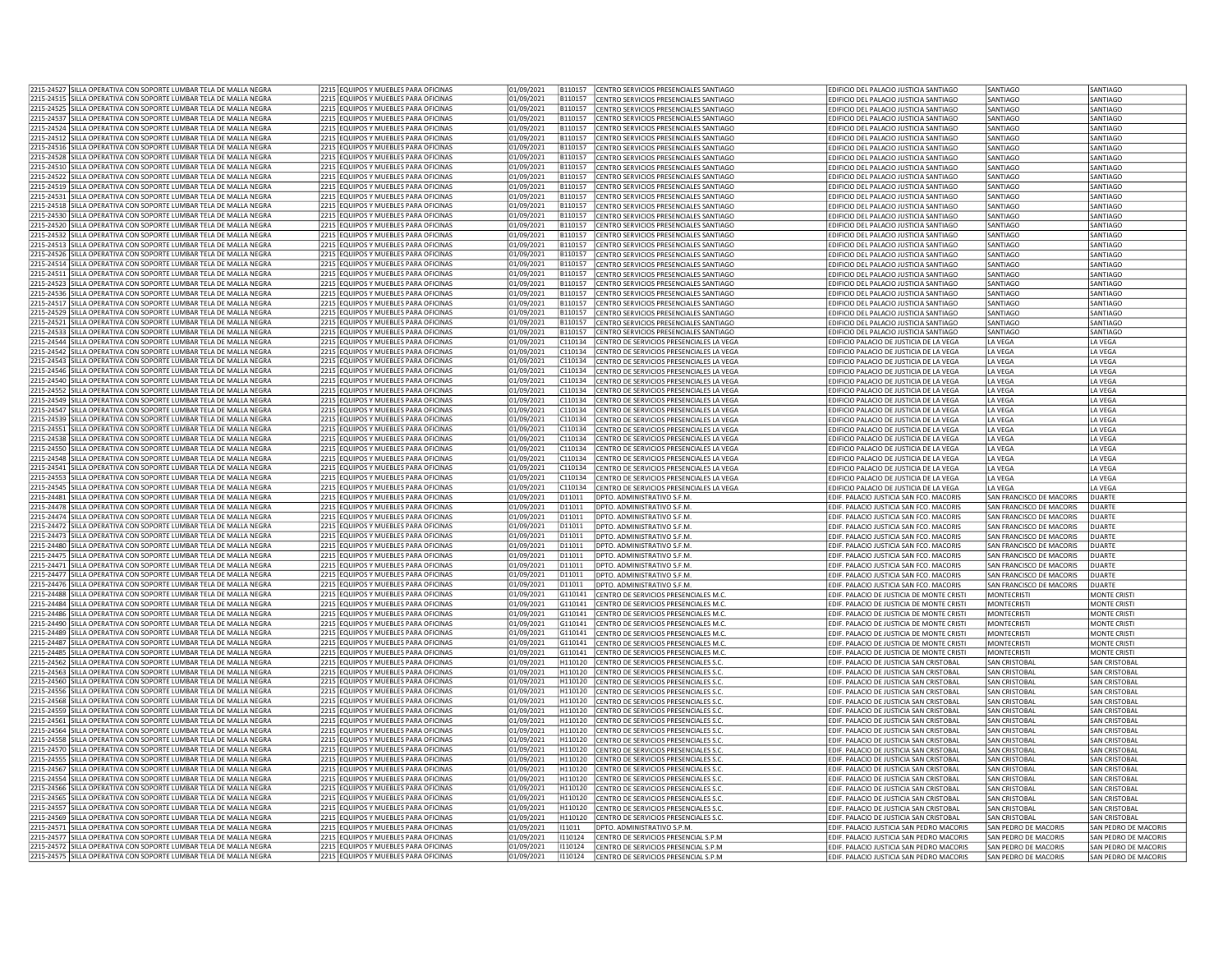| 2215-24527 SILLA OPERATIVA CON SOPORTE LUMBAR TELA DE MALLA NEGRA                                                                       | 2215 EQUIPOS Y MUEBLES PARA OFICINAS                                         | 01/09/2021               | B110157<br>CENTRO SERVICIOS PRESENCIALES SANTIAGO                                                   | EDIFICIO DEL PALACIO JUSTICIA SANTIAGO                                                | <b>SANTIAGO</b>                              | SANTIAGO                                     |
|-----------------------------------------------------------------------------------------------------------------------------------------|------------------------------------------------------------------------------|--------------------------|-----------------------------------------------------------------------------------------------------|---------------------------------------------------------------------------------------|----------------------------------------------|----------------------------------------------|
| 2215-24515 SILLA OPERATIVA CON SOPORTE LUMBAR TELA DE MALLA NEGRA                                                                       | 2215 EQUIPOS Y MUEBLES PARA OFICINAS                                         | 01/09/2021               | B110157<br>CENTRO SERVICIOS PRESENCIALES SANTIAGO                                                   | EDIFICIO DEL PALACIO JUSTICIA SANTIAGO                                                | SANTIAGO                                     | SANTIAGO                                     |
| 2215-24525 SILLA OPERATIVA CON SOPORTE LUMBAR TELA DE MALLA NEGRA                                                                       | 2215 EQUIPOS Y MUEBLES PARA OFICINAS                                         | 01/09/2021               | B110157                                                                                             |                                                                                       |                                              |                                              |
|                                                                                                                                         |                                                                              |                          | CENTRO SERVICIOS PRESENCIALES SANTIAGO                                                              | EDIFICIO DEL PALACIO JUSTICIA SANTIAGO                                                | SANTIAGO                                     | <b>ANTIAGO</b>                               |
| 2215-24537 SILLA OPERATIVA CON SOPORTE LUMBAR TELA DE MALLA NEGRA                                                                       | 2215 EQUIPOS Y MUEBLES PARA OFICINAS                                         | 01/09/2021               | B110157<br>CENTRO SERVICIOS PRESENCIALES SANTIAGO                                                   | EDIFICIO DEL PALACIO JUSTICIA SANTIAGO                                                | SANTIAGO                                     | SANTIAGO                                     |
| 2215-24524 SILLA OPERATIVA CON SOPORTE LUMBAR TELA DE MALLA NEGRA                                                                       | 2215 EQUIPOS Y MUEBLES PARA OFICINAS                                         | 01/09/2021               | B110157<br>CENTRO SERVICIOS PRESENCIALES SANTIAGO                                                   | EDIFICIO DEL PALACIO JUSTICIA SANTIAGO                                                | SANTIAGO                                     | SANTIAGO                                     |
| 2215-24512 SILLA OPERATIVA CON SOPORTE LUMBAR TELA DE MALLA NEGRA                                                                       | 2215 EQUIPOS Y MUEBLES PARA OFICINAS                                         | 01/09/2021               | B110157<br>CENTRO SERVICIOS PRESENCIALES SANTIAGO                                                   | EDIFICIO DEL PALACIO ILISTICIA SANTIAGO                                               | SANTIAGO                                     | SANTIAGO                                     |
| 2215-24516 SILLA OPERATIVA CON SOPORTE LUMBAR TELA DE MALLA NEGRA                                                                       | 2215 EQUIPOS Y MUEBLES PARA OFICINAS                                         | 01/09/2021               | B110157<br>CENTRO SERVICIOS PRESENCIALES SANTIAGO                                                   | EDIFICIO DEL PALACIO JUSTICIA SANTIAGO                                                | SANTIAGO                                     | SANTIAGO                                     |
| 2215-24528  SILLA OPERATIVA CON SOPORTE LUMBAR TELA DE MALLA NEGRA                                                                      | 2215 EQUIPOS Y MUEBLES PARA OFICINAS                                         |                          | B110157                                                                                             |                                                                                       |                                              |                                              |
|                                                                                                                                         |                                                                              | 01/09/2021               | CENTRO SERVICIOS PRESENCIALES SANTIAGO                                                              | EDIFICIO DEL PALACIO JUSTICIA SANTIAGO                                                | SANTIAGO                                     | SANTIAGO                                     |
| 2215-24510  SILLA OPERATIVA CON SOPORTE LUMBAR TELA DE MALLA NEGRA                                                                      | 2215 EQUIPOS Y MUEBLES PARA OFICINAS                                         | 01/09/2021               | B110157<br>CENTRO SERVICIOS PRESENCIALES SANTIAGO                                                   | EDIFICIO DEL PALACIO JUSTICIA SANTIAGO                                                | SANTIAGO                                     | SANTIAGO                                     |
| 2215-24522 SILLA OPERATIVA CON SOPORTE LUMBAR TELA DE MALLA NEGRA                                                                       | 2215 EQUIPOS Y MUEBLES PARA OFICINAS                                         | 01/09/2021               | ENTRO SERVICIOS PRESENCIALES SANTIAGO<br>B110157                                                    | EDIFICIO DEL PALACIO JUSTICIA SANTIAGO                                                | SANTIAGO                                     | <b>ANTIAGO</b>                               |
| 2215-24519 SILLA OPERATIVA CON SOPORTE LUMBAR TELA DE MALLA NEGRA                                                                       | 2215 EQUIPOS Y MUEBLES PARA OFICINAS                                         | 01/09/2021               | B110157<br>CENTRO SERVICIOS PRESENCIALES SANTIAGO                                                   | EDIFICIO DEL PALACIO JUSTICIA SANTIAGO                                                | SANTIAGO                                     | <b>SANTIAGO</b>                              |
| 2215-24531 SILLA OPERATIVA CON SOPORTE LUMBAR TELA DE MALLA NEGRA                                                                       | 2215 EQUIPOS Y MUEBLES PARA OFICINAS                                         | 01/09/2021               | B110157<br>CENTRO SERVICIOS PRESENCIALES SANTIAGO                                                   | EDIFICIO DEL PALACIO JUSTICIA SANTIAGO                                                | SANTIAGO                                     | SANTIAGO                                     |
| 2215-24518 SILLA OPERATIVA CON SOPORTE LUMBAR TELA DE MALLA NEGRA                                                                       | 2215 EQUIPOS Y MUEBLES PARA OFICINAS                                         | 01/09/2021               | B110157<br>CENTRO SERVICIOS PRESENCIALES SANTIAGO                                                   | EDIFICIO DEL PALACIO ILISTICIA SANTIAGO                                               | SANTIAGO                                     | SANTIAGO                                     |
|                                                                                                                                         |                                                                              |                          |                                                                                                     |                                                                                       |                                              |                                              |
| 2215-24530 SILLA OPERATIVA CON SOPORTE LUMBAR TELA DE MALLA NEGRA                                                                       | 2215 EQUIPOS Y MUEBLES PARA OFICINAS                                         | 01/09/2021               | B110157<br>CENTRO SERVICIOS PRESENCIALES SANTIAGO                                                   | EDIFICIO DEL PALACIO JUSTICIA SANTIAGO                                                | SANTIAGO                                     | SANTIAGO                                     |
| 2215-24520 SILLA OPERATIVA CON SOPORTE LUMBAR TELA DE MALLA NEGRA                                                                       | 2215 EQUIPOS Y MUEBLES PARA OFICINAS                                         | 01/09/2021               | CENTRO SERVICIOS PRESENCIALES SANTIAGO<br>B110157                                                   | EDIFICIO DEL PALACIO JUSTICIA SANTIAGO                                                | SANTIAGO                                     | SANTIAGO                                     |
| 2215-24532 SILLA OPERATIVA CON SOPORTE LUMBAR TELA DE MALLA NEGRA                                                                       | 2215 FOUIPOS Y MUFBLES PARA OFICINAS                                         | 01/09/2021               | B110157<br>CENTRO SERVICIOS PRESENCIALES SANTIAGO                                                   | EDIFICIO DEL PALACIO JUSTICIA SANTIAGO                                                | SANTIAGO                                     | SANTIAGO                                     |
| 2215-24513 SILLA OPERATIVA CON SOPORTE LUMBAR TELA DE MALLA NEGRA                                                                       | 2215 EQUIPOS Y MUEBLES PARA OFICINAS                                         | 01/09/2021               | B110157<br>CENTRO SERVICIOS PRESENCIALES SANTIAGO                                                   | EDIFICIO DEL PALACIO IUSTICIA SANTIAGO                                                | <b>SANTIAGO</b>                              | SANTIAGO                                     |
| 2215-24526 SILLA OPERATIVA CON SOPORTE LUMBAR TELA DE MALLA NEGRA                                                                       | 2215 EQUIPOS Y MUEBLES PARA OFICINAS                                         | 01/09/2021               | B110157<br>ENTRO SERVICIOS PRESENCIALES SANTIAGO                                                    | EDIFICIO DEL PALACIO JUSTICIA SANTIAGO                                                | SANTIAGO                                     | SANTIAGO                                     |
| 2215-24514 SILLA OPERATIVA CON SOPORTE LUMBAR TELA DE MALLA NEGRA                                                                       | 2215 EQUIPOS Y MUEBLES PARA OFICINAS                                         | 01/09/2021               | B110157<br>CENTRO SERVICIOS PRESENCIALES SANTIAGO                                                   | EDIFICIO DEL PALACIO JUSTICIA SANTIAGO                                                | SANTIAGO                                     | SANTIAGO                                     |
|                                                                                                                                         |                                                                              |                          |                                                                                                     |                                                                                       |                                              |                                              |
| 2215-24511 SILLA OPERATIVA CON SOPORTE LUMBAR TELA DE MALLA NEGRA                                                                       | 2215 EQUIPOS Y MUEBLES PARA OFICINAS                                         | 01/09/2021               | B110157<br>CENTRO SERVICIOS PRESENCIALES SANTIAGO                                                   | EDIFICIO DEL PALACIO JUSTICIA SANTIAGO                                                | SANTIAGO                                     | SANTIAGO                                     |
| 2215-24523 SILLA OPERATIVA CON SOPORTE LUMBAR TELA DE MALLA NEGRA                                                                       | 2215 EQUIPOS Y MUEBLES PARA OFICINAS                                         | 01/09/2021               | B110157<br>CENTRO SERVICIOS PRESENCIALES SANTIAGO                                                   | EDIFICIO DEL PALACIO ILISTICIA SANTIAGO                                               | SANTIAGO                                     | SANTIAGO                                     |
| 2215-24536  SILLA OPERATIVA CON SOPORTE LUMBAR TELA DE MALLA NEGRA                                                                      | 2215 EQUIPOS Y MUEBLES PARA OFICINAS                                         | 01/09/2021               | B110157<br>CENTRO SERVICIOS PRESENCIALES SANTIAGO                                                   | EDIFICIO DEL PALACIO JUSTICIA SANTIAGO                                                | SANTIAGO                                     | SANTIAGO                                     |
| 2215-24517 SILLA OPERATIVA CON SOPORTE LUMBAR TELA DE MALLA NEGRA                                                                       | 2215 EQUIPOS Y MUEBLES PARA OFICINAS                                         | 01/09/2021               | CENTRO SERVICIOS PRESENCIALES SANTIAGO<br>B110157                                                   | EDIFICIO DEL PALACIO JUSTICIA SANTIAGO                                                | SANTIAGO                                     | SANTIAGO                                     |
| 2215-24529 SILLA OPERATIVA CON SOPORTE LUMBAR TELA DE MALLA NEGRA                                                                       | 2215 FOUIPOS Y MUFBLES PARA OFICINAS                                         | 01/09/2021               | B110157<br>CENTRO SERVICIOS PRESENCIALES SANTIAGO                                                   | EDIFICIO DEL PALACIO JUSTICIA SANTIAGO                                                | SANTIAGO                                     | SANTIAGO                                     |
| 2215-24521 SILLA OPERATIVA CON SOPORTE LUMBAR TELA DE MALLA NEGRA                                                                       | 2215 EQUIPOS Y MUEBLES PARA OFICINAS                                         | 01/09/2021               | B110157<br>CENTRO SERVICIOS PRESENCIALES SANTIAGO                                                   | EDIFICIO DEL PALACIO ILISTICIA SANTIAGO                                               | SANTIAGO                                     | SANTIAGO                                     |
|                                                                                                                                         |                                                                              |                          |                                                                                                     |                                                                                       |                                              |                                              |
| 2215-24533 SILLA OPERATIVA CON SOPORTE LUMBAR TELA DE MALLA NEGRA                                                                       | 2215 EQUIPOS Y MUEBLES PARA OFICINAS                                         | 01/09/2021               | B110157<br>ENTRO SERVICIOS PRESENCIALES SANTIAGO                                                    | EDIFICIO DEL PALACIO JUSTICIA SANTIAGO                                                | SANTIAGO                                     | SANTIAGO                                     |
| 2215-24544 SILLA OPERATIVA CON SOPORTE LUMBAR TELA DE MALLA NEGRA                                                                       | 2215 EQUIPOS Y MUEBLES PARA OFICINAS                                         | 01/09/2021               | C110134<br>CENTRO DE SERVICIOS PRESENCIALES LA VEGA                                                 | EDIFICIO PALACIO DE JUSTICIA DE LA VEGA                                               | LA VEGA                                      | LA VEGA                                      |
| 2215-24542 SILLA OPERATIVA CON SOPORTE LUMBAR TELA DE MALLA NEGRA                                                                       | 2215 FOUIPOS Y MUFBLES PARA OFICINAS                                         | 01/09/2021               | C110134<br>CENTRO DE SERVICIOS PRESENCIALES LA VEGA                                                 | EDIFICIO PALACIO DE JUSTICIA DE LA VEGA                                               | LA VEGA                                      | LA VEGA                                      |
| 2215-24543 SILLA OPERATIVA CON SOPORTE LUMBAR TELA DE MALLA NEGRA                                                                       | 2215 EQUIPOS Y MUEBLES PARA OFICINAS                                         | 01/09/2021               | C110134<br>CENTRO DE SERVICIOS PRESENCIALES LA VEGA                                                 | EDIFICIO PALACIO DE JUSTICIA DE LA VEGA                                               | LA VEGA                                      | LA VEGA                                      |
| 2215-24546 SILLA OPERATIVA CON SOPORTE LUMBAR TELA DE MALLA NEGRA                                                                       | 2215 EQUIPOS Y MUEBLES PARA OFICINAS                                         | 01/09/2021               | C110134<br>CENTRO DE SERVICIOS PRESENCIALES LA VEGA                                                 | EDIFICIO PALACIO DE JUSTICIA DE LA VEGA                                               | LA VEGA                                      | LA VEGA                                      |
|                                                                                                                                         |                                                                              |                          |                                                                                                     |                                                                                       |                                              |                                              |
| 2215-24540 SILLA OPERATIVA CON SOPORTE LUMBAR TELA DE MALLA NEGRA                                                                       | 2215 EQUIPOS Y MUEBLES PARA OFICINAS                                         | 01/09/2021               | C110134<br>CENTRO DE SERVICIOS PRESENCIALES LA VEGA                                                 | EDIFICIO PALACIO DE JUSTICIA DE LA VEGA                                               | LA VEGA                                      | LA VEGA                                      |
| 2215-24552 SILLA OPERATIVA CON SOPORTE LUMBAR TELA DE MALLA NEGRA                                                                       | 2215 FOUIPOS Y MUFBLES PARA OFICINAS                                         | 01/09/2021               | C110134<br>CENTRO DE SERVICIOS PRESENCIALES LA VEGA                                                 | EDIFICIO PALACIO DE JUSTICIA DE LA VEGA                                               | <b>LA VEGA</b>                               | LA VEGA                                      |
| 2215-24549 SILLA OPERATIVA CON SOPORTE LUMBAR TELA DE MALLA NEGRA                                                                       | 2215 EQUIPOS Y MUEBLES PARA OFICINAS                                         | 01/09/2021               | C110134<br>CENTRO DE SERVICIOS PRESENCIALES LA VEGA                                                 | EDIFICIO PALACIO DE JUSTICIA DE LA VEGA                                               | LA VEGA                                      | LA VEGA                                      |
| 2215-24547  SILLA OPERATIVA CON SOPORTE LUMBAR TELA DE MALLA NEGRA                                                                      | 2215 EQUIPOS Y MUEBLES PARA OFICINAS                                         | 01/09/2021               | C110134<br>CENTRO DE SERVICIOS PRESENCIALES LA VEGA                                                 | EDIFICIO PALACIO DE JUSTICIA DE LA VEGA                                               | LA VEGA                                      | LA VEGA                                      |
| 2215-24539 SILLA OPERATIVA CON SOPORTE LUMBAR TELA DE MALLA NEGRA                                                                       | 2215 EQUIPOS Y MUEBLES PARA OFICINAS                                         | 01/09/2021               | C110134<br>CENTRO DE SERVICIOS PRESENCIALES LA VEGA                                                 | EDIFICIO PALACIO DE JUSTICIA DE LA VEGA                                               | LA VEGA                                      | LA VEGA                                      |
| 2215-24551 SILLA OPERATIVA CON SOPORTE LUMBAR TELA DE MALLA NEGRA                                                                       | 2215 FOUIPOS Y MUFBLES PARA OFICINAS                                         | 01/09/2021               | C110134<br>CENTRO DE SERVICIOS PRESENCIALES LA VEGA                                                 | EDIFICIO PALACIO DE JUSTICIA DE LA VEGA                                               | LA VEGA                                      | LA VEGA                                      |
| 2215-24538 SILLA OPERATIVA CON SOPORTE LUMBAR TELA DE MALLA NEGRA                                                                       | 2215 EQUIPOS Y MUEBLES PARA OFICINAS                                         | 01/09/2021               | C110134<br>CENTRO DE SERVICIOS PRESENCIALES LA VEGA                                                 | EDIFICIO PALACIO DE JUSTICIA DE LA VEGA                                               | LA VEGA                                      | LA VEGA                                      |
| 2215-24550 SILLA OPERATIVA CON SOPORTE LUMBAR TELA DE MALLA NEGRA                                                                       | 2215 EQUIPOS Y MUEBLES PARA OFICINAS                                         | 01/09/2021               | C110134<br>CENTRO DE SERVICIOS PRESENCIALES LA VEGA                                                 | EDIFICIO PALACIO DE JUSTICIA DE LA VEGA                                               | LA VEGA                                      | LA VEGA                                      |
|                                                                                                                                         | 2215 EQUIPOS Y MUEBLES PARA OFICINAS                                         |                          | C110134                                                                                             |                                                                                       |                                              |                                              |
| 2215-24548  SILLA OPERATIVA CON SOPORTE LUMBAR TELA DE MALLA NEGRA<br>2215-24541 SILLA OPERATIVA CON SOPORTE LUMBAR TELA DE MALLA NEGRA | 2215 FOUIPOS Y MUEBLES PARA OFICINAS                                         | 01/09/2021<br>01/09/2021 | CENTRO DE SERVICIOS PRESENCIALES LA VEGA<br>C110134<br>CENTRO DE SERVICIOS PRESENCIALES LA VEGA     | EDIFICIO PALACIO DE JUSTICIA DE LA VEGA<br>EDIFICIO PALACIO DE JUSTICIA DE LA VEGA    | LA VEGA<br><b>I A VFGA</b>                   | LA VEGA<br><b>IA VFGA</b>                    |
|                                                                                                                                         |                                                                              |                          |                                                                                                     |                                                                                       |                                              |                                              |
|                                                                                                                                         |                                                                              |                          |                                                                                                     |                                                                                       |                                              |                                              |
| 215-24553 SILLA OPERATIVA CON SOPORTE LUMBAR TELA DE MALLA NEGRA!                                                                       | 2215 EQUIPOS Y MUEBLES PARA OFICINAS                                         | 01/09/2021               | C110134<br>ENTRO DE SERVICIOS PRESENCIALES LA VEGA                                                  | EDIFICIO PALACIO DE JUSTICIA DE LA VEGA                                               | LA VEGA                                      | LA VEGA                                      |
| 2215-24545 SILLA OPERATIVA CON SOPORTE LUMBAR TELA DE MALLA NEGRA                                                                       | 2215 EQUIPOS Y MUEBLES PARA OFICINAS                                         | 01/09/2021               | C110134<br>CENTRO DE SERVICIOS PRESENCIALES LA VEGA                                                 | EDIFICIO PALACIO DE JUSTICIA DE LA VEGA                                               | LA VEGA                                      | A VEGA                                       |
| 2215-24481 SILLA OPERATIVA CON SOPORTE LUMBAR TELA DE MALLA NEGRA                                                                       | 2215 EQUIPOS Y MUEBLES PARA OFICINAS                                         | 01/09/2021               | D11011<br>DPTO, ADMINISTRATIVO S.F.M                                                                | EDIF, PALACIO JUSTICIA SAN FCO, MACORIS                                               | SAN FRANCISCO DE MACORIS                     | <b>DUARTE</b>                                |
| 2215-24478 SILLA OPERATIVA CON SOPORTE LUMBAR TELA DE MALLA NEGRA                                                                       | 2215 EQUIPOS Y MUEBLES PARA OFICINAS                                         | 01/09/2021               | D11011<br>DPTO. ADMINISTRATIVO S.F.M.                                                               | EDIF, PALACIO JUSTICIA SAN FCO, MACORIS                                               | SAN FRANCISCO DE MACORIS                     | DUARTE                                       |
|                                                                                                                                         | 2215 EQUIPOS Y MUEBLES PARA OFICINAS                                         |                          | D11011                                                                                              | EDIF, PALACIO JUSTICIA SAN FCO, MACORIS                                               | SAN FRANCISCO DE MACORIS                     | DUARTE                                       |
| 2215-24474 SILLA OPERATIVA CON SOPORTE LUMBAR TELA DE MALLA NEGRA                                                                       |                                                                              | 01/09/2021<br>01/09/2021 | DPTO. ADMINISTRATIVO S.F.M<br>D11011<br>DPTO, ADMINISTRATIVO S.F.M                                  | EDIF, PALACIO JUSTICIA SAN FCO, MACORIS                                               | SAN FRANCISCO DE MACORIS                     | DUARTE                                       |
| 2215-24472 SILLA OPERATIVA CON SOPORTE LUMBAR TELA DE MALLA NEGRA                                                                       | 2215 EQUIPOS Y MUEBLES PARA OFICINAS                                         |                          |                                                                                                     |                                                                                       |                                              |                                              |
| 2215-24473 SILLA OPERATIVA CON SOPORTE LUMBAR TELA DE MALLA NEGRA                                                                       | 2215 EQUIPOS Y MUEBLES PARA OFICINAS                                         | 01/09/2021               | D11011<br>DPTO. ADMINISTRATIVO S.F.M.                                                               | EDIF. PALACIO JUSTICIA SAN FCO. MACORIS                                               | SAN FRANCISCO DE MACORIS                     | DUARTE                                       |
| 2215-24480 SILLA OPERATIVA CON SOPORTE LUMBAR TELA DE MALLA NEGRA                                                                       | 2215 EQUIPOS Y MUEBLES PARA OFICINAS                                         | 01/09/2021               | D11011<br>DPTO, ADMINISTRATIVO S.F.M                                                                | EDIF. PALACIO JUSTICIA SAN FCO. MACORIS                                               | SAN FRANCISCO DE MACORIS                     | DUARTE                                       |
| 2215-24475 SILLA OPERATIVA CON SOPORTE LUMBAR TELA DE MALLA NEGRA                                                                       | 2215 EQUIPOS Y MUEBLES PARA OFICINAS                                         | 01/09/2021               | D11011<br>DPTO. ADMINISTRATIVO S.F.M                                                                | EDIF. PALACIO JUSTICIA SAN FCO. MACORIS                                               | SAN FRANCISCO DE MACORIS                     | DUARTE                                       |
| 2215-24471 SILLA OPERATIVA CON SOPORTE LUMBAR TELA DE MALLA NEGRA                                                                       | 2215 EQUIPOS Y MUEBLES PARA OFICINAS                                         | 01/09/2021               | D11011<br>DPTO, ADMINISTRATIVO S.F.M                                                                | EDIF, PALACIO JUSTICIA SAN FCO, MACORIS                                               | SAN FRANCISCO DE MACORIS                     | DUARTE                                       |
| 2215-24477 SILLA OPERATIVA CON SOPORTE LUMBAR TELA DE MALLA NEGRA                                                                       | 2215 EQUIPOS Y MUEBLES PARA OFICINAS                                         | 01/09/2021               | D11011<br>DPTO. ADMINISTRATIVO S.F.M                                                                | EDIF. PALACIO JUSTICIA SAN FCO. MACORIS                                               | SAN FRANCISCO DE MACORIS                     | DUARTE                                       |
| 2215-24476 SILLA OPERATIVA CON SOPORTE LUMBAR TELA DE MALLA NEGRA                                                                       | 2215 EQUIPOS Y MUEBLES PARA OFICINAS                                         | 01/09/2021               | D11011<br>DPTO. ADMINISTRATIVO S.F.M                                                                | EDIF. PALACIO JUSTICIA SAN FCO. MACORIS                                               | SAN FRANCISCO DE MACORIS                     | DUARTE                                       |
|                                                                                                                                         | 2215 EQUIPOS Y MUEBLES PARA OFICINAS                                         |                          | G110141                                                                                             |                                                                                       | <b>MONTECRIST</b>                            | <b>MONTE CRIST</b>                           |
| 2215-24488 SILLA OPERATIVA CON SOPORTE LUMBAR TELA DE MALLA NEGRA                                                                       |                                                                              | 01/09/2021               | CENTRO DE SERVICIOS PRESENCIALES M.C                                                                | EDIF. PALACIO DE JUSTICIA DE MONTE CRISTI                                             |                                              |                                              |
| 2215-24484 SILLA OPERATIVA CON SOPORTE LUMBAR TELA DE MALLA NEGRA                                                                       | 2215 EQUIPOS Y MUEBLES PARA OFICINAS                                         | 01/09/2021               | CENTRO DE SERVICIOS PRESENCIALES M.C<br>G110141                                                     | EDIF. PALACIO DE JUSTICIA DE MONTE CRISTI                                             | <b>MONTECRISTI</b>                           | MONTE CRISTI                                 |
| 2215-24486 SILLA OPERATIVA CON SOPORTE LUMBAR TELA DE MALLA NEGRA                                                                       | 2215 FOUIPOS Y MUFBLES PARA OFICINAS                                         | 01/09/2021               | G110141<br>CENTRO DE SERVICIOS PRESENCIALES M.C                                                     | EDIF. PALACIO DE JUSTICIA DE MONTE CRISTI                                             | <b>MONTECRISTI</b>                           | <b>MONTE CRISTI</b>                          |
| 2215-24490 SILLA OPERATIVA CON SOPORTE LUMBAR TELA DE MALLA NEGRA                                                                       | 2215 EQUIPOS Y MUEBLES PARA OFICINAS                                         | 01/09/2021               | G110141<br>CENTRO DE SERVICIOS PRESENCIALES M.C                                                     | EDIF, PALACIO DE JUSTICIA DE MONTE CRISTI                                             | <b>MONTFCRISTI</b>                           | <b>MONTE CRISTI</b>                          |
| 2215-24489 SILLA OPERATIVA CON SOPORTE LUMBAR TELA DE MALLA NEGRA                                                                       | 2215 EQUIPOS Y MUEBLES PARA OFICINAS                                         | 01/09/2021               | G110141<br>ENTRO DE SERVICIOS PRESENCIALES M.C                                                      | EDIF. PALACIO DE JUSTICIA DE MONTE CRISTI                                             | <b>MONTECRISTI</b>                           | MONTE CRISTI                                 |
| 2215-24487 SILLA OPERATIVA CON SOPORTE LUMBAR TELA DE MALLA NEGRA                                                                       | 2215 EQUIPOS Y MUEBLES PARA OFICINAS                                         | 01/09/2021               | G110141<br>CENTRO DE SERVICIOS PRESENCIALES M.C                                                     | EDIF. PALACIO DE JUSTICIA DE MONTE CRISTI                                             | <b>MONTECRIST</b>                            | <b>MONTE CRIST</b>                           |
| 2215-24485 SILLA OPERATIVA CON SOPORTE LUMBAR TELA DE MALLA NEGRA                                                                       | 2215 EQUIPOS Y MUEBLES PARA OFICINAS                                         | 01/09/2021               | G110141<br>CENTRO DE SERVICIOS PRESENCIALES M.C                                                     | EDIF. PALACIO DE JUSTICIA DE MONTE CRISTI                                             | <b>MONTECRISTI</b>                           | <b>MONTE CRISTI</b>                          |
| 2215-24562 SILLA OPERATIVA CON SOPORTE LUMBAR TELA DE MALLA NEGRA                                                                       | 2215 EQUIPOS Y MUEBLES PARA OFICINAS                                         | 01/09/2021               | CENTRO DE SERVICIOS PRESENCIALES S.C.<br>H110120                                                    | EDIF, PALACIO DE JUSTICIA SAN CRISTOBAL                                               | <b>SAN CRISTOBAL</b>                         | <b>SAN CRISTOBAL</b>                         |
|                                                                                                                                         |                                                                              |                          |                                                                                                     |                                                                                       |                                              |                                              |
| 2215-24563 SILLA OPERATIVA CON SOPORTE LUMBAR TELA DE MALLA NEGRA                                                                       | 2215 EQUIPOS Y MUEBLES PARA OFICINAS                                         | 01/09/2021               | H110120<br>CENTRO DE SERVICIOS PRESENCIALES S.C                                                     | EDIF. PALACIO DE JUSTICIA SAN CRISTOBAL                                               | SAN CRISTOBAL                                | SAN CRISTOBAL                                |
| 2215-24560 SILLA OPERATIVA CON SOPORTE LUMBAR TELA DE MALLA NEGRA                                                                       | 2215 EQUIPOS Y MUEBLES PARA OFICINAS                                         | 01/09/2021               | H110120<br>CENTRO DE SERVICIOS PRESENCIALES S.C.                                                    | EDIF. PALACIO DE JUSTICIA SAN CRISTOBAL                                               | <b>SAN CRISTOBAL</b>                         | <b>SAN CRISTOBAL</b>                         |
| 2215-24556 SILLA OPERATIVA CON SOPORTE LUMBAR TELA DE MALLA NEGRA                                                                       | 2215 EQUIPOS Y MUEBLES PARA OFICINAS                                         | 01/09/2021               | H110120<br>CENTRO DE SERVICIOS PRESENCIALES S.C                                                     | EDIF. PALACIO DE JUSTICIA SAN CRISTOBAL                                               | <b>SAN CRISTOBAL</b>                         | <b>SAN CRISTOBAL</b>                         |
| 2215-24568 SILLA OPERATIVA CON SOPORTE LUMBAR TELA DE MALLA NEGRA                                                                       | 2215 EQUIPOS Y MUEBLES PARA OFICINAS                                         | 01/09/2021               | H110120<br>CENTRO DE SERVICIOS PRESENCIALES S.C.                                                    | FDIE, PALACIO DE JUSTICIA SAN CRISTOBAL                                               | SAN CRISTOBAL                                | SAN CRISTOBAL                                |
| 2215-24559 SILLA OPERATIVA CON SOPORTE LUMBAR TELA DE MALLA NEGRA                                                                       | 2215 EQUIPOS Y MUEBLES PARA OFICINAS                                         | 01/09/2021               | H110120<br>CENTRO DE SERVICIOS PRESENCIALES S.C                                                     | EDIF. PALACIO DE JUSTICIA SAN CRISTOBAL                                               | <b>SAN CRISTOBAL</b>                         | <b>SAN CRISTOBAL</b>                         |
| 2215-24561  SILLA OPERATIVA CON SOPORTE LUMBAR TELA DE MALLA NEGRA                                                                      | 2215 EQUIPOS Y MUEBLES PARA OFICINAS                                         | 01/09/2021               | H110120<br>CENTRO DE SERVICIOS PRESENCIALES S.C                                                     | EDIF. PALACIO DE JUSTICIA SAN CRISTOBAL                                               | SAN CRISTOBAL                                | SAN CRISTOBAL                                |
| 2215-24564 SILLA OPERATIVA CON SOPORTE LUMBAR TELA DE MALLA NEGRA                                                                       | 2215 EQUIPOS Y MUEBLES PARA OFICINAS                                         | 01/09/2021               | H110120<br>CENTRO DE SERVICIOS PRESENCIALES S.0                                                     | EDIF. PALACIO DE JUSTICIA SAN CRISTOBAL                                               | <b>SAN CRISTOBAI</b>                         | SAN CRISTOBAL                                |
| 2215-24558 SILLA OPERATIVA CON SOPORTE LUMBAR TELA DE MALLA NEGRA                                                                       | 2215 EQUIPOS Y MUEBLES PARA OFICINAS                                         | 01/09/2021               | H110120<br>CENTRO DE SERVICIOS PRESENCIALES S.C                                                     | EDIF. PALACIO DE JUSTICIA SAN CRISTOBAL                                               | <b>SAN CRISTOBAL</b>                         | <b>SAN CRISTOBAL</b>                         |
|                                                                                                                                         |                                                                              | 01/09/2021               | H110120                                                                                             |                                                                                       | <b>SAN CRISTOBAL</b>                         | SAN CRISTOBAL                                |
| 2215-24570 SILLA OPERATIVA CON SOPORTE LUMBAR TELA DE MALLA NEGRA                                                                       | 2215 EQUIPOS Y MUEBLES PARA OFICINAS                                         |                          | CENTRO DE SERVICIOS PRESENCIALES S.C                                                                | EDIF. PALACIO DE JUSTICIA SAN CRISTOBAL                                               |                                              |                                              |
| 2215-24555 SILLA OPERATIVA CON SOPORTE LUMBAR TELA DE MALLA NEGRA                                                                       | 2215 EQUIPOS Y MUEBLES PARA OFICINAS                                         | 01/09/2021               | H110120<br>CENTRO DE SERVICIOS PRESENCIALES S.C                                                     | EDIF. PALACIO DE JUSTICIA SAN CRISTOBAL                                               | SAN CRISTOBAL                                | SAN CRISTOBAL                                |
| 2215-24567 SILLA OPERATIVA CON SOPORTE LUMBAR TELA DE MALLA NEGRA                                                                       | 2215 FOUIPOS Y MUEBLES PARA OFICINAS                                         | 01/09/2021               | H110120<br>CENTRO DE SERVICIOS PRESENCIALES S.C.                                                    | EDIF, PALACIO DE JUSTICIA SAN CRISTOBAL                                               | <b>SAN CRISTORAL</b>                         | SAN CRISTOBAL                                |
| 215-24554 SILLA OPERATIVA CON SOPORTE LUMBAR TELA DE MALLA NEGRA                                                                        | 2215 EQUIPOS Y MUEBLES PARA OFICINAS                                         | 01/09/2021               | H110120<br>ENTRO DE SERVICIOS PRESENCIALES S.C                                                      | EDIF. PALACIO DE JUSTICIA SAN CRISTOBAL                                               | SAN CRISTOBAL                                | SAN CRISTOBAL                                |
| 215-24566 SILLA OPERATIVA CON SOPORTE LUMBAR TELA DE MALLA NEGRA!                                                                       | 2215 EQUIPOS Y MUEBLES PARA OFICINAS                                         | 01/09/2021               | CENTRO DE SERVICIOS PRESENCIALES S.C.<br>H110120                                                    | EDIF. PALACIO DE JUSTICIA SAN CRISTOBAL                                               | <b>SAN CRISTOBAL</b>                         | SAN CRISTOBAL                                |
| 2215-24565 SILLA OPERATIVA CON SOPORTE LUMBAR TELA DE MALLA NEGRA                                                                       | 2215 EQUIPOS Y MUEBLES PARA OFICINAS                                         | 01/09/2021               | H110120<br>CENTRO DE SERVICIOS PRESENCIALES S.C                                                     | EDIF. PALACIO DE JUSTICIA SAN CRISTOBAL                                               | SAN CRISTOBAL                                | SAN CRISTOBAL                                |
| 2215-24557 SILLA OPERATIVA CON SOPORTE LUMBAR TELA DE MALLA NEGRA                                                                       | 2215 EQUIPOS Y MUEBLES PARA OFICINAS                                         | 01/09/2021               | H110120<br>CENTRO DE SERVICIOS PRESENCIALES S.                                                      | EDIF. PALACIO DE JUSTICIA SAN CRISTOBAL                                               | <b>SAN CRISTOBAL</b>                         | SAN CRISTOBAL                                |
| 2215-24569 SILLA OPERATIVA CON SOPORTE LUMBAR TELA DE MALLA NEGRA                                                                       | 2215 EQUIPOS Y MUEBLES PARA OFICINAS                                         | 01/09/2021               | H110120<br>CENTRO DE SERVICIOS PRESENCIALES S.C.                                                    | EDIF. PALACIO DE JUSTICIA SAN CRISTOBAL                                               | SAN CRISTOBAL                                | SAN CRISTOBAL                                |
| 2215-24571 SILLA OPERATIVA CON SOPORTE LUMBAR TELA DE MALLA NEGRA                                                                       | 2215 EQUIPOS Y MUEBLES PARA OFICINAS                                         | 01/09/2021               | 111011<br>DPTO, ADMINISTRATIVO S.P.M                                                                | EDIF. PALACIO JUSTICIA SAN PEDRO MACORIS                                              | SAN PEDRO DE MACORIS                         | SAN PEDRO DE MACORIS                         |
|                                                                                                                                         | 2215 EQUIPOS Y MUEBLES PARA OFICINAS                                         |                          | 1110124                                                                                             |                                                                                       |                                              |                                              |
| 2215-24577 SILLA OPERATIVA CON SOPORTE LUMBAR TELA DE MALLA NEGRA                                                                       |                                                                              | 01/09/2021               | CENTRO DE SERVICIOS PRESENCIAL S.P.M                                                                | EDIF. PALACIO JUSTICIA SAN PEDRO MACORIS                                              | SAN PEDRO DE MACORIS                         | SAN PEDRO DE MACORIS                         |
| 2215-24572 SILLA OPERATIVA CON SOPORTE LUMBAR TELA DE MALLA NEGRA<br>2215-24575 SILLA OPERATIVA CON SOPORTE LUMBAR TELA DE MALLA NEGRA  | 2215 EQUIPOS Y MUEBLES PARA OFICINAS<br>2215 EQUIPOS Y MUEBLES PARA OFICINAS | 01/09/2021<br>01/09/2021 | 1110124<br>CENTRO DE SERVICIOS PRESENCIAL S.P.M.<br>1110124<br>CENTRO DE SERVICIOS PRESENCIAL S.P.M | FDIE, PALACIO ILISTICIA SAN PEDRO MACORIS<br>EDIF. PALACIO JUSTICIA SAN PEDRO MACORIS | SAN PEDRO DE MACORIS<br>SAN PEDRO DE MACORIS | SAN PEDRO DE MACORIS<br>SAN PEDRO DE MACORIS |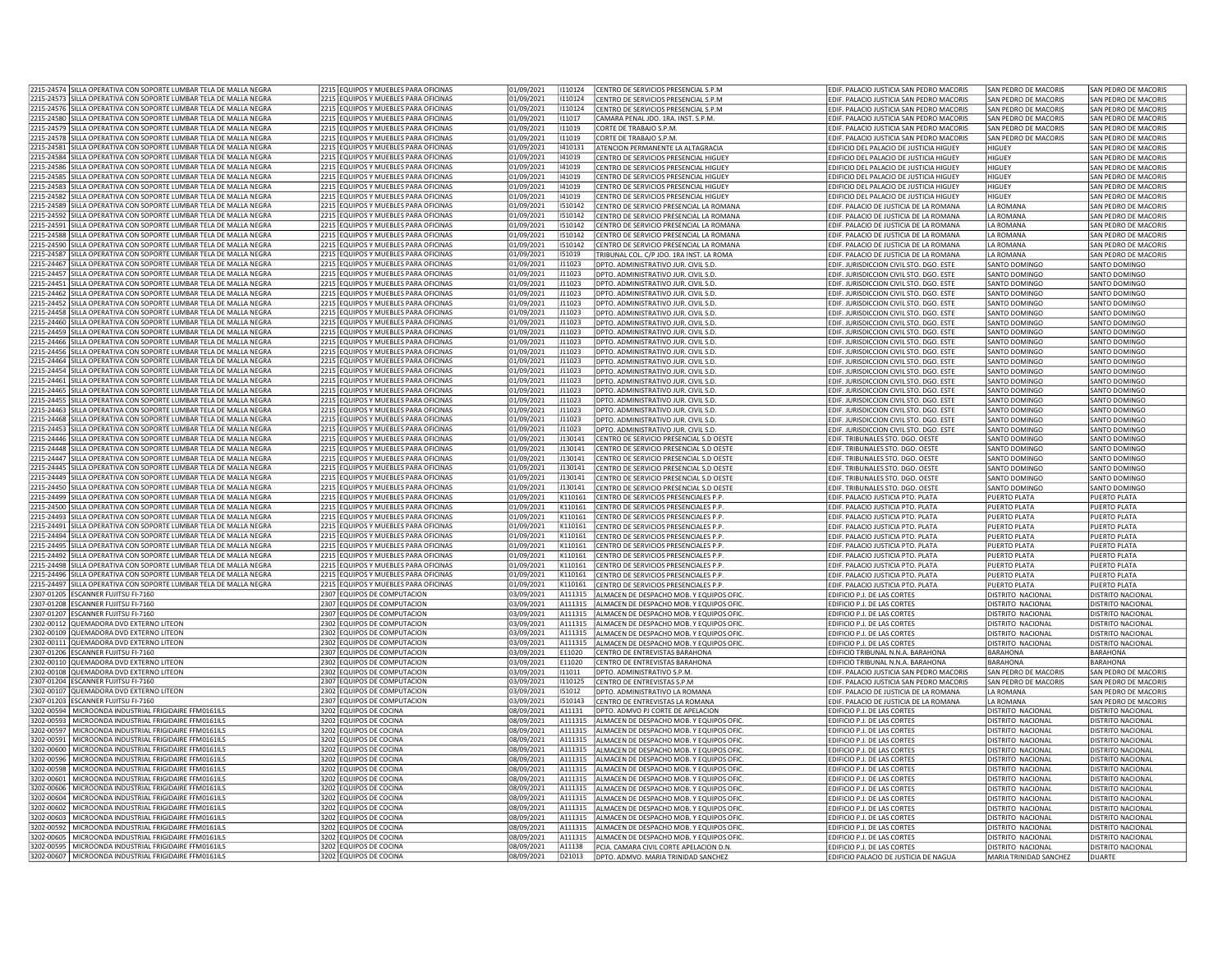|            | 2215-24574 SILLA OPERATIVA CON SOPORTE LUMBAR TELA DE MALLA NEGRA                                                  | 2215 EQUIPOS Y MUEBLES PARA OFICINAS             | 01/09/2021               | 110124           | CENTRO DE SERVICIOS PRESENCIAL S.P.M                                           | EDIF. PALACIO JUSTICIA SAN PEDRO MACORIS                             | SAN PEDRO DE MACORIS                        | SAN PEDRO DE MACORIS                      |
|------------|--------------------------------------------------------------------------------------------------------------------|--------------------------------------------------|--------------------------|------------------|--------------------------------------------------------------------------------|----------------------------------------------------------------------|---------------------------------------------|-------------------------------------------|
|            | 2215-24573 SILLA OPERATIVA CON SOPORTE LUMBAR TELA DE MALLA NEGRA                                                  | 2215 EQUIPOS Y MUEBLES PARA OFICINAS             | 01/09/2021               | 1110124          | CENTRO DE SERVICIOS PRESENCIAL S.P.M                                           | EDIF. PALACIO JUSTICIA SAN PEDRO MACORIS                             | SAN PEDRO DE MACORIS                        | SAN PEDRO DE MACORIS                      |
|            | 2215-24576 SILLA OPERATIVA CON SOPORTE LUMBAR TELA DE MALLA NEGRA                                                  | 2215 EQUIPOS Y MUEBLES PARA OFICINAS             | 01/09/2021               | 1110124          |                                                                                |                                                                      |                                             |                                           |
|            |                                                                                                                    |                                                  |                          |                  | CENTRO DE SERVICIOS PRESENCIAL S.P.M                                           | EDIF. PALACIO JUSTICIA SAN PEDRO MACORIS                             | SAN PEDRO DE MACORIS                        | SAN PEDRO DE MACORIS                      |
|            | 2215-24580 SILLA OPERATIVA CON SOPORTE LUMBAR TELA DE MALLA NEGRA                                                  | 2215 EQUIPOS Y MUEBLES PARA OFICINAS             | 01/09/2021               | 111017           | CAMARA PENAL JDO. 1RA. INST. S.P.M.                                            | EDIF. PALACIO JUSTICIA SAN PEDRO MACORIS                             | SAN PEDRO DE MACORIS                        | SAN PEDRO DE MACORIS                      |
|            | 2215-24579 SILLA OPERATIVA CON SOPORTE LUMBAR TELA DE MALLA NEGRA                                                  | 2215 EQUIPOS Y MUEBLES PARA OFICINAS             | 01/09/2021               | 111019           | CORTE DE TRABAJO S.P.M                                                         | EDIF. PALACIO JUSTICIA SAN PEDRO MACORIS                             | SAN PEDRO DE MACORIS                        | SAN PEDRO DE MACORIS                      |
|            | 2215-24578 SILLA OPERATIVA CON SOPORTE LUMBAR TELA DE MALLA NEGRA                                                  | 2215 EQUIPOS Y MUEBLES PARA OFICINAS             | 01/09/2021               | 11019            | CORTE DE TRABAJO S.P.M                                                         | EDIF. PALACIO JUSTICIA SAN PEDRO MACORIS                             | SAN PEDRO DE MACORIS                        | SAN PEDRO DE MACORIS                      |
|            | 2215-24581 SILLA OPERATIVA CON SOPORTE LUMBAR TELA DE MALLA NEGRA                                                  | 2215 EQUIPOS Y MUEBLES PARA OFICINAS             | 01/09/2021               | 1410131          | ATENCION PERMANENTE LA ALTAGRACIA                                              | EDIFICIO DEL PALACIO DE JUSTICIA HIGUEY                              | HIGUEY                                      | SAN PEDRO DE MACORIS                      |
|            | 2215-24584 SILLA OPERATIVA CON SOPORTE LUMBAR TELA DE MALLA NEGRA                                                  | 2215 EQUIPOS Y MUEBLES PARA OFICINAS             | 01/09/2021               | 141019           | CENTRO DE SERVICIOS PRESENCIAL HIGUEY                                          | EDIFICIO DEL PALACIO DE JUSTICIA HIGUEY                              | HIGUEY                                      | SAN PEDRO DE MACORIS                      |
|            |                                                                                                                    |                                                  |                          | 141019           |                                                                                |                                                                      |                                             |                                           |
|            | 2215-24586 SILLA OPERATIVA CON SOPORTE LUMBAR TELA DE MALLA NEGRA                                                  | 2215 EQUIPOS Y MUEBLES PARA OFICINAS             | 01/09/2021               |                  | CENTRO DE SERVICIOS PRESENCIAL HIGUEY                                          | EDIFICIO DEL PALACIO DE JUSTICIA HIGUEY                              | HIGUEY                                      | SAN PEDRO DE MACORIS                      |
|            | 2215-24585 SILLA OPERATIVA CON SOPORTE LUMBAR TELA DE MALLA NEGRA                                                  | 2215 EQUIPOS Y MUEBLES PARA OFICINAS             | 01/09/2021               | 141019           | CENTRO DE SERVICIOS PRESENCIAL HIGUEY                                          | EDIFICIO DEL PALACIO DE JUSTICIA HIGUEY                              | HIGUEY                                      | SAN PEDRO DE MACORIS                      |
|            | 2215-24583 SILLA OPERATIVA CON SOPORTE LUMBAR TELA DE MALLA NEGRA                                                  | 2215 EQUIPOS Y MUEBLES PARA OFICINAS             | 01/09/2021               | 141019           | CENTRO DE SERVICIOS PRESENCIAL HIGUEY                                          | EDIFICIO DEL PALACIO DE ILISTICIA HIGUEY                             | HIGUFY                                      | SAN PEDRO DE MACORIS                      |
| 2215-24582 | SILLA OPERATIVA CON SOPORTE LUMBAR TELA DE MALLA NEGRA                                                             | 2215 EQUIPOS Y MUEBLES PARA OFICINAS             | 01/09/2021               | 141019           | ENTRO DE SERVICIOS PRESENCIAL HIGUEY                                           | EDIFICIO DEL PALACIO DE JUSTICIA HIGUEY                              | HIGUEY                                      | SAN PEDRO DE MACORIS                      |
|            | 2215-24589  SILLA OPERATIVA CON SOPORTE LUMBAR TELA DE MALLA NEGRA                                                 | 2215 EQUIPOS Y MUEBLES PARA OFICINAS             | 01/09/2021               | 1510142          | CENTRO DE SERVICIO PRESENCIAL LA ROMANA                                        | EDIF. PALACIO DE JUSTICIA DE LA ROMANA                               | LA ROMANA                                   | SAN PEDRO DE MACORIS                      |
|            |                                                                                                                    |                                                  |                          |                  |                                                                                |                                                                      |                                             |                                           |
|            | 2215-24592 SILLA OPERATIVA CON SOPORTE LUMBAR TELA DE MALLA NEGRA                                                  | 2215 EQUIPOS Y MUEBLES PARA OFICINAS             | 01/09/2021               | 1510142          | CENTRO DE SERVICIO PRESENCIAL LA ROMANA                                        | EDIF. PALACIO DE JUSTICIA DE LA ROMANA                               | <b>ILA ROMANA</b>                           | SAN PEDRO DE MACORIS                      |
|            | 2215-24591 SILLA OPERATIVA CON SOPORTE LUMBAR TELA DE MALLA NEGRA                                                  | 2215 EQUIPOS Y MUEBLES PARA OFICINAS             | 01/09/2021               | 1510142          | CENTRO DE SERVICIO PRESENCIAL LA ROMANA                                        | EDIF. PALACIO DE JUSTICIA DE LA ROMANA                               | LA ROMANA                                   | SAN PEDRO DE MACORIS                      |
|            | 2215-24588 SILLA OPERATIVA CON SOPORTE LUMBAR TELA DE MALLA NEGRA                                                  | 2215 EQUIPOS Y MUEBLES PARA OFICINAS             | 01/09/2021               | 1510142          | CENTRO DE SERVICIO PRESENCIAL LA ROMANA                                        | EDIF. PALACIO DE JUSTICIA DE LA ROMANA                               | LA ROMANA                                   | SAN PEDRO DE MACORIS                      |
|            | 2215-24590 SILLA OPERATIVA CON SOPORTE LUMBAR TELA DE MALLA NEGRA                                                  | 2215 EQUIPOS Y MUEBLES PARA OFICINAS             | 01/09/2021               | 1510142          | CENTRO DE SERVICIO PRESENCIAL LA ROMANA                                        | EDIF. PALACIO DE JUSTICIA DE LA ROMANA                               | LA ROMANA                                   | SAN PEDRO DE MACORIS                      |
|            | 2215-24587 SILLA OPERATIVA CON SOPORTE LUMBAR TELA DE MALLA NEGRA                                                  | 2215 EQUIPOS Y MUEBLES PARA OFICINAS             | 01/09/2021               | 151019           |                                                                                |                                                                      | <b>I A ROMANA</b>                           | SAN PEDRO DE MACORIS                      |
|            |                                                                                                                    |                                                  |                          |                  | FRIBUNAL COL. C/P JDO. 1RA INST. LA ROMA                                       | EDIF. PALACIO DE JUSTICIA DE LA ROMANA                               |                                             |                                           |
|            | 2215-24467 SILLA OPERATIVA CON SOPORTE LUMBAR TELA DE MALLA NEGRA                                                  | 2215 EQUIPOS Y MUEBLES PARA OFICINAS             | 01/09/2021               | J11023           | OPTO. ADMINISTRATIVO JUR. CIVIL S.D.                                           | EDIF. JURISDICCION CIVIL STO, DGO, ESTE                              | SANTO DOMINGO                               | SANTO DOMINGO                             |
|            | 2215-24457 SILLA OPERATIVA CON SOPORTE LUMBAR TELA DE MALLA NEGRA                                                  | 2215 EQUIPOS Y MUEBLES PARA OFICINAS             | 01/09/2021               | J11023           | DPTO. ADMINISTRATIVO JUR. CIVIL S.D.                                           | EDIF. JURISDICCION CIVIL STO. DGO. ESTE                              | SANTO DOMINGO                               | SANTO DOMINGO                             |
|            | 2215-24451 SILLA OPERATIVA CON SOPORTE LUMBAR TELA DE MALLA NEGRA                                                  | 2215 EQUIPOS Y MUEBLES PARA OFICINAS             | 01/09/2021               | J11023           | DPTO. ADMINISTRATIVO JUR. CIVIL S.D.                                           | EDIF. JURISDICCION CIVIL STO. DGO. ESTE                              | SANTO DOMINGO                               | <b>SANTO DOMINGO</b>                      |
|            | 2215-24462 SILLA OPERATIVA CON SOPORTE LUMBAR TELA DE MALLA NEGRA                                                  | 2215 EQUIPOS Y MUEBLES PARA OFICINAS             | 01/09/2021               | J11023           | DPTO, ADMINISTRATIVO JUR. CIVIL S.D.                                           | FDIE, IURISDICCION CIVII STO, DGO, ESTE                              | SANTO DOMINGO                               | SANTO DOMINGO                             |
|            |                                                                                                                    |                                                  |                          |                  |                                                                                |                                                                      |                                             |                                           |
|            | 2215-24452 SILLA OPERATIVA CON SOPORTE LUMBAR TELA DE MALLA NEGRA                                                  | 2215 EQUIPOS Y MUEBLES PARA OFICINAS             | 01/09/2021               | J11023           | DPTO, ADMINISTRATIVO JUR, CIVIL S.D.                                           | EDIF. JURISDICCION CIVIL STO. DGO. ESTE                              | SANTO DOMINGO                               | SANTO DOMINGO                             |
|            | 2215-24458 SILLA OPERATIVA CON SOPORTE LUMBAR TELA DE MALLA NEGRA                                                  | 2215 EQUIPOS Y MUEBLES PARA OFICINAS             | 01/09/2021               | J11023           | DPTO. ADMINISTRATIVO JUR. CIVIL S.D.                                           | EDIF. JURISDICCION CIVIL STO. DGO. ESTE                              | SANTO DOMINGO                               | SANTO DOMINGO                             |
|            | 2215-24460 SILLA OPERATIVA CON SOPORTE LUMBAR TELA DE MALLA NEGRA                                                  | 2215 FOUIPOS Y MUFBLES PARA OFICINAS             | 01/09/2021               | 111023           | DPTO. ADMINISTRATIVO JUR. CIVIL S.D.                                           | EDIF. JURISDICCION CIVIL STO. DGO. ESTE                              | <b>SANTO DOMINGO</b>                        | SANTO DOMINGO                             |
|            | 2215-24459 SILLA OPERATIVA CON SOPORTE LUMBAR TELA DE MALLA NEGRA                                                  | 2215 EQUIPOS Y MUEBLES PARA OFICINAS             | 01/09/2021               | J11023           | OPTO. ADMINISTRATIVO JUR. CIVIL S.D.                                           | EDIF. JURISDICCION CIVIL STO. DGO. ESTE                              | SANTO DOMINGO                               | SANTO DOMINGO                             |
|            | 2215-24466 SILLA OPERATIVA CON SOPORTE LUMBAR TELA DE MALLA NEGRA                                                  | 2215 EQUIPOS Y MUEBLES PARA OFICINAS             | 01/09/2021               | J11023           | DPTO, ADMINISTRATIVO JUR, CIVIL S.D.                                           | EDIF, JURISDICCION CIVIL STO, DGO, ESTE                              | SANTO DOMINGO                               | SANTO DOMINGO                             |
|            |                                                                                                                    |                                                  |                          |                  |                                                                                |                                                                      |                                             |                                           |
|            | 2215-24456  SILLA OPERATIVA CON SOPORTE LUMBAR TELA DE MALLA NEGRA                                                 | 2215 EQUIPOS Y MUEBLES PARA OFICINAS             | 01/09/2021               | J11023           | DPTO. ADMINISTRATIVO JUR. CIVIL S.D.                                           | EDIF. JURISDICCION CIVIL STO. DGO. ESTE                              | SANTO DOMINGO                               | SANTO DOMINGO                             |
|            | 2215-24464 SILLA OPERATIVA CON SOPORTE LUMBAR TELA DE MALLA NEGRA                                                  | 2215 EQUIPOS Y MUEBLES PARA OFICINAS             | 01/09/2021               | 111023           | DPTO, ADMINISTRATIVO JUR. CIVIL S.D.                                           | FDIE, IURISDICCION CIVILSTO, DGO, ESTE                               | SANTO DOMINGO                               | SANTO DOMINGO                             |
|            | 2215-24454 SILLA OPERATIVA CON SOPORTE LUMBAR TELA DE MALLA NEGRA                                                  | 2215 EQUIPOS Y MUEBLES PARA OFICINAS             | 01/09/2021               | J11023           | DPTO. ADMINISTRATIVO JUR. CIVIL S.D.                                           | EDIF. JURISDICCION CIVIL STO. DGO. ESTE                              | SANTO DOMINGO                               | SANTO DOMINGO                             |
|            | 2215-24461 SILLA OPERATIVA CON SOPORTE LUMBAR TELA DE MALLA NEGRA                                                  | 2215 EQUIPOS Y MUEBLES PARA OFICINAS             | 01/09/2021               | J11023           | DPTO, ADMINISTRATIVO JUR, CIVIL S.D.                                           | EDIF, JURISDICCION CIVIL STO, DGO, ESTE                              | SANTO DOMINGO                               | SANTO DOMINGO                             |
|            |                                                                                                                    |                                                  |                          |                  |                                                                                |                                                                      |                                             |                                           |
|            | 2215-24465 SILLA OPERATIVA CON SOPORTE LUMBAR TELA DE MALLA NEGRA                                                  | 2215 EQUIPOS Y MUEBLES PARA OFICINAS             | 01/09/2021               | 111023           | DPTO. ADMINISTRATIVO JUR. CIVIL S.D.                                           | EDIF. JURISDICCION CIVIL STO. DGO. ESTE                              | SANTO DOMINGO                               | SANTO DOMINGO                             |
|            | 2215-24455 SILLA OPERATIVA CON SOPORTE LUMBAR TELA DE MALLA NEGRA                                                  | 2215 EQUIPOS Y MUEBLES PARA OFICINAS             | 01/09/2021               | J11023           | DPTO, ADMINISTRATIVO IUR, CIVIL S.D.                                           | EDIF, JURISDICCION CIVIL STO, DGO, ESTE                              | SANTO DOMINGO                               | SANTO DOMINGO                             |
|            | 2215-24463 SILLA OPERATIVA CON SOPORTE LUMBAR TELA DE MALLA NEGRA                                                  | 2215 EQUIPOS Y MUEBLES PARA OFICINAS             | 01/09/2021               | J11023           | DPTO. ADMINISTRATIVO JUR. CIVIL S.D.                                           | EDIF. JURISDICCION CIVIL STO. DGO. ESTE                              | SANTO DOMINGO                               | SANTO DOMINGO                             |
|            | 2215-24468 SILLA OPERATIVA CON SOPORTE LUMBAR TELA DE MALLA NEGRA                                                  | 2215 EQUIPOS Y MUEBLES PARA OFICINAS             | 01/09/2021               | J11023           | DPTO. ADMINISTRATIVO JUR. CIVIL S.D.                                           | EDIF. JURISDICCION CIVIL STO. DGO. ESTE                              | SANTO DOMINGO                               | SANTO DOMINGO                             |
|            | 2215-24453 SILLA OPERATIVA CON SOPORTE LUMBAR TELA DE MALLA NEGRA                                                  | 2215 EQUIPOS Y MUEBLES PARA OFICINAS             | 01/09/2021               | 111023           | DPTO, ADMINISTRATIVO JUR, CIVIL S.D.                                           | EDIF, JURISDICCION CIVIL STO, DGO, ESTE                              |                                             | SANTO DOMINGO                             |
|            |                                                                                                                    |                                                  |                          |                  |                                                                                |                                                                      | SANTO DOMINGO                               |                                           |
|            | 2215-24446 SILLA OPERATIVA CON SOPORTE LUMBAR TELA DE MALLA NEGRA                                                  | 2215 EQUIPOS Y MUEBLES PARA OFICINAS             | 01/09/2021               | J130141          | CENTRO DE SERVICIO PRESENCIAL S.D OESTE                                        | EDIF. TRIBUNALES STO. DGO. OESTE                                     | SANTO DOMINGO                               | SANTO DOMINGO                             |
|            | 2215-24448 SILLA OPERATIVA CON SOPORTE LUMBAR TELA DE MALLA NEGRA                                                  | 2215 EQUIPOS Y MUEBLES PARA OFICINAS             | 01/09/2021               | J130141          | CENTRO DE SERVICIO PRESENCIAL S.D OESTE                                        | EDIF. TRIBUNALES STO. DGO. OESTE                                     | SANTO DOMINGO                               | SANTO DOMINGO                             |
|            | 2215-24447  SILLA OPERATIVA CON SOPORTE LUMBAR TELA DE MALLA NEGRA                                                 | 2215 EQUIPOS Y MUEBLES PARA OFICINAS             | 01/09/2021               | J130141          | CENTRO DE SERVICIO PRESENCIAL S.D OESTE                                        | EDIF. TRIBUNALES STO. DGO. OESTE                                     | SANTO DOMINGO                               | SANTO DOMINGO                             |
|            | 2215-24445 SILLA OPERATIVA CON SOPORTE LUMBAR TELA DE MALLA NEGRA                                                  | 2215 FOUIPOS Y MUFBLES PARA OFICINAS             | 01/09/2021               | 1130141          | CENTRO DE SERVICIO PRESENCIAL S.D OESTE                                        | EDIF, TRIBUNALES STO, DGO, OESTE                                     | SANTO DOMINGO                               | SANTO DOMINGO                             |
|            |                                                                                                                    | 2215 EQUIPOS Y MUEBLES PARA OFICINAS             |                          | J130141          |                                                                                |                                                                      |                                             |                                           |
|            | 215-24449 SILLA OPERATIVA CON SOPORTE LUMBAR TELA DE MALLA NEGRA!                                                  |                                                  | 01/09/2021               |                  | ENTRO DE SERVICIO PRESENCIAL S.D OESTE                                         | <b>EDIF. TRIBUNALES STO. DGO. OESTE</b>                              | SANTO DOMINGO                               | SANTO DOMINGO                             |
|            | 2215-24450 SILLA OPERATIVA CON SOPORTE LUMBAR TELA DE MALLA NEGRA                                                  | 2215 EQUIPOS Y MUEBLES PARA OFICINAS             | 01/09/2021               | J130141          | ENTRO DE SERVICIO PRESENCIAL S.D OESTE                                         | DIF. TRIBUNALES STO. DGO. OESTE                                      | SANTO DOMINGO                               | SANTO DOMINGO                             |
|            | 2215-24499 SILLA OPERATIVA CON SOPORTE LUMBAR TELA DE MALLA NEGRA                                                  | 2215 EQUIPOS Y MUEBLES PARA OFICINAS             | 01/09/2021               | K110161          | CENTRO DE SERVICIOS PRESENCIALES P.P.                                          | EDIF, PALACIO JUSTICIA PTO, PLATA                                    | PUERTO PLATA                                | PUERTO PLATA                              |
|            | 2215-24500 SILLA OPERATIVA CON SOPORTE LUMBAR TELA DE MALLA NEGRA                                                  | 2215 EQUIPOS Y MUEBLES PARA OFICINAS             | 01/09/2021               | K110161          | CENTRO DE SERVICIOS PRESENCIALES P.P.                                          | FDIE, PALACIO ILISTICIA PTO, PLATA                                   | PUERTO PLATA                                | PUERTO PLATA                              |
|            | 2215-24493 SILLA OPERATIVA CON SOPORTE LUMBAR TELA DE MALLA NEGRA                                                  | 2215 EQUIPOS Y MUEBLES PARA OFICINAS             | 01/09/2021               | K110161          | CENTRO DE SERVICIOS PRESENCIALES P.P                                           | EDIF, PALACIO JUSTICIA PTO, PLATA                                    | PUERTO PLATA                                | PUERTO PLATA                              |
|            |                                                                                                                    |                                                  |                          |                  |                                                                                |                                                                      |                                             |                                           |
|            | 2215-24491 SILLA OPERATIVA CON SOPORTE LUMBAR TELA DE MALLA NEGRA                                                  | 2215 EQUIPOS Y MUEBLES PARA OFICINAS             | 01/09/2021               | K110161          | CENTRO DE SERVICIOS PRESENCIALES P.P                                           | EDIF. PALACIO JUSTICIA PTO. PLATA                                    | <b>PUERTO PLATA</b>                         | PUERTO PLATA                              |
|            | 2215-24494 SILLA OPERATIVA CON SOPORTE LUMBAR TELA DE MALLA NEGRA                                                  | 2215 FOUROS Y MUEBLES PARA OFICINAS              | 01/09/2021               | K110161          | CENTRO DE SERVICIOS PRESENCIALES P.P                                           | EDIF. PALACIO JUSTICIA PTO. PLATA                                    | PUERTO PLATA                                | PUERTO PLATA                              |
|            | 2215-24495 SILLA OPERATIVA CON SOPORTE LUMBAR TELA DE MALLA NEGRA                                                  | 2215 EQUIPOS Y MUEBLES PARA OFICINAS             | 01/09/2021               | K110161          | ENTRO DE SERVICIOS PRESENCIALES P.P.                                           | EDIF, PALACIO JUSTICIA PTO, PLATA                                    | PUERTO PLATA                                | PUERTO PLATA                              |
|            | 2215-24492 SILLA OPERATIVA CON SOPORTE LUMBAR TELA DE MALLA NEGRA                                                  | 2215 EQUIPOS Y MUEBLES PARA OFICINAS             | 01/09/2021               | K110161          | ENTRO DE SERVICIOS PRESENCIALES P.P.                                           | EDIF. PALACIO JUSTICIA PTO. PLATA                                    | PUERTO PLATA                                | PUERTO PLATA                              |
|            | 2215-24498 SILLA OPERATIVA CON SOPORTE LUMBAR TELA DE MALLA NEGRA                                                  | 2215 EQUIPOS Y MUEBLES PARA OFICINAS             | 01/09/2021               | K110161          | CENTRO DE SERVICIOS PRESENCIALES P.F                                           | EDIF. PALACIO JUSTICIA PTO. PLATA                                    | PUERTO PLATA                                | PUERTO PLATA                              |
|            |                                                                                                                    |                                                  |                          |                  |                                                                                |                                                                      |                                             |                                           |
|            | 2215-24496 SILLA OPERATIVA CON SOPORTE LUMBAR TELA DE MALLA NEGRA                                                  | 2215 EQUIPOS Y MUEBLES PARA OFICINAS             | 01/09/2021               | K110161          | CENTRO DE SERVICIOS PRESENCIALES P.P                                           | EDIF. PALACIO JUSTICIA PTO. PLATA                                    | PUERTO PLATA                                | PUERTO PLATA                              |
|            | 2215-24497 SILLA OPERATIVA CON SOPORTE LUMBAR TELA DE MALLA NEGRA                                                  | 2215 EQUIPOS Y MUEBLES PARA OFICINAS             | 01/09/2021               | K110161          | CENTRO DE SERVICIOS PRESENCIALES P.P                                           |                                                                      |                                             | PUERTO PLATA                              |
|            | 2307-01205 ESCANNER FUJITSU FI-7160                                                                                |                                                  |                          |                  |                                                                                | EDIF, PALACIO JUSTICIA PTO, PLATA                                    | PUERTO PLATA                                |                                           |
|            |                                                                                                                    |                                                  |                          | A111315          |                                                                                | EDIFICIO P.J. DE LAS CORTES                                          | DISTRITO NACIONAL                           | <b>DISTRITO NACIONAL</b>                  |
|            |                                                                                                                    | 2307 EQUIPOS DE COMPUTACION                      | 03/09/2021               |                  | ALMACEN DE DESPACHO MOB. Y EQUIPOS OFIC                                        |                                                                      |                                             |                                           |
|            | 2307-01208 ESCANNER FUJITSU FI-7160                                                                                | 2307 EQUIPOS DE COMPUTACION                      | 03/09/2021               | A111315          | ALMACEN DE DESPACHO MOB. Y EQUIPOS OFIC.                                       | EDIFICIO P.J. DE LAS CORTES                                          | DISTRITO NACIONAL                           | DISTRITO NACIONAL                         |
|            | 2307-01207 ESCANNER FUJITSU FI-7160                                                                                | 2307 EQUIPOS DE COMPUTACION                      | 03/09/2021               | A111315          | ALMACEN DE DESPACHO MOB. Y EQUIPOS OFIC                                        | EDIFICIO P.J. DE LAS CORTES                                          | DISTRITO NACIONAL                           | DISTRITO NACIONAL                         |
|            | 302-00112 QUEMADORA DVD EXTERNO LITEON                                                                             | 2302 EQUIPOS DE COMPUTACION                      | 03/09/2021               | A111315          | LMACEN DE DESPACHO MOB. Y EQUIPOS OFIC                                         | <b>EDIFICIO P.J. DE LAS CORTES</b>                                   | DISTRITO NACIONAL                           | DISTRITO NACIONAL                         |
|            | 302-00109 QUEMADORA DVD EXTERNO LITEON                                                                             | 2302 EQUIPOS DE COMPUTACION                      | 03/09/2021               | A111315          | LMACEN DE DESPACHO MOB. Y EQUIPOS OFIC                                         | <b>EDIFICIO P.J. DE LAS CORTES</b>                                   | DISTRITO NACIONAL                           | <b>DISTRITO NACIONAL</b>                  |
|            | 2302-00111 QUEMADORA DVD EXTERNO LITEON                                                                            | 2302 EQUIPOS DE COMPUTACION                      | 03/09/2021               | A111315          | ALMACEN DE DESPACHO MOB. Y EQUIPOS OFIC                                        | EDIFICIO P.J. DE LAS CORTES                                          | DISTRITO NACIONAL                           | DISTRITO NACIONAL                         |
|            |                                                                                                                    |                                                  |                          |                  | CENTRO DE ENTREVISTAS BARAHONA                                                 |                                                                      | <b>BARAHONA</b>                             | <b>BARAHONA</b>                           |
|            | 2307-01206 ESCANNER FUJITSU FI-7160                                                                                | 2307 EQUIPOS DE COMPUTACION                      | 03/09/2021               | E11020           |                                                                                | EDIFICIO TRIBUNAL N.N.A. BARAHONA                                    |                                             |                                           |
|            | 2302-00110 QUEMADORA DVD EXTERNO LITEON                                                                            | 2302 EQUIPOS DE COMPUTACION                      | 03/09/2021               | E11020           | CENTRO DE ENTREVISTAS BARAHONA                                                 | EDIFICIO TRIBUNAL N.N.A. BARAHONA                                    | <b>BARAHONA</b>                             | <b>BARAHONA</b>                           |
|            | 2302-00108 QUEMADORA DVD EXTERNO LITEON                                                                            | 2302 EQUIPOS DE COMPUTACION                      | 03/09/2021               | 111011           | DPTO, ADMINISTRATIVO S.P.M                                                     | EDIF, PALACIO JUSTICIA SAN PEDRO MACORIS                             | SAN PEDRO DE MACORIS                        | SAN PEDRO DE MACORIS                      |
|            | 2307-01204 ESCANNER FUJITSU FI-7160                                                                                | 2307 EQUIPOS DE COMPUTACION                      | 03/09/2021               | 1110125          | CENTRO DE ENTREVISTAS S.P.M                                                    | EDIF. PALACIO JUSTICIA SAN PEDRO MACORIS                             | SAN PEDRO DE MACORIS                        | SAN PEDRO DE MACORIS                      |
|            | 2302-00107 QUEMADORA DVD EXTERNO LITEON                                                                            | 2302 EQUIPOS DE COMPUTACION                      | 03/09/2021               | 151012           | DPTO, ADMINISTRATIVO LA ROMANA                                                 | EDIF. PALACIO DE JUSTICIA DE LA ROMANA                               | LA ROMANA                                   | SAN PEDRO DE MACORIS                      |
|            |                                                                                                                    |                                                  |                          |                  |                                                                                |                                                                      |                                             |                                           |
|            | 2307-01203 ESCANNER FUJITSU FI-7160                                                                                | 2307 EQUIPOS DE COMPUTACION                      | 03/09/2021               | 1510143          | ENTRO DE ENTREVISTAS LA ROMANA                                                 | <b>EDIF. PALACIO DE JUSTICIA DE LA ROMANA</b>                        | <b>I A ROMANA</b>                           | SAN PEDRO DE MACORIS                      |
|            | 3202-00594 MICROONDA INDUSTRIAL FRIGIDAIRE FFM0161ILS                                                              | 3202 EQUIPOS DE COCINA                           | 08/09/2021               | A11131           | DPTO, ADMVO PJ CORTE DE APELACION                                              | EDIFICIO P.J. DE LAS CORTES                                          | DISTRITO NACIONAL                           | <b>DISTRITO NACIONAL</b>                  |
|            | 3202-00593 MICROONDA INDUSTRIAL FRIGIDAIRE FFM0161ILS                                                              | 3202 EQUIPOS DE COCINA                           | 08/09/2021               | A111315          | ALMACEN DE DESPACHO MOB. Y EQUIPOS OFIC                                        | EDIFICIO P.J. DE LAS CORTES                                          | <b>DISTRITO NACIONAL</b>                    | <b>DISTRITO NACIONAL</b>                  |
|            | 3202-00597   MICROONDA INDUSTRIAL FRIGIDAIRE FFM0161ILS                                                            | 3202 EQUIPOS DE COCINA                           | 08/09/2021               | A111315          | ALMACEN DE DESPACHO MOB. Y EQUIPOS OFIC.                                       | EDIFICIO P.J. DE LAS CORTES                                          | DISTRITO NACIONAL                           | <b>DISTRITO NACIONAL</b>                  |
|            | 3202-00591   MICROONDA INDUSTRIAL FRIGIDAIRE FFM0161ILS                                                            | 3202 EQUIPOS DE COCINA                           | 08/09/2021               | A111315          | ALMACEN DE DESPACHO MOB. Y EQUIPOS OFIC.                                       | EDIFICIO P.J. DE LAS CORTES                                          | <b>DISTRITO NACIONAL</b>                    | <b>DISTRITO NACIONAL</b>                  |
|            |                                                                                                                    |                                                  |                          |                  |                                                                                |                                                                      |                                             |                                           |
|            | 3202-00600   MICROONDA INDUSTRIAL FRIGIDAIRE FFM0161ILS                                                            | 3202 EQUIPOS DE COCINA                           | 08/09/2021               | A111315          | ALMACEN DE DESPACHO MOB. Y EQUIPOS OFIC.                                       | EDIFICIO P.J. DE LAS CORTES                                          | DISTRITO NACIONAL                           | DISTRITO NACIONAL                         |
| 3202-00596 | MICROONDA INDUSTRIAL FRIGIDAIRE FFM0161ILS                                                                         | 3202 EQUIPOS DE COCINA                           | 08/09/2021               | A111315          | ALMACEN DE DESPACHO MOB. Y EQUIPOS OFIC                                        | EDIFICIO P.J. DE LAS CORTES                                          | DISTRITO NACIONAL                           | DISTRITO NACIONAL                         |
| 202-00598  | MICROONDA INDUSTRIAL FRIGIDAIRE FFM0161ILS                                                                         | 3202 EQUIPOS DE COCINA                           | 08/09/2021               | A111315          | LMACEN DE DESPACHO MOB. Y EQUIPOS OFIC.                                        | <b>EDIFICIO P.J. DE LAS CORTES</b>                                   | DISTRITO NACIONAL                           | DISTRITO NACIONAL                         |
| 3202-00601 | MICROONDA INDUSTRIAL FRIGIDAIRE FFM0161ILS                                                                         | 3202 EQUIPOS DE COCINA                           | 08/09/2021               | A111315          | LMACEN DE DESPACHO MOB. Y EQUIPOS OFIC                                         | EDIFICIO P.J. DE LAS CORTES                                          | DISTRITO NACIONAL                           | <b>DISTRITO NACIONAL</b>                  |
|            | 3202-00606 MICROONDA INDUSTRIAL FRIGIDAIRE FFM0161ILS                                                              | 3202 EQUIPOS DE COCINA                           | 08/09/2021               | A111315          | ALMACEN DE DESPACHO MOB. Y EQUIPOS OFIC                                        | EDIFICIO P.J. DE LAS CORTES                                          | <b>DISTRITO NACIONAL</b>                    | <b>DISTRITO NACIONAL</b>                  |
|            |                                                                                                                    |                                                  |                          |                  |                                                                                |                                                                      |                                             |                                           |
| 3202-00604 | MICROONDA INDUSTRIAL FRIGIDAIRE FFM0161ILS                                                                         | 3202 EQUIPOS DE COCINA                           | 08/09/2021               | A111315          | ALMACEN DE DESPACHO MOB. Y EQUIPOS OFIC                                        | EDIFICIO P.J. DE LAS CORTES                                          | DISTRITO NACIONAL                           | <b>DISTRITO NACIONAL</b>                  |
| 3202-00602 | MICROONDA INDUSTRIAL FRIGIDAIRE FFM0161ILS                                                                         | 3202 EQUIPOS DE COCINA                           | 08/09/2021               | A111315          | ALMACEN DE DESPACHO MOB. Y EQUIPOS OFIC                                        | <b>EDIFICIO P.I. DE LAS CORTES</b>                                   | DISTRITO NACIONAL                           | <b>DISTRITO NACIONAL</b>                  |
|            | 3202-00603 MICROONDA INDUSTRIAL FRIGIDAIRE FFM0161ILS                                                              | 3202 EQUIPOS DE COCINA                           | 08/09/2021               | A111315          | ALMACEN DE DESPACHO MOB. Y EQUIPOS OFIC.                                       | EDIFICIO P.J. DE LAS CORTES                                          | DISTRITO NACIONAL                           | DISTRITO NACIONAL                         |
| 3202-00592 | MICROONDA INDUSTRIAL FRIGIDAIRE FFM0161ILS                                                                         | 3202 EQUIPOS DE COCINA                           | 08/09/2021               | A111315          |                                                                                | EDIFICIO P.J. DE LAS CORTES                                          | DISTRITO NACIONAL                           | <b>DISTRITO NACIONAL</b>                  |
|            |                                                                                                                    |                                                  |                          |                  | ALMACEN DE DESPACHO MOB. Y EQUIPOS OFIC                                        |                                                                      |                                             |                                           |
| 1202-00605 | MICROONDA INDUSTRIAL FRIGIDAIRE FFM0161ILS                                                                         | 3202 EQUIPOS DE COCINA                           | 08/09/2021               | A111315          | <b>NIMACEN DE DESPACHO MOB. Y FOUIPOS OFIC</b>                                 | DIFICIO P.I. DE LAS CORTES                                           | DISTRITO NACIONAL                           | DISTRITO NACIONAL                         |
|            | 3202-00595   MICROONDA INDUSTRIAL FRIGIDAIRE FFM0161ILS<br>3202-00607   MICROONDA INDUSTRIAL FRIGIDAIRE FFM0161ILS | 3202 EQUIPOS DE COCINA<br>3202 EQUIPOS DE COCINA | 08/09/2021<br>08/09/2021 | A11138<br>D21013 | PCIA. CAMARA CIVIL CORTE APELACION D.N.<br>DPTO. ADMVO. MARIA TRINIDAD SANCHEZ | EDIFICIO P.J. DE LAS CORTES<br>EDIFICIO PALACIO DE JUSTICIA DE NAGUA | DISTRITO NACIONAL<br>MARIA TRINIDAD SANCHEZ | <b>DISTRITO NACIONAL</b><br><b>DUARTE</b> |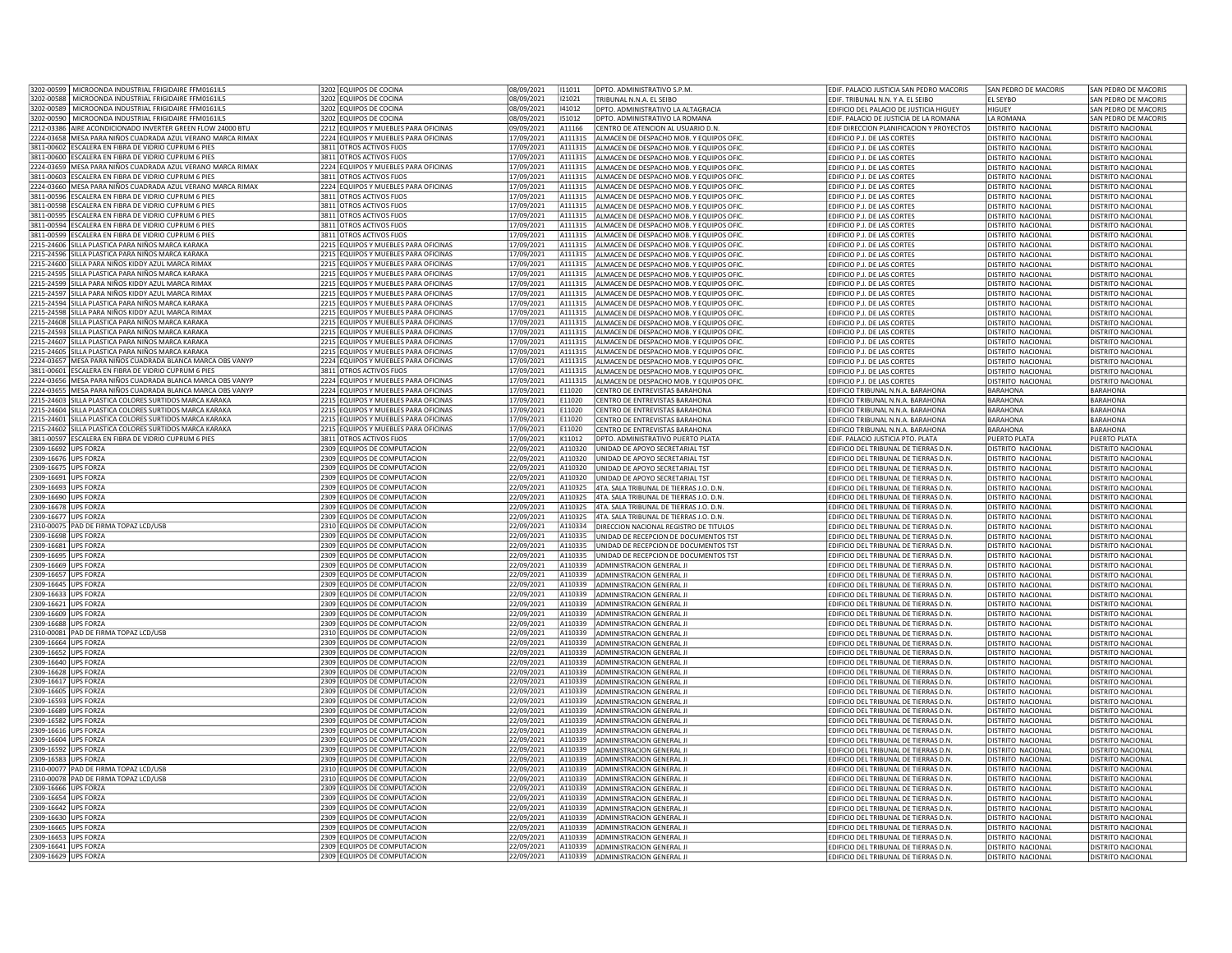|                                              | 3202-00599   MICROONDA INDUSTRIAL FRIGIDAIRE FFM0161ILS                                                 | 3202 EQUIPOS DE COCINA                                                       | 08/09/2021               | 111011             | <b>DPTO, ADMINISTRATIVO S.P.M.</b>                                                  | EDIF. PALACIO JUSTICIA SAN PEDRO MACORIS                                       | SAN PEDRO DE MACORIS                                 | SAN PEDRO DE MACORIS                   |
|----------------------------------------------|---------------------------------------------------------------------------------------------------------|------------------------------------------------------------------------------|--------------------------|--------------------|-------------------------------------------------------------------------------------|--------------------------------------------------------------------------------|------------------------------------------------------|----------------------------------------|
|                                              | 3202-00588 MICROONDA INDUSTRIAL FRIGIDAIRE FFM0161ILS                                                   | 3202 EQUIPOS DE COCINA                                                       | 08/09/2021               | 121021             | TRIBUNAL N.N.A. FL SFIBO                                                            | EDIF. TRIBUNAL N.N. Y A. EL SEIBO                                              | EL SEYBO                                             | SAN PEDRO DE MACORIS                   |
| 3202-00589                                   | MICROONDA INDUSTRIAL FRIGIDAIRE FFM0161ILS                                                              | 3202 EQUIPOS DE COCINA                                                       | 08/09/2021               | 141012             | DPTO. ADMINISTRATIVO LA ALTAGRACIA                                                  | EDIFICIO DEL PALACIO DE JUSTICIA HIGUEY                                        | HIGUEY                                               | SAN PEDRO DE MACORIS                   |
|                                              | 3202-00590 MICROONDA INDUSTRIAL FRIGIDAIRE FFM0161ILS                                                   | 3202 EQUIPOS DE COCINA                                                       | 08/09/2021               | 151012             | DPTO. ADMINISTRATIVO LA ROMANA                                                      | EDIF, PALACIO DE JUSTICIA DE LA ROMANA                                         | LA ROMANA                                            | SAN PEDRO DE MACORIS                   |
|                                              | 2212-03386 AIRE ACONDICIONADO INVERTER GREEN FLOW 24000 BTU                                             | 2212 EQUIPOS Y MUEBLES PARA OFICINAS                                         | 09/09/2021               | A11166             | CENTRO DE ATENCION AL USUARIO D.N.                                                  | EDIF DIRECCION PLANIFICACION Y PROYECTOS                                       | <b>DISTRITO NACIONAL</b>                             | DISTRITO NACIONAL                      |
|                                              | 2224-03658 MESA PARA NIÑOS CUADRADA AZUL VERANO MARCA RIMAX                                             | 2224 EQUIPOS Y MUEBLES PARA OFICINAS                                         | 17/09/2021               | A111315            | ALMACEN DE DESPACHO MOB. Y EQUIPOS OFIC                                             | EDIFICIO P.J. DE LAS CORTES                                                    | DISTRITO NACIONAL                                    | <b>DISTRITO NACIONAL</b>               |
|                                              | 3811-00602 ESCALERA EN FIBRA DE VIDRIO CUPRUM 6 PIES                                                    | 3811 OTROS ACTIVOS FIJOS                                                     | 17/09/2021               | A111315            | ALMACEN DE DESPACHO MOB. Y EQUIPOS OFIC.                                            | EDIFICIO P.J. DE LAS CORTES                                                    | DISTRITO NACIONAL                                    | DISTRITO NACIONAL                      |
|                                              | 3811-00600 ESCALERA EN FIBRA DE VIDRIO CUPRUM 6 PIES                                                    | 3811 OTROS ACTIVOS FIJOS                                                     | 17/09/2021               |                    | A111315 ALMACEN DE DESPACHO MOB. Y EQUIPOS OFIC.                                    | EDIFICIO P.J. DE LAS CORTES                                                    | DISTRITO NACIONAL                                    | DISTRITO NACIONAL                      |
|                                              | 2224-03659 MESA PARA NIÑOS CUADRADA AZUL VERANO MARCA RIMAX                                             | 2224 EQUIPOS Y MUEBLES PARA OFICINAS                                         | 17/09/2021               |                    | A111315 ALMACEN DE DESPACHO MOB. Y EQUIPOS OFIC                                     | EDIFICIO P.J. DE LAS CORTES                                                    | DISTRITO NACIONAL                                    | DISTRITO NACIONAL                      |
|                                              | 3811-00603 ESCALERA EN FIBRA DE VIDRIO CUPRUM 6 PIES                                                    | 3811 OTROS ACTIVOS FIJOS                                                     | 7/09/2021                | A111315            | ALMACEN DE DESPACHO MOB. Y EQUIPOS OFIC.                                            | EDIFICIO P.J. DE LAS CORTES                                                    | DISTRITO NACIONAL                                    | DISTRITO NACIONAL                      |
|                                              | 2224-03660 MESA PARA NIÑOS CUADRADA AZUL VERANO MARCA RIMAX                                             | 2224 EQUIPOS Y MUEBLES PARA OFICINAS                                         | 17/09/2021               | A111315            | ALMACEN DE DESPACHO MOB. Y EQUIPOS OFIC                                             | EDIFICIO P.J. DE LAS CORTES                                                    | <b>ISTRITO NACIONAL</b>                              | DISTRITO NACIONAL                      |
|                                              | 3811-00596 ESCALERA EN FIBRA DE VIDRIO CUPRUM 6 PIES                                                    | 3811 OTROS ACTIVOS FIJOS                                                     | 17/09/2021               | A111315            | ALMACEN DE DESPACHO MOB. Y EQUIPOS OFIC                                             | EDIFICIO P.J. DE LAS CORTES                                                    | DISTRITO NACIONAL                                    | DISTRITO NACIONAL                      |
|                                              | 3811-00598 ESCALERA EN FIBRA DE VIDRIO CUPRUM 6 PIES                                                    | 3811 OTROS ACTIVOS FIJOS                                                     | 17/09/2021               | A111315            | ALMACEN DE DESPACHO MOB. Y EQUIPOS OFIC                                             | EDIFICIO P.J. DE LAS CORTES                                                    | <b>DISTRITO NACIONAL</b>                             | <b>DISTRITO NACIONAL</b>               |
|                                              | 3811-00595 ESCALERA EN FIBRA DE VIDRIO CUPRUM 6 PIES                                                    | 3811 OTROS ACTIVOS FIJOS                                                     | 17/09/2021               | A111315            | ALMACEN DE DESPACHO MOB. Y EQUIPOS OFIC                                             | EDIFICIO P.J. DE LAS CORTES                                                    | DISTRITO NACIONAL                                    | DISTRITO NACIONAL                      |
|                                              | 3811-00594 ESCALERA EN FIBRA DE VIDRIO CUPRUM 6 PIES                                                    | 3811 OTROS ACTIVOS FIJOS                                                     | 17/09/2021               | A111315            | ALMACEN DE DESPACHO MOB. Y EQUIPOS OFIC                                             | EDIFICIO P.J. DE LAS CORTES                                                    | <b>DISTRITO NACIONAL</b>                             | <b>DISTRITO NACIONAL</b>               |
|                                              | 3811-00599 ESCALERA EN FIBRA DE VIDRIO CUPRUM 6 PIES                                                    | 3811 OTROS ACTIVOS FIJOS                                                     | 17/09/2021               | A111315            | ALMACEN DE DESPACHO MOB. Y EQUIPOS OFIC                                             | EDIFICIO P.J. DE LAS CORTES                                                    | DISTRITO NACIONAL                                    | DISTRITO NACIONAL                      |
|                                              | 2215-24606 SILLA PLASTICA PARA NIÑOS MARCA KARAKA                                                       | 2215 EQUIPOS Y MUEBLES PARA OFICINAS                                         | 17/09/2021               | A111315            | ALMACEN DE DESPACHO MOB. Y EQUIPOS OFIC                                             | EDIFICIO P.J. DE LAS CORTES                                                    | DISTRITO NACIONAL                                    | DISTRITO NACIONAL                      |
|                                              | 2215-24596 SILLA PLASTICA PARA NIÑOS MARCA KARAKA                                                       | 2215 EQUIPOS Y MUEBLES PARA OFICINAS                                         | 7/09/2021                | A111315            | ALMACEN DE DESPACHO MOB. Y EQUIPOS OFIC                                             | EDIFICIO P.J. DE LAS CORTES                                                    | DISTRITO NACIONAL                                    | DISTRITO NACIONAL                      |
|                                              | 2215-24600 SILLA PARA NIÑOS KIDDY AZUL MARCA RIMAX                                                      | 2215 EQUIPOS Y MUEBLES PARA OFICINAS                                         | 17/09/2021               | A111315            | ALMACEN DE DESPACHO MOB. Y EQUIPOS OFIC                                             | EDIFICIO P.J. DE LAS CORTES                                                    | <b>DISTRITO NACIONAL</b>                             | DISTRITO NACIONAL                      |
|                                              | 2215-24595 SILLA PLASTICA PARA NIÑOS MARCA KARAKA<br>2215-24599 SILLA PARA NIÑOS KIDDY AZUL MARCA RIMAX | 2215 EQUIPOS Y MUEBLES PARA OFICINAS<br>2215 EQUIPOS Y MUEBLES PARA OFICINAS | 17/09/2021<br>17/09/2021 | A111315<br>A111315 | ALMACEN DE DESPACHO MOB. Y EQUIPOS OFIC<br>ALMACEN DE DESPACHO MOB. Y EQUIPOS OFIC. | EDIFICIO P.J. DE LAS CORTES<br><b>FDIFICIO P.I. DE LAS CORTES</b>              | <b>DISTRITO NACIONAL</b><br><b>DISTRITO NACIONAL</b> | DISTRITO NACIONAL<br>DISTRITO NACIONAL |
|                                              | 2215-24597 SILLA PARA NIÑOS KIDDY AZUL MARCA RIMAX                                                      | 2215 EQUIPOS Y MUEBLES PARA OFICINAS                                         | 17/09/2021               | A111315            | ALMACEN DE DESPACHO MOB. Y EQUIPOS OFIC                                             | EDIFICIO P.J. DE LAS CORTES                                                    | <b>DISTRITO NACIONAL</b>                             | DISTRITO NACIONAL                      |
|                                              | 2215-24594 SILLA PLASTICA PARA NIÑOS MARCA KARAKA                                                       | 2215 EQUIPOS Y MUEBLES PARA OFICINAS                                         | 17/09/2021               |                    | A111315 ALMACEN DE DESPACHO MOB. Y EQUIPOS OFIC.                                    | EDIFICIO P.J. DE LAS CORTES                                                    | DISTRITO NACIONAL                                    | DISTRITO NACIONAL                      |
|                                              | 2215-24598 SILLA PARA NIÑOS KIDDY AZUL MARCA RIMAX                                                      | 2215 EQUIPOS Y MUEBLES PARA OFICINAS                                         | 17/09/2021               | A111315            | ALMACEN DE DESPACHO MOB. Y EQUIPOS OFIC                                             | EDIFICIO P.J. DE LAS CORTES                                                    | DISTRITO NACIONAL                                    | DISTRITO NACIONAL                      |
|                                              | 2215-24608 SILLA PLASTICA PARA NIÑOS MARCA KARAKA                                                       | 2215 EQUIPOS Y MUEBLES PARA OFICINAS                                         | 7/09/2021                | 4111315            | ALMACEN DE DESPACHO MOB. Y EQUIPOS OFIC                                             | FDIFICIO P.I. DE LAS CORTES                                                    | <b>JISTRITO NACIONAL</b>                             | DISTRITO NACIONAL                      |
|                                              | 2215-24593 SILLA PLASTICA PARA NIÑOS MARCA KARAKA                                                       | 2215 EQUIPOS Y MUEBLES PARA OFICINAS                                         | 17/09/2021               | A111315            | ALMACEN DE DESPACHO MOB. Y EQUIPOS OFIC                                             | EDIFICIO P.J. DE LAS CORTES                                                    | <b>DISTRITO NACIONAL</b>                             | DISTRITO NACIONAL                      |
|                                              | 2215-24607 SILLA PLASTICA PARA NIÑOS MARCA KARAKA                                                       | 2215 EQUIPOS Y MUEBLES PARA OFICINAS                                         | 17/09/2021               | A111315            | ALMACEN DE DESPACHO MOB. Y EQUIPOS OFIC                                             | EDIFICIO P.J. DE LAS CORTES                                                    | DISTRITO NACIONAL                                    | DISTRITO NACIONAL                      |
|                                              | 2215-24605 SILLA PLASTICA PARA NIÑOS MARCA KARAKA                                                       | 2215 EQUIPOS Y MUEBLES PARA OFICINAS                                         | 17/09/2021               | A111315            | ALMACEN DE DESPACHO MOB. Y EQUIPOS OFIC                                             | EDIFICIO P.J. DE LAS CORTES                                                    | <b>DISTRITO NACIONAL</b>                             | <b>DISTRITO NACIONAL</b>               |
|                                              | 2224-03657 MESA PARA NIÑOS CUADRADA BLANCA MARCA OBS VANYP                                              | 2224 EQUIPOS Y MUEBLES PARA OFICINAS                                         | 17/09/2021               | A111315            | ALMACEN DE DESPACHO MOB. Y EQUIPOS OFIC                                             | EDIFICIO P.J. DE LAS CORTES                                                    | DISTRITO NACIONAL                                    | DISTRITO NACIONAL                      |
|                                              | 3811-00601 ESCALERA EN FIBRA DE VIDRIO CUPRUM 6 PIES                                                    | 3811 OTROS ACTIVOS FIJOS                                                     | 17/09/2021               | A111315            | ALMACEN DE DESPACHO MOB. Y EQUIPOS OFIC                                             | EDIFICIO P.J. DE LAS CORTES                                                    | DISTRITO NACIONAL                                    | DISTRITO NACIONAL                      |
|                                              | 2224-03656 MESA PARA NIÑOS CUADRADA BLANCA MARCA OBS VANYP                                              | 2224 EQUIPOS Y MUEBLES PARA OFICINAS                                         | 17/09/2021               | A111315            | ALMACEN DE DESPACHO MOB. Y EQUIPOS OFIC.                                            | EDIFICIO P.J. DE LAS CORTES                                                    | DISTRITO NACIONAL                                    | DISTRITO NACIONAL                      |
|                                              | 2224-03655 MESA PARA NIÑOS CUADRADA BLANCA MARCA OBS VANYP                                              | 2224 FOUIPOS Y MUFBLES PARA OFICINAS                                         | 17/09/2021               | F11020             | CENTRO DE ENTREVISTAS BARAHONA                                                      | EDIFICIO TRIBUNAL N.N.A. BARAHONA                                              | <b>BARAHONA</b>                                      | <b>BARAHONA</b>                        |
|                                              | 2215-24603 SILLA PLASTICA COLORES SURTIDOS MARCA KARAKA                                                 | 2215 EQUIPOS Y MUEBLES PARA OFICINAS                                         | 17/09/2021               | E11020             | CENTRO DE ENTREVISTAS BARAHONA                                                      | EDIFICIO TRIBUNAL N.N.A. BARAHONA                                              | BARAHONA                                             | <b>BARAHONA</b>                        |
|                                              | 2215-24604 SILLA PLASTICA COLORES SURTIDOS MARCA KARAKA                                                 | 2215 EQUIPOS Y MUEBLES PARA OFICINAS                                         | 17/09/2021               | E11020             | CENTRO DE ENTREVISTAS BARAHONA                                                      | EDIFICIO TRIBUNAL N.N.A. BARAHONA                                              | <b>BARAHONA</b>                                      | <b>BARAHONA</b>                        |
|                                              | 2215-24601 SILLA PLASTICA COLORES SURTIDOS MARCA KARAKA                                                 | 2215 EQUIPOS Y MUEBLES PARA OFICINAS                                         | 17/09/2021               | E11020             | CENTRO DE ENTREVISTAS BARAHONA                                                      | EDIFICIO TRIBUNAL N.N.A. BARAHONA                                              | <b>BARAHONA</b>                                      | BARAHONA                               |
|                                              | 2215-24602 SILLA PLASTICA COLORES SURTIDOS MARCA KARAKA                                                 | 2215 EQUIPOS Y MUEBLES PARA OFICINAS                                         | 17/09/2021               | E11020             | CENTRO DE ENTREVISTAS BARAHONA                                                      | FDIFICIO TRIBUNAL N.N.A. BARAHONA                                              | <b>BARAHONA</b>                                      | <b>BARAHONA</b>                        |
|                                              | 3811-00597 ESCALERA EN FIBRA DE VIDRIO CUPRUM 6 PIES                                                    | 3811 OTROS ACTIVOS FIJOS                                                     | 17/09/2021               | K11012             | DPTO. ADMINISTRATIVO PUERTO PLATA                                                   | EDIF. PALACIO JUSTICIA PTO. PLATA                                              | PUERTO PLATA                                         | PUERTO PLATA                           |
| 2309-16692 UPS FORZA                         |                                                                                                         | 2309 EQUIPOS DE COMPUTACION                                                  | 22/09/2021               | A110320            | UNIDAD DE APOYO SECRETARIAL TST                                                     | EDIFICIO DEL TRIBUNAL DE TIERRAS D.N.                                          | DISTRITO NACIONAL                                    | DISTRITO NACIONAL                      |
| 2309-16676 UPS FORZA                         |                                                                                                         | 2309 EQUIPOS DE COMPUTACION                                                  | 22/09/2021               | A110320            | UNIDAD DE APOYO SECRETARIAL TST                                                     | EDIFICIO DEL TRIBUNAL DE TIERRAS D.N.                                          | DISTRITO NACIONAL                                    | DISTRITO NACIONAL                      |
| 2309-16675 UPS FORZA                         |                                                                                                         | 2309 EQUIPOS DE COMPUTACION                                                  | 22/09/2021               | A110320            | UNIDAD DE APOYO SECRETARIAL TST                                                     | EDIFICIO DEL TRIBUNAL DE TIERRAS D.N.                                          | DISTRITO NACIONAL                                    | DISTRITO NACIONAL                      |
| 2309-16691 UPS FORZA                         |                                                                                                         | 2309 EQUIPOS DE COMPUTACION                                                  | 22/09/2021               | A110320            | UNIDAD DE APOYO SECRETARIAL TST                                                     | EDIFICIO DEL TRIBUNAL DE TIERRAS D.N                                           | <b>DISTRITO NACIONAL</b>                             | DISTRITO NACIONAL                      |
| 2309-16693 UPS FORZA                         |                                                                                                         | 2309 EQUIPOS DE COMPUTACION                                                  | 22/09/2021               | A110325            | 4TA. SALA TRIBUNAL DE TIERRAS J.O. D.N.                                             | EDIFICIO DEL TRIBUNAL DE TIERRAS D.N.                                          | DISTRITO NACIONAL                                    | DISTRITO NACIONAL                      |
| 2309-16690 UPS FORZA                         |                                                                                                         | 2309 FOUIPOS DE COMPUTACION                                                  | 22/09/2021               | A110325            | 4TA, SALA TRIBUNAL DE TIERRAS LO. D.N.                                              | EDIFICIO DEL TRIBUNAL DE TIERRAS D.N.                                          | DISTRITO NACIONAL                                    | DISTRITO NACIONAL                      |
| 2309-16678 UPS FORZA                         |                                                                                                         | 2309 EQUIPOS DE COMPUTACION                                                  | 22/09/2021               | A110325            | 4TA. SALA TRIBUNAL DE TIERRAS J.O. D.N.                                             | EDIFICIO DEL TRIBUNAL DE TIERRAS D.N.                                          | <b>DISTRITO NACIONAL</b>                             | DISTRITO NACIONAL                      |
| 2309-16677 UPS FORZA                         |                                                                                                         | 2309 EQUIPOS DE COMPUTACION                                                  | 22/09/2021               | A110325            | 4TA. SALA TRIBUNAL DE TIERRAS J.O. D.N.                                             | EDIFICIO DEL TRIBUNAL DE TIERRAS D.N.                                          | <b>DISTRITO NACIONAL</b>                             | DISTRITO NACIONAL                      |
|                                              | 2310-00075 PAD DE FIRMA TOPAZ LCD/USB                                                                   | 2310 EQUIPOS DE COMPUTACION                                                  | 22/09/2021               | A110334            | DIRECCION NACIONAL REGISTRO DE TITULOS                                              | EDIFICIO DEL TRIBUNAL DE TIERRAS D.N.                                          | <b>DISTRITO NACIONAL</b>                             | DISTRITO NACIONAL                      |
| 2309-16698 UPS FORZA                         |                                                                                                         | 2309 EQUIPOS DE COMPUTACION                                                  | 22/09/2021               | A110335            | UNIDAD DE RECEPCION DE DOCUMENTOS TST                                               | EDIFICIO DEL TRIBUNAL DE TIERRAS D.N.                                          | <b>DISTRITO NACIONAL</b>                             | DISTRITO NACIONAL                      |
| 2309-16681 UPS FORZA                         |                                                                                                         | 2309 EQUIPOS DE COMPUTACION                                                  | 22/09/2021               | A110335            | UNIDAD DE RECEPCION DE DOCUMENTOS TST                                               | EDIFICIO DEL TRIBUNAL DE TIERRAS D.N.                                          | DISTRITO NACIONAL                                    | DISTRITO NACIONAL                      |
| 2309-16695 UPS FORZA                         |                                                                                                         | 2309 EQUIPOS DE COMPUTACION                                                  | 22/09/2021               | A110335            | UNIDAD DE RECEPCION DE DOCUMENTOS TST                                               | EDIFICIO DEL TRIBUNAL DE TIERRAS D.N                                           | DISTRITO NACIONAL                                    | DISTRITO NACIONAL                      |
| 2309-16669 UPS FORZA                         |                                                                                                         | 2309 EQUIPOS DE COMPUTACION                                                  | 22/09/2021               | A110339            | ADMINISTRACION GENERAL JI                                                           | EDIFICIO DEL TRIBUNAL DE TIERRAS D.N.                                          | <b>DISTRITO NACIONA</b>                              | <b>DISTRITO NACIONAL</b>               |
| 2309-16657 UPS FORZA                         |                                                                                                         | 2309 EQUIPOS DE COMPUTACION                                                  | 22/09/2021               | A110339            | ADMINISTRACION GENERAL JI                                                           | EDIFICIO DEL TRIBUNAL DE TIERRAS D.N.                                          | <b>DISTRITO NACIONAL</b>                             | DISTRITO NACIONAL                      |
| 2309-16645 UPS FORZA                         |                                                                                                         | 2309 EQUIPOS DE COMPUTACION                                                  | 22/09/2021               | A110339            | ADMINISTRACION GENERAL JI                                                           | EDIFICIO DEL TRIBUNAL DE TIERRAS D.N.                                          | <b>DISTRITO NACIONAL</b>                             | DISTRITO NACIONAL                      |
| 2309-16633 UPS FORZA                         |                                                                                                         | 2309 EQUIPOS DE COMPUTACION                                                  | 22/09/2021               |                    | A110339 ADMINISTRACION GENERAL JI                                                   | EDIFICIO DEL TRIBUNAL DE TIERRAS D.N.                                          | <b>DISTRITO NACIONAL</b>                             | DISTRITO NACIONAL                      |
| 2309-16621 UPS FORZA                         |                                                                                                         | 2309 FOUIPOS DE COMPUTACION                                                  | 22/09/2021               | A110339            | <b>ADMINISTRACION GENERAL II</b>                                                    | EDIFICIO DEL TRIBUNAL DE TIERRAS D.N.                                          | DISTRITO NACIONAL                                    | DISTRITO NACIONAL                      |
| 2309-16609                                   | <b>UPS FORZA</b>                                                                                        | 2309 EQUIPOS DE COMPUTACION                                                  | 22/09/2021               | A110339            | ADMINISTRACION GENERAL JI                                                           | EDIFICIO DEL TRIBUNAL DE TIERRAS D.N.                                          | DISTRITO NACIONAL                                    | DISTRITO NACIONAL                      |
| 2309-16688 UPS FORZA                         |                                                                                                         | 2309 EQUIPOS DE COMPUTACION                                                  | 22/09/2021               | A110339            | ADMINISTRACION GENERAL JI                                                           | EDIFICIO DEL TRIBUNAL DE TIERRAS D.N.                                          | DISTRITO NACIONAL                                    | DISTRITO NACIONAL                      |
|                                              | 2310-00081 PAD DE FIRMA TOPAZ LCD/USB                                                                   | 2310 EQUIPOS DE COMPUTACION                                                  | 22/09/2021               | A110339            | <b>ADMINISTRACION GENERAL JI</b>                                                    | EDIFICIO DEL TRIBUNAL DE TIERRAS D.N.                                          | <b>DISTRITO NACIONAL</b>                             | DISTRITO NACIONAL                      |
| 2309-16664 UPS FORZA                         |                                                                                                         | 2309 EQUIPOS DE COMPUTACION                                                  | 22/09/2021               | A110339            | <b>ADMINISTRACION GENERAL II</b>                                                    | EDIFICIO DEL TRIBUNAL DE TIERRAS D.N.                                          | <b>DISTRITO NACIONAL</b>                             | DISTRITO NACIONAL                      |
| 2309-16652 UPS FORZA                         |                                                                                                         | 2309 EQUIPOS DE COMPUTACION                                                  | 22/09/2021               | A110339            | ADMINISTRACION GENERAL JI                                                           | EDIFICIO DEL TRIBUNAL DE TIERRAS D.N.                                          | <b>DISTRITO NACIONAL</b>                             | DISTRITO NACIONAL                      |
| 2309-16640 UPS FORZA<br>2309-16628 UPS FORZA |                                                                                                         | 2309 EQUIPOS DE COMPUTACION                                                  | 22/09/2021               | A110339            | A110339 ADMINISTRACION GENERAL JI                                                   | EDIFICIO DEL TRIBUNAL DE TIERRAS D.N.                                          | <b>DISTRITO NACIONAL</b>                             | DISTRITO NACIONAL                      |
| 2309-16617 UPS FORZA                         |                                                                                                         | 2309 EQUIPOS DE COMPUTACION<br>2309 EQUIPOS DE COMPUTACION                   | 22/09/2021<br>22/09/2021 | A110339            | ADMINISTRACION GENERAL JI<br>ADMINISTRACION GENERAL JI                              | EDIFICIO DEL TRIBUNAL DE TIERRAS D.N.<br>EDIFICIO DEL TRIBUNAL DE TIERRAS D.N  | DISTRITO NACIONAL<br>DISTRITO NACIONAL               | DISTRITO NACIONAL<br>DISTRITO NACIONAL |
|                                              |                                                                                                         |                                                                              |                          |                    |                                                                                     |                                                                                |                                                      |                                        |
| 2309-16605 UPS FORZA<br>2309-16593 UPS FORZA |                                                                                                         | 2309 EQUIPOS DE COMPUTACION<br>2309 EQUIPOS DE COMPUTACION                   | 22/09/2021<br>22/09/2021 | A110339<br>A110339 | ADMINISTRACION GENERAL JI<br>ADMINISTRACION GENERAL JI                              | EDIFICIO DEL TRIBUNAL DE TIERRAS D.N.<br>EDIFICIO DEL TRIBUNAL DE TIERRAS D.N. | <b>ISTRITO NACIONAL</b><br>DISTRITO NACIONAL         | DISTRITO NACIONAL<br>DISTRITO NACIONAL |
| 2309-16689 UPS FORZA                         |                                                                                                         | 2309 EQUIPOS DE COMPUTACION                                                  | 22/09/2021               | A110339            | ADMINISTRACION GENERAL JI                                                           | EDIFICIO DEL TRIBUNAL DE TIERRAS D.N.                                          | <b>DISTRITO NACIONAL</b>                             | <b>DISTRITO NACIONAL</b>               |
| 2309-16582 UPS FORZA                         |                                                                                                         | 2309 EQUIPOS DE COMPUTACION                                                  | 22/09/2021               | A110339            | ADMINISTRACION GENERAL JI                                                           | EDIFICIO DEL TRIBUNAL DE TIERRAS D.N.                                          | <b>DISTRITO NACIONAL</b>                             | DISTRITO NACIONAL                      |
| 2309-16616 UPS FORZA                         |                                                                                                         | 2309 EQUIPOS DE COMPUTACION                                                  | 22/09/2021               |                    | A110339 ADMINISTRACION GENERAL JI                                                   | EDIFICIO DEL TRIBUNAL DE TIERRAS D.N.                                          | DISTRITO NACIONAL                                    | DISTRITO NACIONAL                      |
| 2309-16604 UPS FORZA                         |                                                                                                         | 2309 EQUIPOS DE COMPUTACION                                                  | 22/09/2021               |                    | A110339 ADMINISTRACION GENERAL JI                                                   | EDIFICIO DEL TRIBUNAL DE TIERRAS D.N.                                          | DISTRITO NACIONAL                                    | DISTRITO NACIONAL                      |
| 2309-16592 UPS FORZA                         |                                                                                                         | 2309 EQUIPOS DE COMPUTACION                                                  | 22/09/2021               | A110339            | ADMINISTRACION GENERAL JI                                                           | EDIFICIO DEL TRIBUNAL DE TIERRAS D.N.                                          | DISTRITO NACIONAL                                    | DISTRITO NACIONAL                      |
| 2309-16583                                   | <b>UPS FORZA</b>                                                                                        | 2309 EQUIPOS DE COMPUTACION                                                  | 22/09/2021               | A110339            | <b>ADMINISTRACION GENERAL JI</b>                                                    | EDIFICIO DEL TRIBUNAL DE TIERRAS D.N                                           | DISTRITO NACIONAL                                    | DISTRITO NACIONAL                      |
|                                              | 2310-00077 PAD DE FIRMA TOPAZ LCD/USB                                                                   | 2310 EQUIPOS DE COMPUTACION                                                  | 22/09/2021               | A110339            | ADMINISTRACION GENERAL JI                                                           | EDIFICIO DEL TRIBUNAL DE TIERRAS D.N                                           | DISTRITO NACIONAL                                    | DISTRITO NACIONAL                      |
|                                              | 2310-00078 PAD DE FIRMA TOPAZ LCD/USB                                                                   | 2310 EQUIPOS DE COMPUTACION                                                  | 22/09/2021               | A110339            | ADMINISTRACION GENERAL JI                                                           | EDIFICIO DEL TRIBUNAL DE TIERRAS D.N.                                          | DISTRITO NACIONAL                                    | DISTRITO NACIONAL                      |
| 2309-16666 UPS FORZA                         |                                                                                                         | 2309 EQUIPOS DE COMPUTACION                                                  | 22/09/2021               | A110339            | ADMINISTRACION GENERAL JI                                                           | EDIFICIO DEL TRIBUNAL DE TIERRAS D.N.                                          | <b>DISTRITO NACIONAL</b>                             | <b>DISTRITO NACIONAL</b>               |
| 2309-16654 UPS FORZA                         |                                                                                                         | 2309 EQUIPOS DE COMPUTACION                                                  | 22/09/2021               | A110339            | ADMINISTRACION GENERAL JI                                                           | EDIFICIO DEL TRIBUNAL DE TIERRAS D.N.                                          | <b>DISTRITO NACIONAL</b>                             | DISTRITO NACIONAL                      |
| 2309-16642 UPS FORZA                         |                                                                                                         | 2309 EQUIPOS DE COMPUTACION                                                  | 22/09/2021               | A110339            | ADMINISTRACION GENERAL JI                                                           | EDIFICIO DEL TRIBUNAL DE TIERRAS D.N.                                          | <b>DISTRITO NACIONAL</b>                             | DISTRITO NACIONAL                      |
| 2309-16630 UPS FORZA                         |                                                                                                         | 2309 EQUIPOS DE COMPUTACION                                                  | 22/09/2021               | A110339            | ADMINISTRACION GENERAL JI                                                           | EDIFICIO DEL TRIBUNAL DE TIERRAS D.N.                                          | <b>DISTRITO NACIONAL</b>                             | <b>DISTRITO NACIONAL</b>               |
| 2309-16665 UPS FORZA                         |                                                                                                         | 2309 EQUIPOS DE COMPUTACION                                                  | 22/09/2021               | A110339            | ADMINISTRACION GENERAL JI                                                           | EDIFICIO DEL TRIBUNAL DE TIERRAS D.N                                           | DISTRITO NACIONAL                                    | DISTRITO NACIONAL                      |
| 2309-16653 UPS FORZA                         |                                                                                                         | 2309 EQUIPOS DE COMPUTACION                                                  | 22/09/2021               | A110339            | ADMINISTRACION GENERAL JI                                                           | EDIFICIO DEL TRIBUNAL DE TIERRAS D.N.                                          | <b>ISTRITO NACIONAL</b>                              | DISTRITO NACIONAL                      |
| 2309-16641 UPS FORZA                         |                                                                                                         | 2309 EQUIPOS DE COMPUTACION                                                  | 22/09/2021               |                    | A110339 ADMINISTRACION GENERAL JI                                                   | EDIFICIO DEL TRIBUNAL DE TIERRAS D.N.                                          | <b>DISTRITO NACIONAL</b>                             | DISTRITO NACIONAL                      |
| 2309-16629 UPS FORZA                         |                                                                                                         | 2309 EQUIPOS DE COMPUTACION                                                  | 22/09/2021               |                    | A110339 ADMINISTRACION GENERAL JI                                                   | EDIFICIO DEL TRIBUNAL DE TIERRAS D.N.                                          | <b>DISTRITO NACIONAL</b>                             | DISTRITO NACIONAL                      |
|                                              |                                                                                                         |                                                                              |                          |                    |                                                                                     |                                                                                |                                                      |                                        |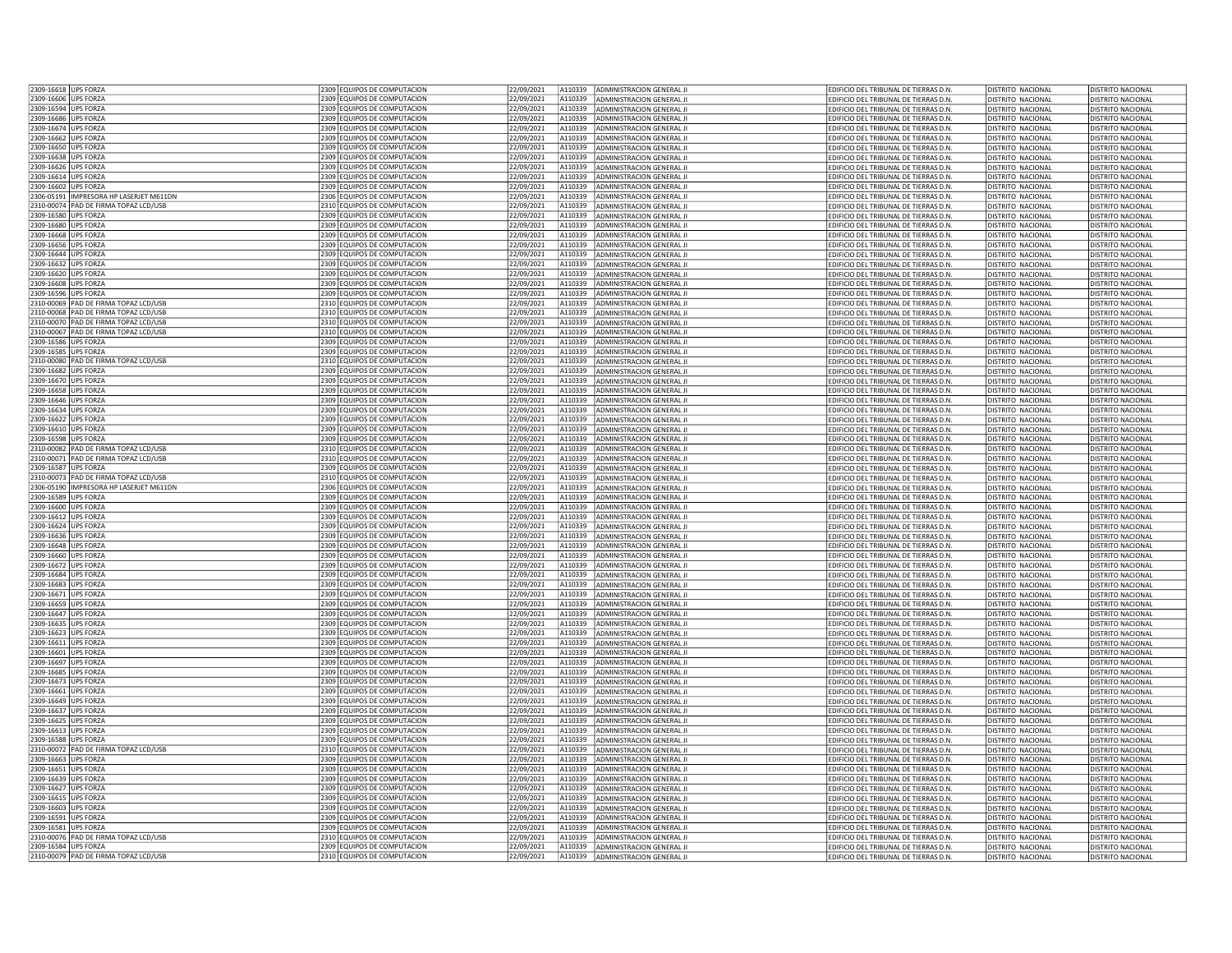| 2309-16618 UPS FORZA                                                                          | 2309 EQUIPOS DE COMPUTACION                                | 22/09/2021               |                    | A110339 ADMINISTRACION GENERAL JI                             | EDIFICIO DEL TRIBUNAL DE TIERRAS D.N.                                          | DISTRITO NACIONAL                                    | DISTRITO NACIONAL                                    |
|-----------------------------------------------------------------------------------------------|------------------------------------------------------------|--------------------------|--------------------|---------------------------------------------------------------|--------------------------------------------------------------------------------|------------------------------------------------------|------------------------------------------------------|
| 2309-16606 UPS FORZA                                                                          | 2309 EQUIPOS DE COMPUTACION                                | 22/09/2021               | A110339            | ADMINISTRACION GENERAL II                                     | EDIFICIO DEL TRIBUNAL DE TIERRAS D.N                                           | <b>DISTRITO NACIONAL</b>                             | DISTRITO NACIONAL                                    |
| 2309-16594 UPS FORZA                                                                          | 2309 EQUIPOS DE COMPUTACION                                | 22/09/2021               | A110339            | ADMINISTRACION GENERAL JI                                     | EDIFICIO DEL TRIBUNAL DE TIERRAS D.N                                           | <b>DISTRITO NACIONAL</b>                             | DISTRITO NACIONAL                                    |
| 2309-16686 UPS FORZA                                                                          | 2309 EQUIPOS DE COMPUTACION                                | 22/09/2021               | A110339            | ADMINISTRACION GENERAL JI                                     | EDIFICIO DEL TRIBUNAL DE TIERRAS D.N.                                          | <b>DISTRITO NACIONAL</b>                             | DISTRITO NACIONAL                                    |
| 2309-16674 UPS FORZA                                                                          | 2309 EQUIPOS DE COMPUTACION                                | 22/09/2021               | A110339            | ADMINISTRACION GENERAL JI                                     | EDIFICIO DEL TRIBUNAL DE TIERRAS D.N                                           | DISTRITO NACIONAL                                    | DISTRITO NACIONAL                                    |
| 2309-16662 UPS FORZA                                                                          | 2309 EQUIPOS DE COMPUTACION                                | 22/09/2021               | A110339            | ADMINISTRACION GENERAL JI                                     | EDIFICIO DEL TRIBUNAL DE TIERRAS D.N.                                          | <b>DISTRITO NACIONAL</b>                             | <b>DISTRITO NACIONAL</b>                             |
| 2309-16650 UPS FORZA                                                                          | 2309 EQUIPOS DE COMPUTACION                                | 22/09/2021               | A110339            | ADMINISTRACION GENERAL JI                                     | EDIFICIO DEL TRIBUNAL DE TIERRAS D.N.                                          | <b>DISTRITO NACIONAL</b>                             | <b>DISTRITO NACIONAL</b>                             |
| 2309-16638 UPS FORZA                                                                          | 2309 EQUIPOS DE COMPUTACION                                | 22/09/2021               | A110339            | ADMINISTRACION GENERAL JI                                     | EDIFICIO DEL TRIBUNAL DE TIERRAS D.N.                                          | <b>DISTRITO NACIONAL</b>                             | DISTRITO NACIONAL                                    |
| 2309-16626 UPS FORZA<br>2309-16614 UPS FORZA                                                  | 2309 EQUIPOS DE COMPUTACION<br>2309 EQUIPOS DE COMPUTACION | 22/09/2021<br>22/09/2021 | A110339<br>A110339 | ADMINISTRACION GENERAL JI<br>ADMINISTRACION GENERAL II        | EDIFICIO DEL TRIBUNAL DE TIERRAS D.N.<br>EDIFICIO DEL TRIBUNAL DE TIERRAS D.N  | DISTRITO NACIONAL<br>DISTRITO NACIONAL               | DISTRITO NACIONAL<br>DISTRITO NACIONAL               |
| 2309-16602 UPS FORZA                                                                          | 2309 EQUIPOS DE COMPUTACION                                | 22/09/2021               | A110339            | ADMINISTRACION GENERAL JI                                     | EDIFICIO DEL TRIBUNAL DE TIERRAS D.N                                           | DISTRITO NACIONAL                                    | DISTRITO NACIONAL                                    |
| 2306-05191  IMPRESORA HP LASERJET M611DN                                                      | 2306 EQUIPOS DE COMPUTACION                                | 22/09/2021               | A110339            | ADMINISTRACION GENERAL JI                                     | EDIFICIO DEL TRIBUNAL DE TIERRAS D.N                                           | <b>DISTRITO NACIONAL</b>                             | DISTRITO NACIONAL                                    |
| 2310-00074 PAD DE FIRMA TOPAZ LCD/USB                                                         | 2310 EQUIPOS DE COMPUTACION                                | 22/09/2021               | A110339            | ADMINISTRACION GENERAL JI                                     | EDIFICIO DEL TRIBUNAL DE TIERRAS D.N                                           | <b>DISTRITO NACIONAL</b>                             | <b>DISTRITO NACIONAL</b>                             |
| 2309-16580 UPS FORZA                                                                          | 2309 EQUIPOS DE COMPUTACION                                | 22/09/2021               | A110339            | <b>ADMINISTRACION GENERAL II</b>                              | FDIFICIO DEL TRIBUNAL DE TIFRRAS D.N.                                          | DISTRITO NACIONAL                                    | DISTRITO NACIONAL                                    |
| 2309-16680 UPS FORZA                                                                          | 2309 EQUIPOS DE COMPUTACION                                | 22/09/2021               | A110339            | ADMINISTRACION GENERAL JI                                     | EDIFICIO DEL TRIBUNAL DE TIERRAS D.N.                                          | <b>DISTRITO NACIONAL</b>                             | DISTRITO NACIONAL                                    |
| 2309-16668 UPS FORZA                                                                          | 2309 EQUIPOS DE COMPUTACION                                | 22/09/2021               | A110339            | ADMINISTRACION GENERAL JI                                     | EDIFICIO DEL TRIBUNAL DE TIERRAS D.N                                           | DISTRITO NACIONAL                                    | <b>DISTRITO NACIONAL</b>                             |
| 2309-16656 LUPS FORZA                                                                         | 2309 EQUIPOS DE COMPUTACION                                | 22/09/2021               | A110339            | ADMINISTRACION GENERAL JI                                     | EDIFICIO DEL TRIBUNAL DE TIERRAS D.N.                                          | DISTRITO NACIONAL                                    | DISTRITO NACIONAL                                    |
| 2309-16644 UPS FORZA                                                                          | 2309 EQUIPOS DE COMPUTACION                                | 22/09/2021               | A110339            | ADMINISTRACION GENERAL JI                                     | EDIFICIO DEL TRIBUNAL DE TIERRAS D.N                                           | <b>DISTRITO NACIONAL</b>                             | DISTRITO NACIONAL                                    |
| 2309-16632 UPS FORZA                                                                          | 2309 EQUIPOS DE COMPUTACION                                | 22/09/2021               | A110339            | ADMINISTRACION GENERAL JI                                     | EDIFICIO DEL TRIBUNAL DE TIERRAS D.N                                           | DISTRITO NACIONAL                                    | DISTRITO NACIONAL                                    |
| 2309-16620 UPS FORZA                                                                          | 2309 EQUIPOS DE COMPUTACION                                | 22/09/2021               | A110339            | ADMINISTRACION GENERAL JI                                     | EDIFICIO DEL TRIBUNAL DE TIERRAS D.N                                           | <b>DISTRITO NACIONAL</b>                             | <b>DISTRITO NACIONAL</b>                             |
| 2309-16608 UPS FORZA                                                                          | 2309 EQUIPOS DE COMPUTACION                                | 22/09/2021               | A110339            | ADMINISTRACION GENERAL JI                                     | EDIFICIO DEL TRIBUNAL DE TIERRAS D.N.                                          | <b>DISTRITO NACIONAL</b>                             | <b>DISTRITO NACIONAL</b>                             |
| 2309-16596 UPS FORZA                                                                          | 2309 EQUIPOS DE COMPUTACION                                | 22/09/2021               | A110339            | ADMINISTRACION GENERAL JI                                     | EDIFICIO DEL TRIBUNAL DE TIERRAS D.N.                                          | <b>DISTRITO NACIONAL</b>                             | <b>DISTRITO NACIONAL</b>                             |
| 2310-00069 PAD DE FIRMA TOPAZ LCD/USB<br>2310-00068 PAD DE FIRMA TOPAZ LCD/USB                | 2310 EQUIPOS DE COMPUTACION<br>2310 EQUIPOS DE COMPUTACION | 22/09/2021<br>22/09/2021 | A110339<br>A110339 | ADMINISTRACION GENERAL JI                                     | EDIFICIO DEL TRIBUNAL DE TIERRAS D.N.                                          | <b>DISTRITO NACIONAL</b>                             | DISTRITO NACIONAL                                    |
| 2310-00070 PAD DE FIRMA TOPAZ LCD/USP                                                         | 2310 FOUIPOS DE COMPUTACION                                | 22/09/2021               | A110339            | ADMINISTRACION GENERAL JI<br>ADMINISTRACION GENERAL JI        | EDIFICIO DEL TRIBUNAL DE TIERRAS D.N.<br>EDIFICIO DEL TRIBUNAL DE TIERRAS D.N  | DISTRITO NACIONAL<br><b>DISTRITO NACIONAL</b>        | DISTRITO NACIONAL<br><b>DISTRITO NACIONAL</b>        |
| 2310-00067 PAD DE FIRMA TOPAZ LCD/USB                                                         | 2310 EQUIPOS DE COMPUTACION                                | 2/09/2021                | A110339            | ADMINISTRACION GENERAL JI                                     | EDIFICIO DEL TRIBUNAL DE TIERRAS D.N.                                          | DISTRITO NACIONAL                                    | <b>DISTRITO NACIONAL</b>                             |
| 2309-16586 UPS FORZA                                                                          | 2309 EQUIPOS DE COMPUTACION                                | 22/09/2021               | A110339            | ADMINISTRACION GENERAL JI                                     | EDIFICIO DEL TRIBUNAL DE TIERRAS D.N                                           | DISTRITO NACIONAL                                    | DISTRITO NACIONAL                                    |
| 2309-16585 UPS FORZA                                                                          | 2309 EQUIPOS DE COMPUTACION                                | 22/09/2021               | A110339            | ADMINISTRACION GENERAL JI                                     | EDIFICIO DEL TRIBUNAL DE TIERRAS D.N                                           | <b>DISTRITO NACIONAL</b>                             | DISTRITO NACIONAL                                    |
| 2310-00080 PAD DE FIRMA TOPAZ I CD/USB                                                        | 2310 FOUJPOS DE COMPUTACION                                | 22/09/2021               | A110339            | ADMINISTRACION GENERAL JI                                     | EDIFICIO DEL TRIBUNAL DE TIERRAS D.N.                                          | <b>DISTRITO NACIONAL</b>                             | DISTRITO NACIONAL                                    |
| 2309-16682 UPS FORZA                                                                          | 2309 EQUIPOS DE COMPUTACION                                | 22/09/2021               | A110339            | ADMINISTRACION GENERAL JI                                     | EDIFICIO DEL TRIBUNAL DE TIERRAS D.N.                                          | <b>DISTRITO NACIONAL</b>                             | DISTRITO NACIONAL                                    |
| 2309-16670 UPS FORZA                                                                          | 2309 EQUIPOS DE COMPUTACION                                | 22/09/2021               | A110339            | ADMINISTRACION GENERAL JI                                     | EDIFICIO DEL TRIBUNAL DE TIERRAS D.N.                                          | <b>DISTRITO NACIONAL</b>                             | <b>DISTRITO NACIONAL</b>                             |
| 2309-16658 UPS FORZA                                                                          | 2309 EQUIPOS DE COMPUTACION                                | 22/09/2021               | A110339            | ADMINISTRACION GENERAL JI                                     | EDIFICIO DEL TRIBUNAL DE TIERRAS D.N.                                          | <b>DISTRITO NACIONAL</b>                             | DISTRITO NACIONAL                                    |
| 2309-16646 UPS FORZA                                                                          | 2309 EQUIPOS DE COMPUTACION                                | 22/09/2021               | A110339            | ADMINISTRACION GENERAL II                                     | EDIFICIO DEL TRIBUNAL DE TIERRAS D.N                                           | DISTRITO NACIONAL                                    | DISTRITO NACIONAL                                    |
| 2309-16634 UPS FORZA                                                                          | 2309 EQUIPOS DE COMPUTACION                                | 22/09/2021               | A110339            | ADMINISTRACION GENERAL JI                                     | EDIFICIO DEL TRIBUNAL DE TIERRAS D.N.                                          | <b>DISTRITO NACIONAL</b>                             | DISTRITO NACIONAL                                    |
| 2309-16622 UPS FORZA                                                                          | 2309 EQUIPOS DE COMPUTACION                                | 22/09/2021               | A110339            | ADMINISTRACION GENERAL JI                                     | EDIFICIO DEL TRIBUNAL DE TIERRAS D.N                                           | <b>DISTRITO NACIONAL</b>                             | <b>DISTRITO NACIONAL</b>                             |
| 2309-16610 UPS FORZA                                                                          | 2309 EQUIPOS DE COMPUTACION                                | 22/09/2021               | A110339            | ADMINISTRACION GENERAL JI                                     | EDIFICIO DEL TRIBUNAL DE TIERRAS D.N                                           | <b>DISTRITO NACIONAL</b>                             | <b>DISTRITO NACIONAL</b>                             |
| 2309-16598 UPS FORZA<br>2310-00082 PAD DE FIRMA TOPAZ LCD/USB                                 | 2309 EQUIPOS DE COMPUTACION<br>2310 EQUIPOS DE COMPUTACION | 22/09/2021<br>22/09/2021 | A110339<br>A110339 | ADMINISTRACION GENERAL JI                                     | EDIFICIO DEL TRIBUNAL DE TIERRAS D.N.                                          | <b>DISTRITO NACIONAL</b>                             | DISTRITO NACIONAL                                    |
| 2310-00071 PAD DE FIRMA TOPAZ LCD/USB                                                         | 2310 EQUIPOS DE COMPUTACION                                | 22/09/2021               | A110339            | ADMINISTRACION GENERAL JI<br>ADMINISTRACION GENERAL JI        | EDIFICIO DEL TRIBUNAL DE TIERRAS D.N.<br>EDIFICIO DEL TRIBUNAL DE TIERRAS D.N  | <b>DISTRITO NACIONAL</b><br><b>DISTRITO NACIONAL</b> | <b>DISTRITO NACIONAL</b><br><b>DISTRITO NACIONAL</b> |
| 2309-16587 UPS FORZA                                                                          | 2309 EQUIPOS DE COMPUTACION                                | 22/09/2021               | A110339            | ADMINISTRACION GENERAL JI                                     | EDIFICIO DEL TRIBUNAL DE TIERRAS D.N.                                          | <b>DISTRITO NACIONAL</b>                             | <b>DISTRITO NACIONAL</b>                             |
| 2310-00073 PAD DE FIRMA TOPAZ LCD/USB                                                         | 2310 EQUIPOS DE COMPUTACION                                | 2/09/2021                | A110339            | ADMINISTRACION GENERAL II                                     | FDIFICIO DEL TRIBUNAL DE TIFRRAS D.N                                           | <b>DISTRITO NACIONAL</b>                             | DISTRITO NACIONAL                                    |
| 2306-05190  IMPRESORA HP LASERJET M611DN                                                      | 2306 EQUIPOS DE COMPUTACION                                | 22/09/2021               | A110339            | ADMINISTRACION GENERAL JI                                     | EDIFICIO DEL TRIBUNAL DE TIERRAS D.N.                                          | DISTRITO NACIONAL                                    | DISTRITO NACIONAL                                    |
| 2309-16589 UPS FORZA                                                                          | 2309 EQUIPOS DE COMPUTACION                                | 22/09/2021               | A110339            | ADMINISTRACION GENERAL JI                                     | EDIFICIO DEL TRIBUNAL DE TIERRAS D.N                                           | <b>DISTRITO NACIONAL</b>                             | DISTRITO NACIONAL                                    |
| 2309-16600 UPS FORZA                                                                          | 2309 EQUIPOS DE COMPUTACION                                | 22/09/2021               | A110339            | ADMINISTRACION GENERAL JI                                     | EDIFICIO DEL TRIBUNAL DE TIERRAS D.N                                           | <b>DISTRITO NACIONAL</b>                             | <b>DISTRITO NACIONAL</b>                             |
| 2309-16612 UPS FORZA                                                                          | 2309 EQUIPOS DE COMPUTACION                                | 22/09/2021               | A110339            | <b>ADMINISTRACION GENERAL II</b>                              | FDIFICIO DEL TRIBUNAL DE TIFRRAS D.N.                                          | <b>DISTRITO NACIONAL</b>                             | DISTRITO NACIONAL                                    |
| 2309-16624 UPS FORZA                                                                          | 2309 EQUIPOS DE COMPUTACION                                | 22/09/2021               | A110339            | ADMINISTRACION GENERAL JI                                     | EDIFICIO DEL TRIBUNAL DE TIERRAS D.N                                           | <b>DISTRITO NACIONAL</b>                             | <b>DISTRITO NACIONAL</b>                             |
| 2309-16636 UPS FORZA                                                                          | 2309 EQUIPOS DE COMPUTACION                                | 22/09/2021               | A110339            | ADMINISTRACION GENERAL JI                                     | EDIFICIO DEL TRIBUNAL DE TIERRAS D.N.                                          | DISTRITO NACIONAL                                    | DISTRITO NACIONAL                                    |
| 2309-16648 LUPS FORZA                                                                         | 2309 FOUJPOS DE COMPUTACION                                | 22/09/2021               | A110339            | ADMINISTRACION GENERAL II                                     | EDIFICIO DEL TRIBUNAL DE TIERRAS D.N                                           | DISTRITO NACIONAL                                    | DISTRITO NACIONAL                                    |
| 2309-16660 UPS FORZA                                                                          | 2309 EQUIPOS DE COMPUTACION                                | 22/09/2021               | A110339            |                                                               |                                                                                |                                                      |                                                      |
| 2309-16672 UPS FORZA                                                                          |                                                            |                          |                    | ADMINISTRACION GENERAL JI                                     | EDIFICIO DEL TRIBUNAL DE TIERRAS D.N                                           | DISTRITO NACIONAL                                    | DISTRITO NACIONAL                                    |
|                                                                                               | 2309 EQUIPOS DE COMPUTACION                                | 22/09/2021               | A110339            | ADMINISTRACION GENERAL JI                                     | EDIFICIO DEL TRIBUNAL DE TIERRAS D.N.                                          | DISTRITO NACIONAL                                    | DISTRITO NACIONAL                                    |
|                                                                                               | 2309 EQUIPOS DE COMPUTACION                                | 22/09/2021               | A110339            | ADMINISTRACION GENERAL JI                                     | EDIFICIO DEL TRIBUNAL DE TIERRAS D.N.                                          | <b>DISTRITO NACIONAL</b>                             | DISTRITO NACIONAL                                    |
|                                                                                               | 2309 EQUIPOS DE COMPUTACION                                | 22/09/2021               | A110339            | ADMINISTRACION GENERAL JI                                     | EDIFICIO DEL TRIBUNAL DE TIERRAS D.N.                                          | <b>DISTRITO NACIONAL</b>                             | <b>DISTRITO NACIONAL</b>                             |
| 2309-16684 UPS FORZA<br>2309-16683 UPS FORZA<br>2309-16671 UPS FORZA                          | 2309 EQUIPOS DE COMPUTACION                                | 22/09/2021               | A110339            | ADMINISTRACION GENERAL JI                                     | EDIFICIO DEL TRIBUNAL DE TIERRAS D.N                                           | <b>DISTRITO NACIONAL</b>                             | <b>DISTRITO NACIONAL</b>                             |
| 2309-16659 UPS FORZA<br>2309-16647 UPS FORZA                                                  | 2309 EQUIPOS DE COMPUTACION                                | 22/09/2021               | A110339<br>A110339 | ADMINISTRACION GENERAL JI                                     | EDIFICIO DEL TRIBUNAL DE TIERRAS D.N                                           | <b>DISTRITO NACIONAL</b>                             | <b>DISTRITO NACIONAL</b>                             |
| 2309-16635 UPS FORZA                                                                          | 2309 EQUIPOS DE COMPUTACION<br>2309 EQUIPOS DE COMPUTACION | 22/09/2021<br>22/09/2021 | A110339            | ADMINISTRACION GENERAL JI<br>ADMINISTRACION GENERAL JI        | EDIFICIO DEL TRIBUNAL DE TIERRAS D.N.                                          | DISTRITO NACIONAL<br><b>DISTRITO NACIONAL</b>        | DISTRITO NACIONAL<br>DISTRITO NACIONAL               |
| 2309-16623 UPS FORZA                                                                          | 2309 EQUIPOS DE COMPUTACION                                | 22/09/2021               | A110339            | ADMINISTRACION GENERAL JI                                     | EDIFICIO DEL TRIBUNAL DE TIERRAS D.N.<br>EDIFICIO DEL TRIBUNAL DE TIERRAS D.N. | DISTRITO NACIONAL                                    | DISTRITO NACIONAL                                    |
| 2309-16611 UPS FORZA                                                                          | 2309 EQUIPOS DE COMPUTACION                                | 22/09/2021               | A110339            | ADMINISTRACION GENERAL JI                                     | EDIFICIO DEL TRIBUNAL DE TIERRAS D.N                                           | <b>DISTRITO NACIONAL</b>                             | DISTRITO NACIONAL                                    |
|                                                                                               | 2309 EQUIPOS DE COMPUTACION                                | 22/09/2021               | A110339            | ADMINISTRACION GENERAL JI                                     | EDIFICIO DEL TRIBUNAL DE TIERRAS D.N                                           | DISTRITO NACIONAL                                    | DISTRITO NACIONAL                                    |
| 2309-16601 UPS FORZA<br>2309-16697 LUPS FORZA                                                 | 2309 FOUJPOS DE COMPUTACION                                | 22/09/2021               | A110339            | ADMINISTRACION GENERAL II                                     | FDIFICIO DEL TRIBUNAL DE TIFRRAS D.N.                                          | <b>DISTRITO NACIONAL</b>                             | DISTRITO NACIONAL                                    |
| 2309-16685 UPS FORZA                                                                          | 2309 EQUIPOS DE COMPUTACION                                | 22/09/2021               | A110339            | ADMINISTRACION GENERAL JI                                     | EDIFICIO DEL TRIBUNAL DE TIERRAS D.N.                                          | <b>DISTRITO NACIONAL</b>                             | <b>DISTRITO NACIONAL</b>                             |
| 2309-16673 UPS FORZA                                                                          | 2309 EQUIPOS DE COMPUTACION                                | 22/09/2021               | A110339            | ADMINISTRACION GENERAL JI                                     | EDIFICIO DEL TRIBUNAL DE TIERRAS D.N.                                          | DISTRITO NACIONAL                                    | DISTRITO NACIONAL                                    |
| 2309-16661 UPS FORZA                                                                          | 2309 FOUIPOS DE COMPUTACION                                | 22/09/2021               | A110339            | ADMINISTRACION GENERAL JI                                     | EDIFICIO DEL TRIBUNAL DE TIERRAS D.N.                                          | <b>DISTRITO NACIONAL</b>                             | <b>DISTRITO NACIONAL</b>                             |
| 2309-16649 UPS FORZA                                                                          | 2309 EQUIPOS DE COMPUTACION                                | 22/09/2021               | A110339            | ADMINISTRACION GENERAL II                                     | EDIFICIO DEL TRIBUNAL DE TIERRAS D.N.                                          | <b>DISTRITO NACIONAL</b>                             | DISTRITO NACIONAL                                    |
| 2309-16637 UPS FORZA                                                                          | 2309 EQUIPOS DE COMPUTACION                                | 22/09/2021               | A110339            | ADMINISTRACION GENERAL JI                                     | EDIFICIO DEL TRIBUNAL DE TIERRAS D.N.                                          | <b>DISTRITO NACIONAL</b>                             | <b>DISTRITO NACIONAL</b>                             |
| 2309-16625 UPS FORZA<br>2309-16613 UPS FORZA                                                  | 2309 EQUIPOS DE COMPUTACION<br>2309 EQUIPOS DE COMPUTACION | 22/09/2021               | A110339<br>A110339 | ADMINISTRACION GENERAL JI<br>ADMINISTRACION GENERAL JI        | EDIFICIO DEL TRIBUNAL DE TIERRAS D.N<br>EDIFICIO DEL TRIBUNAL DE TIERRAS D.N   | <b>DISTRITO NACIONAL</b><br><b>DISTRITO NACIONAL</b> | DISTRITO NACIONAL<br><b>DISTRITO NACIONAL</b>        |
|                                                                                               | 2309 EQUIPOS DE COMPUTACION                                | 22/09/2021<br>22/09/2021 | A110339            | ADMINISTRACION GENERAL JI                                     | EDIFICIO DEL TRIBUNAL DE TIERRAS D.N.                                          | <b>DISTRITO NACIONAL</b>                             | <b>DISTRITO NACIONAL</b>                             |
|                                                                                               | 2310 EQUIPOS DE COMPUTACION                                | 22/09/2021               | A110339            | ADMINISTRACION GENERAL JI                                     | EDIFICIO DEL TRIBUNAL DE TIERRAS D.N.                                          | <b>DISTRITO NACIONAL</b>                             | DISTRITO NACIONAL                                    |
| 2309-16588 UPS FORZA<br>2310-00072 PAD DE FIRMA TOPAZ LCD/USB<br>2309-16663 UPS FORZA         | 2309 EQUIPOS DE COMPUTACION                                | 22/09/2021               | A110339            | ADMINISTRACION GENERAL JI                                     | EDIFICIO DEL TRIBUNAL DE TIERRAS D.N.                                          | <b>DISTRITO NACIONAL</b>                             | DISTRITO NACIONAL                                    |
|                                                                                               | 2309 EQUIPOS DE COMPUTACION                                | 22/09/2021               | A110339            | ADMINISTRACION GENERAL JI                                     | EDIFICIO DEL TRIBUNAL DE TIERRAS D.N                                           | <b>DISTRITO NACIONAL</b>                             | DISTRITO NACIONAL                                    |
|                                                                                               | 2309 EQUIPOS DE COMPUTACION                                | 22/09/2021               | A110339            | ADMINISTRACION GENERAL JI                                     | EDIFICIO DEL TRIBUNAL DE TIERRAS D.N                                           | <b>DISTRITO NACIONAL</b>                             | DISTRITO NACIONAL                                    |
|                                                                                               | 2309 EQUIPOS DE COMPUTACION                                | 22/09/2021               | A110339            | ADMINISTRACION GENERAL JI                                     | EDIFICIO DEL TRIBUNAL DE TIERRAS D.N                                           | <b>DISTRITO NACIONAL</b>                             | <b>DISTRITO NACIONAL</b>                             |
| 2309-16651 LUPS FORZA<br>2309-16639 UPS FORZA<br>2309-16627 UPS FORZA<br>2309-16615 UPS FORZA | 2309 EQUIPOS DE COMPUTACION                                | 22/09/2021               | A110339            | ADMINISTRACION GENERAL JI                                     | EDIFICIO DEL TRIBUNAL DE TIERRAS D.N                                           | <b>DISTRITO NACIONAL</b>                             | <b>DISTRITO NACIONAL</b>                             |
| 2309-16603 UPS FORZA                                                                          | 2309 EQUIPOS DE COMPUTACION                                | 22/09/2021               | A110339            | ADMINISTRACION GENERAL JI                                     | EDIFICIO DEL TRIBUNAL DE TIERRAS D.N                                           | <b>DISTRITO NACIONAL</b>                             | <b>DISTRITO NACIONAL</b>                             |
| 2309-16591 UPS FORZA                                                                          | 2309 EQUIPOS DE COMPUTACION                                | 22/09/2021               | A110339            | ADMINISTRACION GENERAL JI                                     | EDIFICIO DEL TRIBUNAL DE TIERRAS D.N.                                          | DISTRITO NACIONAL                                    | <b>DISTRITO NACIONAL</b>                             |
| 2309-16581 UPS FORZA                                                                          | 2309 EQUIPOS DE COMPUTACION                                | 22/09/2021               | A110339            | ADMINISTRACION GENERAL JI                                     | EDIFICIO DEL TRIBUNAL DE TIERRAS D.N                                           | <b>DISTRITO NACIONAL</b>                             | <b>DISTRITO NACIONAL</b>                             |
| 2310-00076 PAD DE FIRMA TOPAZ LCD/USB<br>2309-16584 UPS FORZA                                 | 2310 EQUIPOS DE COMPUTACION<br>2309 FOUIPOS DE COMPUTACION | 22/09/2021<br>22/09/2021 | A110339<br>A110339 | ADMINISTRACION GENERAL JI<br><b>ADMINISTRACION GENERAL II</b> | EDIFICIO DEL TRIBUNAL DE TIERRAS D.N.<br>FDIFICIO DEL TRIBUNAL DE TIFRRAS D.N  | DISTRITO NACIONAL<br><b>DISTRITO NACIONAL</b>        | DISTRITO NACIONAL<br>DISTRITO NACIONAL               |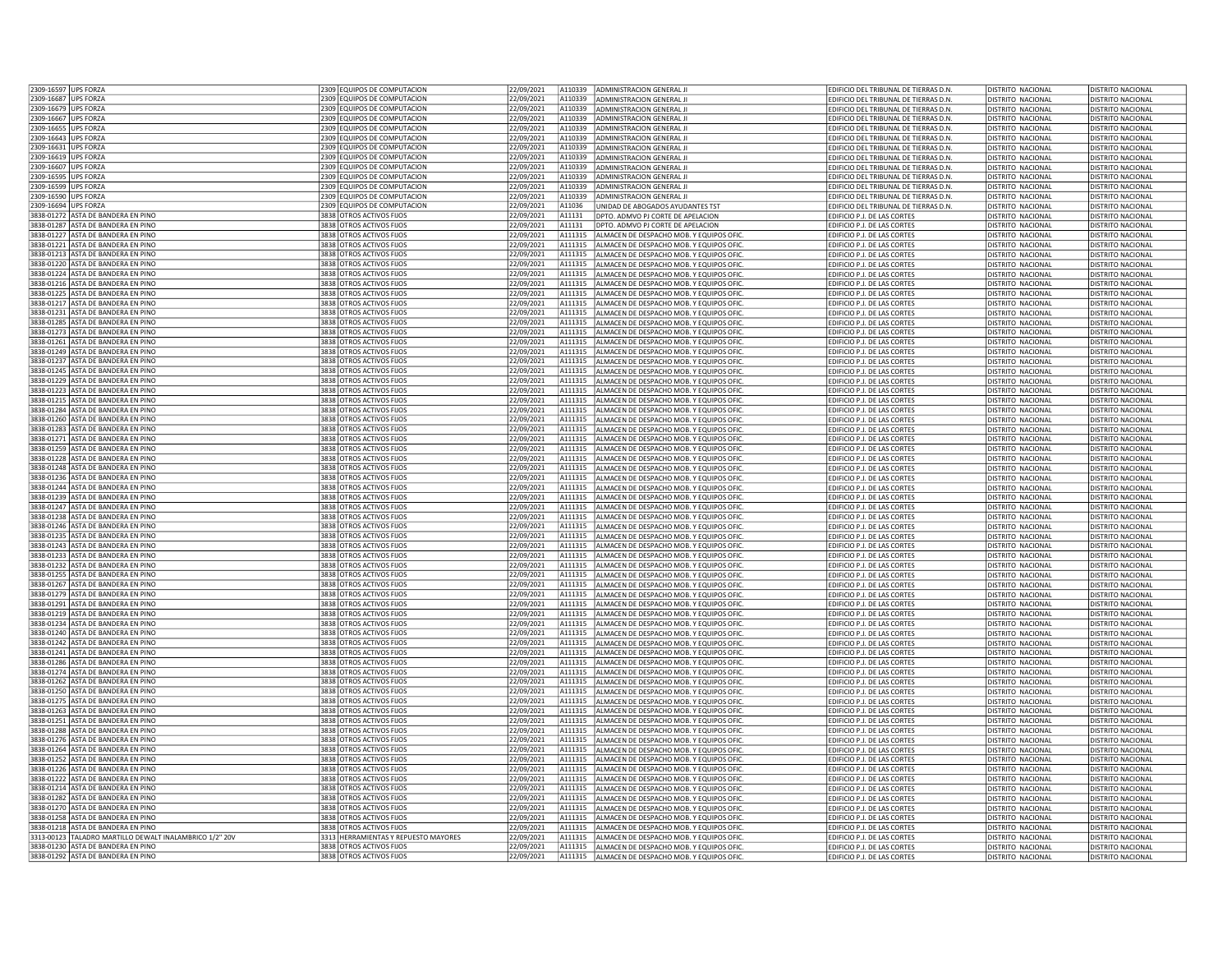| 2309-16597 UPS FORZA                                                     | 2309 EQUIPOS DE COMPUTACION                          | 22/09/2021               |        | A110339<br>ADMINISTRACION GENERAL JI                                                           | EDIFICIO DEL TRIBUNAL DE TIERRAS D.N.                                          | <b>DISTRITO NACIONAL</b> | DISTRITO NACIONAL        |
|--------------------------------------------------------------------------|------------------------------------------------------|--------------------------|--------|------------------------------------------------------------------------------------------------|--------------------------------------------------------------------------------|--------------------------|--------------------------|
| 2309-16687<br><b>UPS FORZA</b>                                           | 309 EQUIPOS DE COMPUTACION                           | 22/09/2021               |        | A110339<br>ADMINISTRACION GENERAL JI                                                           | EDIFICIO DEL TRIBUNAL DE TIERRAS D.N.                                          | DISTRITO NACIONAL        | DISTRITO NACIONAL        |
| 2309-16679<br><b>UPS FORZA</b>                                           | 2309 EQUIPOS DE COMPUTACION                          | 22/09/2021               |        | A110339<br>ADMINISTRACION GENERAL JI                                                           | DIFICIO DEL TRIBUNAL DE TIERRAS D.N.                                           | ISTRITO NACIONAL         | DISTRITO NACIONAL        |
| 2309-16667<br><b>UPS FORZA</b>                                           | 2309 EQUIPOS DE COMPUTACION                          | 22/09/2021               |        | A110339<br>ADMINISTRACION GENERAL JI                                                           | EDIFICIO DEL TRIBUNAL DE TIERRAS D.N.                                          | DISTRITO NACIONAL        | DISTRITO NACIONAL        |
| 2309-16655 UPS FORZA                                                     | 2309 EQUIPOS DE COMPUTACION                          | 22/09/2021               |        | A110339<br>ADMINISTRACION GENERAL JI                                                           | EDIFICIO DEL TRIBUNAL DE TIERRAS D.N.                                          | DISTRITO NACIONAL        | DISTRITO NACIONAL        |
| 2309-16643 UPS FORZA                                                     | 2309 EQUIPOS DE COMPUTACION                          | 22/09/2021               |        | A110339<br>ADMINISTRACION GENERAL JI                                                           | EDIFICIO DEL TRIBUNAL DE TIERRAS D.N.                                          | DISTRITO NACIONAL        | DISTRITO NACIONAL        |
| 2309-16631 UPS FORZA                                                     | 2309 EQUIPOS DE COMPUTACION                          | 22/09/2021               |        | A110339<br><b>ADMINISTRACION GENERAL JI</b>                                                    | EDIFICIO DEL TRIBUNAL DE TIERRAS D.N.                                          | <b>DISTRITO NACIONAL</b> | DISTRITO NACIONAL        |
| 2309-16619 UPS FORZA                                                     | 2309 EQUIPOS DE COMPUTACION                          | 22/09/2021               |        | A110339<br>ADMINISTRACION GENERAL JI                                                           | EDIFICIO DEL TRIBUNAL DE TIERRAS D.N.                                          | DISTRITO NACIONAL        | DISTRITO NACIONAL        |
| 2309-16607 UPS FORZA                                                     | 2309 EQUIPOS DE COMPUTACION                          | 22/09/2021               |        | A110339<br>ADMINISTRACION GENERAL JI                                                           | EDIFICIO DEL TRIBUNAL DE TIERRAS D.N.                                          | DISTRITO NACIONAL        | DISTRITO NACIONAL        |
| 2309-16595<br><b>JPS FORZA</b>                                           | 309 EQUIPOS DE COMPUTACION                           | 22/09/2021               |        | A110339<br>ADMINISTRACION GENERAL JI                                                           | EDIFICIO DEL TRIBUNAL DE TIERRAS D.N.                                          | <b>ISTRITO NACIONAL</b>  | <b>DISTRITO NACIONAL</b> |
| 2309-16599<br><b>UPS FORZA</b>                                           | 2309 EQUIPOS DE COMPUTACION                          | 22/09/2021               |        | A110339<br>ADMINISTRACION GENERAL JI                                                           | EDIFICIO DEL TRIBUNAL DE TIERRAS D.N.                                          | <b>DISTRITO NACIONAL</b> | DISTRITO NACIONAL        |
| 2309-16590 UPS FORZA                                                     | 2309 EQUIPOS DE COMPUTACION                          |                          |        | A110339<br>ADMINISTRACION GENERAL JI                                                           |                                                                                | <b>DISTRITO NACIONAL</b> | <b>DISTRITO NACIONAL</b> |
| 2309-16694 UPS FORZA                                                     | 2309 EQUIPOS DE COMPUTACION                          | 22/09/2021<br>22/09/2021 |        | A11036<br>UNIDAD DE ABOGADOS AYUDANTES TST                                                     | EDIFICIO DEL TRIBUNAL DE TIERRAS D.N.<br>EDIFICIO DEL TRIBUNAL DE TIERRAS D.N. | <b>DISTRITO NACIONAL</b> | DISTRITO NACIONAL        |
| 3838-01272 ASTA DE BANDERA EN PINO                                       | 3838 OTROS ACTIVOS FIJOS                             |                          | A11131 |                                                                                                |                                                                                |                          |                          |
|                                                                          |                                                      | 22/09/2021               |        | DPTO. ADMVO PJ CORTE DE APELACION                                                              | EDIFICIO P.J. DE LAS CORTES                                                    | DISTRITO NACIONAL        | DISTRITO NACIONAL        |
| 3838-01287 ASTA DE BANDERA EN PINO<br>3838-01227 ASTA DE BANDERA EN PINO | 3838 OTROS ACTIVOS FIJOS                             | 22/09/2021               |        | A11131<br>DPTO. ADMVO PJ CORTE DE APELACION                                                    | EDIFICIO P.J. DE LAS CORTES                                                    | DISTRITO NACIONAL        | DISTRITO NACIONAL        |
|                                                                          | 3838 OTROS ACTIVOS FIJOS                             | 22/09/2021               |        | A111315<br>ALMACEN DE DESPACHO MOB. Y EQUIPOS OFIC                                             | EDIFICIO P.J. DE LAS CORTES                                                    | DISTRITO NACIONAL        | DISTRITO NACIONAL        |
| 3838-01221 ASTA DE BANDERA EN PINO                                       | 3838 OTROS ACTIVOS FIJOS                             | 22/09/2021               |        | A111315<br>ALMACEN DE DESPACHO MOB. Y EQUIPOS OFIC                                             | EDIFICIO P.J. DE LAS CORTES                                                    | DISTRITO NACIONAL        | DISTRITO NACIONAL        |
| 3838-01213 ASTA DE BANDERA EN PINO                                       | 3838 OTROS ACTIVOS FIJOS                             | 22/09/2021               |        | A111315<br>ALMACEN DE DESPACHO MOB. Y EQUIPOS OFIC.                                            | EDIFICIO P.J. DE LAS CORTES                                                    | <b>ISTRITO NACIONAL</b>  | DISTRITO NACIONAL        |
| 3838-01220 ASTA DE BANDERA EN PINO                                       | 3838 OTROS ACTIVOS FIJOS                             | 22/09/2021               |        | A111315<br>ALMACEN DE DESPACHO MOB. Y EQUIPOS OFIC                                             | EDIFICIO P.J. DE LAS CORTES                                                    | DISTRITO NACIONAL        | <b>DISTRITO NACIONAL</b> |
| 3838-01224 ASTA DE BANDERA EN PINO                                       | 3838 OTROS ACTIVOS FIJOS                             | 22/09/2021               |        | A111315<br>ALMACEN DE DESPACHO MOB. Y EQUIPOS OFIC.                                            | EDIFICIO P.J. DE LAS CORTES                                                    | DISTRITO NACIONAL        | DISTRITO NACIONAL        |
| 3838-01216 ASTA DE BANDERA EN PINO                                       | 3838 OTROS ACTIVOS FIJOS                             | 22/09/2021               |        | A111315<br>ALMACEN DE DESPACHO MOB. Y EQUIPOS OFIC.                                            | EDIFICIO P.J. DE LAS CORTES                                                    | DISTRITO NACIONAL        | DISTRITO NACIONAL        |
| 3838-01225 ASTA DE BANDERA EN PINO                                       | 3838 OTROS ACTIVOS FIJOS                             | 22/09/2021               |        | A111315<br>ALMACEN DE DESPACHO MOB. Y EQUIPOS OFIC.                                            | EDIFICIO P.J. DE LAS CORTES                                                    | DISTRITO NACIONAL        | DISTRITO NACIONAL        |
| 3838-01217 ASTA DE BANDERA EN PINO                                       | 3838 OTROS ACTIVOS FIJOS                             | 22/09/2021               |        | A111315<br>ALMACEN DE DESPACHO MOB. Y EQUIPOS OFIC.                                            | EDIFICIO P.J. DE LAS CORTES                                                    | DISTRITO NACIONAL        | DISTRITO NACIONAL        |
| 3838-01231 ASTA DE BANDERA EN PINO                                       | 3838 OTROS ACTIVOS FIJOS                             | 22/09/2021               |        | A111315<br>ALMACEN DE DESPACHO MOB. Y EQUIPOS OFIC.                                            | EDIFICIO P.J. DE LAS CORTES                                                    | DISTRITO NACIONAL        | DISTRITO NACIONAL        |
| 3838-01285 ASTA DE BANDERA EN PINO                                       | 8838 OTROS ACTIVOS FIJOS                             | 22/09/2021               |        | A111315<br>ALMACEN DE DESPACHO MOB. Y FOUIPOS OFIC                                             | FDIFICIO P.I. DE LAS CORTES                                                    | <b>JISTRITO NACIONAL</b> | DISTRITO NACIONAL        |
| 3838-01273 ASTA DE BANDERA EN PINO                                       | 3838 OTROS ACTIVOS FIJOS                             | 22/09/2021               |        | A111315<br>ALMACEN DE DESPACHO MOB. Y EQUIPOS OFIC.                                            | EDIFICIO P.J. DE LAS CORTES                                                    | <b>DISTRITO NACIONAL</b> | DISTRITO NACIONAL        |
| 3838-01261 ASTA DE BANDERA EN PINO                                       | 3838 OTROS ACTIVOS FIJOS                             | 22/09/2021               |        | A111315<br>ALMACEN DE DESPACHO MOB. Y EQUIPOS OFIC.                                            | EDIFICIO P.J. DE LAS CORTES                                                    | DISTRITO NACIONAL        | DISTRITO NACIONAL        |
| 3838-01249 ASTA DE BANDERA EN PINO                                       | 3838 OTROS ACTIVOS FIJOS                             | 22/09/2021               |        | A111315<br>ALMACEN DE DESPACHO MOB. Y EQUIPOS OFIC                                             | EDIFICIO P.J. DE LAS CORTES                                                    | DISTRITO NACIONAL        | DISTRITO NACIONAL        |
| 3838-01237 ASTA DE BANDERA EN PINO                                       | 3838 OTROS ACTIVOS FIJOS                             | 22/09/2021               |        | A111315<br>ALMACEN DE DESPACHO MOB. Y EQUIPOS OFIC.                                            | EDIFICIO P.J. DE LAS CORTES                                                    | DISTRITO NACIONAL        | DISTRITO NACIONAL        |
| 3838-01245 ASTA DE BANDERA EN PINO                                       | 3838 OTROS ACTIVOS FIJOS                             | 22/09/2021               |        | A111315<br>ALMACEN DE DESPACHO MOB. Y EQUIPOS OFIC                                             | EDIFICIO P.J. DE LAS CORTES                                                    | DISTRITO NACIONAL        | DISTRITO NACIONAL        |
| 3838-01229 ASTA DE BANDERA EN PINO                                       | 3838 OTROS ACTIVOS FIJOS                             | 22/09/2021               |        | A111315<br>ALMACEN DE DESPACHO MOB. Y EQUIPOS OFIC.                                            | EDIFICIO P.J. DE LAS CORTES                                                    | DISTRITO NACIONAL        | DISTRITO NACIONAL        |
| 3838-01223 ASTA DE BANDERA EN PINO                                       | 3838 OTROS ACTIVOS FLIOS                             | 22/09/2021               |        | A111315<br>ALMACEN DE DESPACHO MOB. Y EQUIPOS OFIC                                             | EDIFICIO P.J. DE LAS CORTES                                                    | DISTRITO NACIONAL        | DISTRITO NACIONAL        |
| 3838-01215 ASTA DE BANDERA EN PINO                                       | 8838 OTROS ACTIVOS FIJOS                             | 22/09/2021               |        | A111315<br>ALMACEN DE DESPACHO MOB. Y EQUIPOS OFIC.                                            | EDIFICIO P.J. DE LAS CORTES                                                    | <b>DISTRITO NACIONAL</b> | DISTRITO NACIONAL        |
| 3838-01284 ASTA DE BANDERA EN PINO                                       | 3838 OTROS ACTIVOS FIJOS                             | 22/09/2021               |        | A111315<br>ALMACEN DE DESPACHO MOB. Y EQUIPOS OFIC.                                            | EDIFICIO P.J. DE LAS CORTES                                                    | <b>ISTRITO NACIONAL</b>  | DISTRITO NACIONAL        |
| 3838-01260 ASTA DE BANDERA EN PINO                                       | 3838 OTROS ACTIVOS FIJOS                             | 22/09/2021               |        | A111315<br>ALMACEN DE DESPACHO MOB. Y EQUIPOS OFIC.                                            | EDIFICIO P.J. DE LAS CORTES                                                    | DISTRITO NACIONAL        | DISTRITO NACIONAL        |
| 3838-01283 ASTA DE BANDERA EN PINO                                       | 3838 OTROS ACTIVOS FIJOS                             | 22/09/2021               |        | A111315<br>ALMACEN DE DESPACHO MOB. Y EQUIPOS OFIC.                                            | EDIFICIO P.J. DE LAS CORTES                                                    | DISTRITO NACIONAL        | DISTRITO NACIONAL        |
| 3838-01271 ASTA DE BANDERA EN PINO                                       | 3838 OTROS ACTIVOS FIJOS                             | 22/09/2021               |        | A111315<br>ALMACEN DE DESPACHO MOB. Y EQUIPOS OFIC.                                            | EDIFICIO P.J. DE LAS CORTES                                                    | DISTRITO NACIONAL        | DISTRITO NACIONAL        |
| 3838-01259 ASTA DE BANDERA EN PINO                                       |                                                      |                          |        | A111315                                                                                        | EDIFICIO P.J. DE LAS CORTES                                                    |                          |                          |
| 3838-01228 ASTA DE BANDERA EN PINO                                       | 3838 OTROS ACTIVOS FIJOS<br>3838 OTROS ACTIVOS FIJOS | 22/09/2021               |        | ALMACEN DE DESPACHO MOB. Y EQUIPOS OFIC.<br>A111315                                            |                                                                                | DISTRITO NACIONAL        | DISTRITO NACIONAL        |
|                                                                          |                                                      | 22/09/2021               |        | ALMACEN DE DESPACHO MOB. Y EQUIPOS OFIC.                                                       | EDIFICIO P.J. DE LAS CORTES                                                    | DISTRITO NACIONAL        | DISTRITO NACIONAL        |
| 3838-01248 ASTA DE BANDERA EN PINO                                       | 3838 OTROS ACTIVOS FIJOS                             | 22/09/2021               |        | A111315<br>ALMACEN DE DESPACHO MOB. Y EQUIPOS OFIC                                             | EDIFICIO P.J. DE LAS CORTES                                                    | <b>ISTRITO NACIONAL</b>  | DISTRITO NACIONAL        |
| ASTA DE BANDERA EN PINO<br>3838-01236                                    | 3838 OTROS ACTIVOS FIJOS                             | 22/09/2021               |        | A111315<br>ALMACEN DE DESPACHO MOB. Y EQUIPOS OFIC.                                            | EDIFICIO P.J. DE LAS CORTES                                                    | <b>ISTRITO NACIONAL</b>  | DISTRITO NACIONAL        |
| 3838-01244 ASTA DE BANDERA EN PINO                                       | 3838 OTROS ACTIVOS FIJOS                             | 22/09/2021               |        | A111315<br>ALMACEN DE DESPACHO MOB. Y EQUIPOS OFIC                                             | EDIFICIO P.J. DE LAS CORTES                                                    | <b>ISTRITO NACIONAL</b>  | DISTRITO NACIONAL        |
| 3838-01239 ASTA DE BANDERA EN PINO                                       | 3838 OTROS ACTIVOS FIJOS                             | 22/09/2021               |        | A111315<br>ALMACEN DE DESPACHO MOB. Y EQUIPOS OFIC                                             | EDIFICIO P.J. DE LAS CORTES                                                    | DISTRITO NACIONAL        | DISTRITO NACIONAL        |
| 3838-01247 ASTA DE BANDERA EN PINO                                       | 3838 OTROS ACTIVOS FIJOS                             | 22/09/2021               |        | A111315<br>ALMACEN DE DESPACHO MOB. Y FOUIPOS OFIC                                             | <b>EDIFICIO P.I. DE LAS CORTES</b>                                             | DISTRITO NACIONAL        | DISTRITO NACIONAL        |
| 3838-01238 ASTA DE BANDERA EN PINO                                       | 3838 OTROS ACTIVOS FIJOS                             | 22/09/2021               |        | A111315<br>ALMACEN DE DESPACHO MOB. Y EQUIPOS OFIC                                             | EDIFICIO P.J. DE LAS CORTES                                                    | DISTRITO NACIONAL        | DISTRITO NACIONAL        |
| 3838-01246 ASTA DE BANDERA EN PINO                                       | 3838 OTROS ACTIVOS FIJOS                             | 22/09/2021               |        | A111315<br>ALMACEN DE DESPACHO MOB. Y EQUIPOS OFIC.                                            | EDIFICIO P.J. DE LAS CORTES                                                    | DISTRITO NACIONAL        | DISTRITO NACIONAL        |
| 3838-01235 ASTA DE BANDERA EN PINO                                       | 3838 OTROS ACTIVOS FIJOS                             | 22/09/2021               |        | A111315<br>ALMACEN DE DESPACHO MOB. Y EQUIPOS OFIC                                             | EDIFICIO P.J. DE LAS CORTES                                                    | DISTRITO NACIONAL        | DISTRITO NACIONAL        |
| 3838-01243 ASTA DE BANDERA EN PINO                                       | 8838 OTROS ACTIVOS FIJOS                             | 22/09/2021               |        | A111315<br>ALMACEN DE DESPACHO MOB. Y EQUIPOS OFIC.                                            | EDIFICIO P.J. DE LAS CORTES                                                    | <b>ISTRITO NACIONAL</b>  | DISTRITO NACIONAL        |
| 3838-01233 ASTA DE BANDERA EN PINO                                       | 3838 OTROS ACTIVOS FIJOS                             | 22/09/2021               |        | A111315<br>ALMACEN DE DESPACHO MOB. Y EQUIPOS OFIC.                                            | EDIFICIO P.J. DE LAS CORTES                                                    | ISTRITO NACIONAL         | DISTRITO NACIONAL        |
| 3838-01232 ASTA DE BANDERA EN PINO                                       | 3838 OTROS ACTIVOS FIJOS                             | 22/09/2021               |        | A111315<br>ALMACEN DE DESPACHO MOB. Y EQUIPOS OFIC.                                            | EDIFICIO P.J. DE LAS CORTES                                                    | DISTRITO NACIONAL        | DISTRITO NACIONAL        |
| 3838-01255 ASTA DE BANDERA EN PINO                                       | 3838 OTROS ACTIVOS FIJOS                             | 22/09/2021               |        | A111315<br>ALMACEN DE DESPACHO MOB. Y EQUIPOS OFIC.                                            | EDIFICIO P.J. DE LAS CORTES                                                    | <b>DISTRITO NACIONAL</b> | DISTRITO NACIONAL        |
| 3838-01267 ASTA DE BANDERA EN PINO                                       | 3838 OTROS ACTIVOS FIJOS                             | 22/09/2021               |        | A111315<br>ALMACEN DE DESPACHO MOB. Y EQUIPOS OFIC                                             | EDIFICIO P.J. DE LAS CORTES                                                    | DISTRITO NACIONAL        | DISTRITO NACIONAL        |
| 3838-01279 ASTA DE BANDERA EN PINO                                       | 3838 OTROS ACTIVOS FIJOS                             | 22/09/2021               |        | A111315<br>ALMACEN DE DESPACHO MOB. Y EQUIPOS OFIC.                                            | EDIFICIO P.J. DE LAS CORTES                                                    | DISTRITO NACIONAL        | DISTRITO NACIONAL        |
| 3838-01291 ASTA DE BANDERA EN PINO                                       | 3838 OTROS ACTIVOS FIJOS                             | 22/09/2021               |        | A111315<br>ALMACEN DE DESPACHO MOB. Y EQUIPOS OFIC.                                            | EDIFICIO P.J. DE LAS CORTES                                                    | DISTRITO NACIONAL        | DISTRITO NACIONAL        |
| 3838-01219 ASTA DE BANDERA EN PINO                                       | 3838 OTROS ACTIVOS FIJOS                             | 22/09/2021               |        | A111315<br>ALMACEN DE DESPACHO MOB. Y EQUIPOS OFIC                                             | EDIFICIO P.J. DE LAS CORTES                                                    | DISTRITO NACIONAL        | DISTRITO NACIONAL        |
| 3838-01234<br>ASTA DE BANDERA EN PINO                                    | 8838 OTROS ACTIVOS FIJOS                             | 22/09/2021               |        | A111315<br>ALMACEN DE DESPACHO MOB. Y EQUIPOS OFIC.                                            | EDIFICIO P.J. DE LAS CORTES                                                    | <b>ISTRITO NACIONAL</b>  | DISTRITO NACIONAL        |
| ASTA DE BANDERA EN PINO<br>3838-01240                                    | 3838 OTROS ACTIVOS FIJOS                             | 22/09/2021               |        | A111315<br>ALMACEN DE DESPACHO MOB. Y EQUIPOS OFIC                                             | EDIFICIO P.J. DE LAS CORTES                                                    | <b>ISTRITO NACIONAL</b>  | DISTRITO NACIONAL        |
| 3838-01242 ASTA DE BANDERA EN PINO                                       | 3838 OTROS ACTIVOS FIJOS                             | 22/09/2021               |        | A111315<br>ALMACEN DE DESPACHO MOB. Y EQUIPOS OFIC.                                            | EDIFICIO P.J. DE LAS CORTES                                                    | DISTRITO NACIONAL        | DISTRITO NACIONAL        |
| 3838-01241 ASTA DE BANDERA EN PINO                                       | 3838 OTROS ACTIVOS FIJOS                             | 22/09/2021               |        | A111315<br>ALMACEN DE DESPACHO MOB. Y EQUIPOS OFIC                                             | EDIFICIO P.J. DE LAS CORTES                                                    | DISTRITO NACIONAL        | DISTRITO NACIONAL        |
| 3838-01286 ASTA DE BANDERA EN PINO                                       | 3838 OTROS ACTIVOS FIJOS                             | 22/09/2021               |        | A111315<br>ALMACEN DE DESPACHO MOB. Y EQUIPOS OFIC.                                            | EDIFICIO P.J. DE LAS CORTES                                                    | DISTRITO NACIONAL        | DISTRITO NACIONAL        |
| 3838-01274 ASTA DE BANDERA EN PINO                                       | 3838 OTROS ACTIVOS FIJOS                             | 22/09/2021               |        | A111315<br>ALMACEN DE DESPACHO MOB. Y EQUIPOS OFIC                                             | EDIFICIO P.J. DE LAS CORTES                                                    | DISTRITO NACIONAL        | DISTRITO NACIONAL        |
| 3838-01262 ASTA DE BANDERA EN PINO                                       | 3838 OTROS ACTIVOS FIJOS                             | 22/09/2021               |        | A111315<br>ALMACEN DE DESPACHO MOB. Y EQUIPOS OFIC                                             | EDIFICIO P.J. DE LAS CORTES                                                    | DISTRITO NACIONAL        | DISTRITO NACIONAL        |
| 3838-01250 ASTA DE BANDERA EN PINO                                       | 3838 OTROS ACTIVOS FIJOS                             | 22/09/2021               |        | A111315<br>ALMACEN DE DESPACHO MOB. Y FOUIPOS OFIC                                             | FDIFICIO P.I. DE LAS CORTES                                                    | DISTRITO NACIONAL        | DISTRITO NACIONAL        |
| 3838-01275<br>ASTA DE BANDERA EN PINO                                    | 3838 OTROS ACTIVOS FIJOS                             | 22/09/2021               |        | A111315<br>ALMACEN DE DESPACHO MOB. Y EQUIPOS OFIC.                                            | EDIFICIO P.J. DE LAS CORTES                                                    | <b>ISTRITO NACIONAL</b>  | DISTRITO NACIONAL        |
| 3838-01263<br>ASTA DE BANDERA EN PINO                                    | 3838 OTROS ACTIVOS FIJOS                             | 22/09/2021               |        | ALMACEN DE DESPACHO MOB. Y EQUIPOS OFIC.<br>A111315                                            | EDIFICIO P.J. DE LAS CORTES                                                    | DISTRITO NACIONAL        | DISTRITO NACIONAL        |
| 3838-01251 ASTA DE BANDERA EN PINO                                       | 3838 OTROS ACTIVOS FIJOS                             | 22/09/2021               |        | A111315                                                                                        |                                                                                | DISTRITO NACIONAL        | DISTRITO NACIONAL        |
| 3838-01288 ASTA DE BANDERA EN PINO                                       | 3838 OTROS ACTIVOS FIJOS                             | 22/09/2021               |        | ALMACEN DE DESPACHO MOB. Y EQUIPOS OFIC.<br>A111315<br>ALMACEN DE DESPACHO MOB. Y FOUIPOS OFIC | EDIFICIO P.J. DE LAS CORTES<br><b>EDIFICIO P.I. DE LAS CORTES</b>              | DISTRITO NACIONAL        | DISTRITO NACIONAL        |
| 3838-01276 ASTA DE BANDERA EN PINO                                       |                                                      |                          |        | A111315                                                                                        |                                                                                |                          |                          |
| 3838-01264 ASTA DE BANDERA EN PINO                                       | 3838 OTROS ACTIVOS FIJOS                             | 22/09/2021               |        | ALMACEN DE DESPACHO MOB. Y EQUIPOS OFIC.<br>A111315                                            | EDIFICIO P.J. DE LAS CORTES                                                    | DISTRITO NACIONAL        | DISTRITO NACIONAL        |
|                                                                          | 3838 OTROS ACTIVOS FIJOS                             | 22/09/2021               |        | ALMACEN DE DESPACHO MOB. Y EQUIPOS OFIC.                                                       | EDIFICIO P.J. DE LAS CORTES                                                    | DISTRITO NACIONAL        | DISTRITO NACIONAL        |
| 3838-01252 ASTA DE BANDERA EN PINO                                       | 3838 OTROS ACTIVOS FIJOS                             | 22/09/2021               |        | A111315<br>ALMACEN DE DESPACHO MOB. Y EQUIPOS OFIC                                             | EDIFICIO P.J. DE LAS CORTES                                                    | DISTRITO NACIONAL        | DISTRITO NACIONAL        |
| 3838-01226 ASTA DE BANDERA EN PINO                                       | 3838 OTROS ACTIVOS FIJOS                             | 22/09/2021               |        | ALMACEN DE DESPACHO MOB. Y EQUIPOS OFIC.<br>A111315                                            | <b>DIFICIO P.J. DE LAS CORTES</b>                                              | <b>ISTRITO NACIONAL</b>  | DISTRITO NACIONAL        |
| ASTA DE BANDERA EN PINO<br>3838-01222                                    | 3838 OTROS ACTIVOS FIJOS                             | 22/09/2021               |        | A111315<br>ALMACEN DE DESPACHO MOB. Y EQUIPOS OFIC.                                            | EDIFICIO P.J. DE LAS CORTES                                                    | ISTRITO NACIONAL         | DISTRITO NACIONAL        |
| 3838-01214 ASTA DE BANDERA EN PINO                                       | 3838 OTROS ACTIVOS FIJOS                             | 22/09/2021               |        | A111315<br>ALMACEN DE DESPACHO MOB. Y EQUIPOS OFIC.                                            | EDIFICIO P.J. DE LAS CORTES                                                    | DISTRITO NACIONAL        | DISTRITO NACIONAL        |
| 3838-01282 ASTA DE BANDERA EN PINO                                       | 3838 OTROS ACTIVOS FIJOS                             | 22/09/2021               |        | A111315<br>ALMACEN DE DESPACHO MOB. Y EQUIPOS OFIC                                             | EDIFICIO P.J. DE LAS CORTES                                                    | DISTRITO NACIONAL        | DISTRITO NACIONAL        |
| 3838-01270 ASTA DE BANDERA EN PINO                                       | 3838 OTROS ACTIVOS FIJOS                             | 22/09/2021               |        | A111315<br>ALMACEN DE DESPACHO MOB. Y EQUIPOS OFIC.                                            | EDIFICIO P.J. DE LAS CORTES                                                    | DISTRITO NACIONAL        | DISTRITO NACIONAL        |
| 3838-01258 ASTA DE BANDERA EN PINO                                       | 3838 OTROS ACTIVOS FIJOS                             | 22/09/2021               |        | ALMACEN DE DESPACHO MOB. Y EQUIPOS OFIC.<br>A111315                                            | EDIFICIO P.J. DE LAS CORTES                                                    | DISTRITO NACIONAL        | DISTRITO NACIONAL        |
| 3838-01218 ASTA DE BANDERA EN PINO                                       | 3838 OTROS ACTIVOS FIJOS                             | 22/09/2021               |        | A111315<br>ALMACEN DE DESPACHO MOB. Y EQUIPOS OFIC.                                            | EDIFICIO P.J. DE LAS CORTES                                                    | DISTRITO NACIONAL        | DISTRITO NACIONAL        |
| 3313-00123 TALADRO MARTILLO DEWALT INALAMBRICO 1/2" 20V                  | 3313 HERRAMIENTAS Y REPUESTO MAYORES                 | 22/09/2021               |        | A111315<br>ALMACEN DE DESPACHO MOB. Y EQUIPOS OFIC                                             | EDIFICIO P.J. DE LAS CORTES                                                    | DISTRITO NACIONAL        | DISTRITO NACIONAL        |
| 3838-01230 ASTA DE BANDERA EN PINO                                       | 3838 OTROS ACTIVOS FIJOS                             | 22/09/2021               |        | A111315<br>ALMACEN DE DESPACHO MOB. Y EQUIPOS OFIC                                             | <b>EDIFICIO P.J. DE LAS CORTES</b>                                             | <b>ISTRITO NACIONAL</b>  | DISTRITO NACIONAL        |
| 3838-01292 ASTA DE BANDERA EN PINO                                       | 3838 OTROS ACTIVOS FIJOS                             | 22/09/2021               |        | A111315<br>ALMACEN DE DESPACHO MOB. Y EQUIPOS OFIC                                             | EDIFICIO P.J. DE LAS CORTES                                                    | <b>DISTRITO NACIONAL</b> | DISTRITO NACIONAL        |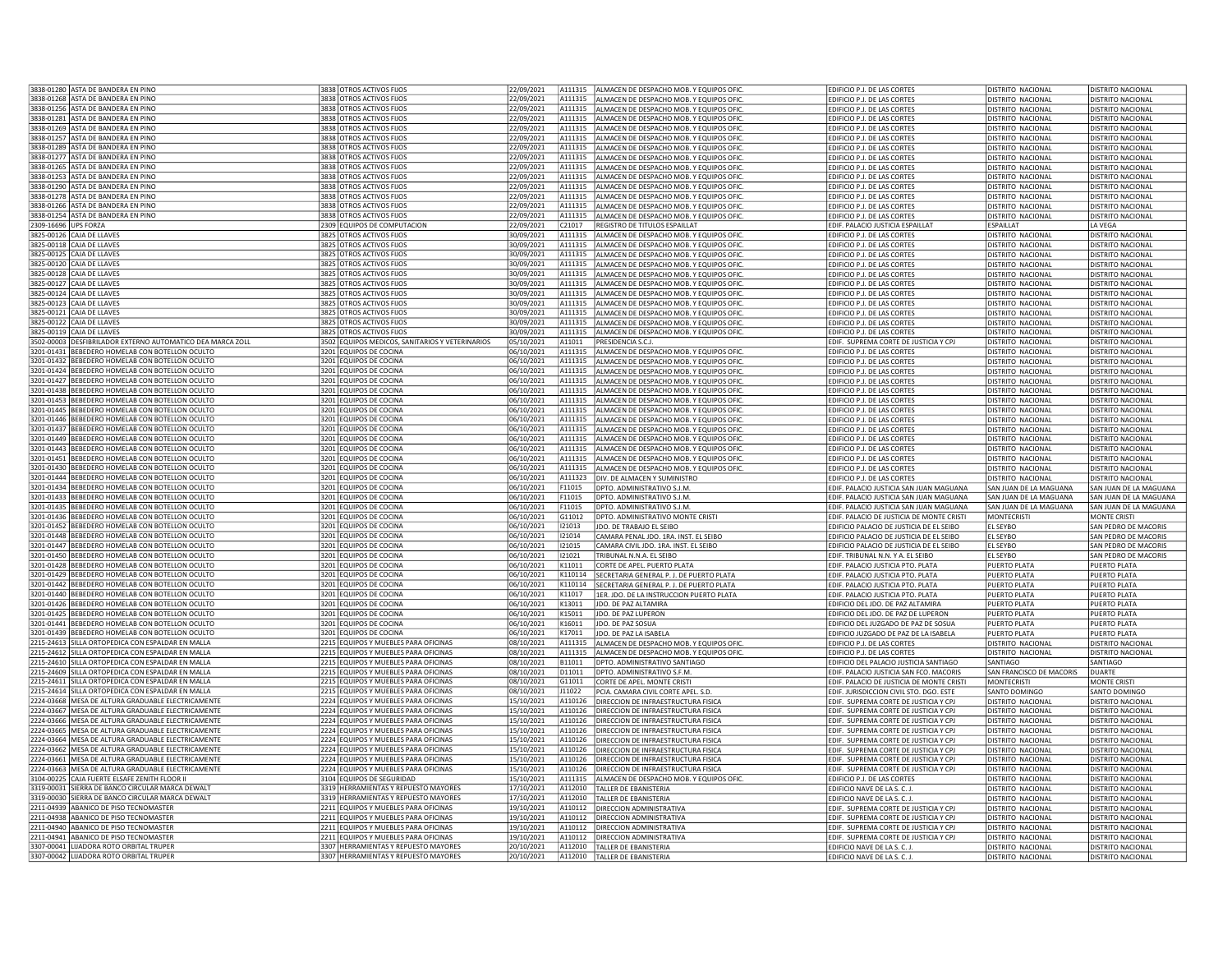|                      | 3838-01280 ASTA DE BANDERA EN PINO                                                                            | 3838 OTROS ACTIVOS FIJOS                                                     | 22/09/2021               |                    | A111315 ALMACEN DE DESPACHO MOB. Y EQUIPOS OFIC.                                     | EDIFICIO P.J. DE LAS CORTES                                                          | <b>DISTRITO NACIONAL</b>                             | <b>DISTRITO NACIONAL</b>                             |
|----------------------|---------------------------------------------------------------------------------------------------------------|------------------------------------------------------------------------------|--------------------------|--------------------|--------------------------------------------------------------------------------------|--------------------------------------------------------------------------------------|------------------------------------------------------|------------------------------------------------------|
|                      | 3838-01268 ASTA DE BANDERA EN PINO                                                                            | 3838 OTROS ACTIVOS FIJOS                                                     | 22/09/2021               | A111315            | ALMACEN DE DESPACHO MOB. Y EQUIPOS OFIC.                                             | EDIFICIO P.J. DE LAS CORTES                                                          | DISTRITO NACIONAL                                    | DISTRITO NACIONAL                                    |
|                      | 3838-01256 ASTA DE BANDERA EN PINO                                                                            | 3838 OTROS ACTIVOS FIJOS                                                     | 22/09/2021               | A111315            | ALMACEN DE DESPACHO MOB. Y EQUIPOS OFIC.                                             |                                                                                      |                                                      | DISTRITO NACIONAL                                    |
|                      |                                                                                                               |                                                                              |                          | A111315            |                                                                                      | EDIFICIO P.J. DE LAS CORTES                                                          | DISTRITO NACIONAL                                    |                                                      |
|                      | 3838-01281 ASTA DE BANDERA EN PINO                                                                            | 3838 OTROS ACTIVOS FIJOS                                                     | 22/09/2021               |                    | ALMACEN DE DESPACHO MOB. Y EQUIPOS OFIC.                                             | EDIFICIO P.J. DE LAS CORTES                                                          | DISTRITO NACIONAL                                    | DISTRITO NACIONAL                                    |
|                      | 3838-01269 ASTA DE BANDERA EN PINO                                                                            | 3838 OTROS ACTIVOS FIJOS                                                     | 22/09/2021               | A111315            | ALMACEN DE DESPACHO MOB. Y EQUIPOS OFIC                                              | EDIFICIO P.J. DE LAS CORTES                                                          | <b>DISTRITO NACIONAL</b>                             | <b>DISTRITO NACIONAL</b>                             |
|                      | 3838-01257 ASTA DE BANDERA EN PINO                                                                            | 3838 OTROS ACTIVOS FIJOS                                                     | 22/09/2021               | A111315            | ALMACEN DE DESPACHO MOB. Y EQUIPOS OFIC.                                             | EDIFICIO P.J. DE LAS CORTES                                                          | <b>DISTRITO NACIONAL</b>                             | <b>DISTRITO NACIONAL</b>                             |
|                      | 3838-01289 ASTA DE BANDERA EN PINO                                                                            | 3838 OTROS ACTIVOS FIJOS                                                     | 22/09/2021               | A111315            | ALMACEN DE DESPACHO MOB. Y EQUIPOS OFIC.                                             | EDIFICIO P.J. DE LAS CORTES                                                          | <b>DISTRITO NACIONAL</b>                             | DISTRITO NACIONAL                                    |
|                      | 3838-01277 ASTA DE BANDERA EN PINO                                                                            | 3838 OTROS ACTIVOS FIJOS                                                     | 22/09/2021               | A111315            | ALMACEN DE DESPACHO MOB. Y EQUIPOS OFIC.                                             | EDIFICIO P.J. DE LAS CORTES                                                          | DISTRITO NACIONAL                                    | DISTRITO NACIONAL                                    |
|                      | 3838-01265 ASTA DE BANDERA EN PINO                                                                            | 3838 OTROS ACTIVOS FIJOS                                                     | 22/09/2021               | A111315            | ALMACEN DE DESPACHO MOB. Y EQUIPOS OFIC.                                             | EDIFICIO P.J. DE LAS CORTES                                                          | <b>DISTRITO NACIONAL</b>                             | DISTRITO NACIONAL                                    |
|                      | 3838-01253 ASTA DE BANDERA EN PINO                                                                            | 3838 OTROS ACTIVOS FIJOS                                                     | 22/09/2021               | A111315            | ALMACEN DE DESPACHO MOB. Y EQUIPOS OFIC.                                             | EDIFICIO P.J. DE LAS CORTES                                                          | <b>DISTRITO NACIONAL</b>                             | DISTRITO NACIONAL                                    |
|                      | 3838-01290 ASTA DE BANDERA EN PINO                                                                            | 3838 OTROS ACTIVOS FIJOS                                                     | 22/09/2021               | A111315            | ALMACEN DE DESPACHO MOB. Y EQUIPOS OFIC.                                             | EDIFICIO P.J. DE LAS CORTES                                                          | DISTRITO NACIONAL                                    | DISTRITO NACIONAL                                    |
|                      | 3838-01278 ASTA DE BANDERA EN PINO                                                                            | 3838 OTROS ACTIVOS FIJOS                                                     | 22/09/2021               | A111315            | ALMACEN DE DESPACHO MOB. Y EQUIPOS OFIC.                                             | EDIFICIO P.J. DE LAS CORTES                                                          | <b>DISTRITO NACIONAL</b>                             | DISTRITO NACIONAL                                    |
|                      | 3838-01266 ASTA DE BANDERA EN PINO                                                                            | 3838 OTROS ACTIVOS FIJOS                                                     | 22/09/2021               | A111315            | ALMACEN DE DESPACHO MOB. Y EQUIPOS OFIC.                                             | EDIFICIO P.J. DE LAS CORTES                                                          | <b>DISTRITO NACIONAL</b>                             | DISTRITO NACIONAL                                    |
|                      | 3838-01254 ASTA DE BANDERA EN PINO                                                                            | 3838 OTROS ACTIVOS FIJOS                                                     | 22/09/2021               | A111315            | ALMACEN DE DESPACHO MOB. Y EQUIPOS OFIC.                                             | EDIFICIO P.J. DE LAS CORTES                                                          | <b>DISTRITO NACIONAL</b>                             | DISTRITO NACIONAL                                    |
| 2309-16696 UPS FORZA |                                                                                                               | 2309 EQUIPOS DE COMPUTACION                                                  | 22/09/2021               | C21017             | REGISTRO DE TITULOS ESPAILLAT                                                        | EDIF. PALACIO JUSTICIA ESPAILLAT                                                     | <b>FSPAILLAT</b>                                     | LA VEGA                                              |
|                      | 3825-00126 CAJA DE LLAVES                                                                                     | 3825 OTROS ACTIVOS FIJOS                                                     | 30/09/2021               | A111315            | ALMACEN DE DESPACHO MOB. Y EQUIPOS OFIC                                              | EDIFICIO P.J. DE LAS CORTES                                                          | <b>DISTRITO NACIONAL</b>                             | DISTRITO NACIONAL                                    |
|                      | 3825-00118 CAJA DE LLAVES                                                                                     | 3825 OTROS ACTIVOS FIJOS                                                     | 30/09/2021               | A111315            | ALMACEN DE DESPACHO MOB. Y EQUIPOS OFIC.                                             | EDIFICIO P.J. DE LAS CORTES                                                          | DISTRITO NACIONAL                                    | DISTRITO NACIONAL                                    |
|                      | 3825-00125 CAJA DE LLAVES                                                                                     | 3825 OTROS ACTIVOS FIJOS                                                     | 30/09/2021               | A111315            | ALMACEN DE DESPACHO MOB. Y EQUIPOS OFIC                                              | EDIFICIO P.J. DE LAS CORTES                                                          | DISTRITO NACIONAL                                    | DISTRITO NACIONAL                                    |
|                      | 3825-00120 CAJA DE LLAVES                                                                                     | 3825 OTROS ACTIVOS FIJOS                                                     | 30/09/2021               | A111315            | ALMACEN DE DESPACHO MOB. Y EQUIPOS OFIC.                                             | EDIFICIO P.J. DE LAS CORTES                                                          | DISTRITO NACIONAL                                    | DISTRITO NACIONAL                                    |
|                      | 3825-00128 CAJA DE LLAVES                                                                                     | 3825 OTROS ACTIVOS FIJOS                                                     | 30/09/2021               | A111315            | ALMACEN DE DESPACHO MOB. Y EQUIPOS OFIC.                                             | EDIFICIO P.J. DE LAS CORTES                                                          | <b>DISTRITO NACIONAL</b>                             | <b>DISTRITO NACIONAL</b>                             |
|                      | 3825-00127 CAJA DE LLAVES                                                                                     | 3825 OTROS ACTIVOS FIJOS                                                     | 30/09/2021               | A111315            | ALMACEN DE DESPACHO MOB. Y EQUIPOS OFIC.                                             | EDIFICIO P.J. DE LAS CORTES                                                          | <b>DISTRITO NACIONAL</b>                             | <b>DISTRITO NACIONAL</b>                             |
|                      | 3825-00124 CAJA DE LLAVES                                                                                     | 3825 OTROS ACTIVOS FIJOS                                                     | 30/09/2021               | A111315            | ALMACEN DE DESPACHO MOB. Y EQUIPOS OFIC.                                             | EDIFICIO P.J. DE LAS CORTES                                                          | <b>DISTRITO NACIONAL</b>                             | DISTRITO NACIONAL                                    |
|                      | 3825-00123 CAJA DE LLAVES                                                                                     | 3825 OTROS ACTIVOS FIJOS                                                     | 30/09/2021               | A111315            | ALMACEN DE DESPACHO MOB. Y EQUIPOS OFIC.                                             | EDIFICIO P.J. DE LAS CORTES                                                          | <b>DISTRITO NACIONAL</b>                             | DISTRITO NACIONAL                                    |
|                      | 3825-00121 CAJA DE LLAVES                                                                                     | 3825 OTROS ACTIVOS FIJOS                                                     | 30/09/2021               | A111315            | ALMACEN DE DESPACHO MOB. Y EQUIPOS OFIC.                                             | EDIFICIO P.J. DE LAS CORTES                                                          | DISTRITO NACIONAL                                    | DISTRITO NACIONAL                                    |
|                      | 3825-00122 CAJA DE LLAVES                                                                                     | 3825 OTROS ACTIVOS FIJOS                                                     | 30/09/2021               | A111315            |                                                                                      | EDIFICIO P.J. DE LAS CORTES                                                          | DISTRITO NACIONAL                                    | DISTRITO NACIONAL                                    |
|                      | 3825-00119 CAJA DE LLAVES                                                                                     | 3825 OTROS ACTIVOS FIJOS                                                     | 30/09/2021               | A111315            | ALMACEN DE DESPACHO MOB. Y EQUIPOS OFIC.<br>ALMACEN DE DESPACHO MOB. Y EQUIPOS OFIC. | EDIFICIO P.J. DE LAS CORTES                                                          | DISTRITO NACIONAL                                    | DISTRITO NACIONAL                                    |
|                      |                                                                                                               |                                                                              |                          |                    |                                                                                      |                                                                                      |                                                      |                                                      |
|                      | 3502-00003 DESFIBRILADOR EXTERNO AUTOMATICO DEA MARCA ZOLL<br>3201-01431 REBEDERO HOMELAB CON BOTELLON OCULTO | 3502 EQUIPOS MEDICOS, SANITARIOS Y VETERINARIOS<br>3201 EQUIPOS DE COCINA    | 05/10/2021<br>06/10/2021 | A11011<br>A111315  | PRESIDENCIA S.C.J.                                                                   | EDIF. SUPREMA CORTE DE JUSTICIA Y CPJ                                                | <b>DISTRITO NACIONAL</b>                             | DISTRITO NACIONAL                                    |
|                      |                                                                                                               |                                                                              |                          |                    | ALMACEN DE DESPACHO MOB. Y EQUIPOS OFIC.                                             | EDIFICIO P.J. DE LAS CORTES                                                          | <b>DISTRITO NACIONAL</b>                             | DISTRITO NACIONAL                                    |
|                      | 3201-01432 BEBEDERO HOMELAB CON BOTELLON OCULTO                                                               | 3201 EQUIPOS DE COCINA                                                       | 06/10/2021               | A111315            | ALMACEN DE DESPACHO MOB. Y EQUIPOS OFIC.                                             | EDIFICIO P.J. DE LAS CORTES                                                          | <b>DISTRITO NACIONAL</b>                             | DISTRITO NACIONAL                                    |
|                      | 3201-01424 BEBEDERO HOMELAB CON BOTELLON OCULTO                                                               | 3201 EQUIPOS DE COCINA                                                       | 06/10/2021               | A111315            | ALMACEN DE DESPACHO MOB. Y EQUIPOS OFIC.                                             | EDIFICIO P.J. DE LAS CORTES                                                          | DISTRITO NACIONAL                                    | <b>DISTRITO NACIONAL</b>                             |
|                      | 3201-01427 BEBEDERO HOMELAB CON BOTELLON OCULTO                                                               | 3201 EQUIPOS DE COCINA                                                       | 06/10/2021               | A111315            | ALMACEN DE DESPACHO MOB. Y EQUIPOS OFIC.                                             | EDIFICIO P.J. DE LAS CORTES                                                          | <b>DISTRITO NACIONAL</b>                             | <b>DISTRITO NACIONAL</b>                             |
|                      | 3201-01438 BEBEDERO HOMELAB CON BOTELLON OCULTO                                                               | 3201 EQUIPOS DE COCINA                                                       | 06/10/2021               | A111315            | ALMACEN DE DESPACHO MOB. Y EQUIPOS OFIC.                                             | EDIFICIO P.J. DE LAS CORTES                                                          | <b>DISTRITO NACIONAL</b>                             | <b>DISTRITO NACIONAL</b>                             |
|                      | 3201-01453 BEBEDERO HOMELAB CON BOTELLON OCULTO                                                               | 3201 EQUIPOS DE COCINA                                                       | 06/10/2021               | A111315            | ALMACEN DE DESPACHO MOB. Y EQUIPOS OFIC.                                             | EDIFICIO P.J. DE LAS CORTES                                                          | DISTRITO NACIONAL                                    | DISTRITO NACIONAL                                    |
|                      | 3201-01445 BEBEDERO HOMELAB CON BOTELLON OCULTO                                                               | 3201 EQUIPOS DE COCINA                                                       | 06/10/2021               | A111315            | ALMACEN DE DESPACHO MOB. Y EQUIPOS OFIC.                                             | EDIFICIO P.J. DE LAS CORTES                                                          | DISTRITO NACIONAL                                    | DISTRITO NACIONAL                                    |
|                      | 3201-01446 BEBEDERO HOMELAB CON BOTELLON OCULTO                                                               | 3201 EQUIPOS DE COCINA                                                       | 06/10/2021               | A111315            | ALMACEN DE DESPACHO MOB. Y EQUIPOS OFIC.                                             | EDIFICIO P.J. DE LAS CORTES                                                          | DISTRITO NACIONAL                                    | DISTRITO NACIONAL                                    |
|                      | 3201-01437 BEBEDERO HOMELAB CON BOTELLON OCULTO                                                               | 3201 EQUIPOS DE COCINA                                                       | 06/10/2021               | A111315            | ALMACEN DE DESPACHO MOB. Y EQUIPOS OFIC.                                             | EDIFICIO P.J. DE LAS CORTES                                                          | <b>DISTRITO NACIONAL</b>                             | <b>DISTRITO NACIONAL</b>                             |
|                      | 3201-01449 BEBEDERO HOMELAB CON BOTELLON OCULTO                                                               | 3201 EQUIPOS DE COCINA                                                       | 06/10/2021               | A111315            | ALMACEN DE DESPACHO MOB. Y EQUIPOS OFIC.                                             | EDIFICIO P.J. DE LAS CORTES                                                          | DISTRITO NACIONAL                                    | DISTRITO NACIONAL                                    |
|                      | 3201-01443 BEBEDERO HOMELAB CON BOTELLON OCULTO                                                               | 3201 EQUIPOS DE COCINA                                                       | 06/10/2021               | A111315            | ALMACEN DE DESPACHO MOB. Y EQUIPOS OFIC.                                             | EDIFICIO P.J. DE LAS CORTES                                                          | <b>DISTRITO NACIONAL</b>                             | DISTRITO NACIONAL                                    |
|                      | 3201-01451 BEBEDERO HOMELAB CON BOTELLON OCULTO                                                               | 3201 EQUIPOS DE COCINA                                                       | 06/10/2021               | A111315            | ALMACEN DE DESPACHO MOB. Y EQUIPOS OFIC.                                             | EDIFICIO P.J. DE LAS CORTES                                                          | DISTRITO NACIONAL                                    | DISTRITO NACIONAL                                    |
|                      | 3201-01430 BEBEDERO HOMELAB CON BOTELLON OCULTO                                                               | 3201 EQUIPOS DE COCINA                                                       | 06/10/2021               |                    |                                                                                      | EDIFICIO P.J. DE LAS CORTES                                                          | DISTRITO NACIONAL                                    | DISTRITO NACIONAL                                    |
|                      |                                                                                                               |                                                                              |                          | A111315            | ALMACEN DE DESPACHO MOB. Y EQUIPOS OFIC.                                             |                                                                                      |                                                      |                                                      |
|                      | 3201-01444 BEBEDERO HOMELAB CON BOTELLON OCULTO                                                               | 3201 EQUIPOS DE COCINA                                                       | 06/10/2021               | A111323            | DIV. DE ALMACEN Y SUMINISTRO                                                         | EDIFICIO P.J. DE LAS CORTES                                                          | DISTRITO NACIONAL                                    | DISTRITO NACIONAL                                    |
|                      | 3201-01434 BEBEDERO HOMELAB CON BOTELLON OCULTO                                                               | 3201 EQUIPOS DE COCINA                                                       | 06/10/2021               | F11015             | DPTO, ADMINISTRATIVO S.J.M                                                           | EDIF. PALACIO JUSTICIA SAN JUAN MAGUANA                                              | SAN JUAN DE LA MAGUANA                               | SAN JUAN DE LA MAGUANA                               |
|                      | 3201-01433 BEBEDERO HOMELAB CON BOTELLON OCULTO                                                               | 3201 EQUIPOS DE COCINA                                                       | 06/10/2021               | F11015             | DPTO, ADMINISTRATIVO S.J.M.                                                          | EDIF. PALACIO JUSTICIA SAN JUAN MAGUANA                                              | SAN JUAN DE LA MAGUANA                               | SAN JUAN DE LA MAGUANA                               |
|                      | 3201-01435 BEBEDERO HOMELAB CON BOTELLON OCULTO                                                               | 3201 EQUIPOS DE COCINA                                                       | 06/10/2021               | F11015             | DPTO, ADMINISTRATIVO S.J.M                                                           | EDIF. PALACIO JUSTICIA SAN JUAN MAGUANA                                              | SAN JUAN DE LA MAGUANA                               | SAN JUAN DE LA MAGUANA                               |
|                      | 3201-01436 BEBEDERO HOMELAB CON BOTELLON OCULTO                                                               | 3201 EQUIPOS DE COCINA                                                       | 06/10/2021               | G11012             | DPTO. ADMINISTRATIVO MONTE CRISTI                                                    | EDIF. PALACIO DE JUSTICIA DE MONTE CRISTI                                            | MONTECRISTI                                          | MONTE CRISTI                                         |
|                      | 3201-01452 BEBEDERO HOMELAB CON BOTELLON OCULTO                                                               | 3201 EQUIPOS DE COCINA                                                       | 06/10/2021               | 121013             | JDO. DE TRABAJO EL SEIBO                                                             | EDIFICIO PALACIO DE JUSTICIA DE EL SEIBO                                             | EL SEYBO                                             | SAN PEDRO DE MACORIS                                 |
|                      | 3201-01448 BEBEDERO HOMELAB CON BOTELLON OCULTO                                                               | 3201 EQUIPOS DE COCINA                                                       | 06/10/2021               | 121014             |                                                                                      |                                                                                      | EL SEYBO                                             | SAN PEDRO DE MACORIS                                 |
|                      | 3201-01447 BEBEDERO HOMELAB CON BOTELLON OCULTO                                                               | 3201 EQUIPOS DE COCINA                                                       | 06/10/2021               | 121015             | CAMARA PENAL JDO. 1RA. INST. EL SEIBO<br>CAMARA CIVIL JDO. 1RA. INST. EL SEIBO       | EDIFICIO PALACIO DE JUSTICIA DE EL SEIBO<br>EDIFICIO PALACIO DE JUSTICIA DE EL SEIBO | L SEYBO                                              | SAN PEDRO DE MACORIS                                 |
|                      | 3201-01450 BEBEDERO HOMELAB CON BOTELLON OCULTO                                                               | 3201 EQUIPOS DE COCINA                                                       | 06/10/2021               | 121021             | TRIBUNAL N.N.A. EL SEIBO                                                             | EDIF, TRIBUNAL N.N. Y A. EL SEIBO                                                    | EL SEYBO                                             | SAN PEDRO DE MACORIS                                 |
|                      | 3201-01428 BEBEDERO HOMELAB CON BOTELLON OCULTO                                                               |                                                                              | 06/10/2021               | K11011             |                                                                                      |                                                                                      |                                                      | PUERTO PLATA                                         |
|                      | 3201-01429 BEBEDERO HOMELAB CON BOTELLON OCULTO                                                               | 3201 EQUIPOS DE COCINA<br>3201 EQUIPOS DE COCINA                             | 06/10/2021               | K110114            | CORTE DE APEL. PUERTO PLATA<br>SECRETARIA GENERAL P. J. DE PUERTO PLATA              | EDIF. PALACIO JUSTICIA PTO. PLATA<br>EDIF. PALACIO JUSTICIA PTO. PLATA               | PUERTO PLATA<br><b>PUERTO PLATA</b>                  | <b>PUERTO PLATA</b>                                  |
|                      | 3201-01442 BEBEDERO HOMELAB CON BOTELLON OCULTO                                                               | 3201 EQUIPOS DE COCINA                                                       | 06/10/2021               | K110114            | SECRETARIA GENERAL P. J. DE PUERTO PLATA                                             | EDIF. PALACIO JUSTICIA PTO. PLATA                                                    | PUERTO PLATA                                         | PUERTO PLATA                                         |
|                      | 3201-01440 BEBEDERO HOMELAB CON BOTELLON OCULTO                                                               | 3201 EQUIPOS DE COCINA                                                       | 06/10/2021               | K11017             | 1ER. JDO. DE LA INSTRUCCION PUERTO PLATA                                             | EDIF. PALACIO JUSTICIA PTO. PLATA                                                    | PUERTO PLATA                                         | PUERTO PLATA                                         |
|                      | 3201-01426 BEBEDERO HOMELAB CON BOTELLON OCULTO                                                               | 3201 EQUIPOS DE COCINA                                                       | 06/10/2021               | K13011             | JDO. DE PAZ ALTAMIRA                                                                 | EDIFICIO DEL JDO. DE PAZ ALTAMIRA                                                    | <b>PUERTO PLATA</b>                                  | PUERTO PLATA                                         |
|                      | 3201-01425 BEBEDERO HOMELAB CON BOTELLON OCULTO                                                               | 3201 EQUIPOS DE COCINA                                                       | 06/10/2021               | K15011             | <b>JDO. DE PAZ LUPERON</b>                                                           | EDIFICIO DEL JDO, DE PAZ DE LUPERON                                                  | PUERTO PLATA                                         | PUERTO PLATA                                         |
|                      | 3201-01441 BEBEDERO HOMELAB CON BOTELLON OCULTO                                                               | 3201 EQUIPOS DE COCINA                                                       | 06/10/2021               | K16011             |                                                                                      |                                                                                      |                                                      |                                                      |
|                      | 3201-01439 BEBEDERO HOMELAB CON BOTELLON OCULTO                                                               | 3201 EQUIPOS DE COCINA                                                       | 06/10/2021               | K17011             | <b>JDO. DE PAZ SOSUA</b><br>JDO. DE PAZ LA ISABELA                                   | EDIFICIO DEL JUZGADO DE PAZ DE SOSUA<br>EDIFICIO JUZGADO DE PAZ DE LA ISABELA        | PUERTO PLATA<br>PUERTO PLATA                         | PUERTO PLATA<br>PUERTO PLATA                         |
|                      | 2215-24613 SILLA ORTOPEDICA CON ESPALDAR EN MALLA                                                             | 2215 EQUIPOS Y MUEBLES PARA OFICINAS                                         | 08/10/2021               | A111315            | ALMACEN DE DESPACHO MOB. Y EQUIPOS OFIC                                              | EDIFICIO P.J. DE LAS CORTES                                                          | <b>DISTRITO NACIONAL</b>                             | <b>DISTRITO NACIONAL</b>                             |
|                      | 2215-24612 SILLA ORTOPEDICA CON ESPALDAR EN MALLA                                                             | 2215 EQUIPOS Y MUEBLES PARA OFICINAS                                         | 08/10/2021               | A111315            | ALMACEN DE DESPACHO MOB. Y EQUIPOS OFIC                                              | EDIFICIO P.J. DE LAS CORTES                                                          | <b>DISTRITO NACIONAL</b>                             | DISTRITO NACIONAL                                    |
|                      | 2215-24610 SILLA ORTOPEDICA CON ESPALDAR EN MALLA                                                             | 2215 EQUIPOS Y MUEBLES PARA OFICINAS                                         | 08/10/2021               | B11011             | DPTO. ADMINISTRATIVO SANTIAGO                                                        | EDIFICIO DEL PALACIO JUSTICIA SANTIAGO                                               | SANTIAGO                                             | SANTIAGO                                             |
|                      | 2215-24609 SILLA ORTOPEDICA CON ESPALDAR EN MALLA                                                             | 2215 EQUIPOS Y MUEBLES PARA OFICINAS                                         | 08/10/2021               | D11011             |                                                                                      |                                                                                      |                                                      | <b>DUARTE</b>                                        |
|                      | 2215-24611 SILLA ORTOPEDICA CON ESPALDAR EN MALLA                                                             | 2215 EQUIPOS Y MUEBLES PARA OFICINAS                                         | 08/10/2021               | G11011             | DPTO. ADMINISTRATIVO S.F.M.<br>CORTE DE APEL, MONTE CRISTI                           | EDIF. PALACIO JUSTICIA SAN FCO. MACORIS<br>EDIF. PALACIO DE JUSTICIA DE MONTE CRISTI | SAN FRANCISCO DE MACORIS<br>MONTECRISTI              | MONTE CRISTI                                         |
|                      |                                                                                                               | 2215 EQUIPOS Y MUEBLES PARA OFICINAS                                         | 08/10/2021               | J11022             |                                                                                      |                                                                                      |                                                      |                                                      |
|                      | 2215-24614 SILLA ORTOPEDICA CON ESPALDAR EN MALLA                                                             |                                                                              |                          |                    | CIA. CAMARA CIVIL CORTE APEL. S.D.                                                   | EDIF. JURISDICCION CIVIL STO. DGO. ESTE                                              | SANTO DOMINGO                                        | <b>SANTO DOMINGO</b>                                 |
|                      | 2224-03668 MESA DE ALTURA GRADUABLE ELECTRICAMENTE                                                            | 2224 EQUIPOS Y MUEBLES PARA OFICINAS                                         | 15/10/2021               | A110126<br>A110126 | DIRECCION DE INFRAESTRUCTURA FISICA                                                  | EDIF. SUPREMA CORTE DE JUSTICIA Y CPJ                                                | DISTRITO NACIONAL                                    | <b>DISTRITO NACIONAL</b><br><b>DISTRITO NACIONAL</b> |
|                      | 2224-03667 MESA DE ALTURA GRADUABLE ELECTRICAMENTE                                                            | 2224 EQUIPOS Y MUEBLES PARA OFICINAS                                         | 15/10/2021               |                    | DIRECCION DE INFRAESTRUCTURA FISICA<br>DIRECCION DE INFRAESTRUCTURA FISICA           | EDIF. SUPREMA CORTE DE JUSTICIA Y CPJ<br>EDIF. SUPREMA CORTE DE JUSTICIA Y CPJ       | <b>DISTRITO NACIONAL</b><br><b>DISTRITO NACIONAL</b> | <b>DISTRITO NACIONAL</b>                             |
|                      | 2224-03666 MESA DE ALTURA GRADUABLE ELECTRICAMENTE                                                            | 2224 EQUIPOS Y MUEBLES PARA OFICINAS                                         | 15/10/2021               | A110126<br>A110126 |                                                                                      |                                                                                      |                                                      |                                                      |
|                      | 2224-03665 MESA DE ALTURA GRADUABLE ELECTRICAMENTE                                                            | 2224 EQUIPOS Y MUEBLES PARA OFICINAS                                         | 15/10/2021               |                    | DIRECCION DE INFRAESTRUCTURA FISICA                                                  | EDIF. SUPREMA CORTE DE JUSTICIA Y CPJ                                                | DISTRITO NACIONAL                                    | DISTRITO NACIONAL                                    |
|                      | 2224-03664 MESA DE ALTURA GRADUABLE ELECTRICAMENTE                                                            | 2224 EQUIPOS Y MUEBLES PARA OFICINAS                                         | 15/10/2021<br>15/10/2021 | A110126<br>A110126 | DIRECCION DE INFRAESTRUCTURA FISICA                                                  | EDIF. SUPREMA CORTE DE JUSTICIA Y CPJ                                                | DISTRITO NACIONAL                                    | DISTRITO NACIONAL                                    |
|                      | 2224-03662 MESA DE ALTURA GRADUABLE ELECTRICAMENTE                                                            | 2224 EQUIPOS Y MUEBLES PARA OFICINAS                                         |                          |                    | DIRECCION DE INFRAESTRUCTURA FISICA                                                  | EDIF. SUPREMA CORTE DE JUSTICIA Y CPJ                                                | <b>DISTRITO NACIONAL</b>                             | DISTRITO NACIONAL                                    |
|                      | 2224-03661 MESA DE ALTURA GRADUABLE ELECTRICAMENTE                                                            | 2224 EQUIPOS Y MUEBLES PARA OFICINAS                                         | 15/10/2021               | A110126            | DIRECCION DE INFRAESTRUCTURA FISICA                                                  | EDIF. SUPREMA CORTE DE JUSTICIA Y CPJ                                                | DISTRITO NACIONAL                                    | DISTRITO NACIONAL                                    |
|                      | 2224-03663 MESA DE ALTURA GRADUABLE ELECTRICAMENTE                                                            | 2224 EQUIPOS Y MUEBLES PARA OFICINAS                                         | 15/10/2021               | A110126            | DIRECCION DE INFRAESTRUCTURA FISICA                                                  | EDIF. SUPREMA CORTE DE JUSTICIA Y CPJ                                                | <b>DISTRITO NACIONAL</b>                             | DISTRITO NACIONAL                                    |
|                      | 3104-00225 CAJA FUERTE ELSAFE ZENITH FLOOR II                                                                 | 3104 EQUIPOS DE SEGURIDAD                                                    | 15/10/2021               | A111315            | ALMACEN DE DESPACHO MOB. Y EQUIPOS OFIC.                                             | EDIFICIO P.J. DE LAS CORTES                                                          | <b>DISTRITO NACIONAL</b>                             | DISTRITO NACIONAL                                    |
|                      | 3319-00031 SIERRA DE BANCO CIRCULAR MARCA DEWALT                                                              | 3319 HERRAMIENTAS Y REPUESTO MAYORES                                         | 17/10/2021               | A112010            | TALLER DE EBANISTERIA                                                                | EDIFICIO NAVE DE LA S. C. J.                                                         | <b>DISTRITO NACIONAL</b>                             | DISTRITO NACIONAL                                    |
|                      | 3319-00030 SIERRA DE BANCO CIRCULAR MARCA DEWALT                                                              | 3319 HERRAMIENTAS Y REPUESTO MAYORES                                         | 17/10/2021               | A112010            | TALLER DE EBANISTERIA                                                                | EDIFICIO NAVE DE LA S. C. J.                                                         | DISTRITO NACIONAL                                    | DISTRITO NACIONAL                                    |
|                      | 2211-04939 ABANICO DE PISO TECNOMASTER                                                                        | 2211 EQUIPOS Y MUEBLES PARA OFICINAS                                         | 19/10/2021               | A110112            | DIRECCION ADMINISTRATIVA                                                             | EDIF. SUPREMA CORTE DE JUSTICIA Y CPJ                                                | <b>DISTRITO NACIONAL</b>                             | DISTRITO NACIONAL                                    |
|                      | 2211-04938 ABANICO DE PISO TECNOMASTER                                                                        | 2211 EQUIPOS Y MUEBLES PARA OFICINAS                                         | 19/10/2021               | A110112            | DIRECCION ADMINISTRATIVA                                                             | EDIF. SUPREMA CORTE DE JUSTICIA Y CPJ                                                | <b>DISTRITO NACIONAL</b>                             | <b>DISTRITO NACIONAL</b>                             |
|                      | 2211-04940 ABANICO DE PISO TECNOMASTER                                                                        | 2211 EQUIPOS Y MUEBLES PARA OFICINAS                                         | 19/10/2021               | A110112            | <b>DIRECCION ADMINISTRATIVA</b>                                                      | EDIF. SUPREMA CORTE DE JUSTICIA Y CPJ                                                | DISTRITO NACIONAL                                    | DISTRITO NACIONAL                                    |
|                      | 2211-04941 ABANICO DE PISO TECNOMASTER                                                                        | 2211 EQUIPOS Y MUEBLES PARA OFICINAS                                         | 19/10/2021               | A110112            | DIRECCION ADMINISTRATIVA                                                             | EDIF. SUPREMA CORTE DE JUSTICIA Y CPJ                                                | DISTRITO NACIONAL                                    | DISTRITO NACIONAL                                    |
|                      | 3307-00041 LIJADORA ROTO ORBITAL TRUPER<br>3307-00042 LIJADORA ROTO ORBITAL TRUPER                            | 3307 HERRAMIENTAS Y REPUESTO MAYORES<br>3307 HERRAMIENTAS Y REPUESTO MAYORES | 20/10/2021<br>20/10/2021 | A112010            | TALLER DE EBANISTERIA<br>A112010 TALLER DE EBANISTERIA                               | EDIFICIO NAVE DE LA S. C. J.<br>EDIFICIO NAVE DE LA S. C. J.                         | DISTRITO NACIONAL<br><b>DISTRITO NACIONAL</b>        | DISTRITO NACIONAL<br><b>DISTRITO NACIONAL</b>        |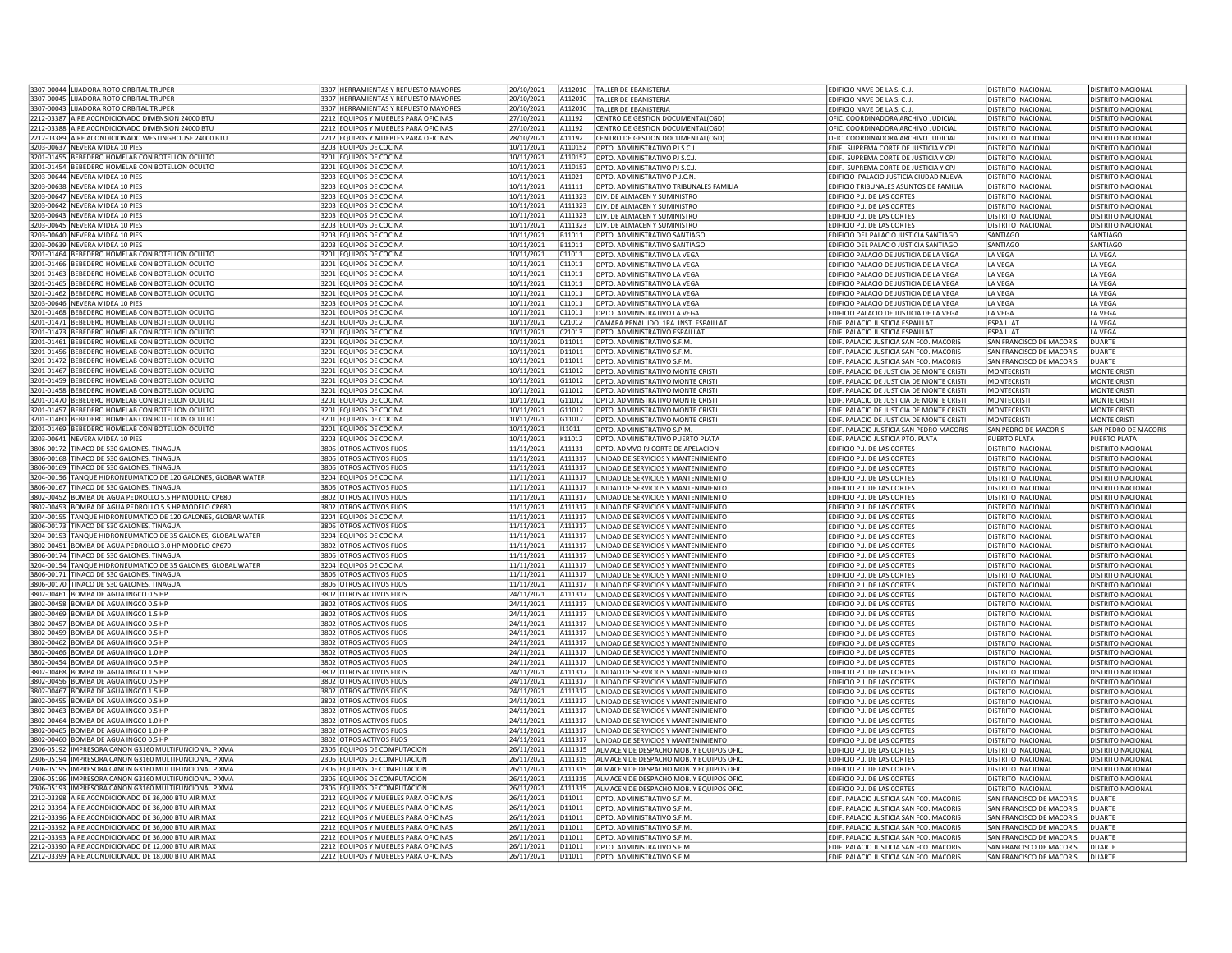| 3307-00044 LIJADORA ROTO ORBITAL TRUPER                                                         | 3307 HERRAMIENTAS Y REPUESTO MAYORES                                         | 20/10/2021               |                    | A112010            | TALLER DE EBANISTERIA                                                      | EDIFICIO NAVE DE LA S. C. J.                                                           | DISTRITO NACIONAL                                    | DISTRITO NACIONAL                      |
|-------------------------------------------------------------------------------------------------|------------------------------------------------------------------------------|--------------------------|--------------------|--------------------|----------------------------------------------------------------------------|----------------------------------------------------------------------------------------|------------------------------------------------------|----------------------------------------|
| 3307-00045 LIJADORA ROTO ORBITAL TRUPER                                                         | 3307 HERRAMIENTAS Y REPUESTO MAYORES                                         | 20/10/2021               |                    | A112010            | TALLER DE FRANISTERIA                                                      | EDIFICIO NAVE DE LA S. C. J.                                                           | DISTRITO NACIONAL                                    | DISTRITO NACIONAL                      |
| 3307-00043<br><b>IJADORA ROTO ORBITAL TRUPER</b>                                                | 307 HERRAMIENTAS Y REPUESTO MAYORES                                          | 20/10/2021               |                    | A112010            | TALLER DE EBANISTERIA                                                      | EDIFICIO NAVE DE LA S. C. J.                                                           | <b>DISTRITO NACIONAL</b>                             | DISTRITO NACIONAL                      |
| 2212-03387<br>AIRE ACONDICIONADO DIMENSION 24000 BTU                                            | 2212 EQUIPOS Y MUEBLES PARA OFICINAS                                         | 27/10/2021               | A11192             |                    | CENTRO DE GESTION DOCUMENTAL(CGD)                                          | OFIC. COORDINADORA ARCHIVO JUDICIAL                                                    | <b>ISTRITO NACIONAL</b>                              | DISTRITO NACIONAL                      |
| AIRE ACONDICIONADO DIMENSION 24000 BTU<br>2212-03388                                            | 2212 EQUIPOS Y MUEBLES PARA OFICINAS                                         | 27/10/2021               | A11192             |                    | CENTRO DE GESTION DOCUMENTAL(CGD)                                          | OFIC. COORDINADORA ARCHIVO JUDICIAL                                                    | DISTRITO NACIONAL                                    | DISTRITO NACIONAL                      |
| AIRE ACONDICIONADO WESTINGHOUSE 24000 BTU<br>2212-03389                                         | 2212 EQUIPOS Y MUEBLES PARA OFICINAS                                         | 28/10/2021               | A11192             |                    | CENTRO DE GESTION DOCUMENTAL(CGD                                           | OFIC. COORDINADORA ARCHIVO JUDICIAL                                                    | DISTRITO NACIONAL                                    | DISTRITO NACIONAL                      |
| 3203-00637<br>NEVERA MIDEA 10 PIES                                                              | 3203 EQUIPOS DE COCINA                                                       | 10/11/2021               |                    | A110152            | DPTO. ADMINISTRATIVO PJ S.C.J.                                             | EDIF. SUPREMA CORTE DE JUSTICIA Y CPJ                                                  | DISTRITO NACIONAL                                    | DISTRITO NACIONAL                      |
| 3201-01455 BEBEDERO HOMELAB CON BOTELLON OCULTO                                                 | 3201 EQUIPOS DE COCINA                                                       | 10/11/2021               |                    | A110152            | DPTO. ADMINISTRATIVO PJ S.C.J.                                             | EDIF. SUPREMA CORTE DE JUSTICIA Y CPJ                                                  | DISTRITO NACIONAL                                    | DISTRITO NACIONAL                      |
| 3201-01454 BEBEDERO HOMELAB CON BOTELLON OCULTO                                                 | 3201 EQUIPOS DE COCINA                                                       | 10/11/2021               |                    | A110152            | DPTO. ADMINISTRATIVO PJ S.C.J.                                             | EDIF. SUPREMA CORTE DE JUSTICIA Y CPJ                                                  | DISTRITO NACIONAL                                    | DISTRITO NACIONAL                      |
| 3203-00644 NEVERA MIDEA 10 PIES<br>NEVERA MIDEA 10 PIES<br>3203-00638                           | 3203 EQUIPOS DE COCINA<br>3203 EQUIPOS DE COCINA                             | 10/11/2021               | A11111             | A11021             | DPTO, ADMINISTRATIVO P.J.C.N.                                              | EDIFICIO PALACIO JUSTICIA CIUDAD NUEVA                                                 | DISTRITO NACIONAL                                    | DISTRITO NACIONAL                      |
|                                                                                                 |                                                                              | 10/11/2021               |                    |                    | DPTO. ADMINISTRATIVO TRIBUNALES FAMILIA                                    | <b>EDIFICIO TRIBUNALES ASUNTOS DE FAMILIA</b>                                          | <b>ISTRITO NACIONAL</b>                              | <b>DISTRITO NACIONAL</b>               |
| 3203-00647 NEVERA MIDEA 10 PIES<br>3203-00642 NEVERA MIDEA 10 PIES                              | 3203 EQUIPOS DE COCINA<br>3203 EQUIPOS DE COCINA                             | 10/11/2021<br>10/11/2021 |                    | A111323<br>A111323 | DIV. DE ALMACEN Y SUMINISTRO<br>DIV. DE ALMACEN Y SUMINISTRO               | EDIFICIO P.J. DE LAS CORTES                                                            | DISTRITO NACIONAL<br>DISTRITO NACIONAL               | DISTRITO NACIONAL<br>DISTRITO NACIONAL |
| 3203-00643 NEVERA MIDEA 10 PIES                                                                 | 3203 EQUIPOS DE COCINA                                                       | 10/11/2021               |                    | A111323            | DIV. DE ALMACEN Y SUMINISTRO                                               | EDIFICIO P.J. DE LAS CORTES<br>EDIFICIO P.J. DE LAS CORTES                             | DISTRITO NACIONAL                                    | DISTRITO NACIONAL                      |
| 3203-00645 NEVERA MIDEA 10 PIES                                                                 | 3203 EQUIPOS DE COCINA                                                       | 10/11/2021               |                    | A111323            | DIV. DE ALMACEN Y SUMINISTRO                                               | EDIFICIO P.J. DE LAS CORTES                                                            | DISTRITO NACIONAL                                    | DISTRITO NACIONAL                      |
| 3203-00640 NEVERA MIDEA 10 PIES                                                                 | 3203 EQUIPOS DE COCINA                                                       | 10/11/2021               | B11011             |                    | DPTO. ADMINISTRATIVO SANTIAGO                                              | EDIFICIO DEL PALACIO JUSTICIA SANTIAGO                                                 | <b>SANTIAGO</b>                                      | SANTIAGO                               |
| 3203-00639 NEVERA MIDEA 10 PIFS                                                                 | 3203 FOUROS DE COCINA                                                        | 10/11/2021               | B11011             |                    | DPTO, ADMINISTRATIVO SANTIAGO                                              | EDIFICIO DEL PALACIO JUSTICIA SANTIAGO                                                 | SANTIAGO                                             | SANTIAGO                               |
| 3201-01464<br>BEBEDERO HOMELAB CON BOTELLON OCULTO                                              | 3201 EQUIPOS DE COCINA                                                       | 10/11/2021               | C11011             |                    | OPTO. ADMINISTRATIVO LA VEGA                                               | EDIFICIO PALACIO DE JUSTICIA DE LA VEGA                                                | LA VEGA                                              | LA VEGA                                |
| 3201-01466 BEBEDERO HOMELAB CON BOTELLON OCULTO                                                 | 3201 EQUIPOS DE COCINA                                                       | 10/11/2021               | C11011             |                    | DPTO. ADMINISTRATIVO LA VEGA                                               | EDIFICIO PALACIO DE JUSTICIA DE LA VEGA                                                | LA VEGA                                              | LA VEGA                                |
| 3201-01463 BEBEDERO HOMELAB CON BOTELLON OCULTO                                                 | 3201 EQUIPOS DE COCINA                                                       | 10/11/2021               | C11011             |                    | DPTO. ADMINISTRATIVO LA VEGA                                               | EDIFICIO PALACIO DE JUSTICIA DE LA VEGA                                                | LA VEGA                                              | LA VEGA                                |
| BEBEDERO HOMELAB CON BOTELLON OCULTO<br>3201-01465                                              | 3201 EQUIPOS DE COCINA                                                       | 10/11/2021               | C <sub>11011</sub> |                    | DPTO. ADMINISTRATIVO LA VEGA                                               | EDIFICIO PALACIO DE JUSTICIA DE LA VEGA                                                | <b>IA VEGA</b>                                       | LA VEGA                                |
| 3201-01462 BEBEDERO HOMELAB CON BOTELLON OCULTO                                                 | 3201 EQUIPOS DE COCINA                                                       | 10/11/2021               | C11011             |                    | DPTO. ADMINISTRATIVO LA VEGA                                               | EDIFICIO PALACIO DE JUSTICIA DE LA VEGA                                                | LA VEGA                                              | LA VEGA                                |
| 3203-00646 NEVERA MIDEA 10 PIES                                                                 | 3203 EQUIPOS DE COCINA                                                       | 10/11/2021               | C11011             |                    | DPTO. ADMINISTRATIVO LA VEGA                                               | EDIFICIO PALACIO DE JUSTICIA DE LA VEGA                                                | LA VEGA                                              | LA VEGA                                |
| 3201-01468 BEBEDERO HOMELAB CON BOTELLON OCULTO                                                 | 3201 FOUIPOS DE COCINA                                                       | 10/11/2021               | C11011             |                    | DPTO. ADMINISTRATIVO LA VEGA                                               | EDIFICIO PALACIO DE JUSTICIA DE LA VEGA                                                | LA VEGA                                              | LA VEGA                                |
| 3201-01471 BEBEDERO HOMELAB CON BOTELLON OCULTO                                                 | 3201 EQUIPOS DE COCINA                                                       | 10/11/2021               | C21012             |                    | CAMARA PENAL IDO, 1RA, INST. ESPAILLAT                                     | FDIF. PALACIO ILISTICIA ESPAILLAT                                                      | ESPAILLAT                                            | <b>A VFGA</b>                          |
| BEBEDERO HOMELAB CON BOTELLON OCULTO<br>3201-01473                                              | 3201 EQUIPOS DE COCINA                                                       | 10/11/2021               | C21013             |                    | DPTO, ADMINISTRATIVO ESPAILLAT                                             | EDIF. PALACIO JUSTICIA ESPAILLAT                                                       | ESPAILLAT                                            | A VEGA                                 |
| 3201-01461<br>BEBEDERO HOMELAB CON BOTELLON OCULTO                                              | 3201 EQUIPOS DE COCINA                                                       | 10/11/2021               | D11011             |                    | DPTO. ADMINISTRATIVO S.F.M.                                                | EDIF. PALACIO JUSTICIA SAN FCO. MACORIS                                                | SAN FRANCISCO DE MACORIS                             | DUARTE                                 |
| 3201-01456 BEBEDERO HOMELAB CON BOTELLON OCULTO                                                 | 3201 FOUROS DE COCINA                                                        | 10/11/2021               | D11011             |                    | DPTO, ADMINISTRATIVO S.F.M.                                                | EDIF. PALACIO JUSTICIA SAN FCO. MACORIS                                                | SAN FRANCISCO DE MACORIS                             | DUARTE                                 |
| 3201-01472<br>BEBEDERO HOMELAB CON BOTELLON OCULTO                                              | 3201 EQUIPOS DE COCINA                                                       | 10/11/2021               | D11011             |                    | DPTO. ADMINISTRATIVO S.F.M.                                                | EDIF. PALACIO JUSTICIA SAN FCO. MACORIS                                                | SAN FRANCISCO DE MACORIS                             | DUARTE                                 |
| 3201-01467 BEBEDERO HOMELAB CON BOTELLON OCULTO                                                 | 3201 EQUIPOS DE COCINA                                                       | 10/11/2021               | G11012             |                    | DPTO, ADMINISTRATIVO MONTE CRIST                                           | EDIF. PALACIO DE JUSTICIA DE MONTE CRISTI                                              | MONTECRISTI                                          | MONTE CRIST                            |
| 3201-01459 BEBEDERO HOMELAB CON BOTELLON OCULTO                                                 | 3201 EQUIPOS DE COCINA                                                       | 10/11/2021               |                    | G11012             | DPTO. ADMINISTRATIVO MONTE CRISTI                                          | EDIF. PALACIO DE JUSTICIA DE MONTE CRISTI                                              | MONTECRISTI                                          | MONTE CRIST                            |
| BEBEDERO HOMELAB CON BOTELLON OCULTO<br>3201-01458<br>3201-01470                                | 3201 EQUIPOS DE COCINA                                                       | 10/11/2021               |                    | G11012             | DPTO. ADMINISTRATIVO MONTE CRIST                                           | EDIF. PALACIO DE JUSTICIA DE MONTE CRISTI                                              | <b>MONTFCRIST</b>                                    | <b>MONTE CRIST</b>                     |
| BEBEDERO HOMELAB CON BOTELLON OCULTO<br>3201-01457 BEBEDERO HOMELAB CON BOTELLON OCULTO         | 3201 EQUIPOS DE COCINA<br>3201 EQUIPOS DE COCINA                             | 10/11/2021               | G11012             | G11012             | OPTO. ADMINISTRATIVO MONTE CRISTI                                          | EDIF, PALACIO DE JUSTICIA DE MONTE CRISTI                                              | <b>MONTECRISTI</b>                                   | <b>MONTE CRIST</b>                     |
| 3201-01460<br>BEBEDERO HOMELAB CON BOTELLON OCULTO                                              | 3201 EQUIPOS DE COCINA                                                       | 10/11/2021<br>10/11/2021 |                    | G11012             | OPTO. ADMINISTRATIVO MONTE CRISTI<br>DPTO. ADMINISTRATIVO MONTE CRISTI     | EDIF. PALACIO DE JUSTICIA DE MONTE CRISTI<br>EDIF. PALACIO DE JUSTICIA DE MONTE CRISTI | <b>MONTECRISTI</b><br><b>MONTECRISTI</b>             | MONTE CRISTI<br>MONTE CRISTI           |
| 3201-01469 BEBEDERO HOMELAB CON BOTELLON OCULTO                                                 | 3201 EQUIPOS DE COCINA                                                       | 10/11/2021               | 111011             |                    | DPTO. ADMINISTRATIVO S.P.M.                                                | EDIF. PALACIO JUSTICIA SAN PEDRO MACORIS                                               | SAN PEDRO DE MACORIS                                 | SAN PEDRO DE MACORIS                   |
| 3203-00641 NEVERA MIDEA 10 PIES                                                                 | 3203 EQUIPOS DE COCINA                                                       | 10/11/2021               | K11012             |                    | DPTO. ADMINISTRATIVO PUERTO PLATA                                          | EDIF. PALACIO JUSTICIA PTO. PLATA                                                      | PUERTO PLATA                                         | PUERTO PLATA                           |
| 3806-00172 TINACO DE 530 GALONES, TINAGUA                                                       | 3806 OTROS ACTIVOS FIJOS                                                     | 11/11/2021               | A11131             |                    | DPTO. ADMVO PJ CORTE DE APELACION                                          | EDIFICIO P.J. DE LAS CORTES                                                            | DISTRITO NACIONAL                                    | DISTRITO NACIONAL                      |
| 3806-00168<br>TINACO DE 530 GALONES, TINAGUA                                                    | 3806 OTROS ACTIVOS FIJOS                                                     | 11/11/2021               |                    | A111317            | UNIDAD DE SERVICIOS Y MANTENIMIENTO                                        | EDIFICIO P.J. DE LAS CORTES                                                            | DISTRITO NACIONAL                                    | DISTRITO NACIONAL                      |
| TINACO DE 530 GALONES, TINAGUA<br>3806-00169                                                    | 806 OTROS ACTIVOS FIJOS                                                      | 11/11/2021               |                    | A111317            | UNIDAD DE SERVICIOS Y MANTENIMIENTO                                        | EDIFICIO P.J. DE LAS CORTES                                                            | <b>ISTRITO NACIONAL</b>                              | DISTRITO NACIONAL                      |
| TANQUE HIDRONEUMATICO DE 120 GALONES, GLOBAR WATER<br>3204-00156                                | 3204 EQUIPOS DE COCINA                                                       | 11/11/2021               |                    | A111317            | JNIDAD DE SERVICIOS Y MANTENIMIENTO                                        | <b>EDIFICIO P.J. DE LAS CORTES</b>                                                     | <b>ISTRITO NACIONAL</b>                              | <b>DISTRITO NACIONAL</b>               |
| 3806-00167<br><b>FINACO DE 530 GALONES, TINAGUA</b>                                             | 3806 OTROS ACTIVOS FIJOS                                                     | 11/11/2021               |                    | A111317            | JNIDAD DE SERVICIOS Y MANTENIMIENTO                                        | EDIFICIO P.J. DE LAS CORTES                                                            | <b>ISTRITO NACIONAL</b>                              | DISTRITO NACIONAL                      |
| 3802-00452<br>BOMBA DE AGUA PEDROLLO 5.5 HP MODELO CP680                                        | 3802 OTROS ACTIVOS FIJOS                                                     | 11/11/2021               |                    | A111317            | UNIDAD DE SERVICIOS Y MANTENIMIENTO                                        | EDIFICIO P.J. DE LAS CORTES                                                            | DISTRITO NACIONAL                                    | DISTRITO NACIONAL                      |
| 3802-00453<br>BOMBA DE AGUA PEDROLLO 5.5 HP MODELO CP680                                        | 3802 OTROS ACTIVOS FIJOS                                                     | 11/11/2021               |                    | A111317            | UNIDAD DE SERVICIOS Y MANTENIMIENTO                                        | EDIFICIO P.J. DE LAS CORTES                                                            | DISTRITO NACIONAL                                    | DISTRITO NACIONAL                      |
| TANQUE HIDRONEUMATICO DE 120 GALONES, GLOBAR WATER<br>3204-00155                                | 3204 EQUIPOS DE COCINA                                                       | 11/11/2021               |                    | A111317            | UNIDAD DE SERVICIOS Y MANTENIMIENTO                                        | EDIFICIO P.J. DE LAS CORTES                                                            | DISTRITO NACIONAL                                    | DISTRITO NACIONAL                      |
| 3806-00173 TINACO DE 530 GALONES, TINAGUA                                                       | 3806 OTROS ACTIVOS FIJOS                                                     | 11/11/2021               |                    | A111317            | UNIDAD DE SERVICIOS Y MANTENIMIENTO                                        | EDIFICIO P.J. DE LAS CORTES                                                            | DISTRITO NACIONAL                                    | DISTRITO NACIONAL                      |
| TANQUE HIDRONEUMATICO DE 35 GALONES, GLOBAL WATER<br>3204-00153                                 | 3204 EQUIPOS DE COCINA                                                       | 11/11/2021               |                    | A111317            | UNIDAD DE SERVICIOS Y MANTENIMIENTO                                        | EDIFICIO P.J. DE LAS CORTES                                                            | DISTRITO NACIONAL                                    | DISTRITO NACIONAL                      |
| 3802-00451<br>BOMBA DE AGUA PEDROLLO 3.0 HP MODELO CP670                                        | 802 OTROS ACTIVOS FIJOS                                                      | 11/11/2021               |                    | A111317            | JNIDAD DE SERVICIOS Y MANTENIMIENTO                                        | <b>DIFICIO P.J. DE LAS CORTES</b>                                                      | ISTRITO NACIONAL                                     | DISTRITO NACIONAL                      |
| 3806-00174 TINACO DE 530 GALONES, TINAGUA                                                       | 3806 OTROS ACTIVOS FIJOS                                                     | 11/11/2021               |                    | A111317            | JNIDAD DE SERVICIOS Y MANTENIMIENTO                                        | EDIFICIO P.J. DE LAS CORTES                                                            | <b>ISTRITO NACIONAL</b>                              | DISTRITO NACIONAL                      |
| 3204-00154 TANQUE HIDRONEUMATICO DE 35 GALONES, GLOBAL WATER                                    | 3204 EQUIPOS DE COCINA                                                       | 11/11/2021               |                    | A111317            | UNIDAD DE SERVICIOS Y MANTENIMIENTO                                        | EDIFICIO P.J. DE LAS CORTES                                                            | DISTRITO NACIONAL                                    | DISTRITO NACIONAL                      |
| TINACO DE 530 GALONES, TINAGUA<br>3806-00171                                                    | 3806 OTROS ACTIVOS FIJOS                                                     | 11/11/2021               |                    | A111317            | UNIDAD DE SERVICIOS Y MANTENIMIENTO                                        | EDIFICIO P.J. DE LAS CORTES                                                            | DISTRITO NACIONAL                                    | DISTRITO NACIONAL                      |
| 3806-00170 TINACO DE 530 GALONES. TINAGUA                                                       | 3806 OTROS ACTIVOS FIJOS                                                     | 11/11/2021               |                    | A111317            | UNIDAD DE SERVICIOS Y MANTENIMIENTO                                        | EDIFICIO P.J. DE LAS CORTES                                                            | DISTRITO NACIONAL                                    | DISTRITO NACIONAL                      |
| 3802-00461 BOMBA DE AGUA INGCO 0.5 HP                                                           | 3802 OTROS ACTIVOS FIJOS                                                     | 24/11/2021               |                    | A111317            | UNIDAD DE SERVICIOS Y MANTENIMIENTO                                        | EDIFICIO P.J. DE LAS CORTES                                                            | DISTRITO NACIONAL                                    | DISTRITO NACIONAL                      |
| 3802-00458 BOMBA DE AGUA INGCO 0.5 HP<br>3802-00469<br>BOMBA DE AGUA INGCO 1.5 HP               | 3802 OTROS ACTIVOS FIJOS<br>802 OTROS ACTIVOS FIJOS                          | 24/11/2021<br>24/11/2021 |                    | A111317<br>A111317 | UNIDAD DE SERVICIOS Y MANTENIMIENTO<br>UNIDAD DE SERVICIOS Y MANTENIMIENTO | EDIFICIO P.J. DE LAS CORTES<br>FDIFICIO P. I. DE LAS CORTES                            | DISTRITO NACIONAL<br>DISTRITO NACIONAL               | DISTRITO NACIONAL<br>DISTRITO NACIONAL |
| 3802-00457<br>BOMBA DE AGUA INGCO 0.5 HP                                                        | 8802 OTROS ACTIVOS FIJOS                                                     | 24/11/2021               |                    | A111317            | JNIDAD DE SERVICIOS Y MANTENIMIENTO                                        | <b>EDIFICIO P.J. DE LAS CORTES</b>                                                     | <b>ISTRITO NACIONAL</b>                              | <b>DISTRITO NACIONAL</b>               |
| 3802-00459<br>BOMBA DE AGUA INGCO 0.5 HP                                                        | 3802 OTROS ACTIVOS FIJOS                                                     | 24/11/2021               |                    | A111317            | JNIDAD DE SERVICIOS Y MANTENIMIENTO                                        | EDIFICIO P.J. DE LAS CORTES                                                            | DISTRITO NACIONAL                                    | DISTRITO NACIONAL                      |
| 3802-00462 BOMBA DE AGUA INGCO 0.5 HP                                                           | 3802 OTROS ACTIVOS FIJOS                                                     | 24/11/2021               |                    | A111317            | UNIDAD DE SERVICIOS Y MANTENIMIENTO                                        | EDIFICIO P.J. DE LAS CORTES                                                            | DISTRITO NACIONAL                                    | DISTRITO NACIONAL                      |
| 3802-00466 BOMBA DE AGUA INGCO 1.0 HP                                                           | 3802 OTROS ACTIVOS FIJOS                                                     | 24/11/2021               |                    | A111317            | UNIDAD DE SERVICIOS Y MANTENIMIENTO                                        | <b>EDIFICIO P.I. DE LAS CORTES</b>                                                     | DISTRITO NACIONAL                                    | DISTRITO NACIONAL                      |
| BOMBA DE AGUA INGCO 0.5 HP<br>3802-00454                                                        | 3802 OTROS ACTIVOS FIJOS                                                     | 24/11/2021               |                    | A111317            | UNIDAD DE SERVICIOS Y MANTENIMIENTO                                        | EDIFICIO P.J. DE LAS CORTES                                                            | DISTRITO NACIONAL                                    | DISTRITO NACIONAL                      |
| 3802-00468<br>BOMBA DE AGUA INGCO 1.5 HP                                                        | 3802 OTROS ACTIVOS FIJOS                                                     | 24/11/2021               |                    | A111317            | UNIDAD DE SERVICIOS Y MANTENIMIENTO                                        | EDIFICIO P.J. DE LAS CORTES                                                            | DISTRITO NACIONAL                                    | DISTRITO NACIONAL                      |
| 3802-00456 BOMBA DE AGUA INGCO 0.5 HP                                                           | 3802 OTROS ACTIVOS FLIOS                                                     | 24/11/2021               |                    | A111317            | UNIDAD DE SERVICIOS Y MANTENIMIENTO                                        | EDIFICIO P.J. DE LAS CORTES                                                            | DISTRITO NACIONAL                                    | DISTRITO NACIONAL                      |
| 3802-00467<br>BOMBA DE AGUA INGCO 1.5 HP                                                        | 8802 OTROS ACTIVOS FIJOS                                                     | 24/11/2021               |                    | A111317            | JNIDAD DE SERVICIOS Y MANTENIMIENTO                                        | EDIFICIO P.J. DE LAS CORTES                                                            | <b>DISTRITO NACIONAL</b>                             | DISTRITO NACIONAL                      |
| 3802-00455<br>BOMBA DE AGUA INGCO 0.5 HP                                                        | 3802 OTROS ACTIVOS FIJOS                                                     | 24/11/2021               |                    | A111317            | JNIDAD DE SERVICIOS Y MANTENIMIENTO                                        | EDIFICIO P.J. DE LAS CORTES                                                            | ISTRITO NACIONAL                                     | DISTRITO NACIONAL                      |
| 3802-00463<br>BOMBA DE AGUA INGCO 0.5 HF                                                        | 3802 OTROS ACTIVOS FIJOS                                                     | 24/11/2021               |                    | A111317            | UNIDAD DE SERVICIOS Y MANTENIMIENTO                                        | EDIFICIO P.J. DE LAS CORTES                                                            | DISTRITO NACIONAL                                    | DISTRITO NACIONAL                      |
| BOMBA DE AGUA INGCO 1.0 HP<br>3802-00464                                                        | 3802 OTROS ACTIVOS FIJOS                                                     | 24/11/2021               |                    | A111317            | UNIDAD DE SERVICIOS Y MANTENIMIENTO                                        | EDIFICIO P.J. DE LAS CORTES                                                            | DISTRITO NACIONAL                                    | DISTRITO NACIONAL                      |
| 3802-00465<br>BOMBA DE AGUA INGCO 1.0 HP                                                        | 3802 OTROS ACTIVOS FIJOS                                                     | 24/11/2021               |                    | A111317            | UNIDAD DE SERVICIOS Y MANTENIMIENTO                                        | EDIFICIO P.J. DE LAS CORTES                                                            | DISTRITO NACIONAL                                    | DISTRITO NACIONAL                      |
| 3802-00460 BOMBA DE AGUA INGCO 0.5 HP                                                           | 3802 OTROS ACTIVOS FIJOS                                                     | 24/11/2021               |                    | A111317            | UNIDAD DE SERVICIOS Y MANTENIMIENTO                                        | EDIFICIO P.J. DE LAS CORTES                                                            | <b>DISTRITO NACIONAL</b>                             | DISTRITO NACIONAL                      |
| 2306-05192   IMPRESORA CANON G3160 MULTIFUNCIONAL PIXMA                                         | 2306 EQUIPOS DE COMPUTACION                                                  | 26/11/2021               |                    | A111315            | ALMACEN DE DESPACHO MOB. Y EQUIPOS OFIC                                    | EDIFICIO P.J. DE LAS CORTES                                                            | DISTRITO NACIONAL                                    | DISTRITO NACIONAL                      |
| IMPRESORA CANON G3160 MULTIFUNCIONAL PIXMA<br>2306-05194                                        | 2306 EQUIPOS DE COMPUTACION                                                  | 26/11/2021               |                    | A111315            | ALMACEN DE DESPACHO MOB. Y EQUIPOS OFIC                                    | EDIFICIO P.J. DE LAS CORTES                                                            | DISTRITO NACIONAL                                    | DISTRITO NACIONAL                      |
| 2306-05195<br>IMPRESORA CANON G3160 MULTIFUNCIONAL PIXMA                                        | 2306 EQUIPOS DE COMPUTACION                                                  | 26/11/2021               |                    | A111315            | ALMACEN DE DESPACHO MOB. Y EQUIPOS OFIC                                    | <b>EDIFICIO P.J. DE LAS CORTES</b>                                                     | <b>ISTRITO NACIONAL</b>                              | <b>DISTRITO NACIONAL</b>               |
| 2306-05196<br>IMPRESORA CANON G3160 MULTIFUNCIONAL PIXMA                                        | 2306 EQUIPOS DE COMPUTACION                                                  | 26/11/2021               |                    | A111315            | ALMACEN DE DESPACHO MOB. Y EQUIPOS OFIC                                    | EDIFICIO P.J. DE LAS CORTES                                                            | DISTRITO NACIONAL                                    | <b>DISTRITO NACIONAL</b>               |
| 2306-05193 IMPRESORA CANON G3160 MUITIEUNCIONAL PIXMA<br>2212-03398                             | 2306 EQUIPOS DE COMPUTACION                                                  | 26/11/2021               |                    | A111315            | ALMACEN DE DESPACHO MOB. Y EQUIPOS OFIC                                    | EDIFICIO P.J. DE LAS CORTES                                                            | <b>DISTRITO NACIONAL</b>                             | DISTRITO NACIONAL                      |
| AIRE ACONDICIONADO DE 36,000 BTU AIR MAX<br>2212-03394 AIRE ACONDICIONADO DE 36,000 BTU AIR MAX | 2212 EQUIPOS Y MUEBLES PARA OFICINAS<br>2212 EQUIPOS Y MUEBLES PARA OFICINAS | 26/11/2021<br>26/11/2021 | D11011<br>D11011   |                    | DPTO. ADMINISTRATIVO S.F.M.                                                | EDIF. PALACIO JUSTICIA SAN FCO. MACORIS                                                | SAN FRANCISCO DE MACORIS                             | <b>DUARTE</b>                          |
| 2212-03396 AIRE ACONDICIONADO DE 36,000 BTU AIR MAX                                             | 2212 EQUIPOS Y MUEBLES PARA OFICINAS                                         | 26/11/2021               | D11011             |                    | DPTO. ADMINISTRATIVO S.F.M.<br>DPTO, ADMINISTRATIVO S.F.M                  | EDIF. PALACIO JUSTICIA SAN FCO. MACORIS<br>EDIF. PALACIO JUSTICIA SAN FCO. MACORIS     | SAN FRANCISCO DE MACORIS<br>SAN FRANCISCO DE MACORIS | DUARTE<br>DUARTF                       |
| AIRE ACONDICIONADO DE 36,000 BTU AIR MAX<br>2212-03392                                          | 2212 EQUIPOS Y MUEBLES PARA OFICINAS                                         | 26/11/2021               | D11011             |                    | DPTO, ADMINISTRATIVO S.F.M.                                                | EDIF. PALACIO JUSTICIA SAN FCO. MACORIS                                                | SAN FRANCISCO DE MACORIS                             | DUARTE                                 |
| 2212-03393<br>AIRE ACONDICIONADO DE 36,000 BTU AIR MAX                                          | 2212 EQUIPOS Y MUEBLES PARA OFICINAS                                         | 26/11/2021               | D11011             |                    | DPTO. ADMINISTRATIVO S.F.M.                                                | EDIF. PALACIO JUSTICIA SAN FCO. MACORIS                                                | SAN FRANCISCO DE MACORIS                             | <b>DUARTE</b>                          |
| 2212-03390 AIRE ACONDICIONADO DE 12,000 BTU AIR MAX                                             | 2212 EQUIPOS Y MUEBLES PARA OFICINAS                                         | 26/11/2021               | D11011             |                    | DPTO. ADMINISTRATIVO S.F.M.                                                | EDIF. PALACIO JUSTICIA SAN FCO. MACORIS                                                | SAN FRANCISCO DE MACORIS                             | <b>DUARTE</b>                          |
| 2212-03399 AIRE ACONDICIONADO DE 18,000 BTU AIR MAX                                             | 2212 EQUIPOS Y MUEBLES PARA OFICINAS                                         | 26/11/2021               |                    | D11011             | DPTO. ADMINISTRATIVO S.F.M.                                                | EDIF. PALACIO JUSTICIA SAN FCO. MACORIS                                                | SAN FRANCISCO DE MACORIS                             | <b>DUARTE</b>                          |
|                                                                                                 |                                                                              |                          |                    |                    |                                                                            |                                                                                        |                                                      |                                        |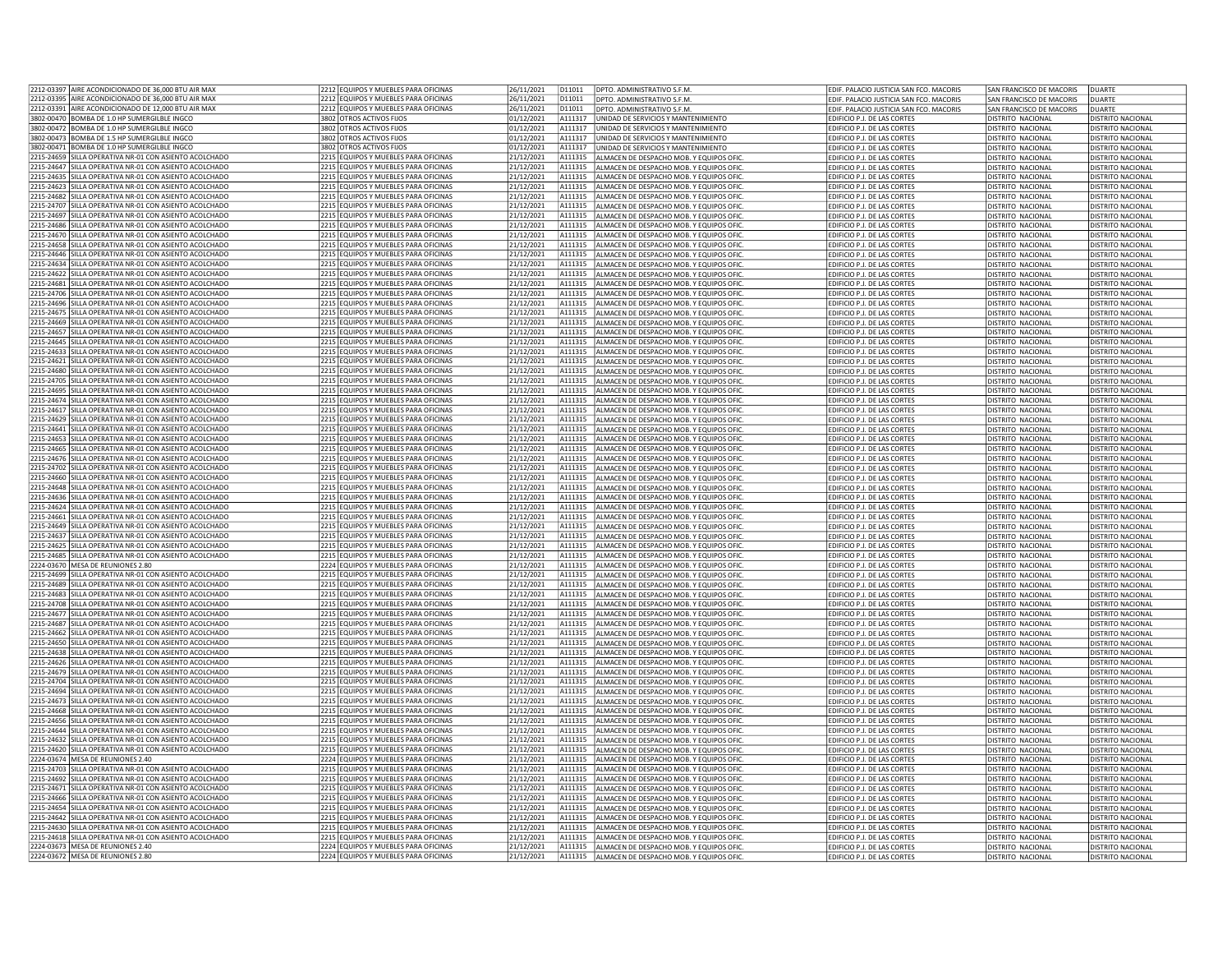| 2212-03397 AIRE ACONDICIONADO DE 36.000 BTU AIR MAX                                                              | 2212 EQUIPOS Y MUEBLES PARA OFICINAS                                         | 26/11/2021               | D11011             | DPTO, ADMINISTRATIVO S.F.M.                                                        | EDIF, PALACIO JUSTICIA SAN FCO, MACORIS                           | SAN FRANCISCO DE MACORIS               | <b>DUARTE</b>                                 |
|------------------------------------------------------------------------------------------------------------------|------------------------------------------------------------------------------|--------------------------|--------------------|------------------------------------------------------------------------------------|-------------------------------------------------------------------|----------------------------------------|-----------------------------------------------|
| 2212-03395 AIRE ACONDICIONADO DE 36,000 BTU AIR MAX                                                              | 2212 EQUIPOS Y MUEBLES PARA OFICINAS                                         | 26/11/2021               | D11011             | DPTO. ADMINISTRATIVO S.F.M.                                                        | FDIE, PALACIO ILISTICIA SAN FCO, MACORIS                          | SAN FRANCISCO DE MACORIS               | DUARTE                                        |
| 2212-03391 AIRE ACONDICIONADO DE 12,000 BTU AIR MAX                                                              | 2212 EQUIPOS Y MUEBLES PARA OFICINAS                                         | 26/11/2021               | D11011             | DPTO, ADMINISTRATIVO S.F.M                                                         | EDIF. PALACIO JUSTICIA SAN FCO. MACORIS                           | SAN FRANCISCO DE MACORIS               | <b>DUARTE</b>                                 |
| 3802-00470 BOMBA DE 1.0 HP SUMERGILBLE INGCO                                                                     | 3802 OTROS ACTIVOS FIJOS                                                     | 01/12/2021               | A111317            | UNIDAD DE SERVICIOS Y MANTENIMIENTO                                                | EDIFICIO P.J. DE LAS CORTES                                       | DISTRITO NACIONAL                      | DISTRITO NACIONAL                             |
| 3802-00472 BOMBA DE 1.0 HP SUMERGILBLE INGCO                                                                     | 3802 OTROS ACTIVOS FIJOS                                                     | 01/12/2021               | A111317            | UNIDAD DE SERVICIOS Y MANTENIMIENTO                                                | EDIFICIO P.J. DE LAS CORTES                                       | <b>DISTRITO NACIONAL</b>               | <b>DISTRITO NACIONAL</b>                      |
| 3802-00473 BOMBA DE 1.5 HP SUMERGILBLE INGCO                                                                     | 3802 OTROS ACTIVOS FIJOS                                                     | 01/12/2021               | A111317            | UNIDAD DE SERVICIOS Y MANTENIMIENTO                                                | EDIFICIO P.J. DE LAS CORTES                                       | DISTRITO NACIONAL                      | <b>DISTRITO NACIONAL</b>                      |
| 3802-00471 BOMBA DE 1.0 HP SUMERGILBLE INGCO                                                                     | 3802 OTROS ACTIVOS FIJOS                                                     | 01/12/2021               | A111317            | UNIDAD DE SERVICIOS Y MANTENIMIENTO                                                | EDIFICIO P.J. DE LAS CORTES                                       | DISTRITO NACIONAL                      | <b>DISTRITO NACIONAL</b>                      |
| 2215-24659 SILLA OPERATIVA NR-01 CON ASIENTO ACOLCHADO                                                           | 2215 EQUIPOS Y MUEBLES PARA OFICINAS                                         | 21/12/2021               | A111315            | ALMACEN DE DESPACHO MOB. Y EQUIPOS OFIC                                            | EDIFICIO P.J. DE LAS CORTES                                       | <b>DISTRITO NACIONAL</b>               | DISTRITO NACIONAL                             |
| 2215-24647 SILLA OPERATIVA NR-01 CON ASIENTO ACOLCHADO                                                           | 2215 EQUIPOS Y MUEBLES PARA OFICINAS                                         | 21/12/2021               | A111315            | ALMACEN DE DESPACHO MOB. Y EQUIPOS OFIC                                            | EDIFICIO P.J. DE LAS CORTES                                       | DISTRITO NACIONAL                      | DISTRITO NACIONAL                             |
| 2215-24635 SILLA OPERATIVA NR-01 CON ASIENTO ACOLCHADO                                                           | 2215 EQUIPOS Y MUEBLES PARA OFICINAS                                         | 21/12/2021               | A111315            | ALMACEN DE DESPACHO MOB. Y EQUIPOS OFIC                                            | EDIFICIO P.J. DE LAS CORTES                                       | DISTRITO NACIONAL                      | DISTRITO NACIONAL                             |
| 2215-24623  SILLA OPERATIVA NR-01 CON ASIENTO ACOLCHADO                                                          | 2215 EQUIPOS Y MUEBLES PARA OFICINAS                                         | 21/12/2021               | A111315            | ALMACEN DE DESPACHO MOB. Y EQUIPOS OFIC                                            | EDIFICIO P.J. DE LAS CORTES                                       | DISTRITO NACIONAL                      | <b>DISTRITO NACIONAL</b>                      |
| 2215-24682 SILLA OPERATIVA NR-01 CON ASIENTO ACOLCHADO                                                           | 2215 EQUIPOS Y MUEBLES PARA OFICINAS                                         | 21/12/2021               | A111315            | ALMACEN DE DESPACHO MOB. Y EQUIPOS OFIC                                            | EDIFICIO P.J. DE LAS CORTES                                       | DISTRITO NACIONAL                      | <b>DISTRITO NACIONAL</b>                      |
| 2215-24707 SILLA OPERATIVA NR-01 CON ASIENTO ACOLCHADO                                                           | 2215 EQUIPOS Y MUEBLES PARA OFICINAS                                         | 21/12/2021               | A111315            | ALMACEN DE DESPACHO MOB. Y EQUIPOS OFIC                                            | EDIFICIO P.J. DE LAS CORTES                                       | <b>DISTRITO NACIONAL</b>               | <b>DISTRITO NACIONAL</b>                      |
| 2215-24697 SILLA OPERATIVA NR-01 CON ASIENTO ACOLCHADO                                                           | 2215 EQUIPOS Y MUEBLES PARA OFICINAS                                         | 21/12/2021               | A111315            | ALMACEN DE DESPACHO MOB. Y EQUIPOS OFIC                                            | <b>EDIFICIO P.I. DE LAS CORTES</b>                                | DISTRITO NACIONAL                      | DISTRITO NACIONAL                             |
| 2215-24686 SILLA OPERATIVA NR-01 CON ASIENTO ACOLCHADO                                                           | 2215 EQUIPOS Y MUEBLES PARA OFICINAS                                         | 21/12/2021               | A111315            | ALMACEN DE DESPACHO MOB. Y EQUIPOS OFIC                                            | EDIFICIO P.J. DE LAS CORTES                                       | DISTRITO NACIONAL                      | <b>DISTRITO NACIONAL</b>                      |
| 2215-24670 SILLA OPERATIVA NR-01 CON ASIENTO ACOLCHADO                                                           | 2215 EQUIPOS Y MUEBLES PARA OFICINAS                                         |                          | A111315            |                                                                                    |                                                                   |                                        |                                               |
| 2215-24658 SILLA OPERATIVA NR-01 CON ASIENTO ACOLCHADO                                                           | 2215 FOUIPOS Y MUFBLES PARA OFICINAS                                         | 21/12/2021               | A111315            | ALMACEN DE DESPACHO MOB. Y EQUIPOS OFIC                                            | EDIFICIO P.J. DE LAS CORTES                                       | DISTRITO NACIONAL                      | DISTRITO NACIONAL                             |
|                                                                                                                  |                                                                              | 21/12/2021               |                    | ALMACEN DE DESPACHO MOB. Y EQUIPOS OFIC                                            | EDIFICIO P.J. DE LAS CORTES                                       | DISTRITO NACIONAL                      | <b>DISTRITO NACIONAL</b>                      |
| 2215-24646 SILLA OPERATIVA NR-01 CON ASIENTO ACOLCHADO                                                           | 2215 EQUIPOS Y MUEBLES PARA OFICINAS                                         | 21/12/2021               | A111315            | ALMACEN DE DESPACHO MOB. Y EQUIPOS OFIC                                            | EDIFICIO P.J. DE LAS CORTES                                       | DISTRITO NACIONAL                      | <b>DISTRITO NACIONAL</b>                      |
| 2215-24634 SILLA OPERATIVA NR-01 CON ASIENTO ACOLCHADO                                                           | 2215 EQUIPOS Y MUEBLES PARA OFICINAS                                         | 21/12/2021               | A111315            | ALMACEN DE DESPACHO MOB. Y EQUIPOS OFIC                                            | EDIFICIO P.J. DE LAS CORTES                                       | DISTRITO NACIONAL                      | DISTRITO NACIONAL                             |
| 2215-24622 SILLA OPERATIVA NR-01 CON ASIENTO ACOLCHADO                                                           | 2215 EQUIPOS Y MUEBLES PARA OFICINAS                                         | 21/12/2021               | A111315            | ALMACEN DE DESPACHO MOB. Y EQUIPOS OFIC                                            | EDIFICIO P.J. DE LAS CORTES                                       | DISTRITO NACIONAL                      | DISTRITO NACIONAL                             |
| 2215-24681 SILLA OPERATIVA NR-01 CON ASIENTO ACOLCHADO                                                           | 2215 EQUIPOS Y MUEBLES PARA OFICINAS                                         | 21/12/2021               | A111315            | ALMACEN DE DESPACHO MOB. Y EQUIPOS OFIC                                            | <b>FDIFICIO P.I. DE LAS CORTES</b>                                | DISTRITO NACIONAL                      | DISTRITO NACIONAL                             |
| 2215-24706 SILLA OPERATIVA NR-01 CON ASIENTO ACOLCHADO                                                           | 2215 EQUIPOS Y MUEBLES PARA OFICINAS                                         | 21/12/2021               | A111315            | ALMACEN DE DESPACHO MOB. Y EQUIPOS OFIC                                            | EDIFICIO P.J. DE LAS CORTES                                       | DISTRITO NACIONAL                      | DISTRITO NACIONAL                             |
| 2215-24696 SILLA OPERATIVA NR-01 CON ASIENTO ACOLCHADO                                                           | 2215 EQUIPOS Y MUEBLES PARA OFICINAS                                         | 21/12/2021               | A111315            | ALMACEN DE DESPACHO MOB. Y EQUIPOS OFIC                                            | EDIFICIO P.J. DE LAS CORTES                                       | DISTRITO NACIONAL                      | DISTRITO NACIONAL                             |
| 2215-24675 SILLA OPERATIVA NR-01 CON ASIENTO ACOLCHADO                                                           | 2215 FOUIPOS Y MUFBLES PARA OFICINAS                                         | 21/12/2021               | A111315            | ALMACEN DE DESPACHO MOB. Y EQUIPOS OFIC                                            | EDIFICIO P.J. DE LAS CORTES                                       | DISTRITO NACIONAL                      | DISTRITO NACIONAL                             |
| 2215-24669 SILLA OPERATIVA NR-01 CON ASIENTO ACOLCHADO                                                           | 2215 EQUIPOS Y MUEBLES PARA OFICINAS                                         | 21/12/2021               | A111315            | ALMACEN DE DESPACHO MOB. Y FOUIPOS OFIC                                            | <b>EDIFICIO P.I. DE LAS CORTES</b>                                | DISTRITO NACIONAL                      | DISTRITO NACIONAL                             |
| 215-24657 SILLA OPERATIVA NR-01 CON ASIENTO ACOLCHADO                                                            | 2215 EQUIPOS Y MUEBLES PARA OFICINAS                                         | 21/12/2021               | A111315            | ALMACEN DE DESPACHO MOB. Y EQUIPOS OFIC                                            | DIFICIO P.J. DE LAS CORTES                                        | DISTRITO NACIONAL                      | <b>DISTRITO NACIONAL</b>                      |
| 2215-24645 SILLA OPERATIVA NR-01 CON ASIENTO ACOLCHADO                                                           | 2215 EQUIPOS Y MUEBLES PARA OFICINAS                                         | 21/12/2021               | A111315            | ALMACEN DE DESPACHO MOB. Y EQUIPOS OFIC                                            | EDIFICIO P.J. DE LAS CORTES                                       | DISTRITO NACIONAL                      | DISTRITO NACIONAL                             |
| 2215-24633 SILLA OPERATIVA NR-01 CON ASIENTO ACOLCHADO                                                           | 2215 FOUIPOS Y MUFBLES PARA OFICINAS                                         | 21/12/2021               | A111315            | ALMACEN DE DESPACHO MOB. Y EQUIPOS OFIC                                            | EDIFICIO P.J. DE LAS CORTES                                       | DISTRITO NACIONAL                      | <b>DISTRITO NACIONAL</b>                      |
| 2215-24621 SILLA OPERATIVA NR-01 CON ASIENTO ACOLCHADO                                                           | 2215 EQUIPOS Y MUEBLES PARA OFICINAS                                         | 21/12/2021               | A111315            | ALMACEN DE DESPACHO MOB. Y EQUIPOS OFIC                                            | EDIFICIO P.J. DE LAS CORTES                                       | DISTRITO NACIONAL                      | <b>DISTRITO NACIONAL</b>                      |
| 2215-24680 SILLA OPERATIVA NR-01 CON ASIENTO ACOLCHADO                                                           | 2215 EQUIPOS Y MUEBLES PARA OFICINAS                                         | 21/12/2021               | A111315            | ALMACEN DE DESPACHO MOB. Y EQUIPOS OFIC                                            | EDIFICIO P.J. DE LAS CORTES                                       | DISTRITO NACIONAL                      | <b>DISTRITO NACIONAL</b>                      |
| 2215-24705 SILLA OPERATIVA NR-01 CON ASIENTO ACOLCHADO                                                           | 2215 EQUIPOS Y MUEBLES PARA OFICINAS                                         | 21/12/2021               | A111315            | ALMACEN DE DESPACHO MOB. Y EQUIPOS OFIC                                            | EDIFICIO P.J. DE LAS CORTES                                       | <b>DISTRITO NACIONAL</b>               | DISTRITO NACIONAL                             |
| 2215-24695 SILLA OPERATIVA NR-01 CON ASIENTO ACOLCHADO                                                           | 2215 FOUIPOS Y MUEBLES PARA OFICINAS                                         | 21/12/2021               | A111315            | ALMACEN DE DESPACHO MOB. Y EQUIPOS OFIC                                            | EDIFICIO P.J. DE LAS CORTES                                       | DISTRITO NACIONAL                      | DISTRITO NACIONAL                             |
| 2215-24674 SILLA OPERATIVA NR-01 CON ASIENTO ACOLCHADO                                                           | 2215 EQUIPOS Y MUEBLES PARA OFICINAS                                         | 21/12/2021               | A111315            | ALMACEN DE DESPACHO MOB. Y EQUIPOS OFIC                                            | EDIFICIO P.J. DE LAS CORTES                                       | DISTRITO NACIONAL                      | DISTRITO NACIONAL                             |
| 2215-24617 SILLA OPERATIVA NR-01 CON ASIENTO ACOLCHADO                                                           | 2215 EQUIPOS Y MUEBLES PARA OFICINAS                                         | 21/12/2021               | A111315            | ALMACEN DE DESPACHO MOB. Y EQUIPOS OFIC                                            | DIFICIO P.J. DE LAS CORTES                                        | DISTRITO NACIONAL                      | <b>JISTRITO NACIONAL</b>                      |
| 2215-24629 SILLA OPERATIVA NR-01 CON ASIENTO ACOLCHADO                                                           | 2215 EQUIPOS Y MUEBLES PARA OFICINAS                                         | 21/12/2021               | A111315            | ALMACEN DE DESPACHO MOB. Y EQUIPOS OFIC                                            | EDIFICIO P.J. DE LAS CORTES                                       | <b>DISTRITO NACIONAL</b>               | <b>DISTRITO NACIONAL</b>                      |
| 2215-24641 SILLA OPERATIVA NR-01 CON ASIENTO ACOLCHADO                                                           | 2215 EQUIPOS Y MUEBLES PARA OFICINAS                                         | 21/12/2021               | A111315            | ALMACEN DE DESPACHO MOB. Y EQUIPOS OFIC                                            | EDIFICIO P.J. DE LAS CORTES                                       | DISTRITO NACIONAL                      | <b>DISTRITO NACIONAL</b>                      |
| 2215-24653 SILLA OPERATIVA NR-01 CON ASIENTO ACOLCHADO                                                           | 2215 EQUIPOS Y MUEBLES PARA OFICINAS                                         | 21/12/2021               | A111315            | ALMACEN DE DESPACHO MOB. Y EQUIPOS OFIC                                            | EDIFICIO P.J. DE LAS CORTES                                       | DISTRITO NACIONAL                      | DISTRITO NACIONAL                             |
| 2215-24665 SILLA OPERATIVA NR-01 CON ASIENTO ACOLCHADO                                                           | 2215 EQUIPOS Y MUEBLES PARA OFICINAS                                         | 21/12/2021               | A111315            | ALMACEN DE DESPACHO MOB. Y EQUIPOS OFIC                                            | EDIFICIO P.J. DE LAS CORTES                                       | <b>DISTRITO NACIONAL</b>               | DISTRITO NACIONAL                             |
| 2215-24676 SILLA OPERATIVA NR-01 CON ASIENTO ACOLCHADO                                                           | 2215 EQUIPOS Y MUEBLES PARA OFICINAS                                         | 21/12/2021               | A111315            | ALMACEN DE DESPACHO MOB. Y EQUIPOS OFIC                                            | EDIFICIO P.J. DE LAS CORTES                                       | DISTRITO NACIONAL                      | DISTRITO NACIONAL                             |
| 2215-24702 SILLA OPERATIVA NR-01 CON ASIENTO ACOLCHADO                                                           | 2215 EQUIPOS Y MUEBLES PARA OFICINAS                                         | 21/12/2021               | A111315            | ALMACEN DE DESPACHO MOB. Y EQUIPOS OFIC                                            | EDIFICIO P.J. DE LAS CORTES                                       | DISTRITO NACIONAL                      | DISTRITO NACIONAL                             |
| 215-24660 SILLA OPERATIVA NR-01 CON ASIENTO ACOLCHADO!                                                           | 2215 EQUIPOS Y MUEBLES PARA OFICINAS                                         | 21/12/2021               | A111315            | ALMACEN DE DESPACHO MOB. Y EQUIPOS OFIC                                            | DIFICIO P.J. DE LAS CORTES                                        | DISTRITO NACIONAL                      | <b>JISTRITO NACIONAL</b>                      |
| 2215-24648  SILLA OPERATIVA NR-01 CON ASIENTO ACOLCHADO                                                          | 2215 EQUIPOS Y MUEBLES PARA OFICINAS                                         | 21/12/2021               | A111315            | ALMACEN DE DESPACHO MOB. Y EQUIPOS OFIC                                            | EDIFICIO P.J. DE LAS CORTES                                       | DISTRITO NACIONAL                      | DISTRITO NACIONAL                             |
| 2215-24636 SILLA OPERATIVA NR-01 CON ASIENTO ACOLCHADO                                                           | 2215 EQUIPOS Y MUEBLES PARA OFICINAS                                         | 21/12/2021               | A111315            | ALMACEN DE DESPACHO MOB. Y EQUIPOS OFIC                                            | EDIFICIO P.J. DE LAS CORTES                                       | <b>DISTRITO NACIONAL</b>               | <b>DISTRITO NACIONAL</b>                      |
| 2215-24624 SILLA OPERATIVA NR-01 CON ASIENTO ACOLCHADO                                                           | 2215 EQUIPOS Y MUEBLES PARA OFICINAS                                         | 21/12/2021               | A111315            | ALMACEN DE DESPACHO MOB. Y EQUIPOS OFIC                                            | EDIFICIO P.J. DE LAS CORTES                                       | <b>DISTRITO NACIONAL</b>               | <b>DISTRITO NACIONAL</b>                      |
| 2215-24661 SILLA OPERATIVA NR-01 CON ASIENTO ACOLCHADO                                                           | 2215 EQUIPOS Y MUEBLES PARA OFICINAS                                         | 21/12/2021               | A111315            | ALMACEN DE DESPACHO MOB. Y EQUIPOS OFIC                                            | EDIFICIO P.J. DE LAS CORTES                                       | DISTRITO NACIONAL                      | <b>DISTRITO NACIONAL</b>                      |
| 2215-24649 SILLA OPERATIVA NR-01 CON ASIENTO ACOLCHADO                                                           | 2215 EQUIPOS Y MUEBLES PARA OFICINAS                                         | 21/12/2021               | A111315            | ALMACEN DE DESPACHO MOB. Y EQUIPOS OFIC                                            | EDIFICIO P.J. DE LAS CORTES                                       | DISTRITO NACIONAL                      | <b>DISTRITO NACIONAL</b>                      |
| 2215-24637 SILLA OPERATIVA NR-01 CON ASIENTO ACOLCHADO                                                           | 2215 EQUIPOS Y MUEBLES PARA OFICINAS                                         | 21/12/2021               | A111315            | ALMACEN DE DESPACHO MOB. Y EQUIPOS OFIC                                            | EDIFICIO P.J. DE LAS CORTES                                       | <b>DISTRITO NACIONAL</b>               | <b>DISTRITO NACIONAL</b>                      |
| 2215-24625 SILLA OPERATIVA NR-01 CON ASIENTO ACOLCHADO                                                           | 2215 EQUIPOS Y MUEBLES PARA OFICINAS                                         | 21/12/2021               | A111315            | ALMACEN DE DESPACHO MOB. Y EQUIPOS OFIC                                            | EDIFICIO P.J. DE LAS CORTES                                       | DISTRITO NACIONAL                      | <b>DISTRITO NACIONAL</b>                      |
| 2215-24685 SILLA OPERATIVA NR-01 CON ASIENTO ACOLCHADO                                                           | 2215 EQUIPOS Y MUEBLES PARA OFICINAS                                         | 21/12/2021               | A111315            | ALMACEN DE DESPACHO MOB. Y EQUIPOS OFIC                                            | EDIFICIO P.J. DE LAS CORTES                                       | DISTRITO NACIONAL                      | DISTRITO NACIONAL                             |
| 2224-03670 MESA DE REUNIONES 2.80                                                                                | 2224 EQUIPOS Y MUEBLES PARA OFICINAS                                         | 21/12/2021               | A111315            | ALMACEN DE DESPACHO MOB. Y EQUIPOS OFIC                                            | EDIFICIO P.J. DE LAS CORTES                                       | DISTRITO NACIONAL                      | DISTRITO NACIONAL                             |
| 2215-24699 SILLA OPERATIVA NR-01 CON ASIENTO ACOLCHADO                                                           | 2215 EQUIPOS Y MUEBLES PARA OFICINAS                                         | 21/12/2021               | A111315            | ALMACEN DE DESPACHO MOB. Y FOUIPOS OFIC                                            | <b>FDIFICIO P.I. DE LAS CORTES</b>                                | DISTRITO NACIONAL                      | DISTRITO NACIONAL                             |
| 2215-24689 SILLA OPERATIVA NR-01 CON ASIENTO ACOLCHADO                                                           | 2215 EQUIPOS Y MUEBLES PARA OFICINAS                                         | 21/12/2021               | A111315            | ALMACEN DE DESPACHO MOB. Y EQUIPOS OFIC                                            | EDIFICIO P.J. DE LAS CORTES                                       | DISTRITO NACIONAL                      | DISTRITO NACIONAL                             |
| 2215-24683 SILLA OPERATIVA NR-01 CON ASIENTO ACOLCHADO                                                           | 2215 EQUIPOS Y MUEBLES PARA OFICINAS                                         | 21/12/2021               | A111315            | ALMACEN DE DESPACHO MOB. Y EQUIPOS OFIC                                            | EDIFICIO P.J. DE LAS CORTES                                       | DISTRITO NACIONAL                      | <b>DISTRITO NACIONAL</b>                      |
| 2215-24708 SILLA OPERATIVA NR-01 CON ASIENTO ACOLCHADO                                                           | 2215 EQUIPOS Y MUEBLES PARA OFICINAS                                         |                          |                    |                                                                                    |                                                                   |                                        | <b>DISTRITO NACIONAL</b>                      |
| 215-24677 SILLA OPERATIVA NR-01 CON ASIENTO ACOLCHADO                                                            | 2215 EQUIPOS Y MUEBLES PARA OFICINAS                                         | 21/12/2021<br>21/12/2021 | A111315<br>A111315 | ALMACEN DE DESPACHO MOB. Y EQUIPOS OFIC<br>ALMACEN DE DESPACHO MOB. Y FOUIPOS OFIC | EDIFICIO P.J. DE LAS CORTES<br><b>EDIFICIO P.I. DE LAS CORTES</b> | DISTRITO NACIONAL<br>DISTRITO NACIONAL | DISTRITO NACIONAL                             |
|                                                                                                                  | 2215 EQUIPOS Y MUEBLES PARA OFICINAS                                         |                          | A111315            |                                                                                    |                                                                   |                                        |                                               |
| 2215-24687 SILLA OPERATIVA NR-01 CON ASIENTO ACOLCHADO                                                           |                                                                              | 21/12/2021               |                    | ALMACEN DE DESPACHO MOB. Y EQUIPOS OFIC                                            | EDIFICIO P.J. DE LAS CORTES                                       | DISTRITO NACIONAL                      | <b>DISTRITO NACIONAL</b>                      |
| 215-24662 SILLA OPERATIVA NR-01 CON ASIENTO ACOLCHADO!<br>2215-24650 SILLA OPERATIVA NR-01 CON ASIENTO ACOLCHADO | 2215 EQUIPOS Y MUEBLES PARA OFICINAS<br>2215 FOUIPOS Y MUFBLES PARA OFICINAS | 21/12/2021<br>21/12/2021 | A111315<br>A111315 | ALMACEN DE DESPACHO MOB. Y EQUIPOS OFI                                             | EDIFICIO P.J. DE LAS CORTES                                       | DISTRITO NACIONAL                      | DISTRITO NACIONAL                             |
| 2215-24638 SILLA OPERATIVA NR-01 CON ASIENTO ACOLCHADO                                                           | 2215 EQUIPOS Y MUEBLES PARA OFICINAS                                         | 21/12/2021               | A111315            | ALMACEN DE DESPACHO MOB. Y EQUIPOS OFIC<br>ALMACEN DE DESPACHO MOB. Y FOUIPOS OFIC | EDIFICIO P.J. DE LAS CORTES                                       | DISTRITO NACIONAL                      | <b>DISTRITO NACIONAL</b><br>DISTRITO NACIONAL |
|                                                                                                                  |                                                                              |                          |                    |                                                                                    | <b>EDIFICIO P.I. DE LAS CORTES</b>                                | DISTRITO NACIONAL                      |                                               |
| 2215-24626 SILLA OPERATIVA NR-01 CON ASIENTO ACOLCHADO<br>2215-24679 SILLA OPERATIVA NR-01 CON ASIENTO ACOLCHADO | 2215 EQUIPOS Y MUEBLES PARA OFICINAS                                         | 21/12/2021               | A111315            | ALMACEN DE DESPACHO MOB. Y EQUIPOS OFIC                                            | EDIFICIO P.J. DE LAS CORTES                                       | DISTRITO NACIONAL                      | <b>DISTRITO NACIONAL</b>                      |
| 2215-24704 SILLA OPERATIVA NR-01 CON ASIENTO ACOLCHADO                                                           | 2215 EQUIPOS Y MUEBLES PARA OFICINAS<br>2215 FOUIPOS Y MUFBLES PARA OFICINAS | 21/12/2021               | A111315<br>A111315 | ALMACEN DE DESPACHO MOB. Y EQUIPOS OFIC<br>ALMACEN DE DESPACHO MOB. Y FOUIPOS OFIC | EDIFICIO P.J. DE LAS CORTES                                       | DISTRITO NACIONAL<br>DISTRITO NACIONAL | DISTRITO NACIONAL<br>DISTRITO NACIONAL        |
|                                                                                                                  |                                                                              | 21/12/2021               |                    |                                                                                    | <b>EDIFICIO P.I. DE LAS CORTES</b>                                |                                        |                                               |
| 2215-24694 SILLA OPERATIVA NR-01 CON ASIENTO ACOLCHADO                                                           | 2215 EQUIPOS Y MUEBLES PARA OFICINAS                                         | 21/12/2021               | A111315            | ALMACEN DE DESPACHO MOB. Y EQUIPOS OFIC                                            | EDIFICIO P.J. DE LAS CORTES                                       | DISTRITO NACIONAL                      | DISTRITO NACIONAL                             |
| 2215-24673 SILLA OPERATIVA NR-01 CON ASIENTO ACOLCHADO                                                           | 2215 EQUIPOS Y MUEBLES PARA OFICINAS                                         | 21/12/2021               | A111315            | ALMACEN DE DESPACHO MOB. Y EQUIPOS OFIC                                            | DIFICIO P.J. DE LAS CORTES                                        | DISTRITO NACIONAL                      | DISTRITO NACIONAL                             |
| 2215-24668 SILLA OPERATIVA NR-01 CON ASIENTO ACOLCHADO                                                           | 2215 EQUIPOS Y MUEBLES PARA OFICINAS                                         | 21/12/2021               | A111315            | ALMACEN DE DESPACHO MOB. Y EQUIPOS OFIC                                            | EDIFICIO P.J. DE LAS CORTES                                       | <b>DISTRITO NACIONAL</b>               | <b>DISTRITO NACIONAL</b>                      |
| 2215-24656 SILLA OPERATIVA NR-01 CON ASIENTO ACOLCHADO                                                           | 2215 EQUIPOS Y MUEBLES PARA OFICINAS                                         | 21/12/2021               | A111315            | ALMACEN DE DESPACHO MOB. Y EQUIPOS OFIC                                            | EDIFICIO P.J. DE LAS CORTES                                       | DISTRITO NACIONAL                      | <b>DISTRITO NACIONAL</b>                      |
| 2215-24644 SILLA OPERATIVA NR-01 CON ASIENTO ACOLCHADO                                                           | 2215 EQUIPOS Y MUEBLES PARA OFICINAS                                         | 21/12/2021               | A111315            | ALMACEN DE DESPACHO MOB. Y EQUIPOS OFIC                                            | EDIFICIO P.J. DE LAS CORTES                                       | DISTRITO NACIONAL                      | DISTRITO NACIONAL                             |
| 2215-24632 SILLA OPERATIVA NR-01 CON ASIENTO ACOLCHADO                                                           | 2215 EQUIPOS Y MUEBLES PARA OFICINAS                                         | 21/12/2021               | A111315            | ALMACEN DE DESPACHO MOB. Y EQUIPOS OFIC                                            | EDIFICIO P.J. DE LAS CORTES                                       | <b>DISTRITO NACIONAL</b>               | DISTRITO NACIONAL                             |
| 2215-24620 SILLA OPERATIVA NR-01 CON ASIENTO ACOLCHADO                                                           | 2215 EQUIPOS Y MUEBLES PARA OFICINAS                                         | 21/12/2021               | A111315            | ALMACEN DE DESPACHO MOB. Y EQUIPOS OFIC                                            | EDIFICIO P.J. DE LAS CORTES                                       | <b>DISTRITO NACIONAL</b>               | DISTRITO NACIONAL                             |
| 2224-03674 MESA DE REUNIONES 2.40                                                                                | 2224 EQUIPOS Y MUEBLES PARA OFICINAS                                         | 21/12/2021               | A111315            | ALMACEN DE DESPACHO MOB. Y EQUIPOS OFIC                                            | EDIFICIO P.J. DE LAS CORTES                                       | DISTRITO NACIONAL                      | DISTRITO NACIONAL                             |
| 215-24703 SILLA OPERATIVA NR-01 CON ASIENTO ACOLCHADO                                                            | 2215 EQUIPOS Y MUEBLES PARA OFICINAS                                         | 21/12/2021               | A111315            | ALMACEN DE DESPACHO MOB. Y EQUIPOS OFIC                                            | DIFICIO P.J. DE LAS CORTES                                        | DISTRITO NACIONAL                      | <b>DISTRITO NACIONAL</b>                      |
| 2215-24692 SILLA OPERATIVA NR-01 CON ASIENTO ACOLCHADO                                                           | 2215 EQUIPOS Y MUEBLES PARA OFICINAS                                         | 21/12/2021               | A111315            | ALMACEN DE DESPACHO MOB. Y EQUIPOS OFIC                                            | EDIFICIO P.J. DE LAS CORTES                                       | DISTRITO NACIONAL                      | DISTRITO NACIONAL                             |
| 2215-24671 SILLA OPERATIVA NR-01 CON ASIENTO ACOLCHADO                                                           | 2215 FOUROS Y MUEBLES PARA OFICINAS                                          | 21/12/2021               | A111315            | ALMACEN DE DESPACHO MOB. Y EQUIPOS OFIC                                            | EDIFICIO P.J. DE LAS CORTES                                       | DISTRITO NACIONAL                      | <b>DISTRITO NACIONAL</b>                      |
| 2215-24666 SILLA OPERATIVA NR-01 CON ASIENTO ACOLCHADO                                                           | 2215 EQUIPOS Y MUEBLES PARA OFICINAS                                         | 21/12/2021               | A111315            | ALMACEN DE DESPACHO MOB. Y EQUIPOS OFIC                                            | EDIFICIO P.J. DE LAS CORTES                                       | DISTRITO NACIONAL                      | <b>DISTRITO NACIONAL</b>                      |
| 2215-24654 SILLA OPERATIVA NR-01 CON ASIENTO ACOLCHADO                                                           | 2215 EQUIPOS Y MUEBLES PARA OFICINAS                                         | 21/12/2021               | A111315            | ALMACEN DE DESPACHO MOB. Y EQUIPOS OFIC                                            | <b>EDIFICIO P.I. DE LAS CORTES</b>                                | DISTRITO NACIONAL                      | DISTRITO NACIONAL                             |
| 2215-24642 SILLA OPERATIVA NR-01 CON ASIENTO ACOLCHADO                                                           | 2215 EQUIPOS Y MUEBLES PARA OFICINAS                                         | 21/12/2021               | A111315            | ALMACEN DE DESPACHO MOB. Y EQUIPOS OFIC                                            | EDIFICIO P.J. DE LAS CORTES                                       | DISTRITO NACIONAL                      | <b>DISTRITO NACIONAL</b>                      |
| 2215-24630 SILLA OPERATIVA NR-01 CON ASIENTO ACOLCHADO                                                           | 2215 EQUIPOS Y MUEBLES PARA OFICINAS                                         | 21/12/2021               | A111315            | ALMACEN DE DESPACHO MOB. Y EQUIPOS OFIC                                            | EDIFICIO P.J. DE LAS CORTES                                       | DISTRITO NACIONAL                      | DISTRITO NACIONAL                             |
| 2215-24618 SILLA OPERATIVA NR-01 CON ASIENTO ACOLCHADO                                                           | 2215 EQUIPOS Y MUEBLES PARA OFICINAS                                         | 21/12/2021               | A111315            | ALMACEN DE DESPACHO MOB. Y EQUIPOS OFIC                                            | DIFICIO P.J. DE LAS CORTES                                        | <b>DISTRITO NACIONAL</b>               | DISTRITO NACIONAL                             |
| 2224-03673 MESA DE REUNIONES 2.40                                                                                | 2224 EQUIPOS Y MUEBLES PARA OFICINAS                                         | 21/12/2021               | A111315            | ALMACEN DE DESPACHO MOB. Y EQUIPOS OFIC                                            | EDIFICIO P.J. DE LAS CORTES                                       | <b>DISTRITO NACIONAL</b>               | <b>DISTRITO NACIONAL</b>                      |
| 2224-03672 MESA DE REUNIONES 2.80                                                                                | 2224 EQUIPOS Y MUEBLES PARA OFICINAS                                         | 21/12/2021               | A111315            | ALMACEN DE DESPACHO MOB. Y EQUIPOS OFIC                                            | EDIFICIO P.J. DE LAS CORTES                                       | <b>DISTRITO NACIONAL</b>               | <b>DISTRITO NACIONAL</b>                      |